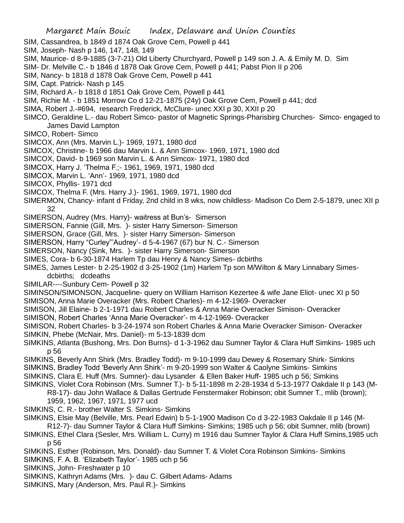- Margaret Main Bouic Index, Delaware and Union Counties SIM, Cassandrea, b 1849 d 1874 Oak Grove Cem, Powell p 441 SIM, Joseph- Nash p 146, 147, 148, 149 SIM, Maurice- d 8-9-1885 (3-7-21) Old Liberty Churchyard, Powell p 149 son J. A. & Emily M. D. Sim SIM- Dr. Melville C.- b 1846 d 1878 Oak Grove Cem, Powell p 441; Pabst Pion II p 206 SIM, Nancy- b 1818 d 1878 Oak Grove Cem, Powell p 441 SIM, Capt. Patrick- Nash p 145 SIM, Richard A.- b 1818 d 1851 Oak Grove Cem, Powell p 441 SIM, Richie M. - b 1851 Morrow Co d 12-21-1875 (24y) Oak Grove Cem, Powell p 441; dcd SIMA, Robert J.-#694, research Frederick, McClure- unec XXI p 30, XXII p 20 SIMCO, Geraldine L.- dau Robert Simco- pastor of Magnetic Springs-Pharisbirg Churches- Simco- engaged to James David Lampton SIMCO, Robert- Simco SIMCOX, Ann (Mrs. Marvin L.)- 1969, 1971, 1980 dcd SIMCOX, Christine- b 1966 dau Marvin L. & Ann Simcox- 1969, 1971, 1980 dcd SIMCOX, David- b 1969 son Marvin L. & Ann Simcox- 1971, 1980 dcd SIMCOX, Harry J. 'Thelma F.;- 1961, 1969, 1971, 1980 dcd SIMCOX, Marvin L. 'Ann'- 1969, 1971, 1980 dcd SIMCOX, Phyllis- 1971 dcd SIMCOX, Thelma F. (Mrs. Harry J.)- 1961, 1969, 1971, 1980 dcd SIMERMON, Chancy- infant d Friday, 2nd child in 8 wks, now childless- Madison Co Dem 2-5-1879, unec XII p 32 SIMERSON, Audrey (Mrs. Harry)- waitress at Bun's- Simerson SIMERSON, Fannie (Gill, Mrs. )- sister Harry Simerson- Simerson SIMERSON, Grace (Gill, Mrs. )- sister Harry Simerson- Simerson SIMERSON, Harry "Curley"'Audrey'- d 5-4-1967 (67) bur N. C.- Simerson SIMERSON, Nancy (Sink, Mrs. )- sister Harry Simerson- Simerson SIMES, Cora- b 6-30-1874 Harlem Tp dau Henry & Nancy Simes- dcbirths SIMES, James Lester- b 2-25-1902 d 3-25-1902 (1m) Harlem Tp son M/Wilton & Mary Linnabary Simesdcbirths; dcdeaths SIMILAR----Sunbury Cem- Powell p 32 SIMINSON/SIMONSON, Jacqueline- query on William Harrison Kezertee & wife Jane Eliot- unec XI p 50 SIMISON, Anna Marie Overacker (Mrs. Robert Charles)- m 4-12-1969- Overacker SIMISON, Jill Elaine- b 2-1-1971 dau Robert Charles & Anna Marie Overacker Simison- Overacker SIMISON, Robert Charles 'Anna Marie Overacker'- m 4-12-1969- Overacker SIMISON, Robert Charles- b 3-24-1974 son Robert Charles & Anna Marie Overacker Simison- Overacker SIMKIN, Phebe (McNair, Mrs. Daniel)- m 5-13-1839 dcm SIMKINS, Atlanta (Bushong, Mrs. Don Burns)- d 1-3-1962 dau Sumner Taylor & Clara Huff Simkins- 1985 uch p 56 SIMKINS, Beverly Ann Shirk (Mrs. Bradley Todd)- m 9-10-1999 dau Dewey & Rosemary Shirk- Simkins SIMKINS, Bradley Todd 'Beverly Ann Shirk'- m 9-20-1999 son Walter & Caolyne Simkins- Simkins SIMKINS, Clara E. Huff (Mrs. Sumner)- dau Lysander & Ellen Baker Huff- 1985 uch p 56; Simkins SIMKINS, Violet Cora Robinson (Mrs. Sumner T.)- b 5-11-1898 m 2-28-1934 d 5-13-1977 Oakdale II p 143 (M-R8-17)- dau John Wallace & Dallas Gertrude Fenstermaker Robinson; obit Sumner T., mlib (brown); 1959, 1962, 1967, 1971, 1977 ucd SIMKINS, C. R.- brother Walter S. Simkins- Simkins SIMKINS, Elsie May (Belville, Mrs. Pearl Edwin) b 5-1-1900 Madison Co d 3-22-1983 Oakdale II p 146 (M-R12-7)- dau Sumner Taylor & Clara Huff Simkins- Simkins; 1985 uch p 56; obit Sumner, mlib (brown) SIMKINS, Ethel Clara (Sesler, Mrs. William L. Curry) m 1916 dau Sumner Taylor & Clara Huff Simins,1985 uch p 56 SIMKINS, Esther (Robinson, Mrs. Donald)- dau Sumner T. & Violet Cora Robinson Simkins- Simkins SIMKINS, F. A. B. 'Elizabeth Taylor'- 1985 uch p 56 SIMKINS, John- Freshwater p 10 SIMKINS, Kathryn Adams (Mrs. )- dau C. Gilbert Adams- Adams
- SIMKINS, Mary (Anderson, Mrs. Paul R.)- Simkins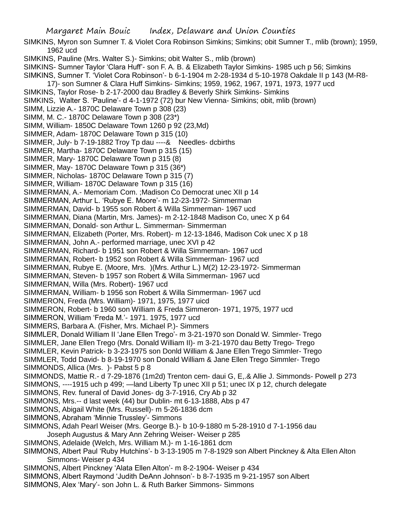SIMKINS, Myron son Sumner T. & Violet Cora Robinson Simkins; Simkins; obit Sumner T., mlib (brown); 1959, 1962 ucd

SIMKINS, Pauline (Mrs. Walter S.)- Simkins; obit Walter S., mlib (brown)

SIMKINS- Sumner Taylor 'Clara Huff'- son F. A. B. & Elizabeth Taylor Simkins- 1985 uch p 56; Simkins SIMKINS, Sumner T. 'Violet Cora Robinson'- b 6-1-1904 m 2-28-1934 d 5-10-1978 Oakdale II p 143 (M-R8-

- 17)- son Sumner & Clara Huff Simkins- Simkins; 1959, 1962, 1967, 1971, 1973, 1977 ucd
- SIMKINS, Taylor Rose- b 2-17-2000 dau Bradley & Beverly Shirk Simkins- Simkins
- SIMKINS, Walter S. 'Pauline'- d 4-1-1972 (72) bur New Vienna- Simkins; obit, mlib (brown)
- SIMM, Lizzie A.- 1870C Delaware Town p 308 (23)
- SIMM, M. C.- 1870C Delaware Town p 308 (23\*)
- SIMM, William- 1850C Delaware Town 1260 p 92 (23,Md)
- SIMMER, Adam- 1870C Delaware Town p 315 (10)
- SIMMER, July- b 7-19-1882 Troy Tp dau ----& Needles- dcbirths
- SIMMER, Martha- 1870C Delaware Town p 315 (15)
- SIMMER, Mary- 1870C Delaware Town p 315 (8)
- SIMMER, May- 1870C Delaware Town p 315 (36\*)
- SIMMER, Nicholas- 1870C Delaware Town p 315 (7)
- SIMMER, William- 1870C Delaware Town p 315 (16)
- SIMMERMAN, A.- Memoriam Com. ;Madison Co Democrat unec XII p 14
- SIMMERMAN, Arthur L. 'Rubye E. Moore'- m 12-23-1972- Simmerman
- SIMMERMAN, David- b 1955 son Robert & Willa Simmerman- 1967 ucd
- SIMMERMAN, Diana (Martin, Mrs. James)- m 2-12-1848 Madison Co, unec X p 64
- SIMMERMAN, Donald- son Arthur L. Simmerman- Simmerman
- SIMMERMAN, Elizabeth (Porter, Mrs. Robert)- m 12-13-1846, Madison Cok unec X p 18
- SIMMERMAN, John A.- performed marriage, unec XVI p 42
- SIMMERMAN, Richard- b 1951 son Robert & Willa Simmerman- 1967 ucd
- SIMMERMAN, Robert- b 1952 son Robert & Willa Simmerman- 1967 ucd
- SIMMERMAN, Rubye E. (Moore, Mrs. )(Mrs. Arthur L.) M(2) 12-23-1972- Simmerman
- SIMMERMAN, Steven- b 1957 son Robert & Willa Simmerman- 1967 ucd
- SIMMERMAN, Willa (Mrs. Robert)- 1967 ucd
- SIMMERMAN, William- b 1956 son Robert & Willa Simmerman- 1967 ucd
- SIMMERON, Freda (Mrs. William)- 1971, 1975, 1977 uicd
- SIMMERON, Robert- b 1960 son William & Freda Simmeron- 1971, 1975, 1977 ucd
- SIMMERON, William 'Freda M.'- 1971. 1975, 1977 ucd
- SIMMERS, Barbara A. (Fisher, Mrs. Michael P.)- Simmers
- SIMMLER, Donald William II 'Jane Ellen Trego'- m 3-21-1970 son Donald W. Simmler- Trego
- SIMMLER, Jane Ellen Trego (Mrs. Donald William II)- m 3-21-1970 dau Betty Trego- Trego
- SIMMLER, Kevin Patrick- b 3-23-1975 son Donld William & Jane Ellen Trego Simmler- Trego
- SIMMLER, Todd David- b 8-19-1970 son Donald William & Jane Ellen Trego Simmler- Trego SIMMONDS, Allica (Mrs. )- Pabst 5 p 8
- SIMMONDS, Mattie R.- d 7-29-1876 (1m2d) Trenton cem- daui G, E,.& Allie J. Simmonds- Powell p 273 SIMMONS, ----1915 uch p 499; —land Liberty Tp unec XII p 51; unec IX p 12, church delegate
- SIMMONS, Rev. funeral of David Jones- dg 3-7-1916, Cry Ab p 32
- SIMMONS, Mrs.-- d last week (44) bur Dublin- mt 6-13-1888, Abs p 47
- SIMMONS, Abigail White (Mrs. Russell)- m 5-26-1836 dcm
- SIMMONS, Abraham 'Minnie Trussley'- Simmons
- SIMMONS, Adah Pearl Weiser (Mrs. George B.)- b 10-9-1880 m 5-28-1910 d 7-1-1956 dau Joseph Augustus & Mary Ann Zehring Weiser- Weiser p 285
- 
- SIMMONS, Adelaide (Welch, Mrs. William M.)- m 1-16-1861 dcm
- SIMMONS, Albert Paul 'Ruby Hutchins'- b 3-13-1905 m 7-8-1929 son Albert Pinckney & Alta Ellen Alton Simmons- Weiser p 434
- SIMMONS, Albert Pinckney 'Alata Ellen Alton'- m 8-2-1904- Weiser p 434
- SIMMONS, Albert Raymond 'Judith DeAnn Johnson'- b 8-7-1935 m 9-21-1957 son Albert
- SIMMONS, Alex 'Mary'- son John L. & Ruth Barker Simmons- Simmons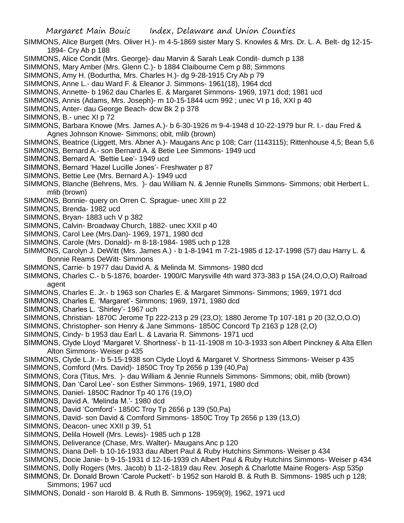SIMMONS, Alice Burgett (Mrs. Oliver H.)- m 4-5-1869 sister Mary S. Knowles & Mrs. Dr. L. A. Belt- dg 12-15- 1894- Cry Ab p 188

- SIMMONS, Alice Condit (Mrs. George)- dau Marvin & Sarah Leak Condit- dumch p 138
- SIMMONS, Mary Amber (Mrs. Glenn C.)- b 1884 Claibourne Cem p 88; Simmons
- SIMMONS, Amy H. (Bodurtha, Mrs. Charles H.)- dg 9-28-1915 Cry Ab p 79
- SIMMONS, Anne L.- dau Ward F. & Eleanor J. Simmons- 1961(18), 1964 dcd
- SIMMONS, Annette- b 1962 dau Charles E. & Margaret Simmons- 1969, 1971 dcd; 1981 ucd
- SIMMONS, Annis (Adams, Mrs. Joseph)- m 10-15-1844 ucm 992 ; unec VI p 16, XXI p 40
- SIMMONS, Anter- dau George Beach- dcw Bk 2 p 378
- SIMMONS, B.- unec XI p 72
- SIMMONS, Barbara Knowe (Mrs. James A.)- b 6-30-1926 m 9-4-1948 d 10-22-1979 bur R. I.- dau Fred & Agnes Johnson Knowe- Simmons; obit, mlib (brown)
- SIMMONS, Beatrice (Liggett, Mrs. Abner A.)- Maugans Anc p 108; Carr (1143115); Rittenhouse 4,5; Bean 5,6
- SIMMONS, Bernard A.- son Bernard A. & Betie Lee Simmons- 1949 ucd
- SIMMONS, Bernard A. 'Bettie Lee'- 1949 ucd
- SIMMONS, Bernard 'Hazel Lucille Jones'- Freshwater p 87
- SIMMONS, Bettie Lee (Mrs. Bernard A.)- 1949 ucd
- SIMMONS, Blanche (Behrens, Mrs. )- dau William N. & Jennie Runells Simmons- Simmons; obit Herbert L. mlib (brown)
- SIMMONS, Bonnie- query on Orren C. Sprague- unec XIII p 22
- SIMMONS, Brenda- 1982 ucd
- SIMMONS, Bryan- 1883 uch V p 382
- SIMMONS, Calvin- Broadway Church, 1882- unec XXII p 40
- SIMMONS, Carol Lee (Mrs.Dan)- 1969, 1971, 1980 dcd
- SIMMONS, Carole (Mrs. Donald)- m 8-18-1984- 1985 uch p 128
- SIMMONS, Carolyn J. DeWitt (Mrs. James A.) b 1-8-1941 m 7-21-1985 d 12-17-1998 (57) dau Harry L. & Bonnie Reams DeWitt- Simmons
- SIMMONS, Carrie- b 1977 dau David A. & Melinda M. Simmons- 1980 dcd
- SIMMONS, Charles C.- b 5-1876, boarder- 1900/C Marysville 4th ward 373-383 p 15A (24,O,O,O) Railroad agent
- SIMMONS, Charles E. Jr.- b 1963 son Charles E. & Margaret Simmons- Simmons; 1969, 1971 dcd
- SIMMONS, Charles E. 'Margaret'- Simmons; 1969, 1971, 1980 dcd
- SIMMONS, Charles L. 'Shirley'- 1967 uch
- SIMMONS, Christian- 1870C Jerome Tp 222-213 p 29 (23,O); 1880 Jerome Tp 107-181 p 20 (32,O,O.O)
- SIMMONS, Christopher- son Henry & Jane Simmons- 1850C Concord Tp 2163 p 128 (2,O)
- SIMMONS, Cindy- b 1953 dau Earl L. & Lavaria R. Simmons- 1971 ucd
- SIMMONS, Clyde Lloyd 'Margaret V. Shortness'- b 11-11-1908 m 10-3-1933 son Albert Pinckney & Alta Ellen Alton Simmons- Weiser p 435
- SIMMONS, Clyde L.Jr.- b 5-15-1938 son Clyde Lloyd & Margaret V. Shortness Simmons- Weiser p 435 SIMMONS, Comford (Mrs. David)- 1850C Troy Tp 2656 p 139 (40,Pa)
- SIMMONS, Cora (Titus, Mrs. )- dau William & Jennie Runnels Simmons- Simmons; obit, mlib (brown)
- SIMMONS, Dan 'Carol Lee'- son Esther Simmons- 1969, 1971, 1980 dcd
- SIMMONS, Daniel- 1850C Radnor Tp 40 176 (19,O)
- SIMMONS, David A. 'Melinda M.'- 1980 dcd
- SIMMONS, David 'Comford'- 1850C Troy Tp 2656 p 139 (50,Pa)
- SIMMONS, David- son David & Comford Simmons- 1850C Troy Tp 2656 p 139 (13,O)
- SIMMONS, Deacon- unec XXII p 39, 51
- SIMMONS, Delila Howell (Mrs. Lewis)- 1985 uch p 128
- SIMMONS, Deliverance (Chase, Mrs. Walter)- Maugans Anc p 120
- SIMMONS, Diana Dell- b 10-16-1933 dau Albert Paul & Ruby Hutchins Simmons- Weiser p 434
- SIMMONS, Docie Janie- b 9-15-1931 d 12-16-1939 ch Albert Paul & Ruby Hutchins Simmons- Weiser p 434
- SIMMONS, Dolly Rogers (Mrs. Jacob) b 11-2-1819 dau Rev. Joseph & Charlotte Maine Rogers- Asp 535p
- SIMMONS, Dr. Donald Brown 'Carole Puckett'- b 1952 son Harold B. & Ruth B. Simmons- 1985 uch p 128; Simmons; 1967 ucd
- SIMMONS, Donald son Harold B. & Ruth B. Simmons- 1959(9), 1962, 1971 ucd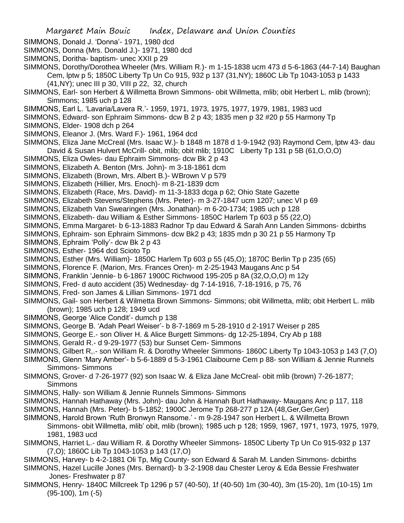SIMMONS, Donald J. 'Donna'- 1971, 1980 dcd

- SIMMONS, Donna (Mrs. Donald J.)- 1971, 1980 dcd
- SIMMONS, Doritha- baptism- unec XXII p 29

SIMMONS, Dorothy/Dorothea Wheeler (Mrs. William R.)- m 1-15-1838 ucm 473 d 5-6-1863 (44-7-14) Baughan Cem, lptw p 5; 1850C Liberty Tp Un Co 915, 932 p 137 (31,NY); 1860C Lib Tp 1043-1053 p 1433 (41,NY); unec III p 30, VIII p 22, 32, church

- SIMMONS, Earl- son Herbert & Willmetta Brown Simmons- obit Willmetta, mlib; obit Herbert L. mlib (brown); Simmons; 1985 uch p 128
- SIMMONS, Earl L. 'Lavaria/Lavera R.'- 1959, 1971, 1973, 1975, 1977, 1979, 1981, 1983 ucd
- SIMMONS, Edward- son Ephraim Simmons- dcw B 2 p 43; 1835 men p 32 #20 p 55 Harmony Tp
- SIMMONS, Elder- 1908 dch p 264
- SIMMONS, Eleanor J. (Mrs. Ward F.)- 1961, 1964 dcd
- SIMMONS, Eliza Jane McCreal (Mrs. Isaac W.)- b 1848 m 1878 d 1-9-1942 (93) Raymond Cem, lptw 43- dau David & Susan Hulvert McCrill- obit, mlib; obit mlib; 1910C Liberty Tp 131 p 5B (61,O,O,O)
- SIMMONS, Eliza Owles- dau Ephraim Simmons- dcw Bk 2 p 43
- SIMMONS, Elizabeth A. Benton (Mrs. John)- m 3-18-1861 dcm
- SIMMONS, Elizabeth (Brown, Mrs. Albert B.)- WBrown V p 579
- SIMMONS, Elizabeth (Hillier, Mrs. Enoch)- m 8-21-1839 dcm
- SIMMONS, Elizabeth (Race, Mrs. David)- m 11-3-1833 dcga p 62; Ohio State Gazette
- SIMMONS, Elizabeth Stevens/Stephens (Mrs. Peter)- m 3-27-1847 ucm 1207; unec VI p 69
- SIMMONS, Elizabeth Van Swearingen (Mrs. Jonathan)- m 6-20-1734; 1985 uch p 128
- SIMMONS, Elizabeth- dau William & Esther Simmons- 1850C Harlem Tp 603 p 55 (22,O)
- SIMMONS, Emma Margaret- b 6-13-1883 Radnor Tp dau Edward & Sarah Ann Landen Simmons- dcbirths
- SIMMONS, Ephraim- son Ephraim Simmons- dcw Bk2 p 43; 1835 mdn p 30 21 p 55 Harmony Tp
- SIMMONS, Ephraim 'Polly'- dcw Bk 2 p 43
- SIMMONS, Esther- 1964 dcd Scioto Tp
- SIMMONS, Esther (Mrs. William)- 1850C Harlem Tp 603 p 55 (45,O); 1870C Berlin Tp p 235 (65)
- SIMMONS, Florence F. (Marion, Mrs. Frances Oren)- m 2-25-1943 Maugans Anc p 54
- SIMMONS, Franklin 'Jennie- b 6-1867 1900C Richwood 195-205 p 8A (32,O,O,O) m 12y
- SIMMONS, Fred- d auto accident (35) Wednesday- dg 7-14-1916, 7-18-1916, p 75, 76
- SIMMONS, Fred- son James & Lillian Simmons- 1971 dcd
- SIMMONS, Gail- son Herbert & Wilmetta Brown Simmons- Simmons; obit Willmetta, mlib; obit Herbert L. mlib (brown); 1985 uch p 128; 1949 ucd
- SIMMONS, George 'Alice Condit'- dumch p 138
- SIMMONS, George B. 'Adah Pearl Weiser'- b 8-7-1869 m 5-28-1910 d 2-1917 Weiser p 285
- SIMMONS, George E.- son Oliver H. & Alice Burgett Simmons- dg 12-25-1894, Cry Ab p 188
- SIMMONS, Gerald R.- d 9-29-1977 (53) bur Sunset Cem- Simmons
- SIMMONS, Gilbert R,.- son William R. & Dorothy Wheeler Simmons- 1860C Liberty Tp 1043-1053 p 143 (7,O)
- SIMMONS, Glenn 'Mary Amber'- b 5-6-1889 d 5-3-1961 Claibourne Cem p 88- son William & Jennie Runnels Simmons- Simmons
- SIMMONS, Grover- d 7-26-1977 (92) son Isaac W. & Eliza Jane McCreal- obit mlib (brown) 7-26-1877; **Simmons**
- SIMMONS, Hally- son William & Jennie Runnels Simmons- Simmons
- SIMMONS, Hannah Hathaway (Mrs. John)- dau John & Hannah Burt Hathaway- Maugans Anc p 117, 118
- SIMMONS, Hannah (Mrs. Peter)- b 5-1852; 1900C Jerome Tp 268-277 p 12A (48,Ger,Ger,Ger)
- SIMMONS, Harold Brown 'Ruth Bronwyn Ransome.' m 9-28-1947 son Herbert L. & Willmetta Brown Simmons- obit Willmetta, mlib' obit, mlib (brown); 1985 uch p 128; 1959, 1967, 1971, 1973, 1975, 1979, 1981, 1983 ucd
- SIMMONS, Harriet L.- dau William R. & Dorothy Wheeler Simmons- 1850C Liberty Tp Un Co 915-932 p 137 (7,O); 1860C Lib Tp 1043-1053 p 143 (17,O)
- SIMMONS, Harvey- b 4-2-1881 Oli Tp, Mig County- son Edward & Sarah M. Landen Simmons- dcbirths
- SIMMONS, Hazel Lucille Jones (Mrs. Bernard)- b 3-2-1908 dau Chester Leroy & Eda Bessie Freshwater Jones- Freshwater p 87
- SIMMONS, Henry- 1840C Millcreek Tp 1296 p 57 (40-50), 1f (40-50) 1m (30-40), 3m (15-20), 1m (10-15) 1m (95-100), 1m (-5)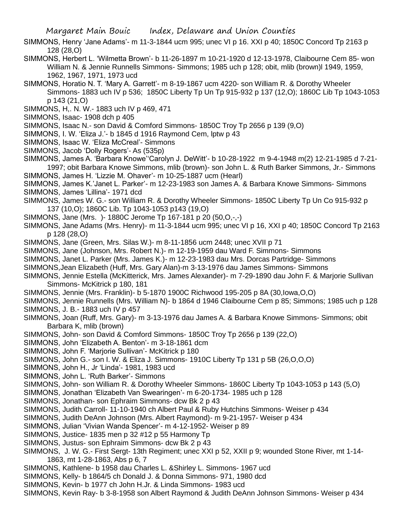- SIMMONS, Henry 'Jane Adams'- m 11-3-1844 ucm 995; unec VI p 16. XXI p 40; 1850C Concord Tp 2163 p 128 (28,O)
- SIMMONS, Herbert L. 'Wilmetta Brown'- b 11-26-1897 m 10-21-1920 d 12-13-1978, Claibourne Cem 85- won William N. & Jennie Runnells Simmons- Simmons; 1985 uch p 128; obit, mlib (brown)l 1949, 1959, 1962, 1967, 1971, 1973 ucd
- SIMMONS, Horatio N. T. 'Mary A. Garrett'- m 8-19-1867 ucm 4220- son William R. & Dorothy Wheeler Simmons- 1883 uch IV p 536; 1850C Liberty Tp Un Tp 915-932 p 137 (12,O); 1860C Lib Tp 1043-1053 p 143 (21,O)
- SIMMONS, H,. N. W.- 1883 uch IV p 469, 471
- SIMMONS, Isaac- 1908 dch p 405
- SIMMONS, Isaac N.- son David & Comford Simmons- 1850C Troy Tp 2656 p 139 (9,O)
- SIMMONS, I. W. 'Eliza J.'- b 1845 d 1916 Raymond Cem, lptw p 43
- SIMMONS, Isaac W. 'Eliza McCreal'- Simmons
- SIMMONS, Jacob 'Dolly Rogers'- As (535p)
- SIMMONS, James A. 'Barbara Knowe''Carolyn J. DeWitt'- b 10-28-1922 m 9-4-1948 m(2) 12-21-1985 d 7-21- 1997; obit Barbara Knowe Simmons, mlib (brown)- son John L. & Ruth Barker Simmons, Jr.- Simmons
- SIMMONS, James H. 'Lizzie M. Ohaver'- m 10-25-1887 ucm (Hearl)
- SIMMONS, James K.'Janet L. Parker'- m 12-23-1983 son James A. & Barbara Knowe Simmons- Simmons
- SIMMONS, James 'Lillina'- 1971 dcd
- SIMMONS, James W. G.- son William R. & Dorothy Wheeler Simmons- 1850C Liberty Tp Un Co 915-932 p 137 (10,O); 1860C Lib. Tp 1043-1053 p143 (19,O)
- SIMMONS, Jane (Mrs. )- 1880C Jerome Tp 167-181 p 20 (50,O,-,-)
- SIMMONS, Jane Adams (Mrs. Henry)- m 11-3-1844 ucm 995; unec VI p 16, XXI p 40; 1850C Concord Tp 2163 p 128 (28,O)
- SIMMONS, Jane (Green, Mrs. Silas W.)- m 8-11-1856 ucm 2448; unec XVII p 71
- SIMMONS, Jane (Johnson, Mrs. Robert N.)- m 12-19-1959 dau Ward F. Simmons- Simmons
- SIMMONS, Janet L. Parker (Mrs. James K.)- m 12-23-1983 dau Mrs. Dorcas Partridge- Simmons
- SIMMONS,Jean Elizabeth (Huff, Mrs. Gary Alan)-m 3-13-1976 dau James Simmons- Simmons
- SIMMONS, Jennie Estella (McKitterick, Mrs. James Alexander)- m 7-29-1890 dau John F. & Marjorie Sullivan Simmons- McKitrick p 180, 181
- SIMMONS, Jennie (Mrs. Franklin)- b 5-1870 1900C Richwood 195-205 p 8A (30,Iowa,O,O)
- SIMMONS, Jennie Runnells (Mrs. William N)- b 1864 d 1946 Claibourne Cem p 85; Simmons; 1985 uch p 128 SIMMONS, J. B.- 1883 uch IV p 457
- SIMMONS, Joan (Ruff, Mrs. Gary)- m 3-13-1976 dau James A. & Barbara Knowe Simmons- Simmons; obit Barbara K, mlib (brown)
- SIMMONS, John- son David & Comford Simmons- 1850C Troy Tp 2656 p 139 (22,O)
- SIMMONS, John 'Elizabeth A. Benton'- m 3-18-1861 dcm
- SIMMONS, John F. 'Marjorie Sullivan'- McKitrick p 180
- SIMMONS, John G.- son I. W. & Eliza J. Simmons- 1910C Liberty Tp 131 p 5B (26,O,O,O)
- SIMMONS, John H., Jr 'Linda'- 1981, 1983 ucd
- SIMMONS, John L. 'Ruth Barker'- Simmons
- SIMMONS, John- son William R. & Dorothy Wheeler Simmons- 1860C Liberty Tp 1043-1053 p 143 (5,O)
- SIMMONS, Jonathan 'Elizabeth Van Swearingen'- m 6-20-1734- 1985 uch p 128
- SIMMONS, Jonathan- son Ephraim Simmons- dcw Bk 2 p 43
- SIMMONS, Judith Carroll- 11-10-1940 ch Albert Paul & Ruby Hutchins Simmons- Weiser p 434
- SIMMONS, Judith DeAnn Johnson (Mrs. Albert Raymond)- m 9-21-1957- Weiser p 434
- SIMMONS, Julian 'Vivian Wanda Spencer'- m 4-12-1952- Weiser p 89
- SIMMONS, Justice- 1835 men p 32 #12 p 55 Harmony Tp
- SIMMONS, Justus- son Ephraim Simmons- dcw Bk 2 p 43
- SIMMONS, J. W. G.- First Sergt- 13th Regiment; unec XXI p 52, XXII p 9; wounded Stone River, mt 1-14- 1863, mt 1-28-1863, Abs p 6, 7
- SIMMONS, Kathlene- b 1958 dau Charles L. &Shirley L. Simmons- 1967 ucd
- SIMMONS, Kelly- b 1864/5 ch Donald J. & Donna Simmons- 971, 1980 dcd
- SIMMONS, Kevin- b 1977 ch John H.Jr. & Linda Simmons- 1983 ucd
- SIMMONS, Kevin Ray- b 3-8-1958 son Albert Raymond & Judith DeAnn Johnson Simmons- Weiser p 434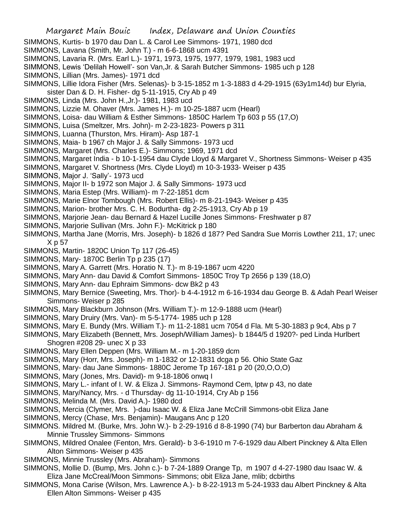- SIMMONS, Kurtis- b 1970 dau Dan L. & Carol Lee Simmons- 1971, 1980 dcd
- SIMMONS, Lavana (Smith, Mr. John T.) m 6-6-1868 ucm 4391
- SIMMONS, Lavaria R. (Mrs. Earl L.)- 1971, 1973, 1975, 1977, 1979, 1981, 1983 ucd
- SIMMONS, Lewis 'Delilah Howell'- son Van,Jr. & Sarah Butcher Simmons- 1985 uch p 128
- SIMMONS, Lillian (Mrs. James)- 1971 dcd
- SIMMONS, Lillie Idora Fisher (Mrs. Selenas)- b 3-15-1852 m 1-3-1883 d 4-29-1915 (63y1m14d) bur Elyria,
- sister Dan & D. H. Fisher- dg 5-11-1915, Cry Ab p 49
- SIMMONS, Linda (Mrs. John H.,Jr.)- 1981, 1983 ucd
- SIMMONS, Lizzie M. Ohaver (Mrs. James H.)- m 10-25-1887 ucm (Hearl)
- SIMMONS, Loisa- dau William & Esther Simmons- 1850C Harlem Tp 603 p 55 (17,O)
- SIMMONS, Luisa (Smeltzer, Mrs. John)- m 2-23-1823- Powers p 311
- SIMMONS, Luanna (Thurston, Mrs. Hiram)- Asp 187-1
- SIMMONS, Maia- b 1967 ch Major J. & Sally Simmons- 1973 ucd
- SIMMONS, Margaret (Mrs. Charles E.)- Simmons; 1969, 1971 dcd
- SIMMONS, Margaret India b 10-1-1954 dau Clyde Lloyd & Margaret V., Shortness Simmons- Weiser p 435
- SIMMONS, Margaret V. Shortness (Mrs. Clyde Lloyd) m 10-3-1933- Weiser p 435
- SIMMONS, Major J. 'Sally'- 1973 ucd
- SIMMONS, Major II- b 1972 son Major J. & Sally Simmons- 1973 ucd
- SIMMONS, Maria Estep (Mrs. William)- m 7-22-1851 dcm
- SIMMONS, Marie Elnor Tombough (Mrs. Robert Ellis)- m 8-21-1943- Weiser p 435
- SIMMONS, Marion- brother Mrs. C. H. Bodurtha- dg 2-25-1913, Cry Ab p 19
- SIMMONS, Marjorie Jean- dau Bernard & Hazel Lucille Jones Simmons- Freshwater p 87
- SIMMONS, Marjorie Sullivan (Mrs. John F.)- McKitrick p 180
- SIMMONS, Martha Jane (Morris, Mrs. Joseph)- b 1826 d 187? Ped Sandra Sue Morris Lowther 211, 17; unec X p 57
- SIMMONS, Martin- 1820C Union Tp 117 (26-45)
- SIMMONS, Mary- 1870C Berlin Tp p 235 (17)
- SIMMONS, Mary A. Garrett (Mrs. Horatio N. T.)- m 8-19-1867 ucm 4220
- SIMMONS, Mary Ann- dau David & Comfort Simmons- 1850C Troy Tp 2656 p 139 (18,O)
- SIMMONS, Mary Ann- dau Ephraim Simmons- dcw Bk2 p 43
- SIMMONS, Mary Bernice (Sweeting, Mrs. Thor)- b 4-4-1912 m 6-16-1934 dau George B. & Adah Pearl Weiser Simmons- Weiser p 285
- SIMMONS, Mary Blackburn Johnson (Mrs. William T.)- m 12-9-1888 ucm (Hearl)
- SIMMONS, Mary Druiry (Mrs. Van)- m 5-5-1774- 1985 uch p 128
- SIMMONS, Mary E. Bundy (Mrs. William T.)- m 11-2-1881 ucm 7054 d Fla. Mt 5-30-1883 p 9c4, Abs p 7
- SIMMONS, Mary Elizabeth (Bennett, Mrs. Joseph/William James)- b 1844/5 d 1920?- ped Linda Hurlbert Shogren #208 29- unec X p 33
- SIMMONS, Mary Ellen Deppen (Mrs. William M.- m 1-20-1859 dcm
- SIMMONS, Mary (Horr, Mrs. Joseph)- m 1-1832 or 12-1831 dcga p 56. Ohio State Gaz
- SIMMONS, Mary- dau Jane Simmons- 1880C Jerome Tp 167-181 p 20 (20,O,O,O)
- SIMMONS, Mary (Jones, Mrs. David)- m 9-18-1806 onwq I
- SIMMONS, Mary L.- infant of I. W. & Eliza J. Simmons- Raymond Cem, lptw p 43, no date
- SIMMONS, Mary/Nancy, Mrs. d Thursday- dg 11-10-1914, Cry Ab p 156
- SIMMONS, Melinda M. (Mrs. David A.)- 1980 dcd
- SIMMONS, Mercia (Clymer, Mrs. )-dau Isaac W. & Eliza Jane McCrill Simmons-obit Eliza Jane
- SIMMONS, Mercy (Chase, Mrs. Benjamin)- Maugans Anc p 120
- SIMMONS. Mildred M. (Burke, Mrs. John W.)- b 2-29-1916 d 8-8-1990 (74) bur Barberton dau Abraham & Minnie Trussley Simmons- Simmons
- SIMMONS, Mildred Onalee (Fenton, Mrs. Gerald)- b 3-6-1910 m 7-6-1929 dau Albert Pinckney & Alta Ellen Alton Simmons- Weiser p 435
- SIMMONS, Minnie Trussley (Mrs. Abraham)- Simmons
- SIMMONS, Mollie D. (Bump, Mrs. John c.)- b 7-24-1889 Orange Tp, m 1907 d 4-27-1980 dau Isaac W. & Eliza Jane McCreal/Moon Simmons- Simmons; obit Eliza Jane, mlib; dcbirths
- SIMMONS, Mona Carise (Wilson, Mrs. Lawrence A.)- b 8-22-1913 m 5-24-1933 dau Albert Pinckney & Alta Ellen Alton Simmons- Weiser p 435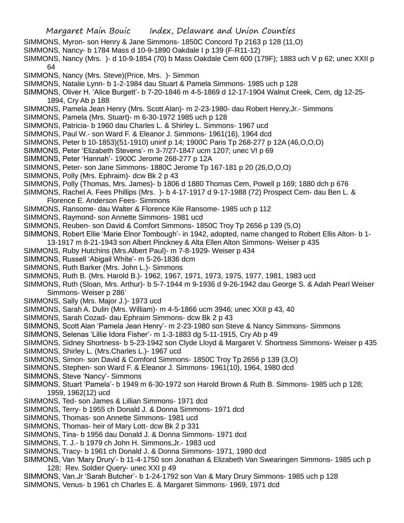- Margaret Main Bouic Index, Delaware and Union Counties
- SIMMONS, Myron- son Henry & Jane Simmons- 1850C Concord Tp 2163 p 128 (11,O)
- SIMMONS, Nancy- b 1784 Mass d 10-9-1890 Oakdale I p 139 (F-R11-12)
- SIMMONS, Nancy (Mrs. )- d 10-9-1854 (70) b Mass Oakdale Cem 600 (179F); 1883 uch V p 62; unec XXII p 64
- SIMMONS, Nancy (Mrs. Steve)(Price, Mrs. )- Simmon
- SIMMONS, Natalie Lynn- b 1-2-1984 dau Stuart & Pamela Simmons- 1985 uch p 128
- SIMMONS, Oliver H. 'Alice Burgett'- b 7-20-1846 m 4-5-1869 d 12-17-1904 Walnut Creek, Cem, dg 12-25- 1894, Cry Ab p 188
- SIMMONS, Pamela Jean Henry (Mrs. Scott Alan)- m 2-23-1980- dau Robert Henry,Jr.- Simmons
- SIMMONS, Pamela (Mrs. Stuart)- m 6-30-1972 1985 uch p 128
- SIMMONS, Patricia- b 1960 dau Charles L. & Shirley L. Simmons- 1967 ucd
- SIMMONS, Paul W.- son Ward F. & Eleanor J. Simmons- 1961(16), 1964 dcd
- SIMMONS, Peter b 10-1853)(51-1910) uninf p 14; 1900C Paris Tp 268-277 p 12A (46,O,O,O)
- SIMMONS, Peter 'Elizabeth Stevens'- m 3-7/27-1847 ucm 1207; unec VI p 69
- SIMMONS, Peter 'Hannah'- 1900C Jerome 268-277 p 12A
- SIMMONS, Peter- son Jane Simmons- 1880C Jerome Tp 167-181 p 20 (26,O,O,O)
- SIMMONS, Polly (Mrs. Ephraim)- dcw Bk 2 p 43
- SIMMONS, Polly (Thomas, Mrs. James)- b 1806 d 1880 Thomas Cem, Powell p 169; 1880 dch p 676
- SIMMONS, Rachel A. Fees Phillips (Mrs. )- b 4-17-1917 d 9-17-1988 (72) Prospect Cem- dau Ben L. & Florence E. Anderson Fees- Simmons
- SIMMONS, Ransome- dau Walter & Florence Kile Ransome- 1985 uch p 112
- SIMMONS, Raymond- son Annette Simmons- 1981 ucd
- SIMMONS, Reuben- son David & Comfort Simmons- 1850C Troy Tp 2656 p 139 (5,O)
- SIMMONS, Robert Ellie 'Marie Elnor Tombough'- in 1942, adopted, name changed to Robert Ellis Alton- b 1-
- 13-1917 m 8-21-1943 son Albert Pinckney & Alta Ellen Alton Simmons- Weiser p 435
- SIMMONS, Ruby Hutchins (Mrs.Albert Paul)- m 7-8-1929- Weiser p 434
- SIMMONS, Russell 'Abigail White'- m 5-26-1836 dcm
- SIMMONS, Ruth Barker (Mrs. John L.)- Simmons
- SIMMONS, Ruth B. (Mrs. Harold B.)- 1962, 1967, 1971, 1973, 1975, 1977, 1981, 1983 ucd
- SIMMONS, Ruth (Sloan, Mrs. Arthur)- b 5-7-1944 m 9-1936 d 9-26-1942 dau George S. & Adah Pearl Weiser Simmons- Weiser p 286'
- SIMMONS, Sally (Mrs. Major J.)- 1973 ucd
- SIMMONS, Sarah A. Dulin (Mrs. William)- m 4-5-1866 ucm 3946; unec XXII p 43, 40
- SIMMONS, Sarah Cozad- dau Ephraim Simmons- dcw Bk 2 p 43
- SIMMONS, Scott Alan 'Pamela Jean Henry'- m 2-23-1980 son Steve & Nancy Simmons- Simmons
- SIMMONS, Selenas 'Lillie Idora Fisher'- m 1-3-1883 dg 5-11-1915, Cry Ab p 49
- SIMMONS, Sidney Shortness- b 5-23-1942 son Clyde Lloyd & Margaret V. Shortness Simmons- Weiser p 435
- SIMMONS, Shirley L. (Mrs.Charles L.)- 1967 ucd
- SIMMONS, Simon- son David & Comford Simmons- 1850C Troy Tp 2656 p 139 (3,O)
- SIMMONS, Stephen- son Ward F. & Eleanor J. Simmons- 1961(10), 1964, 1980 dcd
- SIMMONS, Steve 'Nancy'- Simmons
- SIMMONS, Stuart 'Pamela'- b 1949 m 6-30-1972 son Harold Brown & Ruth B. Simmons- 1985 uch p 128; 1959, 1962(12) ucd
- SIMMONS, Ted- son James & Lillian Simmons- 1971 dcd
- SIMMONS, Terry- b 1955 ch Donald J. & Donna Simmons- 1971 dcd
- SIMMONS, Thomas- son Annette Simmons- 1981 ucd
- SIMMONS, Thomas- heir of Mary Lott- dcw Bk 2 p 331
- SIMMONS, Tina- b 1956 dau Donald J. & Donna Simmons- 1971 dcd
- SIMMONS, T. J.- b 1979 ch John H. Simmons,Jr.- 1983 ucd
- SIMMONS, Tracy- b 1961 ch Donald J. & Donna Simmons- 1971, 1980 dcd
- SIMMONS, Van 'Mary Drury'- b 11-4-1750 son Jonathan & Elizabeth Van Swearingen Simmons- 1985 uch p 128; Rev. Soldier Query- unec XXI p 49
- SIMMONS, Van.Jr 'Sarah Butcher'- b 1-24-1792 son Van & Mary Drury Simmons- 1985 uch p 128
- SIMMONS, Venus- b 1961 ch Charles E. & Margaret Simmons- 1969, 1971 dcd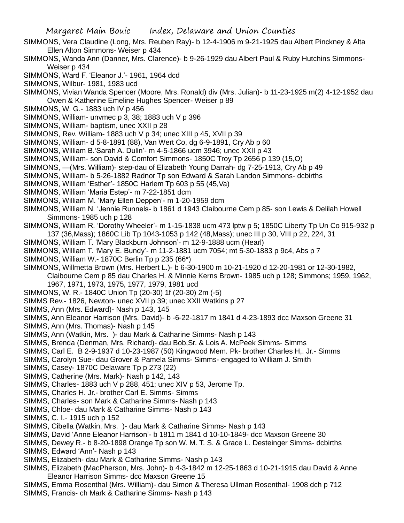- SIMMONS, Vera Claudine (Long, Mrs. Reuben Ray)- b 12-4-1906 m 9-21-1925 dau Albert Pinckney & Alta Ellen Alton Simmons- Weiser p 434
- SIMMONS, Wanda Ann (Danner, Mrs. Clarence)- b 9-26-1929 dau Albert Paul & Ruby Hutchins Simmons-Weiser p 434
- SIMMONS, Ward F. 'Eleanor J.'- 1961, 1964 dcd
- SIMMONS, Wilbur- 1981, 1983 ucd
- SIMMONS, Vivian Wanda Spencer (Moore, Mrs. Ronald) div (Mrs. Julian)- b 11-23-1925 m(2) 4-12-1952 dau Owen & Katherine Emeline Hughes Spencer- Weiser p 89
- SIMMONS, W. G.- 1883 uch IV p 456
- SIMMONS, William- unvmec p 3, 38; 1883 uch V p 396
- SIMMONS, William- baptism, unec XXII p 28
- SIMMONS, Rev. William- 1883 uch V p 34; unec XIII p 45, XVII p 39
- SIMMONS, William- d 5-8-1891 (88), Van Wert Co, dg 6-9-1891, Cry Ab p 60
- SIMMONS, William B.'Sarah A. Dulin'- m 4-5-1866 ucm 3946; unec XXII p 43
- SIMMONS, William- son David & Comfort Simmons- 1850C Troy Tp 2656 p 139 (15,O)
- SIMMONS, —(Mrs. William)- step-dau of Elizabeth Young Darrah- dg 7-25-1913, Cry Ab p 49
- SIMMONS, William- b 5-26-1882 Radnor Tp son Edward & Sarah Landon Simmons- dcbirths
- SIMMONS, William 'Esther'- 1850C Harlem Tp 603 p 55 (45,Va)
- SIMMONS, William 'Maria Estep'- m 7-22-1851 dcm
- SIMMONS, William M. 'Mary Ellen Deppen'- m 1-20-1959 dcm
- SIMMONS, William N. 'Jennie Runnels- b 1861 d 1943 Claibourne Cem p 85- son Lewis & Delilah Howell Simmons- 1985 uch p 128
- SIMMONS, William R. 'Dorothy Wheeler'- m 1-15-1838 ucm 473 lptw p 5; 1850C Liberty Tp Un Co 915-932 p 137 (36,Mass); 1860C Lib Tp 1043-1053 p 142 (48,Mass); unec III p 30, VIII p 22, 224, 31
- SIMMONS, William T. 'Mary Blackburn Johnson'- m 12-9-1888 ucm (Hearl)
- SIMMONS, William T. 'Mary E. Bundy'- m 11-2-1881 ucm 7054; mt 5-30-1883 p 9c4, Abs p 7
- SIMMONS, William W.- 1870C Berlin Tp p 235 (66\*)
- SIMMONS, Willmetta Brown (Mrs. Herbert L.)- b 6-30-1900 m 10-21-1920 d 12-20-1981 or 12-30-1982,
	- Claibourne Cem p 85 dau Charles H. & Minnie Kerns Brown- 1985 uch p 128; Simmons; 1959, 1962, 1967, 1971, 1973, 1975, 1977, 1979, 1981 ucd
- SIMMONS, W. R.- 1840C Union Tp (20-30) 1f (20-30) 2m (-5)
- SIMMS Rev.- 1826, Newton- unec XVII p 39; unec XXII Watkins p 27
- SIMMS, Ann (Mrs. Edward)- Nash p 143, 145
- SIMMS, Ann Eleanor Harrison (Mrs. David)- b -6-22-1817 m 1841 d 4-23-1893 dcc Maxson Greene 31
- SIMMS, Ann (Mrs. Thomas)- Nash p 145
- SIMMS, Ann (Watkin, Mrs. )- dau Mark & Catharine Simms- Nash p 143
- SIMMS, Brenda (Denman, Mrs. Richard)- dau Bob,Sr. & Lois A. McPeek Simms- Simms
- SIMMS, Carl E. B 2-9-1937 d 10-23-1987 (50) Kingwood Mem. Pk- brother Charles H,. Jr.- Simms
- SIMMS, Carolyn Sue- dau Grover & Pamela Simms- Simms- engaged to William J. Smith
- SIMMS, Casey- 1870C Delaware Tp p 273 (22)
- SIMMS, Catherine (Mrs. Mark)- Nash p 142, 143
- SIMMS, Charles- 1883 uch V p 288, 451; unec XIV p 53, Jerome Tp.
- SIMMS, Charles H. Jr.- brother Carl E. Simms- Simms
- SIMMS, Charles- son Mark & Catharine Simms- Nash p 143
- SIMMS, Chloe- dau Mark & Catharine Simms- Nash p 143
- SIMMS, C. I.- 1915 uch p 152
- SIMMS, Cibella (Watkin, Mrs. )- dau Mark & Catharine Simms- Nash p 143
- SIMMS, David 'Anne Eleanor Harrison'- b 1811 m 1841 d 10-10-1849- dcc Maxson Greene 30
- SIMMS, Dewey R.- b 8-20-1898 Orange Tp son W. M. T. S. & Grace L. Desteinger Simms- dcbirths
- SIMMS, Edward 'Ann'- Nash p 143
- SIMMS, Elizabeth- dau Mark & Catharine Simms- Nash p 143
- SIMMS, Elizabeth (MacPherson, Mrs. John)- b 4-3-1842 m 12-25-1863 d 10-21-1915 dau David & Anne Eleanor Harrison Simms- dcc Maxson Greene 15
- SIMMS, Emma Rosenthal (Mrs. William)- dau Simon & Theresa Ullman Rosenthal- 1908 dch p 712
- SIMMS, Francis- ch Mark & Catharine Simms- Nash p 143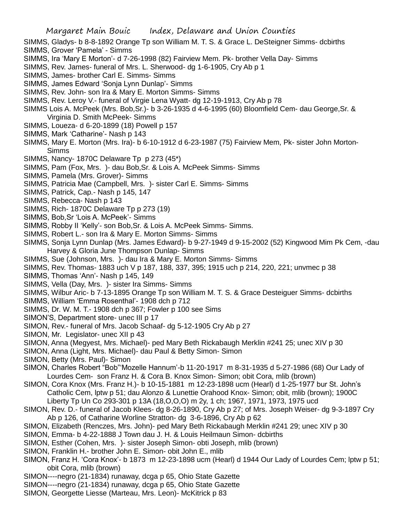- SIMMS, Gladys- b 8-8-1892 Orange Tp son William M. T. S. & Grace L. DeSteigner Simms- dcbirths SIMMS, Grover 'Pamela' - Simms
- SIMMS, Ira 'Mary E Morton'- d 7-26-1998 (82) Fairview Mem. Pk- brother Vella Day- Simms
- SIMMS, Rev. James- funeral of Mrs. L. Sherwood- dg 1-6-1905, Cry Ab p 1
- SIMMS, James- brother Carl E. Simms- Simms
- SIMMS, James Edward 'Sonja Lynn Dunlap'- Simms
- SIMMS, Rev. John- son Ira & Mary E. Morton Simms- Simms
- SIMMS, Rev. Leroy V.- funeral of Virgie Lena Wyatt- dg 12-19-1913, Cry Ab p 78
- SIMMS Lois A. McPeek (Mrs. Bob,Sr.)- b 3-26-1935 d 4-6-1995 (60) Bloomfield Cem- dau George,Sr. & Virginia D. Smith McPeek- Simms
- SIMMS, Loueza- d 6-20-1899 (18) Powell p 157
- SIMMS, Mark 'Catharine'- Nash p 143
- SIMMS, Mary E. Morton (Mrs. Ira)- b 6-10-1912 d 6-23-1987 (75) Fairview Mem, Pk- sister John Morton-Simms
- SIMMS, Nancy- 1870C Delaware Tp p 273 (45\*)
- SIMMS, Pam (Fox, Mrs. )- dau Bob,Sr. & Lois A. McPeek Simms- Simms
- SIMMS, Pamela (Mrs. Grover)- Simms
- SIMMS, Patricia Mae (Campbell, Mrs. )- sister Carl E. Simms- Simms
- SIMMS, Patrick, Cap.- Nash p 145, 147
- SIMMS, Rebecca- Nash p 143
- SIMMS, Rich- 1870C Delaware Tp p 273 (19)
- SIMMS, Bob,Sr 'Lois A. McPeek'- Simms
- SIMMS, Robby II 'Kelly'- son Bob,Sr. & Lois A. McPeek Simms- Simms.
- SIMMS, Robert L.- son Ira & Mary E. Morton Simms- Simms
- SIMMS, Sonja Lynn Dunlap (Mrs. James Edward)- b 9-27-1949 d 9-15-2002 (52) Kingwood Mim Pk Cem, -dau Harvey & Gloria June Thompson Dunlap- Simms
- SIMMS, Sue (Johnson, Mrs. )- dau Ira & Mary E. Morton Simms- Simms
- SIMMS, Rev. Thomas- 1883 uch V p 187, 188, 337, 395; 1915 uch p 214, 220, 221; unvmec p 38
- SIMMS, Thomas 'Ann'- Nash p 145, 149
- SIMMS, Vella (Day, Mrs. )- sister Ira Simms- Simms
- SIMMS, Wilbur Aric- b 7-13-1895 Orange Tp son William M. T. S. & Grace Desteiguer Simms- dcbirths
- SIMMS, William 'Emma Rosenthal'- 1908 dch p 712
- SIMMS, Dr. W. M. T.- 1908 dch p 367; Fowler p 100 see Sims
- SIMON'S, Department store- unec III p 17
- SIMON, Rev.- funeral of Mrs. Jacob Schaaf- dg 5-12-1905 Cry Ab p 27
- SIMON, Mr. Legislator- unec XII p 43
- SIMON, Anna (Megyest, Mrs. Michael)- ped Mary Beth Rickabaugh Merklin #241 25; unec XIV p 30
- SIMON, Anna (Light, Mrs. Michael)- dau Paul & Betty Simon- Simon
- SIMON, Betty (Mrs. Paul)- Simon
- SIMON, Charles Robert "Bob"'Mozelle Hannum'-b 11-20-1917 m 8-31-1935 d 5-27-1986 (68) Our Lady of Lourdes Cem- son Franz H. & Cora B. Knox Simon- Simon; obit Cora, mlib (brown)
- SIMON, Cora Knox (Mrs. Franz H.)- b 10-15-1881 m 12-23-1898 ucm (Hearl) d 1-25-1977 bur St. John's Catholic Cem, lptw p 51; dau Alonzo & Lunettie Orahood Knox- Simon; obit, mlib (brown); 1900C Liberty Tp Un Co 293-301 p 13A (18,O,O,O) m 2y, 1 ch; 1967, 1971, 1973, 1975 ucd
- SIMON, Rev. D.- funeral of Jacob Klees- dg 8-26-1890, Cry Ab p 27; of Mrs. Joseph Weiser- dg 9-3-1897 Cry Ab p 126, of Catharine Worline Stratton- dg 3-6-1896, Cry Ab p 62
- SIMON, Elizabeth (Renczes, Mrs. John)- ped Mary Beth Rickabaugh Merklin #241 29; unec XIV p 30
- SIMON, Emma- b 4-22-1888 J Town dau J. H. & Louis Heilmaun Simon- dcbirths
- SIMON, Esther (Cohen, Mrs. )- sister Joseph Simon- obti Joseph, mlib (brown)
- SIMON, Franklin H.- brother John E. Simon- obit John E., mlib
- SIMON, Franz H. 'Cora Knox'- b 1873 m 12-23-1898 ucm (Hearl) d 1944 Our Lady of Lourdes Cem; lptw p 51; obit Cora, mlib (brown)
- SIMON----negro (21-1834) runaway, dcga p 65, Ohio State Gazette
- SIMON----negro (21-1834) runaway, dcga p 65, Ohio State Gazette
- SIMON, Georgette Liesse (Marteau, Mrs. Leon)- McKitrick p 83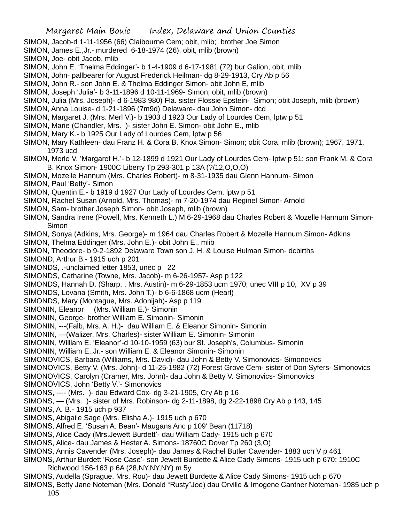SIMON, Jacob-d 1-11-1956 (66) Claibourne Cem; obit, mlib; brother Joe Simon

- SIMON, James E.,Jr.- murdered 6-18-1974 (26), obit, mlib (brown)
- SIMON, Joe- obit Jacob, mlib
- SIMON, John E. 'Thelma Eddinger'- b 1-4-1909 d 6-17-1981 (72) bur Galion, obit, mlib
- SIMON, John- pallbearer for August Frederick Heilman- dg 8-29-1913, Cry Ab p 56
- SIMON, John R.- son John E. & Thelma Eddinger Simon- obit John E, mlib
- SIMON, Joseph 'Julia'- b 3-11-1896 d 10-11-1969- Simon; obit, mlib (brown)
- SIMON, Julia (Mrs. Joseph)- d 6-1983 980) Fla. sister Flossie Epstein- Simon; obit Joseph, mlib (brown)
- SIMON, Anna Louise- d 1-21-1896 (7m9d) Delaware- dau John Simon- dcd
- SIMON, Margaret J. (Mrs. Merl V.)- b 1903 d 1923 Our Lady of Lourdes Cem, lptw p 51
- SIMON, Marie (Chandler, Mrs. )- sister John E. Simon- obit John E., mlib
- SIMON, Mary K.- b 1925 Our Lady of Lourdes Cem, lptw p 56
- SIMON, Mary Kathleen- dau Franz H. & Cora B. Knox Simon- Simon; obit Cora, mlib (brown); 1967, 1971, 1973 ucd
- SIMON, Merle V. 'Margaret H.'- b 12-1899 d 1921 Our Lady of Lourdes Cem- lptw p 51; son Frank M. & Cora B. Knox Simon- 1900C Liberty Tp 293-301 p 13A (?/12,O,O,O)
- SIMON, Mozelle Hannum (Mrs. Charles Robert)- m 8-31-1935 dau Glenn Hannum- Simon
- SIMON, Paul 'Betty'- Simon
- SIMON, Quentin E.- b 1919 d 1927 Our Lady of Lourdes Cem, lptw p 51
- SIMON, Rachel Susan (Arnold, Mrs. Thomas)- m 7-20-1974 dau Reginel Simon- Arnold
- SIMON, Sam- brother Joseph Simon- obit Joseph, mlib (brown)
- SIMON, Sandra Irene (Powell, Mrs. Kenneth L.) M 6-29-1968 dau Charles Robert & Mozelle Hannum Simon-**Simon**
- SIMON, Sonya (Adkins, Mrs. George)- m 1964 dau Charles Robert & Mozelle Hannum Simon- Adkins
- SIMON, Thelma Eddinger (Mrs. John E.)- obit John E., mlib
- SIMON, Theodore- b 9-2-1892 Delaware Town son J. H. & Louise Hulman Simon- dcbirths
- SIMOND, Arthur B.- 1915 uch p 201
- SIMONDS, .-unclaimed letter 1853, unec p 22
- SIMONDS, Catharine (Towne, Mrs. Jacob)- m 6-26-1957- Asp p 122
- SIMONDS, Hannah D. (Sharp, , Mrs. Austin)- m 6-29-1853 ucm 1970; unec VIII p 10, XV p 39
- SIMONDS, Lovana (Smith, Mrs. John T.)- b 6-6-1868 ucm (Hearl)
- SIMONDS, Mary (Montague, Mrs. Adonijah)- Asp p 119
- SIMONIN, Eleanor (Mrs. William E.)- Simonin
- SIMONIN, George- brother William E. Simonin- Simonin
- SIMONIN, ---(Falb, Mrs. A. H.)- dau William E. & Eleanor Simonin- Simonin
- SIMONIN, —(Walizer, Mrs. Charles)- sister William E. Simonin- Simonin
- SIMONIN, William E. 'Eleanor'-d 10-10-1959 (63) bur St. Joseph's, Columbus- Simonin
- SIMONIN, William E.,Jr.- son William E. & Eleanor Simonin- Simonin
- SIMONOVICS, Barbara (Williams, Mrs. David)- dau John & Betty V. Simonovics- Simonovics
- SIMONOVICS, Betty V. (Mrs. John)- d 11-25-1982 (72) Forest Grove Cem- sister of Don Syfers- Simonovics
- SIMONOVICS, Carolyn (Cramer, Mrs. John)- dau John & Betty V. Simonovics- Simonovics
- SIMONOVICS, John 'Betty V.'- Simonovics
- SIMONS, ---- (Mrs. )- dau Edward Cox- dg 3-21-1905, Cry Ab p 16
- SIMONS, (Mrs. )- sister of Mrs. Robinson- dg 2-11-1898, dg 2-22-1898 Cry Ab p 143, 145
- SIMONS, A. B.- 1915 uch p 937
- SIMONS, Abigaile Sage (Mrs. Elisha A.)- 1915 uch p 670
- SIMONS, Alfred E. 'Susan A. Bean'- Maugans Anc p 109' Bean (11718)
- SIMONS, Alice Cady (Mrs.Jewett Burdett'- dau William Cady- 1915 uch p 670
- SIMONS, Alice- dau James & Hester A. Simons- 18760C Dover Tp 260 (3,O)
- SIMONS, Annis Cavender (Mrs. Joseph)- dau James & Rachel Butler Cavender- 1883 uch V p 461
- SIMONS, Arthur Burdett 'Rose Case'- son Jewett Burdette & Alice Cady Simons- 1915 uch p 670; 1910C Richwood 156-163 p 6A (28,NY,NY,NY) m 5y
- SIMONS, Audella (Sprague, Mrs. Rou)- dau Jewett Burdette & Alice Cady Simons- 1915 uch p 670
- SIMONS, Betty Jane Noteman (Mrs. Donald "Rusty"Joe) dau Orville & Imogene Cantner Noteman- 1985 uch p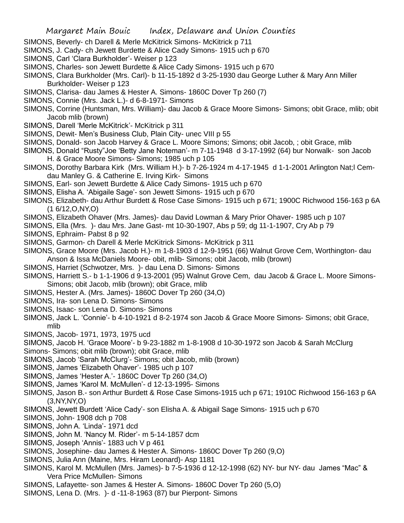- SIMONS, Beverly- ch Darell & Merle McKitrick Simons- McKitrick p 711
- SIMONS, J. Cady- ch Jewett Burdette & Alice Cady Simons- 1915 uch p 670
- SIMONS, Carl 'Clara Burkholder'- Weiser p 123
- SIMONS, Charles- son Jewett Burdette & Alice Cady Simons- 1915 uch p 670
- SIMONS, Clara Burkholder (Mrs. Carl)- b 11-15-1892 d 3-25-1930 dau George Luther & Mary Ann Miller Burkholder- Weiser p 123
- SIMONS, Clarisa- dau James & Hester A. Simons- 1860C Dover Tp 260 (7)
- SIMONS, Connie (Mrs. Jack L.)- d 6-8-1971- Simons
- SIMONS, Corrine (Huntsman, Mrs. William)- dau Jacob & Grace Moore Simons- Simons; obit Grace, mlib; obit Jacob mlib (brown)
- SIMONS, Darell 'Merle McKitrick'- McKitrick p 311
- SIMONS, Dewit- Men's Business Club, Plain City- unec VIII p 55
- SIMONS, Donald- son Jacob Harvey & Grace L. Moore Simons; Simons; obit Jacob, ; obit Grace, mlib
- SIMONS, Donald "Rusty"Joe 'Betty Jane Noteman'- m 7-11-1948 d 3-17-1992 (64) bur Norwalk- son Jacob H. & Grace Moore Simons- Simons; 1985 uch p 105
- SIMONS, Dorothy Barbara Kirk (Mrs. William H.)- b 7-26-1924 m 4-17-1945 d 1-1-2001 Arlington Nat;l Cemdau Manley G. & Catherine E. Irving Kirk- Simons
- SIMONS, Earl- son Jewett Burdette & Alice Cady Simons- 1915 uch p 670
- SIMONS, Elisha A. 'Abigaile Sage'- son Jewett Simons- 1915 uch p 670
- SIMONS, Elizabeth- dau Arthur Burdett & Rose Case Simons- 1915 uch p 671; 1900C Richwood 156-163 p 6A (1 6/12,O,NY,O)
- SIMONS, Elizabeth Ohaver (Mrs. James)- dau David Lowman & Mary Prior Ohaver- 1985 uch p 107
- SIMONS, Ella (Mrs. )- dau Mrs. Jane Gast- mt 10-30-1907, Abs p 59; dg 11-1-1907, Cry Ab p 79
- SIMONS, Ephraim- Pabst 8 p 92
- SIMONS, Garmon- ch Darell & Merle McKitrick Simons- McKitrick p 311
- SIMONS, Grace Moore (Mrs. Jacob H.)- m 1-8-1903 d 12-9-1951 (66) Walnut Grove Cem, Worthington- dau Anson & Issa McDaniels Moore- obit, mlib- Simons; obit Jacob, mlib (brown)
- SIMONS, Harriet (Schwotzer, Mrs. )- dau Lena D. Simons- Simons
- SIMONS, Harriett S.- b 1-1-1906 d 9-13-2001 (95) Walnut Grove Cem, dau Jacob & Grace L. Moore Simons-Simons; obit Jacob, mlib (brown); obit Grace, mlib
- SIMONS, Hester A. (Mrs. James)- 1860C Dover Tp 260 (34,O)
- SIMONS, Ira- son Lena D. Simons- Simons
- SIMONS, Isaac- son Lena D. Simons- Simons
- SIMONS, Jack L. 'Connie'- b 4-10-1921 d 8-2-1974 son Jacob & Grace Moore Simons- Simons; obit Grace, mlib
- SIMONS, Jacob- 1971, 1973, 1975 ucd
- SIMONS, Jacob H. 'Grace Moore'- b 9-23-1882 m 1-8-1908 d 10-30-1972 son Jacob & Sarah McClurg Simons- Simons; obit mlib (brown); obit Grace, mlib
- 
- SIMONS, Jacob 'Sarah McClurg'- Simons; obit Jacob, mlib (brown)
- SIMONS, James 'Elizabeth Ohaver'- 1985 uch p 107
- SIMONS, James 'Hester A.'- 1860C Dover Tp 260 (34,O)
- SIMONS, James 'Karol M. McMullen'- d 12-13-1995- Simons
- SIMONS, Jason B.- son Arthur Burdett & Rose Case Simons-1915 uch p 671; 1910C Richwood 156-163 p 6A (3,NY,NY,O)
- SIMONS, Jewett Burdett 'Alice Cady'- son Elisha A. & Abigail Sage Simons- 1915 uch p 670
- SIMONS, John- 1908 dch p 708
- SIMONS, John A. 'Linda'- 1971 dcd
- SIMONS, John M. 'Nancy M. Rider'- m 5-14-1857 dcm
- SIMONS, Joseph 'Annis'- 1883 uch V p 461
- SIMONS, Josephine- dau James & Hester A. Simons- 1860C Dover Tp 260 (9,O)
- SIMONS, Julia Ann (Maine, Mrs. Hiram Leonard)- Asp 1181
- SIMONS, Karol M. McMullen (Mrs. James)- b 7-5-1936 d 12-12-1998 (62) NY- bur NY- dau James "Mac" & Vera Price McMullen- Simons
- SIMONS, Lafayette- son James & Hester A. Simons- 1860C Dover Tp 260 (5,O)
- SIMONS, Lena D. (Mrs. )- d -11-8-1963 (87) bur Pierpont- Simons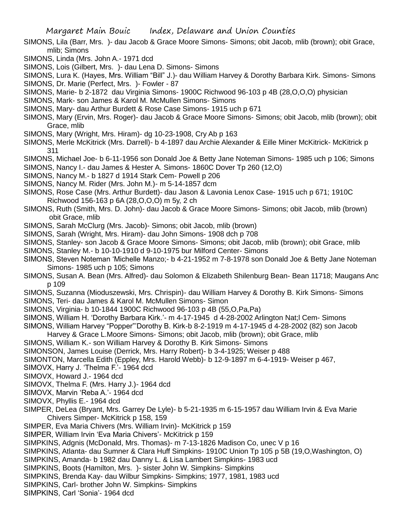- SIMONS, Lila (Barr, Mrs. )- dau Jacob & Grace Moore Simons- Simons; obit Jacob, mlib (brown); obit Grace, mlib; Simons
- SIMONS, Linda (Mrs. John A.- 1971 dcd
- SIMONS, Lois (Gilbert, Mrs. )- dau Lena D. Simons- Simons
- SIMONS, Lura K. (Hayes, Mrs. William "Bill" J.)- dau William Harvey & Dorothy Barbara Kirk. Simons- Simons
- SIMONS, Dr. Marie (Perfect, Mrs. )- Fowler 87
- SIMONS, Marie- b 2-1872 dau Virginia Simons- 1900C Richwood 96-103 p 4B (28,O,O,O) physician
- SIMONS, Mark- son James & Karol M. McMullen Simons- Simons
- SIMONS, Mary- dau Arthur Burdett & Rose Case Simons- 1915 uch p 671
- SIMONS, Mary (Ervin, Mrs. Roger)- dau Jacob & Grace Moore Simons- Simons; obit Jacob, mlib (brown); obit Grace, mlib
- SIMONS, Mary (Wright, Mrs. Hiram)- dg 10-23-1908, Cry Ab p 163
- SIMONS, Merle McKitrick (Mrs. Darrell)- b 4-1897 dau Archie Alexander & Eille Miner McKitrick- McKitrick p 311
- SIMONS, Michael Joe- b 6-11-1956 son Donald Joe & Betty Jane Noteman Simons- 1985 uch p 106; Simons
- SIMONS, Nancy I.- dau James & Hester A. Simons- 1860C Dover Tp 260 (12,O)
- SIMONS, Nancy M.- b 1827 d 1914 Stark Cem- Powell p 206
- SIMONS, Nancy M. Rider (Mrs. John M.)- m 5-14-1857 dcm
- SIMONS, Rose Case (Mrs. Arthur Burdett)- dau Jason & Lavonia Lenox Case- 1915 uch p 671; 1910C Richwood 156-163 p 6A (28,O,O,O) m 5y, 2 ch
- SIMONS, Ruth (Smith, Mrs. D. John)- dau Jacob & Grace Moore Simons- Simons; obit Jacob, mlib (brown) obit Grace, mlib
- SIMONS, Sarah McClurg (Mrs. Jacob)- Simons; obit Jacob, mlib (brown)
- SIMONS, Sarah (Wright, Mrs. Hiram)- dau John Simons- 1908 dch p 708
- SIMONS, Stanley- son Jacob & Grace Moore Simons- Simons; obit Jacob, mlib (brown); obit Grace, mlib
- SIMONS, Stanley M.- b 10-10-1910 d 9-10-1975 bur Milford Center- Simons
- SIMONS, Steven Noteman 'Michelle Manzo;- b 4-21-1952 m 7-8-1978 son Donald Joe & Betty Jane Noteman Simons- 1985 uch p 105; Simons
- SIMONS, Susan A. Bean (Mrs. Alfred)- dau Solomon & Elizabeth Shilenburg Bean- Bean 11718; Maugans Anc p 109
- SIMONS, Suzanna (Mioduszewski, Mrs. Chrispin)- dau William Harvey & Dorothy B. Kirk Simons- Simons
- SIMONS, Teri- dau James & Karol M. McMullen Simons- Simon
- SIMONS, Virginia- b 10-1844 1900C Richwood 96-103 p 4B (55,O,Pa,Pa)
- SIMONS, William H. 'Dorothy Barbara Kirk.'- m 4-17-1945 d 4-28-2002 Arlington Nat;l Cem- Simons
- SIMONS, William Harvey "Popper"'Dorothy B. Kirk-b 8-2-1919 m 4-17-1945 d 4-28-2002 (82) son Jacob
- Harvey & Grace L.Moore Simons- Simons; obit Jacob, mlib (brown); obit Grace, mlib
- SIMONS, William K.- son William Harvey & Dorothy B. Kirk Simons- Simons
- SIMONSON, James Louise (Derrick, Mrs. Harry Robert)- b 3-4-1925; Weiser p 488
- SIMONTON, Marcella Edith (Eppley, Mrs. Harold Webb)- b 12-9-1897 m 6-4-1919- Weiser p 467,
- SIMOVX, Harry J. 'Thelma F.'- 1964 dcd
- SIMOVX, Howard J.- 1964 dcd
- SIMOVX, Thelma F. (Mrs. Harry J.)- 1964 dcd
- SIMOVX, Marvin 'Reba A.'- 1964 dcd
- SIMOVX, Phyllis E.- 1964 dcd
- SIMPER, DeLea (Bryant, Mrs. Garrey De Lyle)- b 5-21-1935 m 6-15-1957 dau William Irvin & Eva Marie Chivers Simper- McKitrick p 158, 159
- SIMPER, Eva Maria Chivers (Mrs. William Irvin)- McKitrick p 159
- SIMPER, William Irvin 'Eva Maria Chivers'- McKitrick p 159
- SIMPKINS, Adgnis (McDonald, Mrs. Thomas)- m 7-13-1826 Madison Co, unec V p 16
- SIMPKINS, Atlanta- dau Sumner & Clara Huff Simpkins- 1910C Union Tp 105 p 5B (19,O,Washington, O)
- SIMPKINS, Amanda- b 1982 dau Danny L. & Lisa Lambert Simpkins- 1983 ucd
- SIMPKINS, Boots (Hamilton, Mrs. )- sister John W. Simpkins- Simpkins
- SIMPKINS, Brenda Kay- dau Wilbur Simpkins- Simpkins; 1977, 1981, 1983 ucd
- SIMPKINS, Carl- brother John W. Simpkins- Simpkins
- SIMPKINS, Carl 'Sonia'- 1964 dcd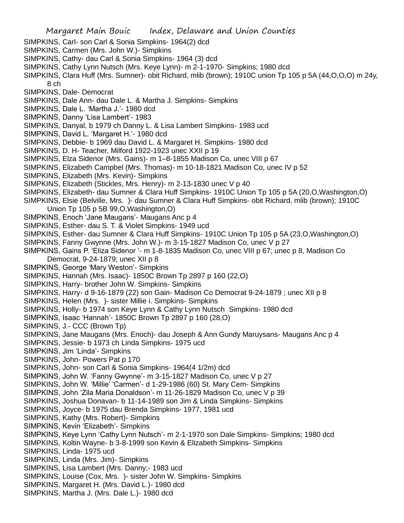- SIMPKINS, Carl- son Carl & Sonia Simpkins- 1964(2) dcd
- SIMPKINS, Carmen (Mrs. John W.)- Simpkins
- SIMPKINS, Cathy- dau Carl & Sonia Simpkins- 1964 (3) dcd
- SIMPKINS, Cathy Lynn Nutsch (Mrs. Keye Lynn)- m 2-1-1970- Simpkins; 1980 dcd
- SIMPKINS, Clara Huff (Mrs. Sumner)- obit Richard, mlib (brown); 1910C union Tp 105 p 5A (44,O,O,O) m 24y, 8 ch
- SIMPKINS, Dale- Democrat
- SIMPKINS, Dale Ann- dau Dale L. & Martha J. Simpkins- Simpkins
- SIMPKINS, Dale L. 'Martha J.'- 1980 dcd
- SIMPKINS, Danny 'Lisa Lambert'- 1983
- SIMPKINS, Danyal, b 1979 ch Danny L. & Lisa Lambert Simpkins- 1983 ucd
- SIMPKINS, David L. 'Margaret H.'- 1980 dcd
- SIMPKINS, Debbie- b 1969 dau David L. & Margaret H. Simpkins- 1980 dcd
- SIMPKINS, D. H- Teacher, Milford 1922-1923 unec XXII p 19
- SIMPKINS, Elza Sidenor (Mrs. Gains)- m 1–8-1855 Madison Co, unec VIII p 67
- SIMPKINS, Elizabeth Campbel (Mrs. Thomas)- m 10-18-1821 Madison Co, unec IV p 52
- SIMPKINS, Elizabeth (Mrs. Kevin)- Simpkins
- SIMPKINS, Elizabeth (Stickles, Mrs. Henry)- m 2-13-1830 unec V p 40
- SIMPKINS, Elizabeth- dau Sumner & Clara Huff Simpkins- 1910C Union Tp 105 p 5A (20,O,Washington,O)
- SIMPKINS, Elsie (Belville, Mrs. )- dau Sumner & Clara Huff Simpkins- obit Richard, mlib (brown); 1910C Union Tp 105 p 5B 99,O,Washington,O)
- SIMPKINS, Enoch 'Jane Maugans'- Maugans Anc p 4
- SIMPKINS, Esther- dau S. T. & Violet Simpkins- 1949 ucd
- SIMPKINS, Esther- dau Sumner & Clara Huff Simpkins- 1910C Union Tp 105 p 5A (23,O,Washington,O)
- SIMPKINS, Fanny Gwynne (Mrs. John W.)- m 3-15-1827 Madison Co, unec V p 27
- SIMPKINS, Gains P. 'Eliza Sidenor '- m 1-8-1835 Madison Co, unec VIII p 67; unec p 8, Madison Co Democrat, 9-24-1879; unec XII p 8
- SIMPKINS, George 'Mary Weston'- Simpkins
- SIMPKINS, Hannah (Mrs. Isaac)- 1850C Brown Tp 2897 p 160 (22,O)
- SIMPKINS, Harry- brother John W. Simpkins- Simpkins
- SIMPKINS, Harry- d 9-16-1879 (22) son Gain- Madison Co Democrat 9-24-1879 ; unec XII p 8
- SIMPKINS, Helen (Mrs. )- sister Millie i. Simpkins- Simpkins
- SIMPKINS, Holly- b 1974 son Keye Lynn & Cathy Lynn Nutsch Simpkins- 1980 dcd
- SIMPKINS, Isaac 'Hannah'- 1850C Brown Tp 2897 p 160 (28,O)
- SIMPKINS, J.- CCC (Brown Tp)
- SIMPKINS, Jane Maugans (Mrs. Enoch)- dau Joseph & Ann Gundy Maruysans- Maugans Anc p 4
- SIMPKINS, Jessie- b 1973 ch Linda Simpkins- 1975 ucd
- SIMPKINS, Jim 'Linda'- Simpkins
- SIMPKINS, John- Powers Pat p 170
- SIMPKINS, John- son Carl & Sonia Simpkins- 1964(4 1/2m) dcd
- SIMPKINS, John W. 'Fanny Gwynne'- m 3-15-1827 Madison Co, unec V p 27
- SIMPKINS, John W. 'Millie' 'Carmen'- d 1-29-1986 (60) St. Mary Cem- Simpkins
- SIMPKINS, John 'Zila Maria Donaldson'- m 11-26-1829 Madison Co, unec V p 39
- SIMPKINS, Joshua Donavan- b 11-14-1989 son Jim & Linda Simpkins- Simpkins
- SIMPKINS, Joyce- b 1975 dau Brenda Simpkins- 1977, 1981 ucd
- SIMPKINS, Kathy (Mrs. Robert)- Simpkins
- SIMPKINS, Kevin 'Elizabeth'- Simpkins
- SIMPKINS, Keye Lynn 'Cathy Lynn Nutsch'- m 2-1-1970 son Dale Simpkins- Simpkins; 1980 dcd
- SIMPKINS, Koltin Wayne- b 3-8-1999 son Kevin & Elizabeth Simpkins- Simpkins
- SIMPKINS, Linda- 1975 ucd
- SIMPKINS, Linda (Mrs. Jim)- Simpkins
- SIMPKINS, Lisa Lambert (Mrs. Danny;- 1983 ucd
- SIMPKINS, Louise (Cox, Mrs. )- sister John W. Simpkins- Simpkins
- SIMPKINS, Margaret H. (Mrs. David L.)- 1980 dcd
- SIMPKINS, Martha J. (Mrs. Dale L.)- 1980 dcd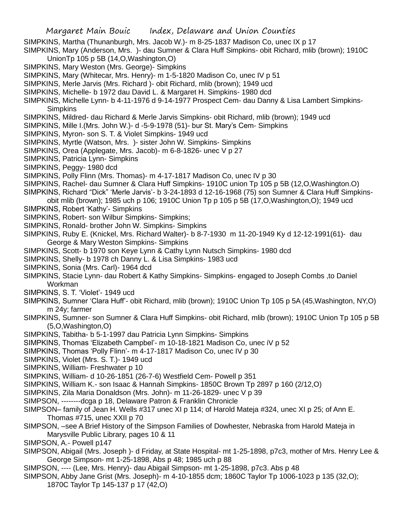SIMPKINS, Martha (Thunanburgh, Mrs. Jacob W.)- m 8-25-1837 Madison Co, unec IX p 17

SIMPKINS, Mary (Anderson, Mrs. )- dau Sumner & Clara Huff Simpkins- obit Richard, mlib (brown); 1910C UnionTp 105 p 5B (14,O,Washington,O)

- SIMPKINS, Mary Weston (Mrs. George)- Simpkins
- SIMPKINS, Mary (Whitecar, Mrs. Henry)- m 1-5-1820 Madison Co, unec IV p 51
- SIMPKINS, Merle Jarvis (Mrs. Richard )- obit Richard, mlib (brown); 1949 ucd
- SIMPKINS, Michelle- b 1972 dau David L. & Margaret H. Simpkins- 1980 dcd
- SIMPKINS, Michelle Lynn- b 4-11-1976 d 9-14-1977 Prospect Cem- dau Danny & Lisa Lambert Simpkins-**Simpkins**
- SIMPKINS, Mildred- dau Richard & Merle Jarvis Simpkins- obit Richard, mlib (brown); 1949 ucd
- SIMPKINS, Mille I.(Mrs. John W.)- d -5-9-1978 (51)- bur St. Mary's Cem- Simpkins
- SIMPKINS, Myron- son S. T. & Violet Simpkins- 1949 ucd
- SIMPKINS, Myrtle (Watson, Mrs. )- sister John W. Simpkins- Simpkins
- SIMPKINS, Orea (Applegate, Mrs. Jacob)- m 6-8-1826- unec V p 27
- SIMPKINS, Patricia Lynn- Simpkins
- SIMPKINS, Peggy- 1980 dcd
- SIMPKINS, Polly Flinn (Mrs. Thomas)- m 4-17-1817 Madison Co, unec IV p 30
- SIMPKINS, Rachel- dau Sumner & Clara Huff Simpkins- 1910C union Tp 105 p 5B (12,O,Washington.O)
- SIMPKINS, Richard "Dick" 'Merle Jarvis'- b 3-24-1893 d 12-16-1968 (75) son Sumner & Clara Huff Simpkinsobit mlib (brown); 1985 uch p 106; 1910C Union Tp p 105 p 5B (17,O,Washington,O); 1949 ucd
- SIMPKINS, Robert 'Kathy'- Simpkins
- SIMPKINS, Robert- son Wilbur Simpkins- Simpkins;
- SIMPKINS, Ronald- brother John W. Simpkins- Simpkins
- SIMPKINS, Ruby E. (Knickel, Mrs. Richard Walter)- b 8-7-1930 m 11-20-1949 Ky d 12-12-1991(61)- dau George & Mary Weston Simpkins- Simpkins
- SIMPKINS, Scott- b 1970 son Keye Lynn & Cathy Lynn Nutsch Simpkins- 1980 dcd
- SIMPKINS, Shelly- b 1978 ch Danny L. & Lisa Simpkins- 1983 ucd
- SIMPKINS, Sonia (Mrs. Carl)- 1964 dcd
- SIMPKINS, Stacie Lynn- dau Robert & Kathy Simpkins- Simpkins- engaged to Joseph Combs ,to Daniel Workman
- SIMPKINS, S. T. 'Violet'- 1949 ucd
- SIMPKINS, Sumner 'Clara Huff'- obit Richard, mlib (brown); 1910C Union Tp 105 p 5A (45,Washington, NY,O) m 24y; farmer
- SIMPKINS, Sumner- son Sumner & Clara Huff Simpkins- obit Richard, mlib (brown); 1910C Union Tp 105 p 5B (5,O,Washington,O)
- SIMPKINS, Tabitha- b 5-1-1997 dau Patricia Lynn Simpkins- Simpkins
- SIMPKINS, Thomas 'Elizabeth Campbel'- m 10-18-1821 Madison Co, unec iV p 52
- SIMPKINS, Thomas 'Polly Flinn'- m 4-17-1817 Madison Co, unec IV p 30
- SIMPKINS, Violet (Mrs. S. T.)- 1949 ucd
- SIMPKINS, William- Freshwater p 10
- SIMPKINS, William- d 10-26-1851 (26-7-6) Westfield Cem- Powell p 351
- SIMPKINS, William K.- son Isaac & Hannah Simpkins- 1850C Brown Tp 2897 p 160 (2/12,O)
- SIMPKINS, Zila Maria Donaldson (Mrs. John)- m 11-26-1829- unec V p 39
- SIMPSON, --------dcga p 18, Delaware Patron & Franklin Chronicle
- SIMPSON– family of Jean H. Wells #317 unec XI p 114; of Harold Mateja #324, unec XI p 25; of Ann E. Thomas #715, unec XXII p 70
- SIMPSON, –see A Brief History of the Simpson Families of Dowhester, Nebraska from Harold Mateja in Marysville Public Library, pages 10 & 11
- SIMPSON, A.- Powell p147
- SIMPSON, Abigail (Mrs. Joseph )- d Friday, at State Hospital- mt 1-25-1898, p7c3, mother of Mrs. Henry Lee & George Simpson- mt 1-25-1898, Abs p 48; 1985 uch p 88
- SIMPSON, ---- (Lee, Mrs. Henry)- dau Abigail Simpson- mt 1-25-1898, p7c3. Abs p 48
- SIMPSON, Abby Jane Grist (Mrs. Joseph)- m 4-10-1855 dcm; 1860C Taylor Tp 1006-1023 p 135 (32,O); 1870C Taylor Tp 145-137 p 17 (42,O)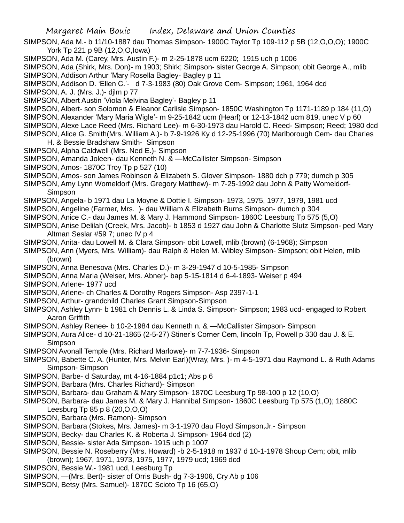- SIMPSON, Ada M.- b 11/10-1887 dau Thomas Simpson- 1900C Taylor Tp 109-112 p 5B (12,O,O,O); 1900C York Tp 221 p 9B (12,O,O,Iowa)
- SIMPSON, Ada M. (Carey, Mrs. Austin F.)- m 2-25-1878 ucm 6220; 1915 uch p 1006
- SIMPSON, Ada (Shirk, Mrs. Don)- m 1903; Shirk; Simpson- sister George A. Simpson; obit George A., mlib SIMPSON, Addison Arthur 'Mary Rosella Bagley- Bagley p 11
- SIMPSON, Addison D. 'Ellen C.'- d 7-3-1983 (80) Oak Grove Cem- Simpson; 1961, 1964 dcd
- SIMPSON, A. J. (Mrs. J.)- djlm p 77
- SIMPSON, Albert Austin 'Viola Melvina Bagley'- Bagley p 11
- SIMPSON, Albert- son Solomon & Eleanor Carlisle Simpson- 1850C Washington Tp 1171-1189 p 184 (11,O)
- SIMPSON, Alexander 'Mary Maria Wigle'- m 9-25-1842 ucm (Hearl) or 12-13-1842 ucm 819, unec V p 60
- SIMPSON, Alexe Lace Reed (Mrs. Richard Lee)- m 6-30-1973 dau Harold C. Reed- Simpson; Reed; 1980 dcd
- SIMPSON, Alice G. Smith(Mrs. William A.)- b 7-9-1926 Ky d 12-25-1996 (70) Marlborough Cem- dau Charles H. & Bessie Bradshaw Smith- Simpson
- SIMPSON, Alpha Caldwell (Mrs. Ned E.)- Simpson
- SIMPSON, Amanda Joleen- dau Kenneth N. & —McCallister Simpson- Simpson
- SIMPSON, Amos- 1870C Troy Tp p 527 (10)
- SIMPSON, Amos- son James Robinson & Elizabeth S. Glover Simpson- 1880 dch p 779; dumch p 305
- SIMPSON, Amy Lynn Womeldorf (Mrs. Gregory Matthew)- m 7-25-1992 dau John & Patty Womeldorf-Simpson
- SIMPSON, Angela- b 1971 dau La Moyne & Dottie I. Simpson- 1973, 1975, 1977, 1979, 1981 ucd
- SIMPSON, Angeline (Farmer, Mrs. )- dau William & Elizabeth Burns Simpson- dumch p 304
- SIMPSON, Anice C.- dau James M. & Mary J. Hammond Simpson- 1860C Leesburg Tp 575 (5,O)
- SIMPSON, Anise Delilah (Creek, Mrs. Jacob)- b 1853 d 1927 dau John & Charlotte Slutz Simpson- ped Mary Altman Seslar #59 7; unec IV p 4
- SIMPSON, Anita- dau Lowell M. & Clara Simpson- obit Lowell, mlib (brown) (6-1968); Simpson
- SIMPSON, Ann (Myers, Mrs. William)- dau Ralph & Helen M. Wibley Simpson- Simpson; obit Helen, mlib (brown)
- SIMPSON, Anna Benesova (Mrs. Charles D.)- m 3-29-1947 d 10-5-1985- Simpson
- SIMPSON, Anna Maria (Weiser, Mrs. Abner)- bap 5-15-1814 d 6-4-1893- Weiser p 494
- SIMPSON, Arlene- 1977 ucd
- SIMPSON, Arlene- ch Charles & Dorothy Rogers Simpson- Asp 2397-1-1
- SIMPSON, Arthur- grandchild Charles Grant Simpson-Simpson
- SIMPSON, Ashley Lynn- b 1981 ch Dennis L. & Linda S. Simpson- Simpson; 1983 ucd- engaged to Robert Aaron Griffith
- SIMPSON, Ashley Renee- b 10-2-1984 dau Kenneth n. & —McCallister Simpson- Simpson
- SIMPSON, Aura Alice- d 10-21-1865 (2-5-27) Stiner's Corner Cem, lincoln Tp, Powell p 330 dau J. & E. Simpson
- SIMPSON Avonall Temple (Mrs. Richard Marlowe)- m 7-7-1936- Simpson
- SIMPSON, Babette C. A. (Hunter, Mrs. Melvin Earl)(Wray, Mrs. )- m 4-5-1971 dau Raymond L. & Ruth Adams Simpson- Simpson
- SIMPSON, Barbe- d Saturday, mt 4-16-1884 p1c1; Abs p 6
- SIMPSON, Barbara (Mrs. Charles Richard)- Simpson
- SIMPSON, Barbara- dau Graham & Mary Simpson- 1870C Leesburg Tp 98-100 p 12 (10,O)
- SIMPSON, Barbara- dau James M. & Mary J. Hannibal Simpson- 1860C Leesburg Tp 575 (1,O); 1880C Leesburg Tp 85 p 8 (20,O,O,O)
- SIMPSON, Barbara (Mrs. Ramon)- Simpson
- SIMPSON, Barbara (Stokes, Mrs. James)- m 3-1-1970 dau Floyd Simpson,Jr.- Simpson
- SIMPSON, Becky- dau Charles K. & Roberta J. Simpson- 1964 dcd (2)
- SIMPSON, Bessie- sister Ada Simpson- 1915 uch p 1007
- SIMPSON, Bessie N. Roseberry (Mrs. Howard) -b 2-5-1918 m 1937 d 10-1-1978 Shoup Cem; obit, mlib (brown); 1967, 1971, 1973, 1975, 1977, 1979 ucd; 1969 dcd
- SIMPSON, Bessie W.- 1981 ucd, Leesburg Tp
- SIMPSON, —(Mrs. Bert)- sister of Orris Bush- dg 7-3-1906, Cry Ab p 106
- SIMPSON, Betsy (Mrs. Samuel)- 1870C Scioto Tp 16 (65,O)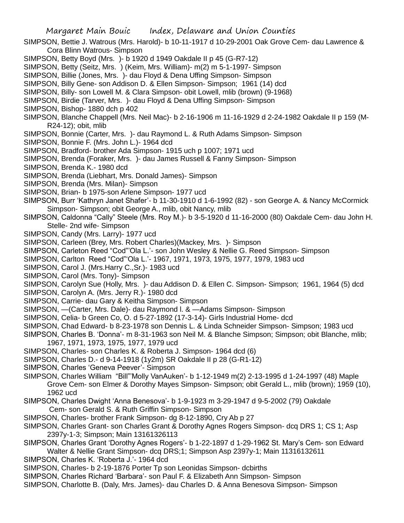- SIMPSON, Bettie J. Watrous (Mrs. Harold)- b 10-11-1917 d 10-29-2001 Oak Grove Cem- dau Lawrence & Cora Blinn Watrous- Simpson
- SIMPSON, Betty Boyd (Mrs. )- b 1920 d 1949 Oakdale II p 45 (G-R7-12)
- SIMPSON, Betty (Seitz, Mrs. ) (Keim, Mrs. William)- m(2) m 5-1-1997- Simpson
- SIMPSON, Billie (Jones, Mrs. )- dau Floyd & Dena Uffing Simpson- Simpson
- SIMPSON, Billy Gene- son Addison D. & Ellen Simpson- Simpson; 1961 (14) dcd
- SIMPSON, Billy- son Lowell M. & Clara Simpson- obit Lowell, mlib (brown) (9-1968)
- SIMPSON, Birdie (Tarver, Mrs. )- dau Floyd & Dena Uffing Simpson- Simpson
- SIMPSON, Bishop- 1880 dch p 402
- SIMPSON, Blanche Chappell (Mrs. Neil Mac)- b 2-16-1906 m 11-16-1929 d 2-24-1982 Oakdale II p 159 (M-R24-12); obit, mlib
- SIMPSON, Bonnie (Carter, Mrs. )- dau Raymond L. & Ruth Adams Simpson- Simpson
- SIMPSON, Bonnie F. (Mrs. John L.)- 1964 dcd
- SIMPSON, Bradford- brother Ada Simpson- 1915 uch p 1007; 1971 ucd
- SIMPSON, Brenda (Foraker, Mrs. )- dau James Russell & Fanny Simpson- Simpson
- SIMPSON, Brenda K.- 1980 dcd
- SIMPSON, Brenda (Liebhart, Mrs. Donald James)- Simpson
- SIMPSON, Brenda (Mrs. Milan)- Simpson
- SIMPSON, Brian- b 1975-son Arlene Simpson- 1977 ucd
- SIMPSON, Burr 'Kathryn Janet Shafer'- b 11-30-1910 d 1-6-1992 (82) son George A. & Nancy McCormick Simpson- Simpson; obit George A., mlib, obit Nancy, mlib
- SIMPSON, Caldonna "Cally" Steele (Mrs. Roy M.)- b 3-5-1920 d 11-16-2000 (80) Oakdale Cem- dau John H. Stelle- 2nd wife- Simpson
- SIMPSON, Candy (Mrs. Larry)- 1977 ucd
- SIMPSON, Carleen (Brey, Mrs. Robert Charles)(Mackey, Mrs. )- Simpson
- SIMPSON, Carleton Reed "Cod"'Ola L.'- son John Wesley & Nellie G. Reed Simpson- Simpson
- SIMPSON, Carlton Reed "Cod"'Ola L.'- 1967, 1971, 1973, 1975, 1977, 1979, 1983 ucd
- SIMPSON, Carol J. (Mrs.Harry C.,Sr.)- 1983 ucd
- SIMPSON, Carol (Mrs. Tony)- Simpson
- SIMPSON, Carolyn Sue (Holly, Mrs. )- dau Addison D. & Ellen C. Simpson- Simpson; 1961, 1964 (5) dcd
- SIMPSON, Carolyn A. (Mrs. Jerry R.)- 1980 dcd
- SIMPSON, Carrie- dau Gary & Keitha Simpson- Simpson
- SIMPSON, —(Carter, Mrs. Dale)- dau Raymond l. & —Adams Simpson- Simpson
- SIMPSON, Celia- b Green Co, O. d 5-27-1892 (17-3-14)- Girls Industrial Home- dcd
- SIMPSON, Chad Edward- b 8-23-1978 son Dennis L. & Linda Schneider Simpson- Simpson; 1983 ucd
- SIMPSON, Charles B. 'Donna'- m 8-31-1963 son Neil M. & Blanche Simpson; Simpson; obit Blanche, mlib; 1967, 1971, 1973, 1975, 1977, 1979 ucd
- SIMPSON, Charles- son Charles K. & Roberta J. Simpson- 1964 dcd (6)
- SIMPSON, Charles D.- d 9-14-1918 (1y2m) SR Oakdale II p 28 (G-R1-12)
- SIMPSON, Charles 'Geneva Peever'- Simpson
- SIMPSON, Charles William "Bill"'Molly VanAuken'- b 1-12-1949 m(2) 2-13-1995 d 1-24-1997 (48) Maple Grove Cem- son Elmer & Dorothy Mayes Simpson- Simpson; obit Gerald L., mlib (brown); 1959 (10), 1962 ucd
- SIMPSON, Charles Dwight 'Anna Benesova'- b 1-9-1923 m 3-29-1947 d 9-5-2002 (79) Oakdale
- Cem- son Gerald S. & Ruth Griffin Simpson- Simpson SIMPSON, Charles- brother Frank Simpson- dg 8-12-1890, Cry Ab p 27
- SIMPSON, Charles Grant- son Charles Grant & Dorothy Agnes Rogers Simpson- dcq DRS 1; CS 1; Asp
	- 2397y-1-3; Simpson; Main 13161326113
- SIMPSON, Charles Grant 'Dorothy Agnes Rogers'- b 1-22-1897 d 1-29-1962 St. Mary's Cem- son Edward Walter & Nellie Grant Simpson- dcq DRS;1; Simpson Asp 2397y-1; Main 11316132611
- SIMPSON, Charles K. 'Roberta J.'- 1964 dcd
- SIMPSON, Charles- b 2-19-1876 Porter Tp son Leonidas Simpson- dcbirths
- SIMPSON, Charles Richard 'Barbara'- son Paul F. & Elizabeth Ann Simpson- Simpson
- SIMPSON, Charlotte B. (Daly, Mrs. James)- dau Charles D. & Anna Benesova Simpson- Simpson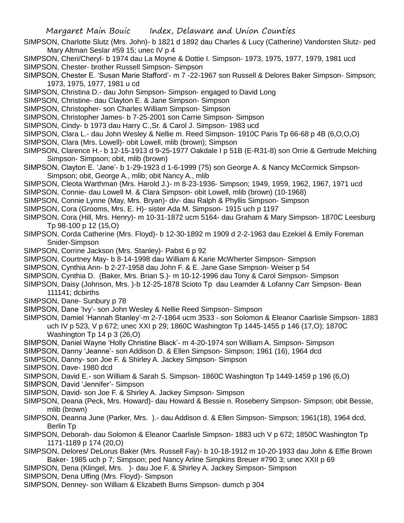- SIMPSON, Charlotte Slutz (Mrs. John)- b 1821 d 1892 dau Charles & Lucy (Catherine) Vandorsten Slutz- ped Mary Altman Seslar #59 15; unec IV p 4
- SIMPSON, Cheri/Cheryl- b 1974 dau La Moyne & Dottie I. Simpson- 1973, 1975, 1977, 1979, 1981 ucd
- SIMPSON, Chester- brother Russell Simpson- Simpson
- SIMPSON, Chester E. 'Susan Marie Stafford'- m 7 -22-1967 son Russell & Delores Baker Simpson- Simpson; 1973, 1975, 1977, 1981 u cd
- SIMPSON, Christina D.- dau John Simpson- Simpson- engaged to David Long
- SIMPSON, Christine- dau Clayton E. & Jane Simpson- Simpson
- SIMPSON, Christopher- son Charles William Simpson- Simpson
- SIMPSON, Christopher James- b 7-25-2001 son Carrie Simpson- Simpson
- SIMPSON, Cindy- b 1973 dau Harry C.,Sr. & Carol J. Simpson- 1983 ucd
- SIMPSON, Clara L.- dau John Wesley & Nellie m. Reed Simpson- 1910C Paris Tp 66-68 p 4B (6,O,O,O)
- SIMPSON, Clara (Mrs. Lowell)- obit Lowell, mlib (brown); Simpson
- SIMPSON, Clarence H.- b 12-15-1913 d 9-25-1977 Oakdale I p 51B (E-R31-8) son Orrie & Gertrude Melching Simpson- Simpson; obit, mlib (brown)
- SIMPSON, Clayton E. 'Jane'- b 1-29-1923 d 1-6-1999 (75) son George A. & Nancy McCormick Simpson-Simpson; obit, George A., mlib; obit Nancy A., mlib
- SIMPSON, Cleota Warthman (Mrs. Harold J.)- m 8-23-1936- Simpson; 1949, 1959, 1962, 1967, 1971 ucd
- SIMPSON, Connie- dau Lowell M. & Clara Simpson- obit Lowell, mlib (brown) (10-1968)
- SIMPSON, Connie Lynne (May, Mrs. Bryan)- div- dau Ralph & Phyllis Simpson- Simpson
- SIMPSON, Cora (Grooms, Mrs. E. H)- sister Ada M. Simpson- 1915 uch p 1197
- SIMPSON, Cora (Hill, Mrs. Henry)- m 10-31-1872 ucm 5164- dau Graham & Mary Simpson- 1870C Leesburg Tp 98-100 p 12 (15,O)
- SIMPSON, Corda Catherine (Mrs. Floyd)- b 12-30-1892 m 1909 d 2-2-1963 dau Ezekiel & Emily Foreman Snider-Simpson
- SIMPSON, Corrine Jackson (Mrs. Stanley)- Pabst 6 p 92
- SIMPSON, Courtney May- b 8-14-1998 dau William & Karie McWherter Simpson- Simpson
- SIMPSON, Cynthia Ann- b 2-27-1958 dau John F. & E. Jane Gase Simpson- Weiser p 54
- SIMPSON, Cynthia D. (Baker, Mrs. Brian S.)- m 10-12-1996 dau Tony & Carol Simpson- Simpson
- SIMPSON, Daisy (Johnson, Mrs. )-b 12-25-1878 Scioto Tp dau Leamder & Lofanny Carr Simpson- Bean 111141; dcbirths
- SIMPSON, Dane- Sunbury p 78
- SIMPSON, Dane 'Ivy'- son John Wesley & Nellie Reed Simpson- Simpson
- SIMPSON, Damiel 'Hannah Stanley'-m 2-7-1864 ucm 3533 son Solomon & Eleanor Caarlisle Simpson- 1883 uch IV p 523, V p 672; unec XXI p 29; 1860C Washington Tp 1445-1455 p 146 (17,O); 1870C Washington Tp 14 p 3 (26,O)
- SIMPSON, Daniel Wayne 'Holly Christine Black'- m 4-20-1974 son William A. Simpson- Simpson
- SIMPSON, Danny 'Jeanne'- son Addison D. & Ellen Simpson- Simpson; 1961 (16), 1964 dcd
- SIMPSON, Danny- son Joe F. & Shirley A. Jackey Simpson- Simpson
- SIMPSON, Dave- 1980 dcd
- SIMPSON, David E.- son William & Sarah S. Simpson- 1860C Washington Tp 1449-1459 p 196 (6,O)
- SIMPSON, David 'Jennifer'- Simpson
- SIMPSON, David- son Joe F. & Shirley A. Jackey Simpson- Simpson
- SIMPSON, Deana (Peck, Mrs. Howard)- dau Howard & Bessie n. Roseberry Simpson- Simpson; obit Bessie, mlib (brown)
- SIMPSON, Deanna June (Parker, Mrs. ).- dau Addison d. & Ellen Simpson- Simpson; 1961(18), 1964 dcd, Berlin Tp
- SIMPSON, Deborah- dau Solomon & Eleanor Caarlisle Simpson- 1883 uch V p 672; 1850C Washington Tp 1171-1189 p 174 (20,O)
- SIMPSON, Delores/ DeLorus Baker (Mrs. Russell Fay)- b 10-18-1912 m 10-20-1933 dau John & Effie Brown Baker- 1985 uch p 7; Simpson; ped Nancy Arline Simpkins Breuer #790 3; unec XXII p 69
- SIMPSON, Dena (Klingel, Mrs. )- dau Joe F. & Shirley A. Jackey Simpson- Simpson
- SIMPSON, Dena Uffing (Mrs. Floyd)- Simpson
- SIMPSON, Denney- son William & Elizabeth Burns Simpson- dumch p 304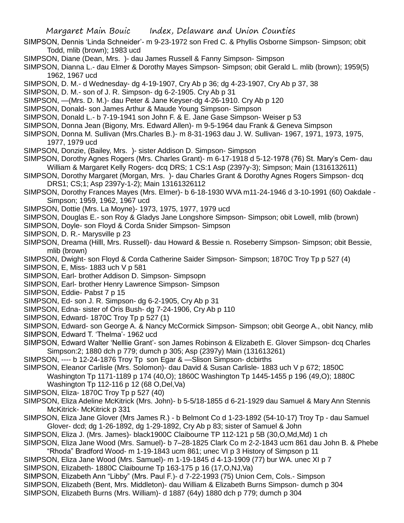- SIMPSON, Dennis 'Linda Schneider'- m 9-23-1972 son Fred C. & Phyllis Osborne Simpson- Simpson; obit Todd, mlib (brown); 1983 ucd
- SIMPSON, Diane (Dean, Mrs. )- dau James Russell & Fanny Simpson- Simpson
- SIMPSON, Dianna L.- dau Elmer & Dorothy Mayes Simpson- Simpson; obit Gerald L. mlib (brown); 1959(5) 1962, 1967 ucd
- SIMPSON, D. M.- d Wednesday- dg 4-19-1907, Cry Ab p 36; dg 4-23-1907, Cry Ab p 37, 38
- SIMPSON, D. M.- son of J. R. Simpson- dg 6-2-1905. Cry Ab p 31
- SIMPSON, —(Mrs. D. M.)- dau Peter & Jane Keyser-dg 4-26-1910. Cry Ab p 120
- SIMPSON, Donald- son James Arthur & Maude Young Simpson- Simpson
- SIMPSON, Donald L.- b 7-19-1941 son John F. & E. Jane Gase Simpson- Weiser p 53
- SIMPSON, Donna Jean (Bigony, Mrs. Edward Allen)- m 9-5-1964 dau Frank & Geneva Simpson
- SIMPSON, Donna M. Sullivan (Mrs.Charles B.)- m 8-31-1963 dau J. W. Sullivan- 1967, 1971, 1973, 1975, 1977, 1979 ucd
- SIMPSON, Donzie, (Bailey, Mrs. )- sister Addison D. Simpson- Simpson
- SIMPSON, Dorothy Agnes Rogers (Mrs. Charles Grant)- m 6-17-1918 d 5-12-1978 (76) St. Mary's Cem- dau William & Margaret Kelly Rogers- dcq DRS; 1 CS:1 Asp (2397y-3); Simpson; Main (1316132611)
- SIMPSON, Dorothy Margaret (Morgan, Mrs. )- dau Charles Grant & Dorothy Agnes Rogers Simpson- dcq DRS1; CS;1; Asp 2397y-1-2); Main 13161326112
- SIMPSON, Dorothy Frances Mayes (Mrs. Elmer)- b 6-18-1930 WVA m11-24-1946 d 3-10-1991 (60) Oakdale Simpson; 1959, 1962, 1967 ucd
- SIMPSON, Dottie (Mrs. La Moyne)- 1973, 1975, 1977, 1979 ucd
- SIMPSON, Douglas E.- son Roy & Gladys Jane Longshore Simpson- Simpson; obit Lowell, mlib (brown)
- SIMPSON, Doyle- son Floyd & Corda Snider Simpson- Simpson
- SIMPSON, D. R.- Marysville p 23
- SIMPSON, Dreama (Hilll, Mrs. Russell)- dau Howard & Bessie n. Roseberry Simpson- Simpson; obit Bessie, mlib (brown)
- SIMPSON, Dwight- son Floyd & Corda Catherine Saider Simpson- Simpson; 1870C Troy Tp p 527 (4)
- SIMPSON, E, Miss- 1883 uch V p 581
- SIMPSON, Earl- brother Addison D. Simpson- Simpsopn
- SIMPSON, Earl- brother Henry Lawrence Simpson- Simpson
- SIMPSON, Eddie- Pabst 7 p 15
- SIMPSON, Ed- son J. R. Simpson- dg 6-2-1905, Cry Ab p 31
- SIMPSON, Edna- sister of Oris Bush- dg 7-24-1906, Cry Ab p 110
- SIMPSON, Edward- 1870C Troy Tp p 527 (1)
- SIMPSON, Edward- son George A. & Nancy McCormick Simpson- Simpson; obit George A., obit Nancy, mlib
- SIMPSON, Edward T. 'Thelma'- 1962 ucd
- SIMPSON, Edward Walter 'Nelllie Grant'- son James Robinson & Elizabeth E. Glover Simpson- dcq Charles Simpson:2; 1880 dch p 779; dumch p 305; Asp (2397y) Main (131613261)
- SIMPSON, ---- b 12-24-1876 Troy Tp son Egar & —Slison Simpson- dcbirths
- SIMPSON, Eleanor Carlisle (Mrs. Solomon)- dau David & Susan Carlisle- 1883 uch V p 672; 1850C Washington Tp 1171-1189 p 174 (40,O); 1860C Washington Tp 1445-1455 p 196 (49,O); 1880C Washington Tp 112-116 p 12 (68 O,Del,Va)
- SIMPSON, Eliza- 1870C Troy Tp p 527 (40)
- SIMPSON, Eliza Adeline McKitrick (Mrs. John)- b 5-5/18-1855 d 6-21-1929 dau Samuel & Mary Ann Stennis McKitrick- McKitrick p 331
- SIMPSON, Eliza Jane Glover (Mrs James R.) b Belmont Co d 1-23-1892 (54-10-17) Troy Tp dau Samuel Glover- dcd; dg 1-26-1892, dg 1-29-1892, Cry Ab p 83; sister of Samuel & John
- SIMPSON, Eliza J. (Mrs. James)- black1900C Claibourne TP 112-121 p 5B (30,O,Md,Md) 1 ch
- SIMPSON, Eliza Jane Wood (Mrs. Samuel)- b 7–28-1825 Clark Co m 2-2-1843 ucm 861 dau John B. & Phebe "Rhoda" Bradford Wood- m 1-19-1843 ucm 861; unec VI p 3 History of Simpson p 11
- SIMPSON, Eliza Jane Wood (Mrs. Samuel)- m 1-19-1845 d 4-13-1909 (77) bur WA. unec XI p 7
- SIMPSON, Elizabeth- 1880C Claibourne Tp 163-175 p 16 (17,O,NJ,Va)
- SIMPSON, Elizabeth Ann "Libby" (Mrs. Paul F.)- d 7-22-1993 (75) Union Cem, Cols.- Simpson
- SIMPSON, Elizabeth (Bent, Mrs. Middleton)- dau William & Elizabeth Burns Simpson- dumch p 304
- SIMPSON, Elizabeth Burns (Mrs. William)- d 1887 (64y) 1880 dch p 779; dumch p 304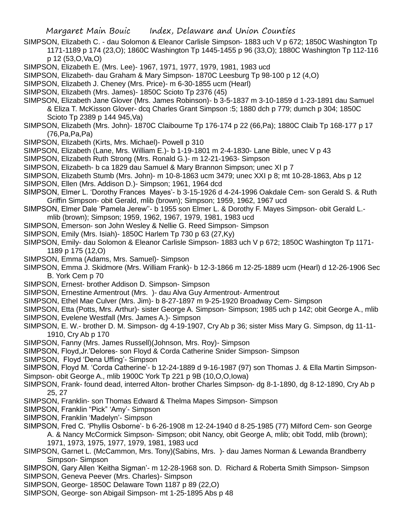- SIMPSON, Elizabeth C. dau Solomon & Eleanor Carlisle Simpson- 1883 uch V p 672; 1850C Washington Tp 1171-1189 p 174 (23,O); 1860C Washington Tp 1445-1455 p 96 (33,O); 1880C Washington Tp 112-116 p 12 (53,O,Va,O)
- SIMPSON, Elizabeth E. (Mrs. Lee)- 1967, 1971, 1977, 1979, 1981, 1983 ucd
- SIMPSON, Elizabeth- dau Graham & Mary Simpson- 1870C Leesburg Tp 98-100 p 12 (4,O)
- SIMPSON, Elizabeth J. Cheney (Mrs. Price)- m 6-30-1855 ucm (Hearl)
- SIMPSON, Elizabeth (Mrs. James)- 1850C Scioto Tp 2376 (45)
- SIMPSON, Elizabeth Jane Glover (Mrs. James Robinson)- b 3-5-1837 m 3-10-1859 d 1-23-1891 dau Samuel & Eliza T. McKisson Glover- dcq Charles Grant Simpson :5; 1880 dch p 779; dumch p 304; 1850C Scioto Tp 2389 p 144 945,Va)
- SIMPSON, Elizabeth (Mrs. John)- 1870C Claibourne Tp 176-174 p 22 (66,Pa); 1880C Claib Tp 168-177 p 17 (76,Pa,Pa,Pa)
- SIMPSON, Elizabeth (Kirts, Mrs. Michael)- Powell p 310
- SIMPSON, Elizabeth (Lane, Mrs. William E.)- b 1-19-1801 m 2-4-1830- Lane Bible, unec V p 43
- SIMPSON, Elizabeth Ruth Strong (Mrs. Ronald G.)- m 12-21-1963- Simpson
- SIMPSON, Elizabeth- b ca 1829 dau Samuel & Mary Brannon Simpson; unec XI p 7
- SIMPSON, Elizabeth Stumb (Mrs. John)- m 10-8-1863 ucm 3479; unec XXI p 8; mt 10-28-1863, Abs p 12
- SIMPSON, Ellen (Mrs. Addison D.)- Simpson; 1961, 1964 dcd
- SIMPSON, Elmer L. 'Dorothy Frances Mayes'- b 3-15-1926 d 4-24-1996 Oakdale Cem- son Gerald S. & Ruth Griffin Simpson- obit Gerald, mlib (brown); Simpson; 1959, 1962, 1967 ucd
- SIMPSON, Elmer Dale 'Pamela Jerew''- b 1955 son Elmer L. & Dorothy F. Mayes Simpson- obit Gerald L. mlib (brown); Simpson; 1959, 1962, 1967, 1979, 1981, 1983 ucd
- SIMPSON, Emerson- son John Wesley & Nellie G. Reed Simpson- Simpson
- SIMPSON, Emily (Mrs. Isiah)- 1850C Harlem Tp 730 p 63 (27,Ky)
- SIMPSON, Emily- dau Solomon & Eleanor Carlisle Simpson- 1883 uch V p 672; 1850C Washington Tp 1171- 1189 p 175 (12,O)
- SIMPSON, Emma (Adams, Mrs. Samuel)- Simpson
- SIMPSON, Emma J. Skidmore (Mrs. William Frank)- b 12-3-1866 m 12-25-1889 ucm (Hearl) d 12-26-1906 Sec B. York Cem p 70
- SIMPSON, Ernest- brother Addison D. Simpson- Simpson
- SIMPSON, Ernestine Armentrout (Mrs. )- dau Alva Guy Armentrout- Armentrout
- SIMPSON, Ethel Mae Culver (Mrs. Jim)- b 8-27-1897 m 9-25-1920 Broadway Cem- Simpson
- SIMPSON, Etta (Potts, Mrs. Arthur)- sister George A. Simpson- Simpson; 1985 uch p 142; obit George A., mlib
- SIMPSON, Evelene Westfall (Mrs. James A.)- Simpson
- SIMPSON, E. W.- brother D. M. Simpson- dg 4-19-1907, Cry Ab p 36; sister Miss Mary G. Simpson, dg 11-11- 1910, Cry Ab p 170
- SIMPSON, Fanny (Mrs. James Russell)(Johnson, Mrs. Roy)- Simpson
- SIMPSON, Floyd,Jr.'Delores- son Floyd & Corda Catherine Snider Simpson- Simpson
- SIMPSON, Floyd 'Dena Uffing'- Simpson
- SIMPSON, Floyd M. 'Corda Catherine'- b 12-24-1889 d 9-16-1987 (97) son Thomas J. & Ella Martin Simpson-Simpson- obit George A., mlib 1900C York Tp 221 p 9B (10,O,O,Iowa)
- SIMPSON, Frank- found dead, interred Alton- brother Charles Simpson- dg 8-1-1890, dg 8-12-1890, Cry Ab p 25, 27
- SIMPSON, Franklin- son Thomas Edward & Thelma Mapes Simpson- Simpson
- SIMPSON, Franklin "Pick" 'Amy'- Simpson
- SIMPSON, Franklin 'Madelyn'- Simpson
- SIMPSON, Fred C. 'Phyllis Osborne'- b 6-26-1908 m 12-24-1940 d 8-25-1985 (77) Milford Cem- son George A. & Nancy McCormick Simpson- Simpson; obit Nancy, obit George A, mlib; obit Todd, mlib (brown); 1971, 1973, 1975, 1977, 1979, 1981, 1983 ucd
- SIMPSON, Garnet L. (McCammon, Mrs. Tony)(Sabins, Mrs. )- dau James Norman & Lewanda Brandberry Simpson- Simpson
- SIMPSON, Gary Allen 'Keitha Sigman'- m 12-28-1968 son. D. Richard & Roberta Smith Simpson- Simpson SIMPSON, Geneva Peever (Mrs. Charles)- Simpson
- SIMPSON, George- 1850C Delaware Town 1187 p 89 (22,O)
- SIMPSON, George- son Abigail Simpson- mt 1-25-1895 Abs p 48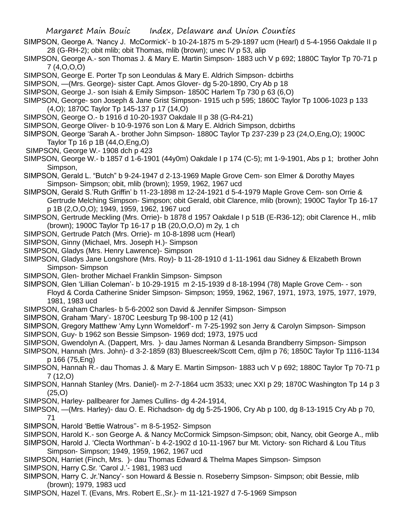- SIMPSON, George A. 'Nancy J. McCormick'- b 10-24-1875 m 5-29-1897 ucm (Hearl) d 5-4-1956 Oakdale II p 28 (G-RH-2); obit mlib; obit Thomas, mlib (brown); unec IV p 53, alip
- SIMPSON, George A.- son Thomas J. & Mary E. Martin Simpson- 1883 uch V p 692; 1880C Taylor Tp 70-71 p 7 (4,O,O,O)
- SIMPSON, George E. Porter Tp son Leondulas & Mary E. Aldrich Simpson- dcbirths
- SIMPSON, —(Mrs. George)- sister Capt. Amos Glover- dg 5-20-1890, Cry Ab p 18
- SIMPSON, George J.- son Isiah & Emily Simpson- 1850C Harlem Tp 730 p 63 (6,O)
- SIMPSON, George- son Joseph & Jane Grist Simpson- 1915 uch p 595; 1860C Taylor Tp 1006-1023 p 133 (4,O); 1870C Taylor Tp 145-137 p 17 (14,O)
- SIMPSON, George O.- b 1916 d 10-20-1937 Oakdale II p 38 (G-R4-21)
- SIMPSON, George Oliver- b 10-9-1976 son Lon & Mary E. Aldrich Simpson, dcbirths
- SIMPSON, George 'Sarah A.- brother John Simpson- 1880C Taylor Tp 237-239 p 23 (24,O,Eng,O); 1900C Taylor Tp 16 p 1B (44,O,Eng,O)
- SIMPSON, George W.- 1908 dch p 423
- SIMPSON, George W.- b 1857 d 1-6-1901 (44y0m) Oakdale I p 174 (C-5); mt 1-9-1901, Abs p 1; brother John Simpson,
- SIMPSON, Gerald L. "Butch" b 9-24-1947 d 2-13-1969 Maple Grove Cem- son Elmer & Dorothy Mayes Simpson- Simpson; obit, mlib (brown); 1959, 1962, 1967 ucd
- SIMPSON, Gerald S.'Ruth Griffin' b 11-23-1898 m 12-24-1921 d 5-4-1979 Maple Grove Cem- son Orrie & Gertrude Melching Simpson- Simpson; obit Gerald, obit Clarence, mlib (brown); 1900C Taylor Tp 16-17 p 1B (2,O,O,O); 1949, 1959, 1962, 1967 ucd
- SIMPSON, Gertrude Meckling (Mrs. Orrie)- b 1878 d 1957 Oakdale I p 51B (E-R36-12); obit Clarence H., mlib (brown); 1900C Taylor Tp 16-17 p 1B (20,O,O,O) m 2y, 1 ch
- SIMPSON, Gertrude Patch (Mrs. Orrie)- m 10-8-1898 ucm (Hearl)
- SIMPSON, Ginny (Michael, Mrs. Joseph H.)- Simpson
- SIMPSON, Gladys (Mrs. Henry Lawrence)- Simpson
- SIMPSON, Gladys Jane Longshore (Mrs. Roy)- b 11-28-1910 d 1-11-1961 dau Sidney & Elizabeth Brown Simpson- Simpson
- SIMPSON, Glen- brother Michael Franklin Simpson- Simpson
- SIMPSON, Glen 'Lillian Coleman'- b 10-29-1915 m 2-15-1939 d 8-18-1994 (78) Maple Grove Cem- son Floyd & Corda Catherine Snider Simpson- Simpson; 1959, 1962, 1967, 1971, 1973, 1975, 1977, 1979, 1981, 1983 ucd
- SIMPSON, Graham Charles- b 5-6-2002 son David & Jennifer Simpson- Simpson
- SIMPSON, Graham 'Mary'- 1870C Leesburg Tp 98-100 p 12 (41)
- SIMPSON, Gregory Matthew 'Amy Lynn Womeldorf'- m 7-25-1992 son Jerry & Carolyn Simpson- Simpson
- SIMPSON, Guy- b 1962 son Bessie Simpson- 1969 dcd; 1973, 1975 ucd
- SIMPSON, Gwendolyn A. (Dappert, Mrs. )- dau James Norman & Lesanda Brandberry Simpson- Simpson
- SIMPSON, Hannah (Mrs. John)- d 3-2-1859 (83) Bluescreek/Scott Cem, djlm p 76; 1850C Taylor Tp 1116-1134 p 166 (75,Eng)
- SIMPSON, Hannah R.- dau Thomas J. & Mary E. Martin Simpson- 1883 uch V p 692; 1880C Taylor Tp 70-71 p 7 (12,O)
- SIMPSON, Hannah Stanley (Mrs. Daniel)- m 2-7-1864 ucm 3533; unec XXI p 29; 1870C Washington Tp 14 p 3 (25,O)
- SIMPSON, Harley- pallbearer for James Cullins- dg 4-24-1914,
- SIMPSON, —(Mrs. Harley)- dau O. E. Richadson- dg dg 5-25-1906, Cry Ab p 100, dg 8-13-1915 Cry Ab p 70, 71
- SIMPSON, Harold 'Bettie Watrous''- m 8-5-1952- Simpson
- SIMPSON, Harold K.- son George A. & Nancy McCormick Simpson-Simpson; obit, Nancy, obit George A., mlib
- SIMPSON, Harold J. 'Clecta Worthman'- b 4-2-1902 d 10-11-1967 bur Mt. Victory- son Richard & Lou Titus Simpson- Simpson; 1949, 1959, 1962, 1967 ucd
- SIMPSON, Harriet (Finch, Mrs. )- dau Thomas Edward & Thelma Mapes Simpson- Simpson
- SIMPSON, Harry C.Sr. 'Carol J.'- 1981, 1983 ucd
- SIMPSON, Harry C. Jr.'Nancy'- son Howard & Bessie n. Roseberry Simpson- Simpson; obit Bessie, mlib (brown); 1979, 1983 ucd
- SIMPSON, Hazel T. (Evans, Mrs. Robert E.,Sr.)- m 11-121-1927 d 7-5-1969 Simpson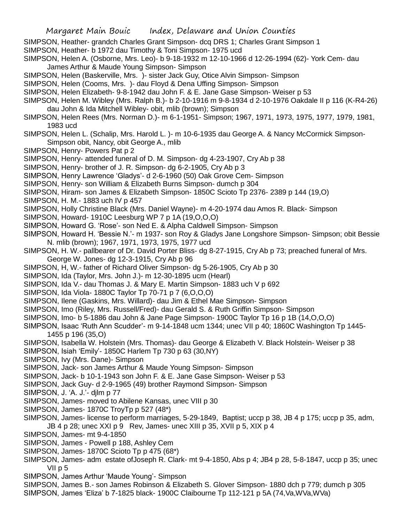- SIMPSON, Heather- grandch Charles Grant Simpson- dcq DRS 1; Charles Grant Simpson 1
- SIMPSON, Heather- b 1972 dau Timothy & Toni Simpson- 1975 ucd
- SIMPSON, Helen A. (Osborne, Mrs. Leo)- b 9-18-1932 m 12-10-1966 d 12-26-1994 (62)- York Cem- dau James Arthur & Maude Young Simpson- Simpson
- SIMPSON, Helen (Baskerville, Mrs. )- sister Jack Guy, Otice Alvin Simpson- Simpson
- SIMPSON, Helen (Cooms, Mrs. )- dau Floyd & Dena Uffing Simpson- Simpson
- SIMPSON, Helen Elizabeth- 9-8-1942 dau John F. & E. Jane Gase Simpson- Weiser p 53
- SIMPSON, Helen M. Wibley (Mrs. Ralph B.)- b 2-10-1916 m 9-8-1934 d 2-10-1976 Oakdale II p 116 (K-R4-26) dau John & Ida Mitchell Wibley- obit, mlib (brown); Simpson
- SIMPSON, Helen Rees (Mrs. Norman D.)- m 6-1-1951- Simpson; 1967, 1971, 1973, 1975, 1977, 1979, 1981, 1983 ucd
- SIMPSON, Helen L. (Schalip, Mrs. Harold L. )- m 10-6-1935 dau George A. & Nancy McCormick Simpson-Simpson obit, Nancy, obit George A., mlib
- SIMPSON, Henry- Powers Pat p 2
- SIMPSON, Henry- attended funeral of D. M. Simpson- dg 4-23-1907, Cry Ab p 38
- SIMPSON, Henry- brother of J. R. Simpson- dg 6-2-1905, Cry Ab p 3
- SIMPSON, Henry Lawrence 'Gladys'- d 2-6-1960 (50) Oak Grove Cem- Simpson
- SIMPSON, Henry- son William & Elizabeth Burns Simpson- dumch p 304
- SIMPSON, Hiram- son James & Elizabeth Simpson- 1850C Scioto Tp 2376- 2389 p 144 (19,O)
- SIMPSON, H. M.- 1883 uch IV p 457
- SIMPSON, Holly Christine Black (Mrs. Daniel Wayne)- m 4-20-1974 dau Amos R. Black- Simpson
- SIMPSON, Howard- 1910C Leesburg WP 7 p 1A (19,O,O,O)
- SIMPSON, Howard G. 'Rose'- son Ned E. & Alpha Caldwell Simpson- Simpson
- SIMPSON, Howard H. 'Bessie N.'- m 1937- son Roy & Gladys Jane Longshore Simpson- Simpson; obit Bessie N. mlib (brown); 1967, 1971, 1973, 1975, 1977 ucd
- SIMPSON, H. W.- pallbearer of Dr. David Porter Bliss- dg 8-27-1915, Cry Ab p 73; preached funeral of Mrs. George W. Jones- dg 12-3-1915, Cry Ab p 96
- SIMPSON, H, W.- father of Richard Oliver Simpson- dg 5-26-1905, Cry Ab p 30
- SIMPSON, Ida (Taylor, Mrs. John J.)- m 12-30-1895 ucm (Hearl)
- SIMPSON, Ida V.- dau Thomas J. & Mary E. Martin Simpson- 1883 uch V p 692
- SIMPSON, Ida Viola- 1880C Taylor Tp 70-71 p 7 (6,O,O,O)
- SIMPSON, Ilene (Gaskins, Mrs. Willard)- dau Jim & Ethel Mae Simpson- Simpson
- SIMPSON, Imo (Riley, Mrs. Russell/Fred)- dau Gerald S. & Ruth Griffin Simpson- Simpson
- SIMPSON, Imo- b 5-1886 dau John & Jane Page Simpson- 1900C Taylor Tp 16 p 1B (14,O,O,O)
- SIMPSON, Isaac 'Ruth Ann Scudder'- m 9-14-1848 ucm 1344; unec VII p 40; 1860C Washington Tp 1445- 1455 p 196 (35,O)
- SIMPSON, Isabella W. Holstein (Mrs. Thomas)- dau George & Elizabeth V. Black Holstein- Weiser p 38
- SIMPSON, Isiah 'Emily'- 1850C Harlem Tp 730 p 63 (30,NY)
- SIMPSON, Ivy (Mrs. Dane)- Simpson
- SIMPSON, Jack- son James Arthur & Maude Young Simpson- Simpson
- SIMPSON, Jack- b 10-1-1943 son John F. & E. Jane Gase Simpson- Weiser p 53
- SIMPSON, Jack Guy- d 2-9-1965 (49) brother Raymond Simpson- Simpson
- SIMPSON, J. 'A. J.'- djlm p 77
- SIMPSON, James- moved to Abilene Kansas, unec VIII p 30
- SIMPSON, James- 1870C TroyTp p 527 (48\*)
- SIMPSON, James- license to perform marriages, 5-29-1849, Baptist; uccp p 38, JB 4 p 175; uccp p 35, adm, JB 4 p 28; unec XXI p 9 Rev, James- unec XIII p 35, XVII p 5, XIX p 4
- SIMPSON, James- mt 9-4-1850
- SIMPSON, James Powell p 188, Ashley Cem
- SIMPSON, James- 1870C Scioto Tp p 475 (68\*)
- SIMPSON, James- adm estate ofJoseph R. Clark- mt 9-4-1850, Abs p 4; JB4 p 28, 5-8-1847, uccp p 35; unec VII p 5
- SIMPSON, James Arthur 'Maude Young'- Simpson
- SIMPSON, James B.- son James Robinson & Elizabeth S. Glover Simpson- 1880 dch p 779; dumch p 305 SIMPSON, James 'Eliza' b 7-1825 black- 1900C Claibourne Tp 112-121 p 5A (74,Va,WVa,WVa)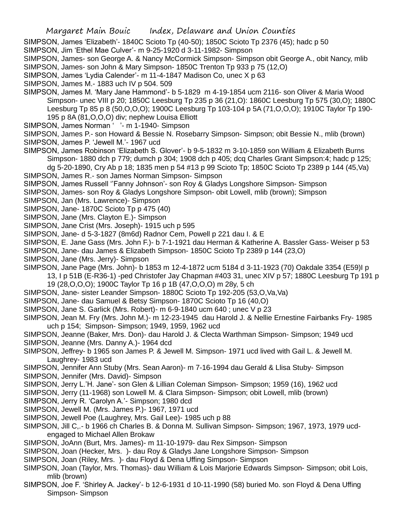SIMPSON, James 'Elizabeth'- 1840C Scioto Tp (40-50); 1850C Scioto Tp 2376 (45); hadc p 50

SIMPSON, Jim 'Ethel Mae Culver'- m 9-25-1920 d 3-11-1982- Simpson

SIMPSON, James- son George A. & Nancy McCormick Simpson- Simpson obit George A., obit Nancy, mlib SIMPSON, James- son John & Mary Simpson- 1850C Trenton Tp 933 p 75 (12,O)

- SIMPSON, James 'Lydia Calender'- m 11-4-1847 Madison Co, unec X p 63
- SIMPSON, James M.- 1883 uch IV p 504. 509
- SIMPSON, James M. 'Mary Jane Hammond'- b 5-1829 m 4-19-1854 ucm 2116- son Oliver & Maria Wood Simpson- unec VIII p 20; 1850C Leesburg Tp 235 p 36 (21,O): 1860C Leesburg Tp 575 (30,O); 1880C Leesburg Tp 85 p 8 (50,O,O,O); 1900C Leesburg Tp 103-104 p 5A (71,O,O,O); 1910C Taylor Tp 190- 195 p 8A (81,O,O,O) div; nephew Louisa Elliott
- SIMPSON, James Norman ' '- m 1-1940- Simpson
- SIMPSON, James P.- son Howard & Bessie N. Rosebarry Simpson- Simpson; obit Bessie N., mlib (brown) SIMPSON, James P. 'Jewell M.'- 1967 ucd
- SIMPSON, James Robinson 'Elizabeth S. Glover'- b 9-5-1832 m 3-10-1859 son William & Elizabeth Burns Simpson- 1880 dch p 779; dumch p 304; 1908 dch p 405; dcq Charles Grant Simpson:4; hadc p 125; dg 5-20-1890, Cry Ab p 18; 1835 men p 54 #13 p 99 Scioto Tp; 1850C Scioto Tp 2389 p 144 (45,Va)
- SIMPSON, James R.- son James Norman Simpson- Simpson
- SIMPSON, James Russell ''Fanny Johnson'- son Roy & Gladys Longshore Simpson- Simpson
- SIMPSON, James- son Roy & Gladys Longshore Simpson- obit Lowell, mlib (brown); Simpson
- SIMPSON, Jan (Mrs. Lawrence)- Simpson
- SIMPSON, Jane- 1870C Scioto Tp p 475 (40)
- SIMPSON, Jane (Mrs. Clayton E.)- Simpson
- SIMPSON, Jane Crist (Mrs. Joseph)- 1915 uch p 595
- SIMPSON, Jane- d 5-3-1827 (8m6d) Radnor Cem, Powell p 221 dau I. & E
- SIMPSON, E. Jane Gass (Mrs. John F.)- b 7-1-1921 dau Herman & Katherine A. Bassler Gass- Weiser p 53
- SIMPSON, Jane- dau James & Elizabeth Simpson- 1850C Scioto Tp 2389 p 144 (23,O)
- SIMPSON, Jane (Mrs. Jerry)- Simpson
- SIMPSON, Jane Page (Mrs. John)- b 1853 m 12-4-1872 ucm 5184 d 3-11-1923 (70) Oakdale 3354 (E59)I p 13, I p 51B (E-R36-1) -ped Christofer Jay Chapman #403 31, unec XIV p 57; 1880C Leesburg Tp 191 p 19 (28,O,O,O); 1900C Taylor Tp 16 p 1B (47,O,O,O) m 28y, 5 ch
- SIMPSON, Jane- sister Leander Simpson- 1880C Scioto Tp 192-205 (53,O,Va,Va)
- SIMPSON, Jane- dau Samuel & Betsy Simpson- 1870C Scioto Tp 16 (40,O)
- SIMPSON, Jane S. Garlick (Mrs. Robert)- m 6-9-1840 ucm 640 ; unec V p 23
- SIMPSON, Jean M. Fry (Mrs. John M.)- m 12-23-1945 dau Harold J. & Nellie Ernestine Fairbanks Fry- 1985 uch p 154; Simpson- Simpson; 1949, 1959, 1962 ucd
- SIMPSON, Jeanne (Baker, Mrs. Don)- dau Harold J. & Clecta Warthman Simpson- Simpson; 1949 ucd SIMPSON, Jeanne (Mrs. Danny A.)- 1964 dcd
- SIMPSON, Jeffrey- b 1965 son James P. & Jewell M. Simpson- 1971 ucd lived with Gail L. & Jewell M. Laughrey- 1983 ucd
- SIMPSON, Jennifer Ann Stuby (Mrs. Sean Aaron)- m 7-16-1994 dau Gerald & Llisa Stuby- Simpson SIMPSON, Jennifer (Mrs. David)- Simpson
- SIMPSON, Jerry L.'H. Jane'- son Glen & Lillian Coleman Simpson- Simpson; 1959 (16), 1962 ucd
- SIMPSON, Jerry (11-1968) son Lowell M. & Clara Simpson- Simpson; obit Lowell, mlib (brown)
- SIMPSON, Jerry R. 'Carolyn A.'- Simpson; 1980 dcd
- SIMPSON, Jewell M. (Mrs. James P.)- 1967, 1971 ucd
- SIMPSON, Jewell Poe (Laughrey, Mrs. Gail Lee)- 1985 uch p 88
- SIMPSON, Jill C,.- b 1966 ch Charles B. & Donna M. Sullivan Simpson- Simpson; 1967, 1973, 1979 ucdengaged to Michael Allen Brokaw
- SIMPSON, JoAnn (Burt, Mrs. James)- m 11-10-1979- dau Rex Simpson- Simpson
- SIMPSON, Joan (Hecker, Mrs. )- dau Roy & Gladys Jane Longshore Simpson- Simpson
- SIMPSON, Joan (Riley, Mrs. )- dau Floyd & Dena Uffing Simpson- Simpson
- SIMPSON, Joan (Taylor, Mrs. Thomas)- dau William & Lois Marjorie Edwards Simpson- Simpson; obit Lois, mlib (brown)
- SIMPSON, Joe F. 'Shirley A. Jackey'- b 12-6-1931 d 10-11-1990 (58) buried Mo. son Floyd & Dena Uffing Simpson- Simpson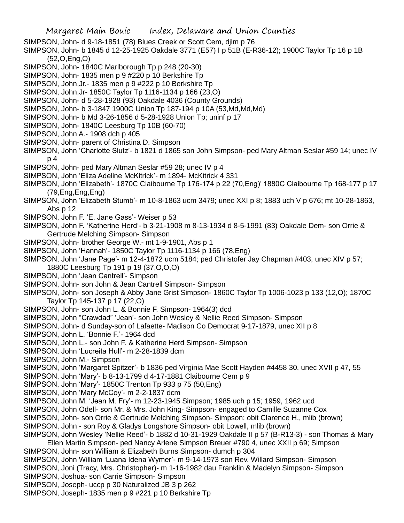- SIMPSON, John- d 9-18-1851 (78) Blues Creek or Scott Cem, djlm p 76
- SIMPSON, John- b 1845 d 12-25-1925 Oakdale 3771 (E57) I p 51B (E-R36-12); 1900C Taylor Tp 16 p 1B (52,O,Eng,O)
- SIMPSON, John- 1840C Marlborough Tp p 248 (20-30)
- SIMPSON, John- 1835 men p 9 #220 p 10 Berkshire Tp
- SIMPSON, John,Jr.- 1835 men p 9 #222 p 10 Berkshire Tp
- SIMPSON, John,Jr- 1850C Taylor Tp 1116-1134 p 166 (23,O)
- SIMPSON, John- d 5-28-1928 (93) Oakdale 4036 (County Grounds)
- SIMPSON, John- b 3-1847 1900C Union Tp 187-194 p 10A (53,Md,Md,Md)
- SIMPSON, John- b Md 3-26-1856 d 5-28-1928 Union Tp; uninf p 17
- SIMPSON, John- 1840C Leesburg Tp 10B (60-70)
- SIMPSON, John A.- 1908 dch p 405
- SIMPSON, John- parent of Christina D. Simpson
- SIMPSON, John 'Charlotte Slutz'- b 1821 d 1865 son John Simpson- ped Mary Altman Seslar #59 14; unec IV p 4
- SIMPSON, John- ped Mary Altman Seslar #59 28; unec IV p 4
- SIMPSON, John 'Eliza Adeline McKitrick'- m 1894- McKitrick 4 331
- SIMPSON, John 'Elizabeth'- 1870C Claibourne Tp 176-174 p 22 (70,Eng)' 1880C Claibourne Tp 168-177 p 17 (79,Eng,Eng,Eng)
- SIMPSON, John 'Elizabeth Stumb'- m 10-8-1863 ucm 3479; unec XXI p 8; 1883 uch V p 676; mt 10-28-1863, Abs p 12
- SIMPSON, John F. 'E. Jane Gass'- Weiser p 53
- SIMPSON, John F. 'Katherine Herd'- b 3-21-1908 m 8-13-1934 d 8-5-1991 (83) Oakdale Dem- son Orrie & Gertrude Melching Simpson- Simpson
- SIMPSON, John- brother George W.- mt 1-9-1901, Abs p 1
- SIMPSON, John 'Hannah'- 1850C Taylor Tp 1116-1134 p 166 (78,Eng)
- SIMPSON, John 'Jane Page'- m 12-4-1872 ucm 5184; ped Christofer Jay Chapman #403, unec XIV p 57; 1880C Leesburg Tp 191 p 19 (37,O,O,O)
- SIMPSON, John 'Jean Cantrell'- Simpson
- SIMPSON, John- son John & Jean Cantrell Simpson- Simpson
- SIMPSON, John- son Joseph & Abby Jane Grist Simpson- 1860C Taylor Tp 1006-1023 p 133 (12,O); 1870C Taylor Tp 145-137 p 17 (22,O)
- SIMPSON, John- son John L. & Bonnie F. Simpson- 1964(3) dcd
- SIMPSON, John "Crawdad" 'Jean'- son John Wesley & Nellie Reed Simpson- Simpson
- SIMPSON, John- d Sunday-son of Lafaette- Madison Co Democrat 9-17-1879, unec XII p 8
- SIMPSON, John L. 'Bonnie F.'- 1964 dcd
- SIMPSON, John L.- son John F. & Katherine Herd Simpson- Simpson
- SIMPSON, John 'Lucreita Hull'- m 2-28-1839 dcm
- SIMPSON, John M.- Simpson
- SIMPSON, John 'Margaret Spitzer'- b 1836 ped Virginia Mae Scott Hayden #4458 30, unec XVII p 47, 55
- SIMPSON, John 'Mary'- b 8-13-1799 d 4-17-1881 Claibourne Cem p 9
- SIMPSON, John 'Mary'- 1850C Trenton Tp 933 p 75 (50,Eng)
- SIMPSON, John 'Mary McCoy'- m 2-2-1837 dcm
- SIMPSON, John M. 'Jean M. Fry'- m 12-23-1945 Simpson; 1985 uch p 15; 1959, 1962 ucd
- SIMPSON, John Odell- son Mr. & Mrs. John King- Simpson- engaged to Camille Suzanne Cox
- SIMPSON, John- son Orrie & Gertrude Melching Simpson- Simpson; obit Clarence H., mlib (brown)
- SIMPSON, John son Roy & Gladys Longshore Simpson- obit Lowell, mlib (brown)
- SIMPSON, John Wesley 'Nellie Reed'- b 1882 d 10-31-1929 Oakdale II p 57 (B-R13-3) son Thomas & Mary
- Ellen Martin Simpson- ped Nancy Arlene Simpson Breuer #790 4, unec XXII p 69; Simpson
- SIMPSON, John- son William & Elizabeth Burns Simpson- dumch p 304
- SIMPSON, John William 'Luana Idena Wymer'- m 9-14-1973 son Rev. Willard Simpson- Simpson
- SIMPSON, Joni (Tracy, Mrs. Christopher)- m 1-16-1982 dau Franklin & Madelyn Simpson- Simpson
- SIMPSON, Joshua- son Carrie Simpson- Simpson
- SIMPSON, Joseph- uccp p 30 Naturalized JB 3 p 262
- SIMPSON, Joseph- 1835 men p 9 #221 p 10 Berkshire Tp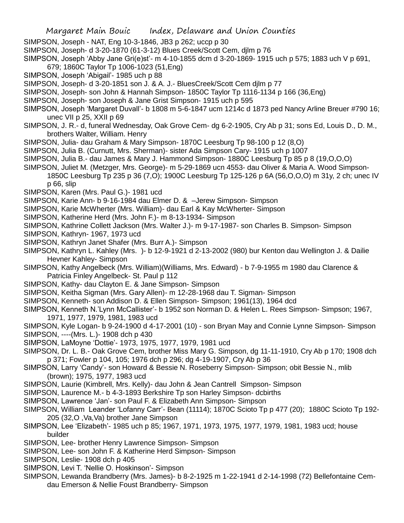- Margaret Main Bouic Index, Delaware and Union Counties
- SIMPSON, Joseph NAT, Eng 10-3-1846, JB3 p 262; uccp p 30
- SIMPSON, Joseph- d 3-20-1870 (61-3-12) Blues Creek/Scott Cem, djlm p 76
- SIMPSON, Joseph 'Abby Jane Gri(e)st'- m 4-10-1855 dcm d 3-20-1869- 1915 uch p 575; 1883 uch V p 691, 679; 1860C Taylor Tp 1006-1023 (51,Eng)
- SIMPSON, Joseph 'Abigail'- 1985 uch p 88
- SIMPSON, Joseph- d 3-20-1851 son J. & A. J.- BluesCreek/Scott Cem djlm p 77
- SIMPSON, Joseph- son John & Hannah Simpson- 1850C Taylor Tp 1116-1134 p 166 (36,Eng)
- SIMPSON, Joseph- son Joseph & Jane Grist Simpson- 1915 uch p 595
- SIMPSON, Joseph 'Margaret Duvall'- b 1808 m 5-6-1847 ucm 1214c d 1873 ped Nancy Arline Breuer #790 16; unec VII p 25, XXII p 69
- SIMPSON, J. R.- d, funeral Wednesday, Oak Grove Cem- dg 6-2-1905, Cry Ab p 31; sons Ed, Louis D., D. M., brothers Walter, William. Henry
- SIMPSON, Julia- dau Graham & Mary Simpson- 1870C Leesburg Tp 98-100 p 12 (8,O)
- SIMPSON, Julia B. (Curnutt, Mrs. Sherman)- sister Ada Simpson Cary- 1915 uch p 1007
- SIMPSON, Julia B.- dau James & Mary J. Hammond Simpson- 1880C Leesburg Tp 85 p 8 (19,O,O,O)
- SIMPSON, Juliet M. (Metzger, Mrs. George)- m 5-29-1869 ucn 4553- dau Oliver & Maria A. Wood Simpson-1850C Leesburg Tp 235 p 36 (7,O); 1900C Leesburg Tp 125-126 p 6A (56,O,O,O) m 31y, 2 ch; unec IV p 66, slip
- SIMPSON, Karen (Mrs. Paul G.)- 1981 ucd
- SIMPSON, Karie Ann- b 9-16-1984 dau Elmer D. & –Jerew Simpson- Simpson
- SIMPSON, Karie McWherter (Mrs. William)- dau Earl & Kay McWherter- Simpson
- SIMPSON, Katherine Herd (Mrs. John F.)- m 8-13-1934- Simpson
- SIMPSON, Kathrine Collett Jackson (Mrs. Walter J.)- m 9-17-1987- son Charles B. Simpson- Simpson
- SIMPSON, Kathryn- 1967, 1973 ucd
- SIMPSON, Kathryn Janet Shafer (Mrs. Burr A.)- Simpson
- SIMPSON, Kathryn L. Kahley (Mrs. )- b 12-9-1921 d 2-13-2002 (980) bur Kenton dau Wellington J. & Dailie Hevner Kahley- Simpson
- SIMPSON, Kathy Angelbeck (Mrs. William)(Williams, Mrs. Edward) b 7-9-1955 m 1980 dau Clarence & Patricia Finley Angelbeck- St. Paul p 112
- SIMPSON, Kathy- dau Clayton E. & Jane Simpson- Simpson
- SIMPSON, Keitha Sigman (Mrs. Gary Allen)- m 12-28-1968 dau T. Sigman- Simpson
- SIMPSON, Kenneth- son Addison D. & Ellen Simpson- Simpson; 1961(13), 1964 dcd
- SIMPSON, Kenneth N.'Lynn McCallister'- b 1952 son Norman D. & Helen L. Rees Simpson- Simpson; 1967, 1971, 1977, 1979, 1981, 1983 ucd
- SIMPSON, Kyle Logan- b 9-24-1900 d 4-17-2001 (10) son Bryan May and Connie Lynne Simpson- Simpson
- SIMPSON, ----(Mrs. L.)- 1908 dch p 430
- SIMPSON, LaMoyne 'Dottie'- 1973, 1975, 1977, 1979, 1981 ucd
- SIMPSON, Dr. L. B.- Oak Grove Cem, brother Miss Mary G. Simpson, dg 11-11-1910, Cry Ab p 170; 1908 dch p 371; Fowler p 104, 105; 1976 dch p 296; dg 4-19-1907, Cry Ab p 36
- SIMPSON, Larry 'Candy'- son Howard & Bessie N. Roseberry Simpson- Simpson; obit Bessie N., mlib (brown); 1975, 1977, 1983 ucd
- SIMPSON, Laurie (Kimbrell, Mrs. Kelly)- dau John & Jean Cantrell Simpson- Simpson
- SIMPSON, Laurence M.- b 4-3-1893 Berkshire Tp son Harley Simpson- dcbirths
- SIMPSON, Lawrence 'Jan'- son Paul F. & Elizabeth Ann Simpson- Simpson
- SIMPSON, William Leander 'Lofanny Carr'- Bean (11114); 1870C Scioto Tp p 477 (20); 1880C Scioto Tp 192- 205 (32,O ,Va,Va) brother Jane Simpson
- SIMPSON, Lee 'Elizabeth'- 1985 uch p 85; 1967, 1971, 1973, 1975, 1977, 1979, 1981, 1983 ucd; house builder
- SIMPSON, Lee- brother Henry Lawrence Simpson- Simpson
- SIMPSON, Lee- son John F. & Katherine Herd Simpson- Simpson
- SIMPSON, Leslie- 1908 dch p 405
- SIMPSON, Levi T. 'Nellie O. Hoskinson'- Simpson
- SIMPSON, Lewanda Brandberry (Mrs. James)- b 8-2-1925 m 1-22-1941 d 2-14-1998 (72) Bellefontaine Cemdau Emerson & Nellie Foust Brandberry- Simpson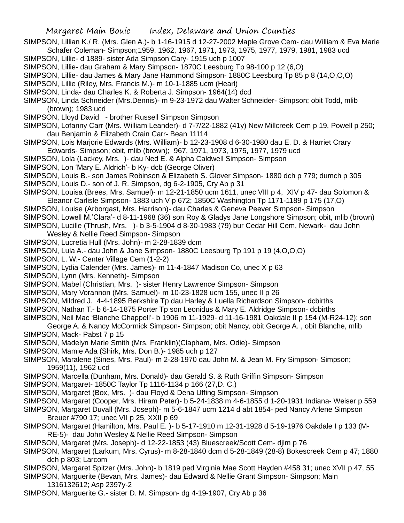- SIMPSON, Lillian K./ R. (Mrs. Glen A.)- b 1-16-1915 d 12-27-2002 Maple Grove Cem- dau William & Eva Marie Schafer Coleman- Simpson;1959, 1962, 1967, 1971, 1973, 1975, 1977, 1979, 1981, 1983 ucd
- SIMPSON, Lillie- d 1889- sister Ada Simpson Cary- 1915 uch p 1007
- SIMPSON, Lillie- dau Graham & Mary Simpson- 1870C Leesburg Tp 98-100 p 12 (6,O)
- SIMPSON, Lillie- dau James & Mary Jane Hammond Simpson- 1880C Leesburg Tp 85 p 8 (14,O,O,O)
- SIMPSON, Lillie (Riley, Mrs. Francis M.)- m 10-1-1885 ucm (Hearl)
- SIMPSON, Linda- dau Charles K. & Roberta J. Simpson- 1964(14) dcd
- SIMPSON, Linda Schneider (Mrs.Dennis)- m 9-23-1972 dau Walter Schneider- Simpson; obit Todd, mlib (brown); 1983 ucd
- SIMPSON, Lloyd David brother Russell Simpson Simpson
- SIMPSON, Lofanny Carr (Mrs. William Leander)- d 7-7/22-1882 (41y) New Millcreek Cem p 19, Powell p 250; dau Benjamin & Elizabeth Crain Carr- Bean 11114
- SIMPSON, Lois Marjorie Edwards (Mrs. William)- b 12-23-1908 d 6-30-1980 dau E. D. & Harriet Crary Edwards- Simpson; obit, mlib (brown); 967, 1971, 1973, 1975, 1977, 1979 ucd
- SIMPSON, Lola (Lackey, Mrs. )- dau Ned E. & Alpha Caldwell Simpson- Simpson
- SIMPSON, Lon 'Mary E. Aldrich'- b Ky- dcb (George Oliver)
- SIMPSON, Louis B.- son James Robinson & Elizabeth S. Glover Simpson- 1880 dch p 779; dumch p 305
- SIMPSON, Louis D.- son of J. R. Simpson, dg 6-2-1905, Cry Ab p 31
- SIMPSON, Louisa (Brees, Mrs. Samuel)- m 12-21-1850 ucm 1611, unec VIII p 4, XIV p 47- dau Solomon & Eleanor Carlisle Simpson- 1883 uch V p 672; 1850C Washington Tp 1171-1189 p 175 (17,O)
- SIMPSON, Louise (Arborgast, Mrs. Harrison)- dau Charles & Geneva Peever Simpson- Simpson
- SIMPSON, Lowell M.'Clara'- d 8-11-1968 (36) son Roy & Gladys Jane Longshore Simpson; obit, mlib (brown)
- SIMPSON, Lucille (Thrush, Mrs. )- b 3-5-1904 d 8-30-1983 (79) bur Cedar Hill Cem, Newark- dau John
- Wesley & Nellie Reed Simpson- Simpson
- SIMPSON, Lucretia Hull (Mrs. John)- m 2-28-1839 dcm
- SIMPSON, Lula A.- dau John & Jane Simpson- 1880C Leesburg Tp 191 p 19 (4,O,O,O)
- SIMPSON, L. W.- Center Village Cem (1-2-2)
- SIMPSON, Lydia Calender (Mrs. James)- m 11-4-1847 Madison Co, unec X p 63
- SIMPSON, Lynn (Mrs. Kenneth)- Simpson
- SIMPSON, Mabel (Christian, Mrs. )- sister Henry Lawrence Simpson- Simpson
- SIMPSON, Mary Vorannon (Mrs. Samuel)- m 10-23-1828 ucm 155, unec II p 26
- SIMPSON, Mildred J. 4-4-1895 Berkshire Tp dau Harley & Luella Richardson Simpson- dcbirths
- SIMPSON, Nathan T.- b 6-14-1875 Porter Tp son Leonidus & Mary E. Aldridge Simpson- dcbirths
- SIMPSON, Neil Mac 'Blanche Chappell'- b 1906 m 11-1929- d 11-16-1981 Oakdale II p 154 (M-R24-12); son
- George A. & Nancy McCormick Simpson- Simpson; obit Nancy, obit George A. , obit Blanche, mlib SIMPSON, Mack- Pabst 7 p 15
- SIMPSON, Madelyn Marie Smith (Mrs. Franklin)(Clapham, Mrs. Odie)- Simpson
- SIMPSON, Mamie Ada (Shirk, Mrs. Don B.)- 1985 uch p 127
- SIMPSON, Maralene (Sines, Mrs. Paul)- m 2-28-1970 dau John M. & Jean M. Fry Simpson- Simpson; 1959(11), 1962 ucd
- SIMPSON, Marcella (Dunham, Mrs. Donald)- dau Gerald S. & Ruth Griffin Simpson- Simpson
- SIMPSON, Margaret- 1850C Taylor Tp 1116-1134 p 166 (27,D. C.)
- SIMPSON, Margaret (Box, Mrs. )- dau Floyd & Dena Uffing Simpson- Simpson
- SIMPSON, Margaret (Cooper, Mrs. Hiram Peter)- b 5-24-1838 m 4-6-1855 d 1-20-1931 Indiana- Weiser p 559
- SIMPSON, Margaret Duvall (Mrs. Joseph)- m 5-6-1847 ucm 1214 d abt 1854- ped Nancy Arlene Simpson Breuer #790 17; unec VII p 25, XXII p 69
- SIMPSON, Margaret (Hamilton, Mrs. Paul E. )- b 5-17-1910 m 12-31-1928 d 5-19-1976 Oakdale I p 133 (M-RE-5)- dau John Wesley & Nellie Reed Simpson- Simpson
- SIMPSON, Margaret (Mrs. Joseph)- d 12-22-1853 (43) Bluescreek/Scott Cem- djlm p 76
- SIMPSON, Margaret (Larkum, Mrs. Cyrus)- m 8-28-1840 dcm d 5-28-1849 (28-8) Bokescreek Cem p 47; 1880 dch p 803; Larcom
- SIMPSON, Margaret Spitzer (Mrs. John)- b 1819 ped Virginia Mae Scott Hayden #458 31; unec XVII p 47, 55
- SIMPSON, Marguerite (Bevan, Mrs. James)- dau Edward & Nellie Grant Simpson- Simpson; Main 1316132612; Asp 2397y-2
- SIMPSON, Marguerite G.- sister D. M. Simpson- dg 4-19-1907, Cry Ab p 36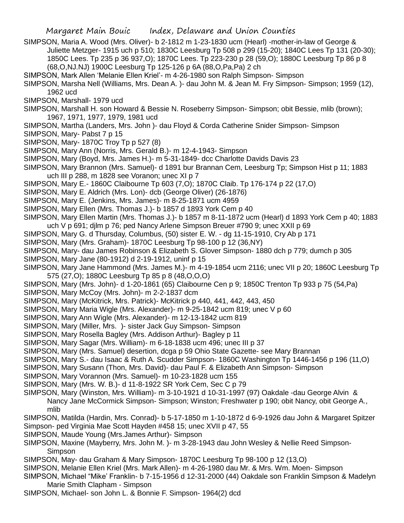- SIMPSON, Maria A. Wood (Mrs. Oliver)- b 2-1812 m 1-23-1830 ucm (Hearl) -mother-in-law of George & Juliette Metzger- 1915 uch p 510; 1830C Leesburg Tp 508 p 299 (15-20); 1840C Lees Tp 131 (20-30); 1850C Lees. Tp 235 p 36 937,O); 1870C Lees. Tp 223-230 p 28 (59,O); 1880C Leesburg Tp 86 p 8 (68,O,NJ.NJ) 1900C Leesburg Tp 125-126 p 6A (88,O,Pa,Pa) 2 ch
- SIMPSON, Mark Allen 'Melanie Ellen Kriel'- m 4-26-1980 son Ralph Simpson- Simpson
- SIMPSON, Marsha Nell (Williams, Mrs. Dean A. )- dau John M. & Jean M. Fry Simpson- Simpson; 1959 (12), 1962 ucd
- SIMPSON, Marshall- 1979 ucd
- SIMPSON, Marshall H. son Howard & Bessie N. Roseberry Simpson- Simpson; obit Bessie, mlib (brown); 1967, 1971, 1977, 1979, 1981 ucd
- SIMPSON, Martha (Landers, Mrs. John )- dau Floyd & Corda Catherine Snider Simpson- Simpson
- SIMPSON, Mary- Pabst 7 p 15
- SIMPSON, Mary- 1870C Troy Tp p 527 (8)
- SIMPSON, Mary Ann (Norris, Mrs. Gerald B.)- m 12-4-1943- Simpson
- SIMPSON, Mary (Boyd, Mrs. James H.)- m 5-31-1849- dcc Charlotte Davids Davis 23
- SIMPSON, Mary Brannon (Mrs. Samuel)- d 1891 bur Brannan Cem, Leesburg Tp; Simpson Hist p 11; 1883 uch III p 288, m 1828 see Voranon; unec XI p 7
- SIMPSON, Mary E.- 1860C Claibourne Tp 603 (7,O); 1870C Claib. Tp 176-174 p 22 (17,O)
- SIMPSON, Mary E. Aldrich (Mrs. Lon)- dcb (George Oliver) (26-1876)
- SIMPSON, Mary E. (Jenkins, Mrs. James)- m 8-25-1871 ucm 4959
- SIMPSON, Mary Ellen (Mrs. Thomas J.)- b 1857 d 1893 York Cem p 40
- SIMPSON, Mary Ellen Martin (Mrs. Thomas J.)- b 1857 m 8-11-1872 ucm (Hearl) d 1893 York Cem p 40; 1883 uch V p 691; djlm p 76; ped Nancy Arlene Simpson Breuer #790 9; unec XXII p 69
- SIMPSON, Mary G. d Thursday, Columbus, (50) sister E. W. dg 11-15-1910, Cry Ab p 171
- SIMPSON, Mary (Mrs. Graham)- 1870C Leesburg Tp 98-100 p 12 (36,NY)
- SIMPSON, Mary- dau James Robinson & Elizabeth S. Glover Simpson- 1880 dch p 779; dumch p 305
- SIMPSON, Mary Jane (80-1912) d 2-19-1912, uninf p 15
- SIMPSON, Mary Jane Hammond (Mrs. James M.)- m 4-19-1854 ucm 2116; unec VII p 20; 1860C Leesburg Tp 575 (27,O); 1880C Leesburg Tp 85 p 8 (48,O,O,O)
- SIMPSON, Mary (Mrs. John)- d 1-20-1861 (65) Claibourne Cen p 9; 1850C Trenton Tp 933 p 75 (54,Pa)
- SIMPSON, Mary McCoy (Mrs. John)- m 2-2-1837 dcm
- SIMPSON, Mary (McKitrick, Mrs. Patrick)- McKitrick p 440, 441, 442, 443, 450
- SIMPSON, Mary Maria Wigle (Mrs. Alexander)- m 9-25-1842 ucm 819; unec V p 60
- SIMPSON, Mary Ann Wigle (Mrs. Alexander)- m 12-13-1842 ucm 819
- SIMPSON, Mary (Miller, Mrs. )- sister Jack Guy Simpson- Simpson
- SIMPSON, Mary Rosella Bagley (Mrs. Addison Arthur)- Bagley p 11
- SIMPSON, Mary Sagar (Mrs. William)- m 6-18-1838 ucm 496; unec III p 37
- SIMPSON, Mary (Mrs. Samuel) desertion, dcga p 59 Ohio State Gazette- see Mary Brannan
- SIMPSON, Mary S.- dau Isaac & Ruth A. Scudder Simpson- 1860C Washington Tp 1446-1456 p 196 (11,O)
- SIMPSON, Mary Susann (Thon, Mrs. David)- dau Paul F. & Elizabeth Ann Simpson- Simpson
- SIMPSON, Mary Vorannon (Mrs. Samuel)- m 10-23-1828 ucm 155
- SIMPSON, Mary (Mrs. W. B.)- d 11-8-1922 SR York Cem, Sec C p 79
- SIMPSON, Mary (Winston, Mrs. William)- m 3-10-1921 d 10-31-1997 (97) Oakdale -dau George Alvin & Nancy Jane McCormick Simpson- Simpson; Winston; Freshwater p 190; obit Nancy, obit George A., mlib

SIMPSON, Matilda (Hardin, Mrs. Conrad)- b 5-17-1850 m 1-10-1872 d 6-9-1926 dau John & Margaret Spitzer

- Simpson- ped Virginia Mae Scott Hayden #458 15; unec XVII p 47, 55
- SIMPSON, Maude Young (Mrs.James Arthur)- Simpson
- SIMPSON, Maxine (Mayberry, Mrs. John M. )- m 3-28-1943 dau John Wesley & Nellie Reed Simpson-Simpson
- SIMPSON, May- dau Graham & Mary Simpson- 1870C Leesburg Tp 98-100 p 12 (13,O)
- SIMPSON, Melanie Ellen Kriel (Mrs. Mark Allen)- m 4-26-1980 dau Mr. & Mrs. Wm. Moen- Simpson
- SIMPSON, Michael "Mike' Franklin- b 7-15-1956 d 12-31-2000 (44) Oakdale son Franklin Simpson & Madelyn Marie Smith Clapham - Simpson
- SIMPSON, Michael- son John L. & Bonnie F. Simpson- 1964(2) dcd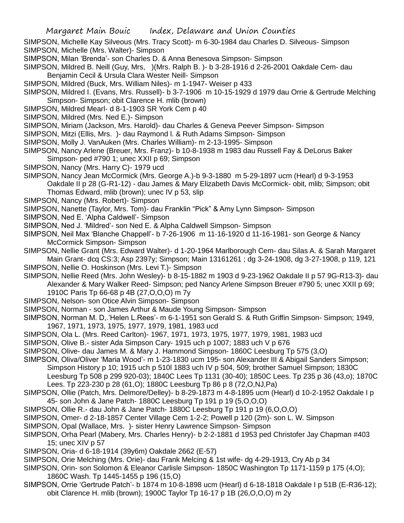SIMPSON, Michelle Kay Silveous (Mrs. Tracy Scott)- m 6-30-1984 dau Charles D. Silveous- Simpson

- SIMPSON, Michelle (Mrs. Walter)- Simpson
- SIMPSON, Milan 'Brenda'- son Charles D. & Anna Benesova Simpson- Simpson
- SIMPSON, Mildred B. Neill (Guy, Mrs, )(Mrs. Ralph B. )- b 3-28-1916 d 2-26-2001 Oakdale Cem- dau Benjamin Cecil & Ursula Clara Wester Neill- Simpson
- SIMPSON, Mildred (Buck, Mrs. William Niles)- m 1-1947- Weiser p 433
- SIMPSON, Mildred I. (Evans, Mrs. Russell)- b 3-7-1906 m 10-15-1929 d 1979 dau Orrie & Gertrude Melching Simpson- Simpson; obit Clarence H. mlib (brown)
- SIMPSON, Mildred Mearl- d 8-1-1903 SR York Cem p 40
- SIMPSON, Mildred (Mrs. Ned E.)- Simpson
- SIMPSON, Miriam (Jackson, Mrs. Harold)- dau Charles & Geneva Peever Simpson- Simpson
- SIMPSON, Mitzi (Ellis, Mrs. )- dau Raymond l. & Ruth Adams Simpson- Simpson
- SIMPSON, Molly J. VanAuken (Mrs. Charles William)- m 2-13-1995- Simpson
- SIMPSON, Nancy Arlene (Breuer, Mrs. Franz)- b 10-8-1938 m 1983 dau Russell Fay & DeLorus Baker Simpson- ped #790 1; unec XXII p 69; Simpson
- SIMPSON, Nancy (Mrs. Harry C)- 1979 ucd
- SIMPSON, Nancy Jean McCormick (Mrs. George A.)-b 9-3-1880 m 5-29-1897 ucm (Hearl) d 9-3-1953 Oakdale II p 28 (G-R1-12) - dau James & Mary Elizabeth Davis McCormick- obit, mlib; Simpson; obit Thomas Edward, mlib (brown); unec IV p 53, slip
- SIMPSON, Nancy (Mrs. Robert)- Simpson
- SIMPSON, Nanette (Taylor, Mrs. Tom)- dau Franklin "Pick" & Amy Lynn Simpson- Simpson
- SIMPSON, Ned E. 'Alpha Caldwell'- Simpson
- SIMPSON, Ned J. 'Mildred'- son Ned E. & Alpha Caldwell Simpson- Simpson
- SIMPSON, Neil Max 'Blanche Chappell'- b 7-26-1906 m 11-16-1920 d 11-16-1981- son George & Nancy McCormick Simpson- Simpson
- SIMPSON, Nellie Grant (Mrs. Edward Walter)- d 1-20-1964 Marlborough Cem- dau Silas A. & Sarah Margaret Main Grant- dcq CS:3; Asp 2397y; Simpson; Main 13161261 ; dg 3-24-1908, dg 3-27-1908, p 119, 121
- SIMPSON, Nellie O. Hoskinson (Mrs. Levi T.)- Simpson
- SIMPSON, Nellie Reed (Mrs. John Wesley)- b 8-15-1882 m 1903 d 9-23-1962 Oakdale II p 57 9G-R13-3)- dau Alexander & Mary Walker Reed- Simpson; ped Nancy Arlene Simpson Breuer #790 5; unec XXII p 69; 1910C Paris Tp 66-68 p 4B (27,O,O,O) m 7y
- SIMPSON, Nelson- son Otice Alvin Simpson- Simpson
- SIMPSON, Norman son James Arthur & Maude Young Simpson- Simpson
- SIMPSON, Norman M. D,.'Helen L.Rees'- m 6-1-1951 son Gerald S. & Ruth Griffin Simpson- Simpson; 1949, 1967, 1971, 1973, 1975, 1977, 1979, 1981, 1983 ucd
- SIMPSON, Ola L. (Mrs. Reed Carlton)- 1967, 1971, 1973, 1975, 1977, 1979, 1981, 1983 ucd
- SIMPSON, Olive B.- sister Ada Simpson Cary- 1915 uch p 1007; 1883 uch V p 676
- SIMPSON, Olive- dau James M. & Mary J. Hammond Simpson- 1860C Leesburg Tp 575 (3,O)
- SIMPSON, Oliva/Oliver 'Maria Wood'- m 1-23-1830 ucm 195- son Alexander III & Abigail Sanders Simpson; Simpson History p 10; 1915 uch p 510l 1883 uch IV p 504, 509; brother Samuel Simpson; 1830C Leesburg Tp 508 p 299 920-03); 1840C Lees Tp 1131 (30-40); 1850C Lees. Tp 235 p 36 (43,o); 1870C
	- Lees. Tp 223-230 p 28 (61,O); 1880C Leesburg Tp 86 p 8 (72,O,NJ,Pa)
- SIMPSON, Ollie (Patch, Mrs. Delmore/Delley)- b 8-29-1873 m 4-8-1895 ucm (Hearl) d 10-2-1952 Oakdale I p 45- son John & Jane Patch- 1880C Leesburg Tp 191 p 19 (5,O,O,O)
- SIMPSON, Ollie R.- dau John & Jane Patch- 1880C Leesburg Tp 191 p 19 (6,O,O,O)
- SIMPSON, Omer- d 2-18-1857 Center Village Cem 1-2-2; Powell p 120 (2m)- son L. W. Simpson
- SIMPSON, Opal (Wallace, Mrs. )- sister Henry Lawrence Simpson- Simpson
- SIMPSON, Orha Pearl (Mabery, Mrs. Charles Henry)- b 2-2-1881 d 1953 ped Christofer Jay Chapman #403 15; unec XIV p 57
- SIMPSON, Oria- d 6-18-1914 (39y6m) Oakdale 2662 (E-57)
- SIMPSON, Orie Melching (Mrs. Orie)- dau Frank Melcing & 1st wife- dg 4-29-1913, Cry Ab p 34
- SIMPSON, Orin- son Solomon & Eleanor Carlisle Simpson- 1850C Washington Tp 1171-1159 p 175 (4,O); 1860C Wash. Tp 1445-1455 p 196 (15,O)
- SIMPSON, Orrie 'Gertrude Patch'- b 1874 m 10-8-1898 ucm (Hearl) d 6-18-1818 Oakdale I p 51B (E-R36-12); obit Clarence H. mlib (brown); 1900C Taylor Tp 16-17 p 1B (26,O,O,O) m 2y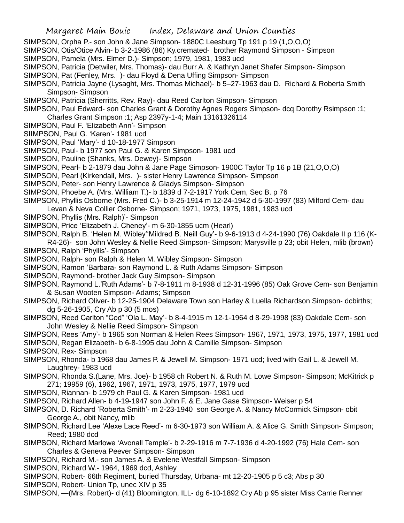- SIMPSON, Orpha P.- son John & Jane Simpson- 1880C Leesburg Tp 191 p 19 (1,O,O,O)
- SIMPSON, Otis/Otice Alvin- b 3-2-1986 (86) Ky.cremated- brother Raymond Simpson Simpson
- SIMPSON, Pamela (Mrs. Elmer D.)- Simpson; 1979, 1981, 1983 ucd
- SIMPSON, Patricia (Detwiler, Mrs. Thomas)- dau Burr A. & Kathryn Janet Shafer Simpson- Simpson
- SIMPSON, Pat (Fenley, Mrs. )- dau Floyd & Dena Uffing Simpson- Simpson
- SIMPSON, Patricia Jayne (Lysaght, Mrs. Thomas Michael)- b 5–27-1963 dau D. Richard & Roberta Smith Simpson- Simpson
- SIMPSON, Patricia (Sherritts, Rev. Ray)- dau Reed Carlton Simpson- Simpson
- SIMPSON, Paul Edward- son Charles Grant & Dorothy Agnes Rogers Simpson- dcq Dorothy Rsimpson :1; Charles Grant Simpson :1; Asp 2397y-1-4; Main 13161326114
- SIMPSON, Paul F. 'Elizabeth Ann'- Simpson
- SIIMPSON, Paul G. 'Karen'- 1981 ucd
- SIMPSON, Paul 'Mary'- d 10-18-1977 Simpson
- SIMPSON, Paul- b 1977 son Paul G. & Karen Simpson- 1981 ucd
- SIMPSON, Pauline (Shanks, Mrs. Dewey)- Simpson
- SIMPSON, Pearl- b 2-1879 dau John & Jane Page Simpson- 1900C Taylor Tp 16 p 1B (21,O,O,O)
- SIMPSON, Pearl (Kirkendall, Mrs. )- sister Henry Lawrence Simpson- Simpson
- SIMPSON, Peter- son Henry Lawrence & Gladys Simpson- Simpson
- SIMPSON, Phoebe A. (Mrs. William T.)- b 1839 d 7-2-1917 York Cem, Sec B. p 76
- SIMPSON, Phyllis Osborne (Mrs. Fred C.)- b 3-25-1914 m 12-24-1942 d 5-30-1997 (83) Milford Cem- dau
- Levan & Neva Collier Osborne- Simpson; 1971, 1973, 1975, 1981, 1983 ucd
- SIMPSON, Phyllis (Mrs. Ralph)'- Simpson
- SIMPSON, Price 'Elizabeth J. Cheney'- m 6-30-1855 ucm (Hearl)
- SIMPSON, Ralph B. 'Helen M. Wibley''Mildred B. Neill Guy'- b 9-6-1913 d 4-24-1990 (76) Oakdale II p 116 (K-
- R4-26)- son John Wesley & Nellie Reed Simpson- Simpson; Marysville p 23; obit Helen, mlib (brown) SIMPSON, Ralph 'Phyllis'- Simpson
- SIMPSON, Ralph- son Ralph & Helen M. Wibley Simpson- Simpson
- SIMPSON, Ramon 'Barbara- son Raymond L. & Ruth Adams Simpson- Simpson
- SIMPSON, Raymond- brother Jack Guy Simpson- Simpson
- SIMPSON, Raymond L.'Ruth Adams'- b 7-8-1911 m 8-1938 d 12-31-1996 (85) Oak Grove Cem- son Benjamin & Susan Wooten Simpson- Adams; Simpson
- SIMPSON, Richard Oliver- b 12-25-1904 Delaware Town son Harley & Luella Richardson Simpson- dcbirths; dg 5-26-1905, Cry Ab p 30 (5 mos)
- SIMPSON, Reed Carlton "Cod" 'Ola L. May'- b 8-4-1915 m 12-1-1964 d 8-29-1998 (83) Oakdale Cem- son John Wesley & Nellie Reed Simpson- Simpson
- SIMPSON, Rees 'Amy'- b 1965 son Norman & Helen Rees Simpson- 1967, 1971, 1973, 1975, 1977, 1981 ucd
- SIMPSON, Regan Elizabeth- b 6-8-1995 dau John & Camille Simpson- Simpson
- SIMPSON, Rex- Simpson
- SIMPSON, Rhonda- b 1968 dau James P. & Jewell M. Simpson- 1971 ucd; lived with Gail L. & Jewell M. Laughrey- 1983 ucd
- SIMPSON, Rhonda S.(Lane, Mrs. Joe)- b 1958 ch Robert N. & Ruth M. Lowe Simpson- Simpson; McKitrick p 271; 19959 (6), 1962, 1967, 1971, 1973, 1975, 1977, 1979 ucd
- SIMPSON, Riannan- b 1979 ch Paul G. & Karen Simpson- 1981 ucd
- SIMPSON, Richard Allen- b 4-19-1947 son John F. & E. Jane Gase Simpson- Weiser p 54
- SIMPSON, D. Richard 'Roberta Smith'- m 2-23-1940 son George A. & Nancy McCormick Simpson- obit George A., obit Nancy, mlib
- SIMPSON, Richard Lee 'Alexe Lace Reed'- m 6-30-1973 son William A. & Alice G. Smith Simpson- Simpson; Reed; 1980 dcd
- SIMPSON, Richard Marlowe 'Avonall Temple'- b 2-29-1916 m 7-7-1936 d 4-20-1992 (76) Hale Cem- son Charles & Geneva Peever Simpson- Simpson
- SIMPSON, Richard M.- son James A. & Evelene Westfall Simpson- Simpson
- SIMPSON, Richard W.- 1964, 1969 dcd, Ashley
- SIMPSON, Robert- 66th Regiment, buried Thursday, Urbana- mt 12-20-1905 p 5 c3; Abs p 30
- SIMPSON, Robert- Union Tp, unec XIV p 35
- SIMPSON, —(Mrs. Robert)- d (41) Bloomington, ILL- dg 6-10-1892 Cry Ab p 95 sister Miss Carrie Renner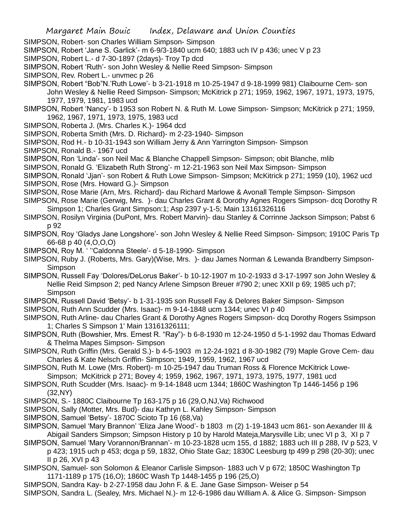- SIMPSON, Robert- son Charles William Simpson- Simpson
- SIMPSON, Robert 'Jane S. Garlick'- m 6-9/3-1840 ucm 640; 1883 uch IV p 436; unec V p 23
- SIMPSON, Robert L.- d 7-30-1897 (2days)- Troy Tp dcd
- SIMPSON, Robert 'Ruth'- son John Wesley & Nellie Reed Simpson- Simpson
- SIMPSON, Rev. Robert L.- unvmec p 26
- SIMPSON, Robert "Bob"N.'Ruth Lowe'- b 3-21-1918 m 10-25-1947 d 9-18-1999 981) Claibourne Cem- son John Wesley & Nellie Reed Simpson- Simpson; McKitrick p 271; 1959, 1962, 1967, 1971, 1973, 1975, 1977, 1979, 1981, 1983 ucd
- SIMPSON, Robert 'Nancy'- b 1953 son Robert N. & Ruth M. Lowe Simpson- Simpson; McKitrick p 271; 1959, 1962, 1967, 1971, 1973, 1975, 1983 ucd
- SIMPSON, Roberta J. (Mrs. Charles K.)- 1964 dcd
- SIMPSON, Roberta Smith (Mrs. D. Richard)- m 2-23-1940- Simpson
- SIMPSON, Rod H.- b 10-31-1943 son William Jerry & Ann Yarrington Simpson- Simpson
- SIMPSON, Ronald B.- 1967 ucd
- SIMPSON, Ron 'Linda'- son Neil Mac & Blanche Chappell Simpson- Simpson; obit Blanche, mlib
- SIMPSON, Ronald G. 'Elizabeth Ruth Strong'- m 12-21-1963 son Neil Max Simpson- Simpson
- SIMPSON, Ronald 'Jjan'- son Robert & Ruth Lowe Simpson- Simpson; McKitrick p 271; 1959 (10), 1962 ucd
- SIMPSON, Rose (Mrs. Howard G.)- Simpson
- SIMPSON, Rose Marie (Arn, Mrs. Richard)- dau Richard Marlowe & Avonall Temple Simpson- Simpson
- SIMPSON, Rose Marie (Gerwig, Mrs. )- dau Charles Grant & Dorothy Agnes Rogers Simpson- dcq Dorothy R Simpson 1; Charles Grant Simpson:1; Asp 2397 y-1-5; Main 13161326116
- SIMPSON, Rosilyn Virginia (DuPont, Mrs. Robert Marvin)- dau Stanley & Corrinne Jackson Simpson; Pabst 6 p 92
- SIMPSON, Roy 'Gladys Jane Longshore'- son John Wesley & Nellie Reed Simpson- Simpson; 1910C Paris Tp 66-68 p 40 (4,O,O,O)
- SIMPSON, Roy M. ' ''Caldonna Steele'- d 5-18-1990- Simpson
- SIMPSON, Ruby J. (Roberts, Mrs. Gary)(Wise, Mrs. )- dau James Norman & Lewanda Brandberry Simpson-Simpson
- SIMPSON, Russell Fay 'Dolores/DeLorus Baker'- b 10-12-1907 m 10-2-1933 d 3-17-1997 son John Wesley & Nellie Reid Simpson 2; ped Nancy Arlene Simpson Breuer #790 2; unec XXII p 69; 1985 uch p7; Simpson
- SIMPSON, Russell David 'Betsy'- b 1-31-1935 son Russell Fay & Delores Baker Simpson- Simpson
- SIMPSON, Ruth Ann Scudder (Mrs. Isaac)- m 9-14-1848 ucm 1344; unec VI p 40
- SIMPSON, Ruth Arline- dau Charles Grant & Dorothy Agnes Rogers Simpson- dcq Dorothy Rogers Ssimpson 1; Charles S Simpson 1' Main 13161326111;
- SIMPSON, Ruth (Bowshier, Mrs. Ernest R. "Ray")- b 6-8-1930 m 12-24-1950 d 5-1-1992 dau Thomas Edward & Thelma Mapes Simpson- Simpson
- SIMPSON, Ruth Griffin (Mrs. Gerald S.)- b 4-5-1903 m 12-24-1921 d 8-30-1982 (79) Maple Grove Cem- dau Charles & Kate Nelsch Griffin- Simpson; 1949, 1959, 1962, 1967 ucd
- SIMPSON, Ruth M. Lowe (Mrs. Robert)- m 10-25-1947 dau Truman Ross & Florence McKitrick Lowe-Simpson; McKitrick p 271; Bovey 4; 1959, 1962, 1967, 1971, 1973, 1975, 1977, 1981 ucd
- SIMPSON, Ruth Scudder (Mrs. Isaac)- m 9-14-1848 ucm 1344; 1860C Washington Tp 1446-1456 p 196 (32,NY)
- SIMPSON, S.- 1880C Claibourne Tp 163-175 p 16 (29,O,NJ,Va) Richwood
- SIMPSON, Sally (Motter, Mrs. Bud)- dau Kathryn L. Kahley Simpson- Simpson
- SIMPSON, Samuel 'Betsy'- 1870C Scioto Tp 16 (68,Va)
- SIMPSON, Samuel 'Mary Brannon' 'Eliza Jane Wood'- b 1803 m (2) 1-19-1843 ucm 861- son Aexander III & Abigail Sanders Simpson; Simpson History p 10 by Harold Mateja,Marysville Lib; unec VI p 3, XI p 7
- SIMPSON, Samuel 'Mary Vorannon/Brannan'- m 10-23-1828 ucm 155, d 1882; 1883 uch III p 288, IV p 523, V p 423; 1915 uch p 453; dcga p 59, 1832, Ohio State Gaz; 1830C Leesburg tp 499 p 298 (20-30); unec II p 26, XVI p 43
- SIMPSON, Samuel- son Solomon & Eleanor Carlisle Simpson- 1883 uch V p 672; 1850C Washington Tp 1171-1189 p 175 (16,O); 1860C Wash Tp 1448-1455 p 196 (25,O)
- SIMPSON, Sandra Kay- b 2-27-1958 dau John F. & E. Jane Gase Simpson- Weiser p 54
- SIMPSON, Sandra L. (Sealey, Mrs. Michael N.)- m 12-6-1986 dau William A. & Alice G. Simpson- Simpson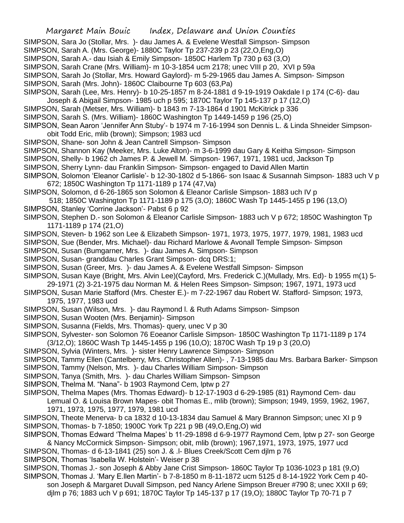- SIMPSON, Sara Jo (Stollar, Mrs. )- dau James A. & Evelene Westfall Simpson- Simpson
- SIMPSON, Sarah A. (Mrs. George)- 1880C Taylor Tp 237-239 p 23 (22,O,Eng,O)
- SIMPSON, Sarah A.- dau Isiah & Emily Simpson- 1850C Harlem Tp 730 p 63 (3,O)
- SIMPSON, Sarah Crane (Mrs. William)- m 10-3-1854 ucm 2178; unec VIII p 20, XVI p 59a
- SIMPSON, Sarah Jo (Stollar, Mrs. Howard Gaylord)- m 5-29-1965 dau James A. Simpson- Simpson
- SIMPSON, Sarah (Mrs. John)- 1860C Claibourne Tp 603 (63,Pa)
- SIMPSON, Sarah (Lee, Mrs. Henry)- b 10-25-1857 m 8-24-1881 d 9-19-1919 Oakdale I p 174 (C-6)- dau
- Joseph & Abigail Simpson- 1985 uch p 595; 1870C Taylor Tp 145-137 p 17 (12,O)
- SIMPSON, Sarah (Metser, Mrs. William)- b 1843 m 7-13-1864 d 1901 McKitrick p 336
- SIMPSON, Sarah S. (Mrs. William)- 1860C Washington Tp 1449-1459 p 196 (25,O)
- SIMPSON, Sean Aaron 'Jennifer Ann Stuby'- b 1974 m 7-16-1994 son Dennis L. & Linda Shneider Simpsonobit Todd Eric, mlib (brown); Simpson; 1983 ucd
- SIMPSON, Shane- son John & Jean Cantrell Simpson- Simpson
- SIMPSON, Shannon Kay (Meeker, Mrs. Luke Alton)- m 3-6-1999 dau Gary & Keitha Simpson- Simpson
- SIMPSON, Shelly- b 1962 ch James P. & Jewell M. Simpson- 1967, 1971, 1981 ucd, Jackson Tp
- SIMPSON, Sherry Lynn- dau Franklin Simpson- Simpson- engaged to David Allen Martin
- SIMPSON, Solomon 'Eleanor Carlisle'- b 12-30-1802 d 5-1866- son Isaac & Susannah Simpson- 1883 uch V p 672; 1850C Washington Tp 1171-1189 p 174 (47,Va)
- SIMPSON, Solomon, d 6-26-1865 son Solomon & Eleanor Carlisle Simpson- 1883 uch IV p
- 518; 1850C Washington Tp 1171-1189 p 175 (3,O); 1860C Wash Tp 1445-1455 p 196 (13,O)
- SIMPSON, Stanley 'Corrine Jackson'- Pabst 6 p 92
- SIMPSON, Stephen D.- son Solomon & Eleanor Carlisle Simpson- 1883 uch V p 672; 1850C Washington Tp 1171-1189 p 174 (21,O)
- SIMPSON, Steven- b 1962 son Lee & Elizabeth Simpson- 1971, 1973, 1975, 1977, 1979, 1981, 1983 ucd
- SIMPSON, Sue (Bender, Mrs. Michael)- dau Richard Marlowe & Avonall Temple Simpson- Simpson
- SIMPSON, Susan (Bumgarner, Mrs. )- dau James A. Simpson- Simpson
- SIMPSON, Susan- granddau Charles Grant Simpson- dcq DRS:1;
- SIMPSON, Susan (Greer, Mrs. )- dau James A. & Evelene Westfall Simpson- Simpson
- SIMPSON, Susan Kaye (Bright, Mrs. Alvin Lee)(Cayford, Mrs. Frederick C.)(Mullady, Mrs. Ed)- b 1955 m(1) 5- 29-1971 (2) 3-21-1975 dau Norman M. & Helen Rees Simpson- Simpson; 1967, 1971, 1973 ucd
- SIMPSON, Susan Marie Stafford (Mrs. Chester E.)- m 7-22-1967 dau Robert W. Stafford- Simpson; 1973, 1975, 1977, 1983 ucd
- SIMPSON, Susan (Wilson, Mrs. )- dau Raymond l. & Ruth Adams Simpson- Simpson
- SIMPSON, Susan Wooten (Mrs. Benjamin)- Simpson
- SIMPSON, Susanna (Fields, Mrs. Thomas)- query, unec V p 30
- SIMPSON, Sylvester- son Solomon 76 Eoeanor Carlisle Simpson- 1850C Washington Tp 1171-1189 p 174 (3/12,O); 1860C Wash Tp 1445-1455 p 196 (10,O); 1870C Wash Tp 19 p 3 (20,O)
- SIMPSON, Sylvia (Winters, Mrs. )- sister Henry Lawrence Simpson- Simpson
- SIMPSON, Tammy Ellen (Cantelberry, Mrs. Christopher Allen)- , 7-13-1985 dau Mrs. Barbara Barker- Simpson
- SIMPSON, Tammy (Nelson, Mrs. )- dau Charles William Simpson- Simpson
- SIMPSON, Tanya (Smith, Mrs. )- dau Charles William Simpson- Simpson
- SIMPSON, Thelma M. "Nana"- b 1903 Raymond Cem, lptw p 27
- SIMPSON, Thelma Mapes (Mrs. Thomas Edward)- b 12-17-1903 d 6-29-1985 (81) Raymond Cem- dau Lemual O. & Louisa Brown Mapes- obit Thomas E., mlib (brown); Simpson; 1949, 1959, 1962, 1967,
	- 1971, 1973, 1975, 1977, 1979, 1981 ucd
- SIMPSON, Theote Menerva- b ca 1832 d 10-13-1834 dau Samuel & Mary Brannon Simpson; unec XI p 9
- SIMPSON, Thomas- b 7-1850; 1900C York Tp 221 p 9B (49,O,Eng,O) wid
- SIMPSON, Thomas Edward 'Thelma Mapes' b 11-29-1898 d 6-9-1977 Raymond Cem, lptw p 27- son George & Nancy McCormick Simpson- Simpson; obit, mlib (brown); 1967,1971, 1973, 1975, 1977 ucd
- SIMPSON, Thomas- d 6-13-1841 (25) son J. & .l- Blues Creek/Scott Cem djlm p 76
- SIMPSON, Thomas 'Isabella W. Holstein'- Weiser p 38
- SIMPSON, Thomas J.- son Joseph & Abby Jane Crist Simpson- 1860C Taylor Tp 1036-1023 p 181 (9,O)
- SIMPSON, Thomas J. 'Mary E.llen Martin'- b 7-8-1850 m 8-11-1872 ucm 5125 d 8-14-1922 York Cem p 40 son Joseph & Margaret Duvall Simpson, ped Nancy Arlene Simpson Breuer #790 8; unec XXII p 69; djlm p 76; 1883 uch V p 691; 1870C Taylor Tp 145-137 p 17 (19,O); 1880C Taylor Tp 70-71 p 7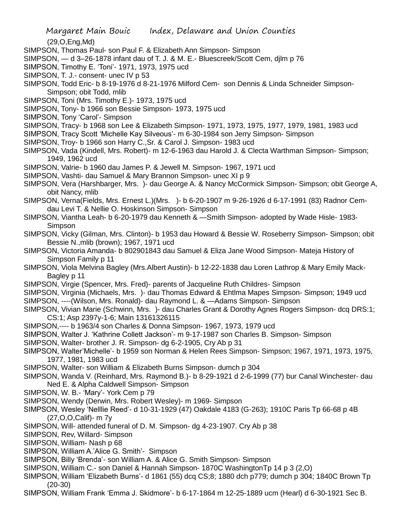(29,O,Eng,Md)

- SIMPSON, Thomas Paul- son Paul F. & Elizabeth Ann Simpson- Simpson
- SIMPSON, d 3–26-1878 infant dau of T. J. & M. E.- Bluescreek/Scott Cem, djlm p 76
- SIMPSON, Timothy E. 'Toni'- 1971, 1973, 1975 ucd
- SIMPSON, T. J.- consent- unec IV p 53
- SIMPSON, Todd Eric- b 8-19-1976 d 8-21-1976 Milford Cem- son Dennis & Linda Schneider Simpson-Simpson; obit Todd, mlib
- SIMPSON, Toni (Mrs. Timothy E.)- 1973, 1975 ucd
- SIMPSON, Tony- b 1966 son Bessie Simpson- 1973, 1975 ucd
- SIMPSON, Tony 'Carol'- Simpson
- SIMPSON, Tracy- b 1968 son Lee & Elizabeth Simpson- 1971, 1973, 1975, 1977, 1979, 1981, 1983 ucd
- SIMPSON, Tracy Scott 'Michelle Kay Silveous'- m 6-30-1984 son Jerry Simpson- Simpson
- SIMPSON, Troy- b 1966 son Harry C.,Sr. & Carol J. Simpson- 1983 ucd
- SIMPSON, Vada (Kindell, Mrs. Robert)- m 12-6-1963 dau Harold J. & Clecta Warthman Simpson- Simpson; 1949, 1962 ucd
- SIMPSON, Valrie- b 1960 dau James P. & Jewell M. Simpson- 1967, 1971 ucd
- SIMPSON, Vashti- dau Samuel & Mary Brannon Simpson- unec XI p 9
- SIMPSON, Vera (Harshbarger, Mrs. )- dau George A. & Nancy McCormick Simpson- Simpson; obit George A, obit Nancy, mlib
- SIMPSON, Verna(Fields, Mrs. Ernest L.)(Mrs. )- b 6-20-1907 m 9-26-1926 d 6-17-1991 (83) Radnor Cemdau Levi T. & Nellie O. Hoskinson Simpson- Simpson
- SIMPSON, Viantha Leah- b 6-20-1979 dau Kenneth & —Smith Simpson- adopted by Wade Hisle- 1983- Simpson
- SIMPSON, Vicky (Gilman, Mrs. Clinton)- b 1953 dau Howard & Bessie W. Roseberry Simpson- Simpson; obit Bessie N.,mlib (brown); 1967, 1971 ucd
- SIMPSON, Victoria Amanda- b 802901843 dau Samuel & Eliza Jane Wood Simpson- Mateja History of Simpson Family p 11
- SIMPSON, Viola Melvina Bagley (Mrs.Albert Austin)- b 12-22-1838 dau Loren Lathrop & Mary Emily Mack-Bagley p 11
- SIMPSON, Virgie (Spencer, Mrs. Fred)- parents of Jacqueline Ruth Childres- Simpson
- SIMPSON, Virginia (Michaels, Mrs. )- dau Thomas Edward & Ehtlma Mapes Simpson- Simpson; 1949 ucd
- SIMPSON, ----(Wilson, Mrs. Ronald)- dau Raymond L. & —Adams Simpson- Simpson
- SIMPSON, Vivian Marie (Schwinn, Mrs. )- dau Charles Grant & Dorothy Agnes Rogers Simpson- dcq DRS:1; CS:1; Asp 2397y-1-6; Main 13161326115
- SIMPSON,---- b 1963/4 son Charles & Donna Simpson- 1967, 1973, 1979 ucd
- SIMPSON, Walter J. 'Kathrine Collett Jackson'- m 9-17-1987 son Charles B. Simpson- Simpson
- SIMPSON, Walter- brother J. R. Simpson- dg 6-2-1905, Cry Ab p 31
- SIMPSON, Walter'Michelle'- b 1959 son Norman & Helen Rees Simpson- Simpson; 1967, 1971, 1973, 1975, 1977, 1981, 1983 ucd
- SIMPSON, Walter- son William & Elizabeth Burns Simpson- dumch p 304
- SIMPSON, Wanda V. (Reinhard, Mrs. Raymond B.)- b 8-29-1921 d 2-6-1999 (77) bur Canal Winchester- dau Ned E. & Alpha Caldwell Simpson- Simpson
- SIMPSON, W. B.- 'Mary'- York Cem p 79
- SIMPSON, Wendy (Derwin, Mrs. Robert Wesley)- m 1969- Simpson
- SIMPSON, Wesley 'Nelllie Reed'- d 10-31-1929 (47) Oakdale 4183 (G-263); 1910C Paris Tp 66-68 p 4B (27,O,O,Calif)- m 7y
- SIMPSON, Will- attended funeral of D. M. Simpson- dg 4-23-1907. Cry Ab p 38
- SIMPSON, Rev, Willard- Simpson
- SIMPSON, William- Nash p 68
- SIMPSON, William A.'Alice G. Smith'- Simpson
- SIMPSON, Billy 'Brenda'- son William A. & Alice G. Smith Simpson- Simpson
- SIMPSON, William C.- son Daniel & Hannah Simpson- 1870C WashingtonTp 14 p 3 (2,O)
- SIMPSON, William 'Elizabeth Burns'- d 1861 (55) dcq CS;8; 1880 dch p779; dumch p 304; 1840C Brown Tp (20-30)
- SIMPSON, William Frank 'Emma J. Skidmore'- b 6-17-1864 m 12-25-1889 ucm (Hearl) d 6-30-1921 Sec B.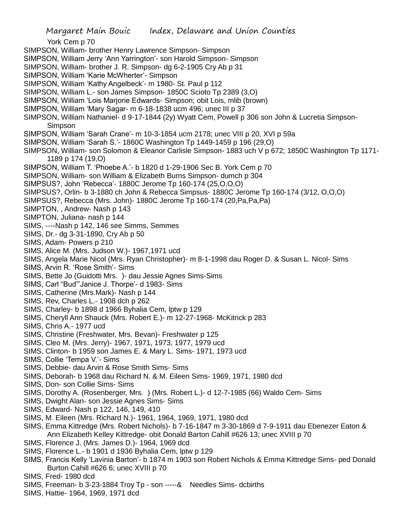York Cem p 70 SIMPSON, William- brother Henry Lawrence Simpson- Simpson SIMPSON, William Jerry 'Ann Yarrington'- son Harold Simpson- Simpson SIMPSON, William- brother J. R. Simpson- dg 6-2-1905 Cry Ab p 31 SIMPSON, William 'Karie McWherter'- Simpson SIMPSON, William 'Kathy Angelbeck'- m 1980- St. Paul p 112 SIMPSON, William L.- son James Simpson- 1850C Scioto Tp 2389 (3,O) SIMPSON, William 'Lois Marjorie Edwards- Simpson; obit Lois, mlib (brown) SIMPSON, William 'Mary Sagar- m 6-18-1838 ucm 496; unec III p 37 SIMPSON, William Nathaniel- d 9-17-1844 (2y) Wyatt Cem, Powell p 306 son John & Lucretia Simpson-Simpson SIMPSON, William 'Sarah Crane'- m 10-3-1854 ucm 2178; unec VIII p 20, XVI p 59a SIMPSON, William 'Sarah S.'- 1860C Washington Tp 1449-1459 p 196 (29,O) SIMPSON, William- son Solomon & Eleanor Carlisle Simpson- 1883 uch V p 672; 1850C Washington Tp 1171- 1189 p 174 (19,O) SIMPSON, William T. 'Phoebe A.'- b 1820 d 1-29-1906 Sec B. York Cem p 70 SIMPSON, William- son William & Elizabeth Burns Simpson- dumch p 304 SIMPSUS?, John 'Rebecca'- 1880C Jerome Tp 160-174 (25,O,O,O) SIMPSUS?, Orlin- b 3-1880 ch John & Rebecca Simpsus- 1880C Jerome Tp 160-174 (3/12, O,O,O) SIMPSUS?, Rebecca (Mrs. John)- 1880C Jerome Tp 160-174 (20,Pa,Pa,Pa) SIMPTON, , Andrew- Nash p 143 SIMPTON, Juliana- nash p 144 SIMS, ----Nash p 142, 146 see Simms, Semmes SIMS, Dr.- dg 3-31-1890, Cry Ab p 50 SIMS, Adam- Powers p 210 SIMS, Alice M. (Mrs. Judson W.)- 1967,1971 ucd SIMS, Angela Marie Nicol (Mrs. Ryan Christopher)- m 8-1-1998 dau Roger D. & Susan L. Nicol- Sims SIMS, Arvin R. 'Rose Smith'- Sims SIMS, Bette Jo (Guidotti Mrs. )- dau Jessie Agnes Sims-Sims SIMS, Carl "Bud"'Janice J. Thorpe'- d 1983- Sims SIMS, Catherine (Mrs.Mark)- Nash p 144 SIMS, Rev, Charles L.- 1908 dch p 262 SIMS, Charley- b 1898 d 1966 Byhalia Cem, lptw p 129 SIMS, Cheryll Ann Shauck (Mrs. Robert E.)- m 12-27-1968- McKitrick p 283 SIMS, Chris A.- 1977 ucd SIMS, Christine (Freshwater, Mrs. Bevan)- Freshwater p 125 SIMS, Cleo M. (Mrs. Jerry)- 1967, 1971, 1973, 1977, 1979 ucd SIMS, Clinton- b 1959 son James E. & Mary L. Sims- 1971, 1973 ucd SIMS, Collie 'Tempa V.'- Sims SIMS, Debbie- dau Arvin & Rose Smith Sims- Sims SIMS, Deborah- b 1968 dau Richard N. & M. Eileen Sims- 1969, 1971, 1980 dcd SIMS, Don- son Collie Sims- Sims SIMS, Dorothy A. (Rosenberger, Mrs. ) (Mrs. Robert L.)- d 12-7-1985 (66) Waldo Cem- Sims SIMS, Dwight Alan- son Jessie Agnes Sims- Sims SIMS, Edward- Nash p 122, 146, 149, 410 SIMS, M. Eileen (Mrs. Richard N.)- 1961, 1964, 1969, 1971, 1980 dcd SIMS, Emma Kittredge (Mrs. Robert Nichols)- b 7-16-1847 m 3-30-1869 d 7-9-1911 dau Ebenezer Eaton & Ann Elizabeth Kelley Kittredge- obit Donald Barton Cahill #626 13; unec XVIII p 70 SIMS, Florence J. (Mrs. James D.)- 1964, 1969 dcd SIMS, Florence L.- b 1901 d 1936 Byhalia Cem, lptw p 129 SIMS, Francis Kelly 'Lavinia Barton'- b 1874 m 1903 son Robert Nichols & Emma Kittredge Sims- ped Donald Burton Cahill #626 6; unec XVIII p 70

- SIMS, Fred- 1980 dcd
- SIMS, Freeman- b 3-23-1884 Troy Tp son -----& Needles Sims- dcbirths
- SIMS, Hattie- 1964, 1969, 1971 dcd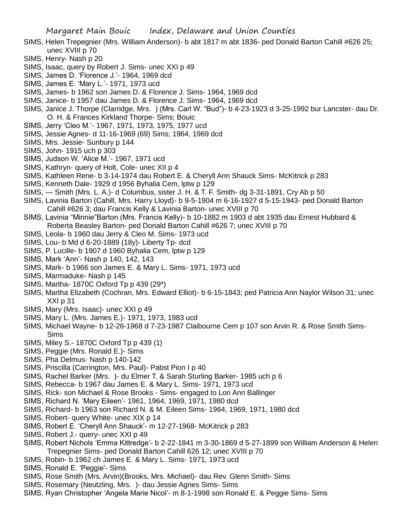- SIMS, Helen Trepegnier (Mrs. William Anderson)- b abt 1817 m abt 1836- ped Donald Barton Cahill #626 25; unec XVIII p 70
- SIMS, Henry- Nash p 20
- SIMS, Isaac, query by Robert J. Sims- unec XXI p 49
- SIMS, James D. 'Florence J.'- 1964, 1969 dcd
- SIMS, James E. 'Mary L.'- 1971, 1973 ucd
- SIMS, James- b 1962 son James D. & Florence J. Sims- 1964, 1969 dcd
- SIMS, Janice- b 1957 dau James D. & Florence J. Sims- 1964, 1969 dcd
- SIMS, Janice J. Thorpe (Clarridge, Mrs. ) (Mrs. Carl W. "Bud")- b 4-23-1923 d 3-25-1992 bur Lancster- dau Dr. O. H. & Frances Kirkland Thorpe- Sims; Bouic
- SIMS, Jerry 'Cleo M.'- 1967, 1971, 1973, 1975, 1977 ucd
- SIMS, Jessie Agnes- d 11-16-1969 (69) Sims; 1964, 1969 dcd
- SIMS, Mrs. Jessie- Sunbury p 144
- SIMS, John- 1915 uch p 303
- SIMS, Judson W. 'Alice M.'- 1967, 1971 ucd
- SIMS, Kathryn- query of Holt, Cole- unec XII p 4
- SIMS, Kathleen Rene- b 3-14-1974 dau Robert E. & Cheryll Ann Shauck Sims- McKitrick p 283
- SIMS, Kenneth Dale- 1929 d 1956 Byhalia Cem, lptw p 129
- SIMS, Smith (Mrs. L. A.)- d Columbus, sister J. H. & T. F. Smith- dg 3-31-1891, Cry Ab p 50
- SIMS, Lavinia Barton (Cahill, Mrs. Harry Lloyd)- b 9-5-1904 m 6-16-1927 d 5-15-1943- ped Donald Barton Cahill #626 3; dau Francis Kelly & Lavinia Barton- unec XVIII p 70
- SIMS, Lavinia "Minnie"Barton (Mrs. Francis Kelly)- b 10-1882 m 1903 d abt 1935 dau Ernest Hubbard & Roberta Beasley Barton- ped Donald Barton Cahill #626 7; unec XVIII p 70
- SIMS, Leola- b 1960 dau Jerry & Cleo M. Sims- 1973 ucd
- SIMS, Lou- b Md d 6-20-1889 (18y)- Liberty Tp- dcd
- SIMS, P. Lucille- b 1907 d 1960 Byhalia Cem, lptw p 129
- SIMS, Mark 'Ann'- Nash p 140, 142, 143
- SIMS, Mark- b 1966 son James E. & Mary L. Sims- 1971, 1973 ucd
- SIMS, Marmaduke- Nash p 145
- SIMS, Martha- 1870C Oxford Tp p 439 (29\*)
- SIMS, Martha Elizabeth (Cochran, Mrs. Edward Elliot)- b 6-15-1843; ped Patricia Ann Naylor Wilson 31; unec XXI p 31
- SIMS, Mary (Mrs. Isaac)- unec XXI p 49
- SIMS, Mary L. (Mrs. James E.)- 1971, 1973, 1983 ucd
- SIMS, Michael Wayne- b 12-26-1968 d 7-23-1987 Claibourne Cem p 107 son Arvin R. & Rose Smith Sims-Sims
- SIMS, Miley S.- 1870C Oxford Tp p 439 (1)
- SIMS, Peggie (Mrs. Ronald E.)- Sims
- SIMS, Pha Delmus- Nash p 140-142
- SIMS, Priscilla (Carrington, Mrs. Paul)- Pabst Pion I p 40
- SIMS, Rachel Barker (Mrs. )- du Elmer T. & Sarah Sturling Barker- 1985 uch p 6
- SIMS, Rebecca- b 1967 dau James E. & Mary L. Sims- 1971, 1973 ucd
- SIMS, Rick- son Michael & Rose Brooks Sims- engaged to Lori Ann Ballinger
- SIMS, Richard N. 'Mary Eileen'- 1961, 1964, 1969, 1971, 1980 dcd
- SIMS, Richard- b 1963 son Richard N. & M. Eileen Sims- 1964, 1969, 1971, 1980 dcd
- SIMS, Robert- query White- unec XIX p 14
- SIMS, Robert E. 'Cheryll Ann Shauck'- m 12-27-1968- McKitrick p 283
- SIMS, Robert J.- query- unec XXI p 49
- SIMS, Robert Nichols 'Emma Kittredge'- b 2-22-1841 m 3-30-1869 d 5-27-1899 son William Anderson & Helen Trepegnier Sims- ped Donald Barton Cahill 626 12; unec XVIII p 70
- SIMS, Robin- b 1962 ch James E. & Mary L. Sims- 1971, 1973 ucd
- SIMS, Ronald E. 'Peggie'- Sims
- SIMS, Rose Smith (Mrs. Arvin)(Brooks, Mrs. Michael)- dau Rev. Glenn Smith- Sims
- SIMS, Rosemary (Neutzling, Mrs. )- dau Jessie Agnes Sims- Sims
- SIMS, Ryan Christopher 'Angela Marie Nicol'- m 8-1-1998 son Ronald E. & Peggie Sims- Sims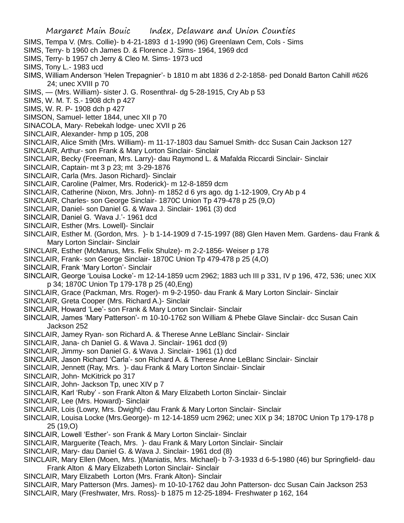- SIMS, Tempa V. (Mrs. Collie)- b 4-21-1893 d 1-1990 (96) Greenlawn Cem, Cols Sims
- SIMS, Terry- b 1960 ch James D. & Florence J. Sims- 1964, 1969 dcd
- SIMS, Terry- b 1957 ch Jerry & Cleo M. Sims- 1973 ucd
- SIMS, Tony L.- 1983 ucd
- SIMS, William Anderson 'Helen Trepagnier'- b 1810 m abt 1836 d 2-2-1858- ped Donald Barton Cahill #626 24; unec XVIII p 70
- SIMS, (Mrs. William)- sister J. G. Rosenthral- dg 5-28-1915, Cry Ab p 53
- SIMS, W. M. T. S.- 1908 dch p 427
- SIMS, W. R. P- 1908 dch p 427
- SIMSON, Samuel- letter 1844, unec XII p 70
- SINACOLA, Mary- Rebekah lodge- unec XVII p 26
- SINCLAIR, Alexander- hmp p 105, 208
- SINCLAIR, Alice Smith (Mrs. William)- m 11-17-1803 dau Samuel Smith- dcc Susan Cain Jackson 127
- SINCLAIR, Arthur- son Frank & Mary Lorton Sinclair- Sinclair
- SINCLAIR, Becky (Freeman, Mrs. Larry)- dau Raymond L. & Mafalda Riccardi Sinclair- Sinclair
- SINCLAIR, Captain- mt 3 p 23; mt 3-29-1876
- SINCLAIR, Carla (Mrs. Jason Richard)- Sinclair
- SINCLAIR, Caroline (Palmer, Mrs. Roderick)- m 12-8-1859 dcm
- SINCLAIR, Catherine (Nixon, Mrs. John)- m 1852 d 6 yrs ago. dg 1-12-1909, Cry Ab p 4
- SINCLAIR, Charles- son George Sinclair- 1870C Union Tp 479-478 p 25 (9,O)
- SINCLAIR, Daniel- son Daniel G. & Wava J. Sinclair- 1961 (3) dcd
- SINCLAIR, Daniel G. 'Wava J.'- 1961 dcd
- SINCLAIR, Esther (Mrs. Lowell)- Sinclair
- SINCLAIR, Esther M. (Gordon, Mrs. )- b 1-14-1909 d 7-15-1997 (88) Glen Haven Mem. Gardens- dau Frank & Mary Lorton Sinclair- Sinclair
- SINCLAIR, Esther (McManus, Mrs. Felix Shulze)- m 2-2-1856- Weiser p 178
- SINCLAIR, Frank- son George Sinclair- 1870C Union Tp 479-478 p 25 (4,O)
- SINCLAIR, Frank 'Mary Lorton'- Sinclair
- SINCLAIR, George 'Louisa Locke'- m 12-14-1859 ucm 2962; 1883 uch III p 331, IV p 196, 472, 536; unec XIX p 34; 1870C Union Tp 179-178 p 25 (40,Eng)
- SINCLAIR, Grace (Packman, Mrs. Roger)- m 9-2-1950- dau Frank & Mary Lorton Sinclair- Sinclair
- SINCLAIR, Greta Cooper (Mrs. Richard A.)- Sinclair
- SINCLAIR, Howard 'Lee'- son Frank & Mary Lorton Sinclair- Sinclair
- SINCLAIR, James 'Mary Patterson'- m 10-10-1762 son William & Phebe Glave Sinclair- dcc Susan Cain Jackson 252
- SINCLAIR, Jamey Ryan- son Richard A. & Therese Anne LeBlanc Sinclair- Sinclair
- SINCLAIR, Jana- ch Daniel G. & Wava J. Sinclair- 1961 dcd (9)
- SINCLAIR, Jimmy- son Daniel G. & Wava J. Sinclair- 1961 (1) dcd
- SINCLAIR, Jason Richard 'Carla'- son Richard A. & Therese Anne LeBlanc Sinclair- Sinclair
- SINCLAIR, Jennett (Ray, Mrs. )- dau Frank & Mary Lorton Sinclair- Sinclair
- SINCLAIR, John- McKitrick po 317
- SINCLAIR, John- Jackson Tp, unec XIV p 7
- SINCLAIR, Karl 'Ruby' son Frank Alton & Mary Elizabeth Lorton Sinclair- Sinclair
- SINCLAIR, Lee (Mrs. Howard)- Sinclair
- SINCLAIR, Lois (Lowry, Mrs. Dwight)- dau Frank & Mary Lorton Sinclair- Sinclair
- SINCLAIR, Louisa Locke (Mrs.George)- m 12-14-1859 ucm 2962; unec XIX p 34; 1870C Union Tp 179-178 p 25 (19,O)
- SINCLAIR, Lowell 'Esther'- son Frank & Mary Lorton Sinclair- Sinclair
- SINCLAIR, Marguerite (Teach, Mrs. )- dau Frank & Mary Lorton Sinclair- Sinclair
- SINCLAIR, Mary- dau Daniel G. & Wava J. Sinclair- 1961 dcd (8)
- SINCLAIR, Mary Ellen (Moen, Mrs. )(Maniatis, Mrs. Michael)- b 7-3-1933 d 6-5-1980 (46) bur Springfield- dau Frank Alton & Mary Elizabeth Lorton Sinclair- Sinclair
- SINCLAIR, Mary Elizabeth Lorton (Mrs. Frank Alton)- Sinclair
- SINCLAIR, Mary Patterson (Mrs. James)- m 10-10-1762 dau John Patterson- dcc Susan Cain Jackson 253
- SINCLAIR, Mary (Freshwater, Mrs. Ross)- b 1875 m 12-25-1894- Freshwater p 162, 164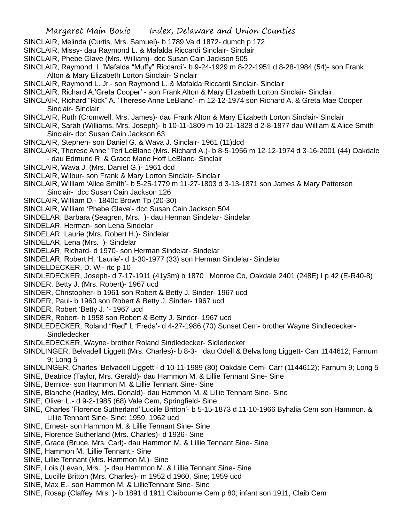- SINCLAIR, Melinda (Curtis, Mrs. Samuel)- b 1789 Va d 1872- dumch p 172
- SINCLAIR, Missy- dau Raymond L. & Mafalda Riccardi Sinclair- Sinclair
- SINCLAIR, Phebe Glave (Mrs. William)- dcc Susan Cain Jackson 505
- SINCLAIR, Raymond L.'Mafalda "Muffy" Riccardi'- b 9-24-1929 m 8-22-1951 d 8-28-1984 (54)- son Frank Alton & Mary Elizabeth Lorton Sinclair- Sinclair
- SINCLAIR, Raymond L. Jr.- son Raymond L. & Mafalda Riccardi Sinclair- Sinclair
- SINCLAIR, Richard A.'Greta Cooper' son Frank Alton & Mary Elizabeth Lorton Sinclair- Sinclair
- SINCLAIR, Richard "Rick" A. 'Therese Anne LeBlanc'- m 12-12-1974 son Richard A. & Greta Mae Cooper Sinclair- Sinclair
- SINCLAIR, Ruth (Cromwell, Mrs. James)- dau Frank Alton & Mary Elizabeth Lorton Sinclair- Sinclair
- SINCLAIR, Sarah (Williams, Mrs. Joseph)- b 10-11-1809 m 10-21-1828 d 2-8-1877 dau William & Alice Smith Sinclair- dcc Susan Cain Jackson 63
- SINCLAIR, Stephen- son Daniel G. & Wava J. Sinclair- 1961 (11)dcd
- SINCLAIR, Therese Anne "Teri"LeBlanc (Mrs. Richard A.)- b 8-5-1956 m 12-12-1974 d 3-16-2001 (44) Oakdale - dau Edmund R. & Grace Marie Hoff LeBlanc- Sinclair
- SINCLAIR, Wava J. (Mrs. Daniel G.)- 1961 dcd
- SINCLAIR, Wilbur- son Frank & Mary Lorton Sinclair- Sinclair
- SINCLAIR, William 'Alice Smith'- b 5-25-1779 m 11-27-1803 d 3-13-1871 son James & Mary Patterson Sinclair- dcc Susan Cain Jackson 126
- SINCLAIR, William D.- 1840c Brown Tp (20-30)
- SINCLAIR, William 'Phebe Glave'- dcc Susan Cain Jackson 504
- SINDELAR, Barbara (Seagren, Mrs. )- dau Herman Sindelar- Sindelar
- SINDELAR, Herman- son Lena Sindelar
- SINDELAR, Laurie (Mrs. Robert H.)- Sindelar
- SINDELAR, Lena (Mrs. )- Sindelar
- SINDELAR, Richard- d 1970- son Herman Sindelar- Sindelar
- SINDELAR, Robert H. 'Laurie'- d 1-30-1977 (33) son Herman Sindelar- Sindelar
- SINDELDECKER, D. W.- rtc p 10
- SINDLEDECKER, Joseph- d 7-17-1911 (41y3m) b 1870 Monroe Co, Oakdale 2401 (248E) I p 42 (E-R40-8)
- SINDER, Betty J. (Mrs. Robert)- 1967 ucd
- SINDER, Christopher- b 1961 son Robert & Betty J. Sinder- 1967 ucd
- SINDER, Paul- b 1960 son Robert & Betty J. Sinder- 1967 ucd
- SINDER, Robert 'Betty J. '- 1967 ucd
- SINDER, Robert- b 1958 son Robert & Betty J. Sinder- 1967 ucd
- SINDLEDECKER, Roland "Red" L 'Freda'- d 4-27-1986 (70) Sunset Cem- brother Wayne Sindledecker-**Sindledecker**
- SINDLEDECKER, Wayne- brother Roland Sindledecker- Sidledecker
- SINDLINGER, Belvadell Liggett (Mrs. Charles)- b 8-3- dau Odell & Belva long Liggett- Carr 1144612; Farnum 9; Long 5
- SINDLINGER, Charles 'Belvadell Liggett'- d 10-11-1989 (80) Oakdale Cem- Carr (1144612); Farnum 9; Long 5
- SINE, Beatrice (Taylor, Mrs. Gerald)- dau Hammon M. & Lillie Tennant Sine- Sine
- SINE, Bernice- son Hammon M. & Lillie Tennant Sine- Sine
- SINE, Blanche (Hadley, Mrs. Donald)- dau Hammon M. & Lillie Tennant Sine- Sine
- SINE, Oliver L.- d 9-2-1985 (68) Vale Cem, Springfield- Sine
- SINE, Charles 'Florence Sutherland''Lucille Britton'- b 5-15-1873 d 11-10-1966 Byhalia Cem son Hammon. & Lillie Tennant Sine- Sine; 1959, 1962 ucd
- SINE, Ernest- son Hammon M. & Lillie Tennant Sine- Sine
- SINE, Florence Sutherland (Mrs. Charles)- d 1936- Sine
- SINE, Grace (Bruce, Mrs. Carl)- dau Hammon M. & Lillie Tennant Sine- Sine
- SINE, Hammon M. 'Lillie Tennant;- Sine
- SINE, Lillie Tennant (Mrs. Hammon M.)- Sine
- SINE, Lois (Levan, Mrs. )- dau Hammon M. & Lillie Tennant Sine- Sine
- SINE, Lucille Britton (Mrs. Charles)- m 1952 d 1960, Sine; 1959 ucd
- SINE, Max E.- son Hammon M. & LillieTennant Sine- Sine
- SINE, Rosap (Claffey, Mrs. )- b 1891 d 1911 Claibourne Cem p 80; infant son 1911, Claib Cem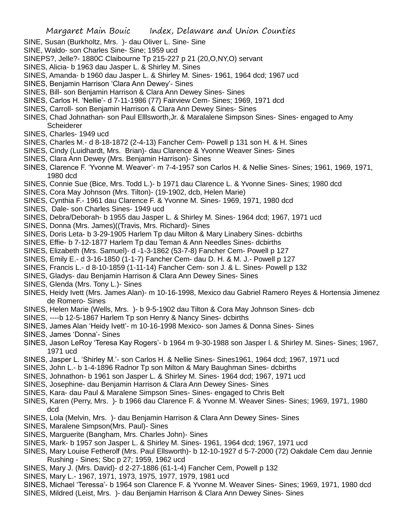- SINE, Susan (Burkholtz, Mrs. )- dau Oliver L. Sine- Sine
- SINE, Waldo- son Charles Sine- Sine; 1959 ucd
- SINEPS?, Jelle?- 1880C Claibourne Tp 215-227 p 21 (20,O,NY,O) servant
- SINES, Alicia- b 1963 dau Jasper L. & Shirley M. Sines
- SINES, Amanda- b 1960 dau Jasper L. & Shirley M. Sines- 1961, 1964 dcd; 1967 ucd
- SINES, Benjamin Harrison 'Clara Ann Dewey'- Sines
- SINES, Bill- son Benjamin Harrison & Clara Ann Dewey Sines- Sines
- SINES, Carlos H. 'Nellie'- d 7-11-1986 (77) Fairview Cem- Sines; 1969, 1971 dcd
- SINES, Carroll- son Benjamin Harrison & Clara Ann Dewey Sines- Sines
- SINES, Chad Johnathan- son Paul Elllsworth,Jr. & Maralalene Simpson Sines- Sines- engaged to Amy **Scheiderer**
- SINES, Charles- 1949 ucd
- SINES, Charles M.- d 8-18-1872 (2-4-13) Fancher Cem- Powell p 131 son H. & H. Sines
- SINES, Cindy (Luidhardt, Mrs. Brian)- dau Clarence & Yvonne Weaver Sines- Sines
- SINES, Clara Ann Dewey (Mrs. Benjamin Harrison)- Sines
- SINES, Clarence F. 'Yvonne M. Weaver'- m 7-4-1957 son Carlos H. & Nellie Sines- Sines; 1961, 1969, 1971, 1980 dcd
- SINES, Connie Sue (Bice, Mrs. Todd L.)- b 1971 dau Clarence L. & Yvonne Sines- Sines; 1980 dcd
- SINES, Cora May Johnson (Mrs. Tilton)- (19-1902, dcb, Helen Marie)
- SINES, Cynthia F.- 1961 dau Clarence F. & Yvonne M. Sines- 1969, 1971, 1980 dcd
- SINES, Dale- son Charles Sines- 1949 ucd
- SINES, Debra/Deborah- b 1955 dau Jasper L. & Shirley M. Sines- 1964 dcd; 1967, 1971 ucd
- SINES, Donna (Mrs. James)((Travis, Mrs. Richard)- Sines
- SINES, Doris Leta- b 3-29-1905 Harlem Tp dau Milton & Mary Linabery Sines- dcbirths
- SINES, Effie- b 7-12-1877 Harlem Tp dau Teman & Ann Needles Sines- dcbirths
- SINES, Elizabeth (Mrs. Samuel)- d -1-3-1862 (53-7-8) Fancher Cem- Powell p 127
- SINES, Emily E.- d 3-16-1850 (1-1-7) Fancher Cem- dau D. H. & M. J.- Powell p 127
- SINES, Francis L.- d 8-10-1859 (1-11-14) Fancher Cem- son J. & L. Sines- Powell p 132
- SINES, Gladys- dau Benjamin Harrison & Clara Ann Dewey Sines- Sines
- SINES, Glenda (Mrs. Tony L.)- Sines
- SINES, Heidy Ivett (Mrs. James Alan)- m 10-16-1998, Mexico dau Gabriel Ramero Reyes & Hortensia Jimenez de Romero- Sines
- SINES, Helen Marie (Wells, Mrs. )- b 9-5-1902 dau Tilton & Cora May Johnson Sines- dcb
- SINES, ----b 12-5-1867 Harlem Tp son Henry & Nancy Sines- dcbirths
- SINES, James Alan 'Heidy Ivett'- m 10-16-1998 Mexico- son James & Donna Sines- Sines
- SINES, James 'Donna'- Sines
- SINES, Jason LeRoy 'Teresa Kay Rogers'- b 1964 m 9-30-1988 son Jasper l. & Shirley M. Sines- Sines; 1967, 1971 ucd
- SINES, Jasper L. 'Shirley M.'- son Carlos H. & Nellie Sines- Sines1961, 1964 dcd; 1967, 1971 ucd
- SINES, John L.- b 1-4-1896 Radnor Tp son Milton & Mary Baughman Sines- dcbirths
- SINES, Johnathon- b 1961 son Jasper L. & Shirley M. Sines- 1964 dcd; 1967, 1971 ucd
- SINES, Josephine- dau Benjamin Harrison & Clara Ann Dewey Sines- Sines
- SINES, Kara- dau Paul & Maralene Simpson Sines- Sines- engaged to Chris Belt
- SINES, Karen (Perry, Mrs. )- b 1966 dau Clarence F. & Yvonne M. Weaver Sines- Sines; 1969, 1971, 1980 dcd
- SINES, Lola (Melvin, Mrs. )- dau Benjamin Harrison & Clara Ann Dewey Sines- Sines
- SINES, Maralene Simpson(Mrs. Paul)- Sines
- SINES, Marguerite (Bangham, Mrs. Charles John)- Sines
- SINES, Mark- b 1957 son Jasper L. & Shirley M. Sines- 1961, 1964 dcd; 1967, 1971 ucd
- SINES, Mary Louise Fetherolf (Mrs. Paul Ellsworth)- b 12-10-1927 d 5-7-2000 (72) Oakdale Cem dau Jennie Rushing - Sines; Sbc p 27; 1959, 1962 ucd
- SINES, Mary J. (Mrs. David)- d 2-27-1886 (61-1-4) Fancher Cem, Powell p 132
- SINES, Mary L.- 1967, 1971, 1973, 1975, 1977, 1979, 1981 ucd
- SINES, Michael 'Teressa'- b 1964 son Clarence F. & Yvonne M. Weaver Sines- Sines; 1969, 1971, 1980 dcd
- SINES, Mildred (Leist, Mrs. )- dau Benjamin Harrison & Clara Ann Dewey Sines- Sines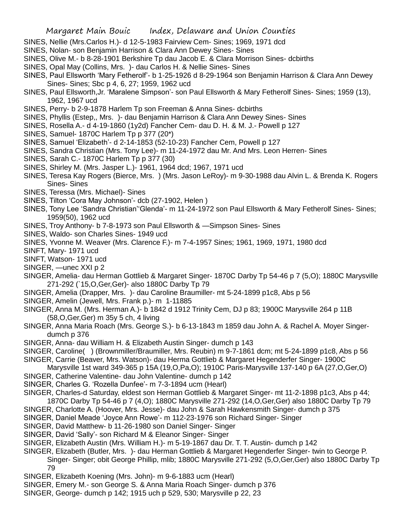- SINES, Nellie (Mrs.Carlos H.)- d 12-5-1983 Fairview Cem- Sines; 1969, 1971 dcd
- SINES, Nolan- son Benjamin Harrison & Clara Ann Dewey Sines- Sines
- SINES, Olive M.- b 8-28-1901 Berkshire Tp dau Jacob E. & Clara Morrison Sines- dcbirths
- SINES, Opal May (Collins, Mrs. )- dau Carlos H. & Nellie Sines- Sines
- SINES, Paul Ellsworth 'Mary Fetherolf'- b 1-25-1926 d 8-29-1964 son Benjamin Harrison & Clara Ann Dewey Sines- Sines; Sbc p 4, 6, 27; 1959, 1962 ucd
- SINES, Paul Ellsworth,Jr. 'Maralene Simpson'- son Paul Ellsworth & Mary Fetherolf Sines- Sines; 1959 (13), 1962, 1967 ucd
- SINES, Perry- b 2-9-1878 Harlem Tp son Freeman & Anna Sines- dcbirths
- SINES, Phyllis (Estep,, Mrs. )- dau Benjamin Harrison & Clara Ann Dewey Sines- Sines
- SINES, Rosella A.- d 4-19-1860 (1y2d) Fancher Cem- dau D. H. & M. J.- Powell p 127
- SINES, Samuel- 1870C Harlem Tp p 377 (20\*)
- SINES, Samuel 'Elizabeth'- d 2-14-1853 (52-10-23) Fancher Cem, Powell p 127
- SINES, Sandra Christian (Mrs. Tony Lee)- m 11-24-1972 dau Mr. And Mrs. Leon Herren- Sines
- SINES, Sarah C.- 1870C Harlem Tp p 377 (30)
- SINES, Shirley M. (Mrs. Jasper L.)- 1961, 1964 dcd; 1967, 1971 ucd
- SINES, Teresa Kay Rogers (Bierce, Mrs. ) (Mrs. Jason LeRoy)- m 9-30-1988 dau Alvin L. & Brenda K. Rogers Sines- Sines
- SINES, Teressa (Mrs. Michael)- Sines
- SINES, Tilton 'Cora May Johnson'- dcb (27-1902, Helen )
- SINES, Tony Lee 'Sandra Christian''Glenda'- m 11-24-1972 son Paul Ellsworth & Mary Fetherolf Sines- Sines; 1959(50), 1962 ucd
- SINES, Troy Anthony- b 7-8-1973 son Paul Ellsworth & —Simpson Sines- Sines
- SINES, Waldo- son Charles Sines- 1949 ucd
- SINES, Yvonne M. Weaver (Mrs. Clarence F.)- m 7-4-1957 Sines; 1961, 1969, 1971, 1980 dcd
- SINFT, Mary- 1971 ucd
- SINFT, Watson- 1971 ucd
- SINGER, —unec XXI p 2
- SINGER, Amelia- dau Herman Gottlieb & Margaret Singer- 1870C Darby Tp 54-46 p 7 (5,O); 1880C Marysville 271-292 (`15,O,Ger,Ger)- also 1880C Darby Tp 79
- SINGER, Amelia (Drapper, Mrs. )- dau Caroline Braumiller- mt 5-24-1899 p1c8, Abs p 56
- SINGER, Amelin (Jewell, Mrs. Frank p.)- m 1-11885
- SINGER, Anna M. (Mrs. Herman A.)- b 1842 d 1912 Trinity Cem, DJ p 83; 1900C Marysville 264 p 11B (58,O,Ger,Ger) m 35y 5 ch, 4 living
- SINGER, Anna Maria Roach (Mrs. George S.)- b 6-13-1843 m 1859 dau John A. & Rachel A. Moyer Singerdumch p 376
- SINGER, Anna- dau William H. & Elizabeth Austin Singer- dumch p 143
- SINGER, Caroline( ) (Brownmiller/Braumiller, Mrs. Reubin) m 9-7-1861 dcm; mt 5-24-1899 p1c8, Abs p 56
- SINGER, Carrie (Beaver, Mrs. Watson)- dau Herma Gottlieb & Margaret Hegenderfer Singer- 1900C
- Marysville 1st ward 349-365 p 15A (19,O,Pa,O); 1910C Paris-Marysville 137-140 p 6A (27,O,Ger,O)
- SINGER, Catherine Valentine- dau John Valentine- dumch p 142
- SINGER, Charles G. 'Rozella Dunfee'- m 7-3-1894 ucm (Hearl)
- SINGER, Charles-d Saturday, eldest son Herman Gottlieb & Margaret Singer- mt 11-2-1898 p1c3, Abs p 44; 1870C Darby Tp 54-46 p 7 (4,O); 1880C Marysville 271-292 (14,O,Ger,Ger) also 1880C Darby Tp 79
- SINGER, Charlotte A. (Hoover, Mrs. Jesse)- dau John & Sarah Hawkensmith Singer- dumch p 375
- SINGER, Daniel Meade 'Joyce Ann Rowe'- m 112-23-1976 son Richard Singer- Singer
- SINGER, David Matthew- b 11-26-1980 son Daniel Singer- Singer
- SINGER, David 'Sally'- son Richard M & Eleanor Singer- Singer
- SINGER, Elizabeth Austin (Mrs. William H.)- m 5-19-1867 dau Dr. T. T. Austin- dumch p 142
- SINGER, Elizabeth (Butler, Mrs. )- dau Herman Gottlieb & Margaret Hegenderfer Singer- twin to George P. Singer- Singer; obit George Phillip, mlib; 1880C Marysville 271-292 (5,O,Ger,Ger) also 1880C Darby Tp 79
- SINGER, Elizabeth Koening (Mrs. John)- m 9-6-1883 ucm (Hearl)
- SINGER, Emery M.- son George S. & Anna Maria Roach Singer- dumch p 376
- SINGER, George- dumch p 142; 1915 uch p 529, 530; Marysville p 22, 23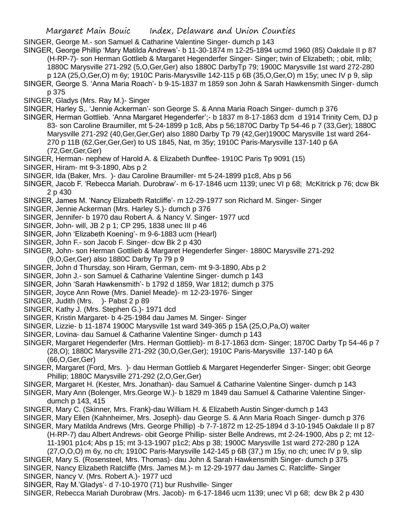SINGER, George M.- son Samuel & Catharine Valentine Singer- dumch p 143

- SINGER, George Phillip 'Mary Matilda Andrews'- b 11-30-1874 m 12-25-1894 ucmd 1960 (85) Oakdale II p 87 (H-RP-7)- son Herman Gottlieb & Margaret Hegenderfer Singer- Singer; twin of Elizabeth; ; obit, mlib;
	- 1880C Marysville 271-292 (5,O,Ger,Ger) also 1880C DarbyTp 79; 1900C Marysville 1st ward 272-280 p 12A (25,O,Ger,O) m 6y; 1910C Paris-Marysville 142-115 p 6B (35,O,Ger,O) m 15y; unec IV p 9, slip
- SINGER, George S. 'Anna Maria Roach'- b 9-15-1837 m 1859 son John & Sarah Hawkensmith Singer- dumch p 375
- SINGER, Gladys (Mrs. Ray M.)- Singer
- SINGER, Harley S,. 'Jennie Ackerman'- son George S. & Anna Maria Roach Singer- dumch p 376
- SINGER, Herman Gottlieb. 'Anna Margaret Hegenderfer';- b 1837 m 8-17-1863 dcm d 1914 Trinity Cem, DJ p 83- son Caroline Braumiller, mt 5-24-1899 p 1c8, Abs p 56;1870C Darby Tp 54-46 p 7 (33,Ger); 1880C Marysville 271-292 (40,Ger,Ger,Ger) also 1880 Darby Tp 79 (42,Ger)1900C Marysville 1st ward 264- 270 p 11B (62,Ger,Ger,Ger) to US 1845, Nat, m 35y; 1910C Paris-Marysville 137-140 p 6A (72,Ger,Ger,Ger)
- SINGER, Herman- nephew of Harold A. & Elizabeth Dunffee- 1910C Paris Tp 9091 (15)
- SINGER, Hiram- mt 9-3-1890, Abs p 2
- SINGER, Ida (Baker, Mrs. )- dau Caroline Braumiller- mt 5-24-1899 p1c8, Abs p 56
- SINGER, Jacob F. 'Rebecca Mariah. Durobraw'- m 6-17-1846 ucm 1139; unec VI p 68; McKitrick p 76; dcw Bk 2 p 430
- SINGER, James M. 'Nancy Elizabeth Ratcliffe'- m 12-29-1977 son Richard M. Singer- Singer
- SINGER, Jennie Ackerman (Mrs. Harley S.)- dumch p 376
- SINGER, Jennifer- b 1970 dau Robert A. & Nancy V. Singer- 1977 ucd
- SINGER, John- will, JB 2 p 1; CP 295, 1838 unec III p 46
- SINGER, John 'Elizabeth Koening'- m 9-6-1883 ucm (Hearl)
- SINGER, John F.- son Jacob F. Singer- dcw Bk 2 p 430
- SINGER, John- son Herman Gottlieb & Margaret Hegenderfer Singer- 1880C Marysville 271-292 (9,O,Ger,Ger) also 1880C Darby Tp 79 p 9
- SINGER, John d Thursday, son Hiram, German, cem- mt 9-3-1890, Abs p 2
- SINGER, John J.- son Samuel & Catharine Valentine Singer- dumch p 143
- SINGER, John 'Sarah Hawkensmith'- b 1792 d 1859, War 1812; dumch p 375
- SINGER, Joyce Ann Rowe (Mrs. Daniel Meade)- m 12-23-1976- Singer
- SINGER, Judith (Mrs. )- Pabst 2 p 89
- SINGER, Kathy J. (Mrs. Stephen G.)- 1971 dcd
- SINGER, Kristin Margaret- b 4-25-1984 dau James M. Singer- Singer
- SINGER, Lizzie- b 11-1874 1900C Marysville 1st ward 349-365 p 15A (25,O,Pa,O) waiter
- SINGER, Lovina- dau Samuel & Catharine Valentine Singer- dumch p 143
- SINGER, Margaret Hegenderfer (Mrs. Herman Gottlieb)- m 8-17-1863 dcm- Singer; 1870C Darby Tp 54-46 p 7 (28,O); 1880C Marysville 271-292 (30,O,Ger,Ger); 1910C Paris-Marysville 137-140 p 6A (66,O,Ger,Ger)
- SINGER, Margaret (Ford, Mrs. )- dau Herman Gottlieb & Margaret Hegenderfer Singer- Singer; obit George Phillip; 1880C Marysville 271-292 (2,O,Ger,Ger)
- SINGER, Margaret H. (Kester, Mrs. Jonathan)- dau Samuel & Catharine Valentine Singer- dumch p 143
- SINGER, Mary Ann (Bolenger, Mrs.George W.)- b 1829 m 1849 dau Samuel & Catharine Valentine Singerdumch p 143, 415
- SINGER, Mary C. (Skinner, Mrs. Frank)-dau William H. & Elizabeth Austin Singer-dumch p 143
- SINGER, Mary Ellen (Kahnheimer, Mrs. Joseph)- dau George S. & Ann Maria Roach Singer- dumch p 376
- SINGER, Mary Matilda Andrews (Mrs. George Phillip) -b 7-7-1872 m 12-25-1894 d 3-10-1945 Oakdale II p 87

(H-RP-7) dau Albert Andrews- obit George Phillip- sister Belle Andrews, mt 2-24-1900, Abs p 2; mt 12-

11-1901 p1c4; Abs p 15; mt 3-13-1907 p1c2; Abs p 38; 1900C Marysville 1st ward 272-280 p 12A

(27,O,O,O) m 6y, no ch; 1910C Paris-Marysville 142-145 p 6B (37,) m 15y, no ch; unec IV p 9, slip

- SINGER, Mary S. (Rosensteel, Mrs. Thomas)- dau John & Sarah Hawkensmith Singer- dumch p 375 SINGER, Nancy Elizabeth Ratcliffe (Mrs. James M.)- m 12-29-1977 dau James C. Ratcliffe- Singer SINGER, Nancy V. (Mrs. Robert A.)- 1977 ucd
- SINGER, Ray M.'Gladys'- d 7-10-1970 (71) bur Rushville- Singer
- SINGER, Rebecca Mariah Durobraw (Mrs. Jacob)- m 6-17-1846 ucm 1139; unec VI p 68; dcw Bk 2 p 430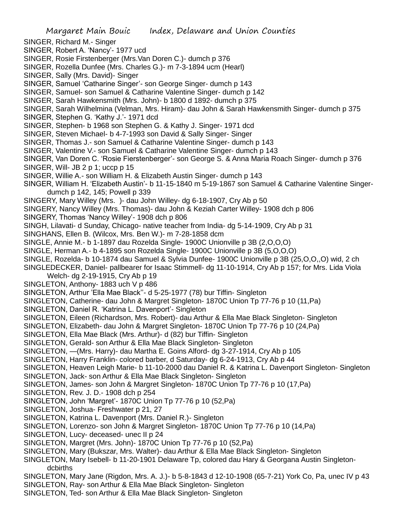SINGER, Richard M.- Singer

SINGER, Robert A. 'Nancy'- 1977 ucd

- SINGER, Rosie Firstenberger (Mrs.Van Doren C.)- dumch p 376
- SINGER, Rozella Dunfee (Mrs. Charles G.)- m 7-3-1894 ucm (Hearl)
- SINGER, Sally (Mrs. David)- Singer
- SINGER, Samuel 'Catharine Singer'- son George Singer- dumch p 143
- SINGER, Samuel- son Samuel & Catharine Valentine Singer- dumch p 142
- SINGER, Sarah Hawkensmith (Mrs. John)- b 1800 d 1892- dumch p 375
- SINGER, Sarah Wilhelmina (Velman, Mrs. Hiram)- dau John & Sarah Hawkensmith Singer- dumch p 375
- SINGER, Stephen G. 'Kathy J.'- 1971 dcd
- SINGER, Stephen- b 1968 son Stephen G. & Kathy J. Singer- 1971 dcd
- SINGER, Steven Michael- b 4-7-1993 son David & Sally Singer- Singer
- SINGER, Thomas J.- son Samuel & Catharine Valentine Singer- dumch p 143
- SINGER, Valentine V.- son Samuel & Catharine Valentine Singer- dumch p 143
- SINGER, Van Doren C. 'Rosie Fierstenberger'- son George S. & Anna Maria Roach Singer- dumch p 376
- SINGER, Will- JB 2 p 1; uccp p 15
- SINGER, Willie A.- son William H. & Elizabeth Austin Singer- dumch p 143
- SINGER, William H. 'Elizabeth Austin'- b 11-15-1840 m 5-19-1867 son Samuel & Catharine Valentine Singerdumch p 142, 145; Powell p 339
- SINGERY, Mary Willey (Mrs. )- dau John Willey- dg 6-18-1907, Cry Ab p 50
- SINGERY, Nancy Willey (Mrs. Thomas)- dau John & Keziah Carter Willey- 1908 dch p 806
- SINGERY, Thomas 'Nancy Willey'- 1908 dch p 806
- SINGH, Lilavati- d Sunday, Chicago- native teacher from India- dg 5-14-1909, Cry Ab p 31
- SINGHANS, Ellen B. (Wilcox, Mrs. Ben W.)- m 7-28-1858 dcm
- SINGLE, Annie M.- b 1-1897 dau Rozelda Single- 1900C Unionville p 3B (2,O,O,O)
- SINGLE, Herman A.- b 4-1895 son Rozelda Single- 1900C Unionville p 3B (5,O,O,O)
- SINGLE, Rozelda- b 10-1874 dau Samuel & Sylvia Dunfee- 1900C Unionville p 3B (25,O,O,,O) wid, 2 ch
- SINGLEDECKER, Daniel- pallbearer for Isaac Stimmell- dg 11-10-1914, Cry Ab p 157; for Mrs. Lida Viola
- Welch- dg 2-19-1915, Cry Ab p 19
- SINGLETON, Anthony- 1883 uch V p 486
- SINGLETON, Arthur 'Ella Mae Black''- d 5-25-1977 (78) bur Tiffin- Singleton
- SINGLETON, Catherine- dau John & Margret Singleton- 1870C Union Tp 77-76 p 10 (11,Pa)
- SINGLETON, Daniel R. 'Katrina L. Davenport'- Singleton
- SINGLETON, Eileen (Richardson, Mrs. Robert)- dau Arthur & Ella Mae Black Singleton- Singleton
- SINGLETON, Elizabeth- dau John & Margret Singleton- 1870C Union Tp 77-76 p 10 (24,Pa)
- SINGLETON, Ella Mae Black (Mrs. Arthur)- d (82) bur Tiffin- Singleton
- SINGLETON, Gerald- son Arthur & Ella Mae Black Singleton- Singleton
- SINGLETON, —(Mrs. Harry)- dau Martha E. Goins Alford- dg 3-27-1914, Cry Ab p 105
- SINGLETON, Harry Franklin- colored barber, d Saturday- dg 6-24-1913, Cry Ab p 44
- SINGLETON, Heaven Leigh Marie- b 11-10-2000 dau Daniel R. & Katrina L. Davenport Singleton- Singleton
- SINGLETON, Jack- son Arthur & Ella Mae Black Singleton- Singleton
- SINGLETON, James- son John & Margret Singleton- 1870C Union Tp 77-76 p 10 (17,Pa)
- SINGLETON, Rev. J. D.- 1908 dch p 254
- SINGLETON, John 'Margret'- 1870C Union Tp 77-76 p 10 (52,Pa)
- SINGLETON, Joshua- Freshwater p 21, 27
- SINGLETON, Katrina L. Davenport (Mrs. Daniel R.)- Singleton
- SINGLETON, Lorenzo- son John & Margret Singleton- 1870C Union Tp 77-76 p 10 (14,Pa)
- SINGLETON, Lucy- deceased- unec II p 24
- SINGLETON, Margret (Mrs. John)- 1870C Union Tp 77-76 p 10 (52,Pa)
- SINGLETON, Mary (Bukszar, Mrs. Walter)- dau Arthur & Ella Mae Black Singleton- Singleton
- SINGLETON, Mary Isebell- b 11-20-1901 Delaware Tp, colored dau Hary & Georgana Austin Singletondcbirths
- SINGLETON, Mary Jane (Rigdon, Mrs. A. J.)- b 5-8-1843 d 12-10-1908 (65-7-21) York Co, Pa, unec IV p 43
- SINGLETON, Ray- son Arthur & Ella Mae Black Singleton- Singleton
- SINGLETON, Ted- son Arthur & Ella Mae Black Singleton- Singleton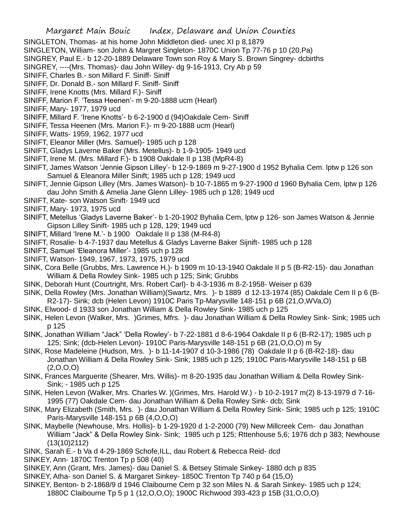- SINGLETON, Thomas- at his home John Middleton died- unec XI p 8,1879
- SINGLETON, William- son John & Margret Singleton- 1870C Union Tp 77-76 p 10 (20,Pa)
- SINGREY, Paul E.- b 12-20-1889 Delaware Town son Roy & Mary S. Brown Singrey- dcbirths
- SINGREY, ----(Mrs. Thomas)- dau John Willey- dg 9-16-1913, Cry Ab p 59
- SINIFF, Charles B.- son Millard F. Siniff- Siniff
- SINIFF, Dr. Donald B.- son Millard F. Siniff- Siniff
- SINIFF, Irene Knotts (Mrs. Millard F.)- Siniff
- SINIFF, Marion F. 'Tessa Heenen'- m 9-20-1888 ucm (Hearl)
- SINIFF, Mary- 1977, 1979 ucd
- SINIFF, Millard F. 'Irene Knotts'- b 6-2-1900 d (94)Oakdale Cem- Siniff
- SINIFF, Tessa Heenen (Mrs. Marion F.)- m 9-20-1888 ucm (Hearl)
- SINIFF, Watts- 1959, 1962, 1977 ucd
- SINIFT, Eleanor Miller (Mrs. Samuel)- 1985 uch p 128
- SINIFT, Gladys Laverne Baker (Mrs. Metellus)- b 1-9-1905- 1949 ucd
- SINIFT, Irene M. (Mrs. Millard F.)- b 1908 Oakdale II p 138 (MpR4-8)
- SINIFT, James Watson 'Jennie Gipson Lilley'- b 12-9-1869 m 9-27-1900 d 1952 Byhalia Cem. lptw p 126 son Samuel & Eleanora Miller Sinift; 1985 uch p 128; 1949 ucd
- SINIFT, Jennie Gipson Lilley (Mrs. James Watson)- b 10-7-1865 m 9-27-1900 d 1960 Byhalia Cem, lptw p 126 dau John Smith & Amelia Jane Glenn Lilley- 1985 uch p 128; 1949 ucd
- SINIFT, Kate- son Watson Sinift- 1949 ucd
- SINIFT, Mary- 1973, 1975 ucd
- SINIFT, Metellus 'Gladys Laverne Baker'- b 1-20-1902 Byhalia Cem, lptw p 126- son James Watson & Jennie Gipson Lilley Sinift- 1985 uch p 128, 129; 1949 ucd
- SINIFT, Millard 'Irene M.'- b 1900 Oakdale II p 138 (M-R4-8)
- SINIFT, Rosalie- b 4-7-1937 dau Metellus & Gladys Laverne Baker Sijnift- 1985 uch p 128
- SINIFT, Samuel 'Eleanora Miller'- 1985 uch p 128
- SINIFT, Watson- 1949, 1967, 1973, 1975, 1979 ucd
- SINK, Cora Belle (Grubbs, Mrs. Lawrence H.)- b 1909 m 10-13-1940 Oakdale II p 5 (B-R2-15)- dau Jonathan William & Della Rowley Sink- 1985 uch p 125; Sink; Grubbs
- SINK, Deborah Hunt (Courtright, Mrs. Robert Carl)- b 4-3-1936 m 8-2-1958- Weiser p 639
- SINK, Della Rowley (Mrs. Jonathan William)(Swartz, Mrs. )- b 1889 d 12-13-1974 (85) Oakdale Cem II p 6 (B-R2-17)- Sink; dcb (Helen Levon) 1910C Paris Tp-Marysville 148-151 p 6B (21,O,WVa,O)
- SINK, Elwood- d 1933 son Jonathan William & Della Rowley Sink- 1985 uch p 125
- SINK, Helen Levon (Walker, Mrs. )Grimes, Mfrs. )- dau Jonathan William & Della Rowley Sink- Sink; 1985 uch p 125
- SINK, Jonathan William "Jack" 'Della Rowley'- b 7-22-1881 d 8-6-1964 Oakdale II p 6 (B-R2-17); 1985 uch p 125; Sink; (dcb-Helen Levon)- 1910C Paris-Marysville 148-151 p 6B (21,O,O,O) m 5y
- SINK, Rose Madeleine (Hudson, Mrs. )- b 11-14-1907 d 10-3-1986 (78) Oakdale II p 6 (B-R2-18)- dau Jonathan William & Della Rowley Sink- Sink; 1985 uch p 125; 1910C Paris-Marysville 148-151 p 6B  $(2,0,0,0)$
- SINK, Frances Marguerite (Shearer, Mrs. Willis)- m 8-20-1935 dau Jonathan William & Della Rowley Sink-Sink; - 1985 uch p 125
- SINK, Helen Levon (Walker, Mrs. Charles W. )(Grimes, Mrs. Harold W.) b 10-2-1917 m(2) 8-13-1979 d 7-16- 1995 (77) Oakdale Cem- dau Jonathan William & Della Rowley Sink- dcb; Sink
- SINK, Mary Elizabeth (Smith, Mrs. )- dau Jonathan William & Della Rowley Sink- Sink; 1985 uch p 125; 1910C Paris-Marysville 148-151 p 6B (4,O,O,O)
- SINK, Maybelle (Newhouse, Mrs. Hollis)- b 1-29-1920 d 1-2-2000 (79) New Millcreek Cem- dau Jonathan William "Jack" & Della Rowley Sink- Sink; 1985 uch p 125; Rttenhouse 5,6; 1976 dch p 383; Newhouse (13(10)2112)
- SINK, Sarah E.- b Va d 4-29-1869 Schofe,ILL, dau Robert & Rebecca Reid- dcd
- SINKEY, Ann- 1870C Trenton Tp p 508 (40)
- SINKEY, Ann (Grant, Mrs. James)- dau Daniel S. & Betsey Stimale Sinkey- 1880 dch p 835
- SINKEY, Atha- son Daniel S. & Margaret Sinkey- 1850C Trenton Tp 740 p 64 (15,O)
- SINKEY, Benton- b 2-1868/9 d 1946 Claibourne Cem p 32 son Miles N. & Sarah Sinkey- 1985 uch p 124; 1880C Claibourne Tp 5 p 1 (12,O,O,O); 1900C Richwood 393-423 p 15B (31,O,O,O)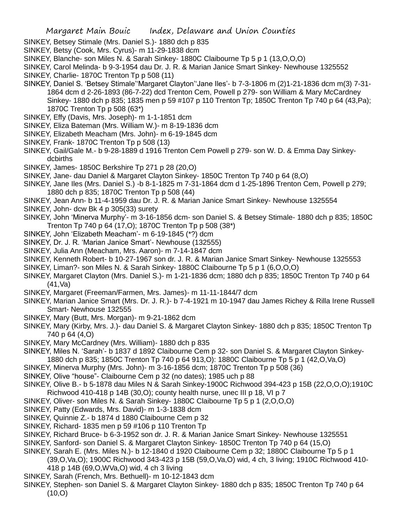- SINKEY, Betsey Stimale (Mrs. Daniel S.)- 1880 dch p 835
- SINKEY, Betsy (Cook, Mrs. Cyrus)- m 11-29-1838 dcm
- SINKEY, Blanche- son Miles N. & Sarah Sinkey- 1880C Claibourne Tp 5 p 1 (13,O,O,O)
- SINKEY, Carol Melinda- b 9-3-1954 dau Dr. J. R. & Marian Janice Smart Sinkey- Newhouse 1325552
- SINKEY, Charlie- 1870C Trenton Tp p 508 (11)
- SINKEY, Daniel S. 'Betsey Stimale''Margaret Clayton''Jane Iles'- b 7-3-1806 m (2)1-21-1836 dcm m(3) 7-31- 1864 dcm d 2-26-1893 (86-7-22) dcd Trenton Cem, Powell p 279- son William & Mary McCardney Sinkey- 1880 dch p 835; 1835 men p 59 #107 p 110 Trenton Tp; 1850C Trenton Tp 740 p 64 (43,Pa); 1870C Trenton Tp p 508 (63\*)
- SINKEY, Effy (Davis, Mrs. Joseph)- m 1-1-1851 dcm
- SINKEY, Eliza Bateman (Mrs. William W.)- m 8-19-1836 dcm
- SINKEY, Elizabeth Meacham (Mrs. John)- m 6-19-1845 dcm
- SINKEY, Frank- 1870C Trenton Tp p 508 (13)
- SINKEY, Gail/Gale M.- b 9-28-1889 d 1916 Trenton Cem Powell p 279- son W. D. & Emma Day Sinkeydcbirths
- SINKEY, James- 1850C Berkshire Tp 271 p 28 (20,O)
- SINKEY, Jane- dau Daniel & Margaret Clayton Sinkey- 1850C Trenton Tp 740 p 64 (8,O)
- SINKEY, Jane Iles (Mrs. Daniel S.) -b 8-1-1825 m 7-31-1864 dcm d 1-25-1896 Trenton Cem, Powell p 279; 1880 dch p 835; 1870C Trenton Tp p 508 (44)
- SINKEY, Jean Ann- b 11-4-1959 dau Dr. J. R. & Marian Janice Smart Sinkey- Newhouse 1325554
- SINKEY, John- dcw Bk 4 p 305(33) surety
- SINKEY, John 'Minerva Murphy'- m 3-16-1856 dcm- son Daniel S. & Betsey Stimale- 1880 dch p 835; 1850C Trenton Tp 740 p 64 (17,O); 1870C Trenton Tp p 508 (38\*)
- SINKEY, John 'Elizabeth Meacham'- m 6-19-1845 (\*?) dcm
- SINKEY, Dr. J. R. 'Marian Janice Smart'- Newhouse (132555)
- SINKEY, Julia Ann (Meacham, Mrs. Aaron)- m 7-14-1847 dcm
- SINKEY, Kenneth Robert- b 10-27-1967 son dr. J. R. & Marian Janice Smart Sinkey- Newhouse 1325553
- SINKEY, Liman?- son Miles N. & Sarah Sinkey- 1880C Claibourne Tp 5 p 1 (6,O,O,O)
- SINKEY, Margaret Clayton (Mrs. Daniel S.)- m 1-21-1836 dcm; 1880 dch p 835; 1850C Trenton Tp 740 p 64 (41,Va)
- SINKEY, Margaret (Freeman/Farmen, Mrs. James)- m 11-11-1844/7 dcm
- SINKEY, Marian Janice Smart (Mrs. Dr. J. R.)- b 7-4-1921 m 10-1947 dau James Richey & Rilla Irene Russell Smart- Newhouse 132555
- SINKEY, Mary (Butt, Mrs. Morgan)- m 9-21-1862 dcm
- SINKEY, Mary (Kirby, Mrs. J.)- dau Daniel S. & Margaret Clayton Sinkey- 1880 dch p 835; 1850C Trenton Tp 740 p 64 (4,O)
- SINKEY, Mary McCardney (Mrs. William)- 1880 dch p 835
- SINKEY, Miles N. 'Sarah'- b 1837 d 1892 Claibourne Cem p 32- son Daniel S. & Margaret Clayton Sinkey-1880 dch p 835; 1850C Trenton Tp 740 p 64 913,O): 1880C Claibourne Tp 5 p 1 (42,O,Va,O)
- SINKEY, Minerva Murphy (Mrs. John)- m 3-16-1856 dcm; 1870C Trenton Tp p 508 (36)
- SINKEY, Olive "house"- Claibourne Cem p 32 (no dates); 1985 uch p 88
- SINKEY, Olive B.- b 5-1878 dau Miles N & Sarah Sinkey-1900C Richwood 394-423 p 15B (22,O,O,O);1910C Richwood 410-418 p 14B (30,O); county health nurse, unec III p 18, VI p 7
- SINKEY, Oliver- son Miles N. & Sarah Sinkey- 1880C Claibourne Tp 5 p 1 (2,O,O,O)
- SINKEY, Patty (Edwards, Mrs. David)- m 1-3-1838 dcm
- SINKEY, Quinnie Z.- b 1874 d 1880 Claibourne Cem p 32
- SINKEY, Richard- 1835 men p 59 #106 p 110 Trenton Tp
- SINKEY, Richard Bruce- b 6-3-1952 son dr. J. R. & Marian Janice Smart Sinkey- Newhouse 1325551
- SINKEY, Sanford- son Daniel S. & Margaret Clayton Sinkey- 1850C Trenton Tp 740 p 64 (15,O)
- SINKEY, Sarah E. (Mrs. Miles N.)- b 12-1840 d 1920 Claibourne Cem p 32; 1880C Claibourne Tp 5 p 1 (39,O,Va,O); 1900C Richwood 343-423 p 15B (59,O,Va,O) wid, 4 ch, 3 living; 1910C Richwood 410-
	- 418 p 14B (69,O,WVa,O) wid, 4 ch 3 living
- SINKEY, Sarah (French, Mrs. Bethuell)- m 10-12-1843 dcm
- SINKEY, Stephen- son Daniel S. & Margaret Clayton Sinkey- 1880 dch p 835; 1850C Trenton Tp 740 p 64  $(10, 0)$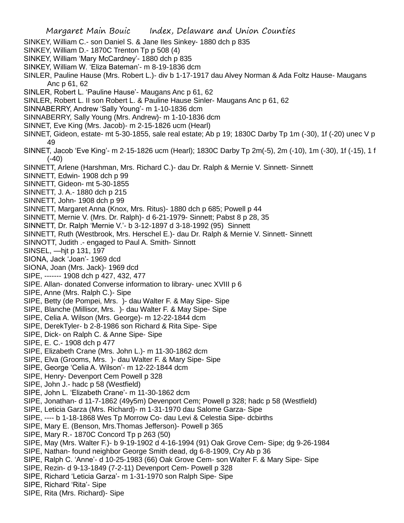- SINKEY, William C.- son Daniel S. & Jane Iles Sinkey- 1880 dch p 835
- SINKEY, William D.- 1870C Trenton Tp p 508 (4)
- SINKEY, William 'Mary McCardney'- 1880 dch p 835
- SINKEY, William W. 'Eliza Bateman'- m 8-19-1836 dcm
- SINLER, Pauline Hause (Mrs. Robert L.)- div b 1-17-1917 dau Alvey Norman & Ada Foltz Hause- Maugans Anc p 61, 62
- SINLER, Robert L. 'Pauline Hause'- Maugans Anc p 61, 62
- SINLER, Robert L. II son Robert L. & Pauline Hause Sinler- Maugans Anc p 61, 62
- SINNABERRY, Andrew 'Sally Young'- m 1-10-1836 dcm
- SINNABERRY, Sally Young (Mrs. Andrew)- m 1-10-1836 dcm
- SINNET, Eve King (Mrs. Jacob)- m 2-15-1826 ucm (Hearl)
- SINNET, Gideon, estate- mt 5-30-1855, sale real estate; Ab p 19; 1830C Darby Tp 1m (-30), 1f (-20) unec V p 49
- SINNET, Jacob 'Eve King'- m 2-15-1826 ucm (Hearl); 1830C Darby Tp 2m(-5), 2m (-10), 1m (-30), 1f (-15), 1 f (-40)
- SINNETT, Arlene (Harshman, Mrs. Richard C.)- dau Dr. Ralph & Mernie V. Sinnett- Sinnett
- SINNETT, Edwin- 1908 dch p 99
- SINNETT, Gideon- mt 5-30-1855
- SINNETT, J. A.- 1880 dch p 215
- SINNETT, John- 1908 dch p 99
- SINNETT, Margaret Anna (Knox, Mrs. Ritus)- 1880 dch p 685; Powell p 44
- SINNETT, Mernie V. (Mrs. Dr. Ralph)- d 6-21-1979- Sinnett; Pabst 8 p 28, 35
- SINNETT, Dr. Ralph 'Mernie V.'- b 3-12-1897 d 3-18-1992 (95) Sinnett
- SINNETT, Ruth (Westbrook, Mrs. Herschel E.)- dau Dr. Ralph & Mernie V. Sinnett- Sinnett
- SINNOTT, Judith .- engaged to Paul A. Smith- Sinnott
- SINSEL, —hjt p 131, 197
- SIONA, Jack 'Joan'- 1969 dcd
- SIONA, Joan (Mrs. Jack)- 1969 dcd
- SIPE, ------- 1908 dch p 427, 432, 477
- SIPE. Allan- donated Converse information to library- unec XVIII p 6
- SIPE, Anne (Mrs. Ralph C.)- Sipe
- SIPE, Betty (de Pompei, Mrs. )- dau Walter F. & May Sipe- Sipe
- SIPE, Blanche (Millisor, Mrs. )- dau Walter F. & May Sipe- Sipe
- SIPE, Celia A. Wilson (Mrs. George)- m 12-22-1844 dcm
- SIPE, DerekTyler- b 2-8-1986 son Richard & Rita Sipe- Sipe
- SIPE, Dick- on Ralph C. & Anne Sipe- Sipe
- SIPE, E. C.- 1908 dch p 477
- SIPE, Elizabeth Crane (Mrs. John L.)- m 11-30-1862 dcm
- SIPE, Elva (Grooms, Mrs. )- dau Walter F. & Mary Sipe- Sipe
- SIPE, George 'Celia A. Wilson'- m 12-22-1844 dcm
- SIPE, Henry- Devenport Cem Powell p 328
- SIPE, John J.- hadc p 58 (Westfield)
- SIPE, John L. 'Elizabeth Crane'- m 11-30-1862 dcm
- SIPE, Jonathan- d 11-7-1862 (49y5m) Devenport Cem; Powell p 328; hadc p 58 (Westfield)
- SIPE, Leticia Garza (Mrs. Richard)- m 1-31-1970 dau Salome Garza- Sipe
- SIPE, ---- b 1-18-1868 Wes Tp Morrow Co- dau Levi & Celestia Sipe- dcbirths
- SIPE, Mary E. (Benson, Mrs.Thomas Jefferson)- Powell p 365
- SIPE, Mary R.- 1870C Concord Tp p 263 (50)
- SIPE, May (Mrs. Walter F.)- b 9-19-1902 d 4-16-1994 (91) Oak Grove Cem- Sipe; dg 9-26-1984
- SIPE, Nathan- found neighbor George Smith dead, dg 6-8-1909, Cry Ab p 36
- SIPE, Ralph C. 'Anne'- d 10-25-1983 (66) Oak Grove Cem- son Walter F. & Mary Sipe- Sipe
- SIPE, Rezin- d 9-13-1849 (7-2-11) Devenport Cem- Powell p 328
- SIPE, Richard 'Leticia Garza'- m 1-31-1970 son Ralph Sipe- Sipe
- SIPE, Richard 'Rita'- Sipe
- SIPE, Rita (Mrs. Richard)- Sipe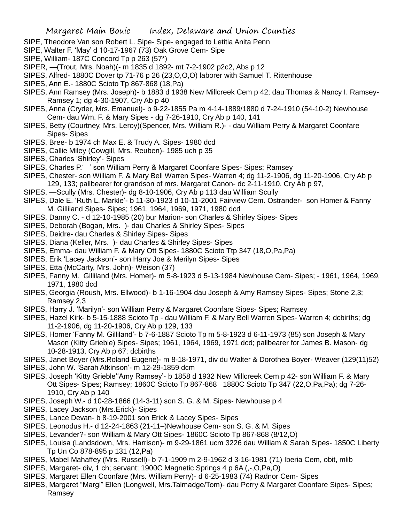- SIPE, Theodore Van son Robert L. Sipe- Sipe- engaged to Letitia Anita Penn
- SIPE, Walter F. 'May' d 10-17-1967 (73) Oak Grove Cem- Sipe
- SIPE, William- 187C Concord Tp p 263 (57\*)
- SIPER, —(Trout, Mrs. Noah)(- m 1835 d 1892- mt 7-2-1902 p2c2, Abs p 12
- SIPES, Alfred- 1880C Dover tp 71-76 p 26 (23, O, O, O) laborer with Samuel T. Rittenhouse
- SIPES, Ann E.- 1880C Scioto Tp 867-868 (18,Pa)
- SIPES, Ann Ramsey (Mrs. Joseph)- b 1883 d 1938 New Millcreek Cem p 42; dau Thomas & Nancy I. Ramsey-Ramsey 1; dg 4-30-1907, Cry Ab p 40
- SIPES, Anna (Cryder, Mrs. Emanuel)- b 9-22-1855 Pa m 4-14-1889/1880 d 7-24-1910 (54-10-2) Newhouse Cem- dau Wm. F. & Mary Sipes - dg 7-26-1910, Cry Ab p 140, 141
- SIPES, Betty (Courtney, Mrs. Leroy)(Spencer, Mrs. William R.)- dau William Perry & Margaret Coonfare Sipes- Sipes
- SIPES, Bree- b 1974 ch Max E. & Trudy A. Sipes- 1980 dcd
- SIPES, Callie Miley (Cowgill, Mrs. Reuben)- 1985 uch p 35
- SIPES, Charles 'Shirley'- Sipes
- SIPES, Charles P.' ' son William Perry & Margaret Coonfare Sipes- Sipes; Ramsey
- SIPES, Chester- son William F. & Mary Bell Warren Sipes- Warren 4; dg 11-2-1906, dg 11-20-1906, Cry Ab p 129, 133; pallbearer for grandson of mrs. Margaret Canon- dc 2-11-1910, Cry Ab p 97,
- SIPES, —Scully (Mrs. Chester)- dg 8-10-1906, Cry Ab p 113 dau William Scully
- SIPES, Dale E. 'Ruth L. Markle'- b 11-30-1923 d 10-11-2001 Fairview Cem. Ostrander- son Homer & Fanny M. Gilliland Sipes- Sipes; 1961, 1964, 1969, 1971, 1980 dcd
- SIPES, Danny C. d 12-10-1985 (20) bur Marion- son Charles & Shirley Sipes- Sipes
- SIPES, Deborah (Bogan, Mrs. )- dau Charles & Shirley Sipes- Sipes
- SIPES, Deidre- dau Charles & Shirley Sipes- Sipes
- SIPES, Diana (Keller, Mrs. )- dau Charles & Shirley Sipes- Sipes
- SIPES, Emma- dau William F. & Mary Ott Sipes- 1880C Scioto Ttp 347 (18,O,Pa,Pa)
- SIPES, Erik 'Lacey Jackson'- son Harry Joe & Merilyn Sipes- Sipes
- SIPES, Etta (McCarty, Mrs. John)- Weison (37)
- SIPES, Fanny M. Gilliland (Mrs. Homer)- m 5-8-1923 d 5-13-1984 Newhouse Cem- Sipes; 1961, 1964, 1969, 1971, 1980 dcd
- SIPES, Georgia (Roush, Mrs. Ellwood)- b 1-16-1904 dau Joseph & Amy Ramsey Sipes- Sipes; Stone 2,3; Ramsey 2,3
- SIPES, Harry J. 'Marilyn'- son William Perry & Margaret Coonfare Sipes- Sipes; Ramsey
- SIPES, Hazel Kirk- b 5-15-1888 Scioto Tp dau William F. & Mary Bell Warren Sipes- Warren 4; dcbirths; dg 11-2-1906, dg 11-20-1906, Cry Ab p 129, 133
- SIPES, Homer 'Fanny M. Gilliland'- b 7-6-1887 Scioto Tp m 5-8-1923 d 6-11-1973 (85) son Joseph & Mary Mason (Kitty Grieble) Sipes- Sipes; 1961, 1964, 1969, 1971 dcd; pallbearer for James B. Mason- dg 10-28-1913, Cry Ab p 67; dcbirths
- SIPES, Janet Boyer (Mrs.Roland Eugene)- m 8-18-1971, div du Walter & Dorothea Boyer- Weaver (129(11)52)
- SIPES, John W. 'Sarah Atkinson'- m 12-29-1859 dcm
- SIPES, Joseph 'Kitty Grieble''Amy Ramsey'- b 1858 d 1932 New Millcreek Cem p 42- son William F. & Mary Ott Sipes- Sipes; Ramsey; 1860C Scioto Tp 867-868 1880C Scioto Tp 347 (22,O,Pa,Pa); dg 7-26- 1910, Cry Ab p 140
- SIPES, Joseph W.- d 10-28-1866 (14-3-11) son S. G. & M. Sipes- Newhouse p 4
- SIPES, Lacey Jackson (Mrs.Erick)- Sipes
- SIPES, Lance Devan- b 8-19-2001 son Erick & Lacey Sipes- Sipes
- SIPES, Leonodus H.- d 12-24-1863 (21-11–)Newhouse Cem- son S. G. & M. Sipes
- SIPES, Levander?- son William & Mary Ott Sipes- 1860C Scioto Tp 867-868 (8/12,O)
- SIPES, Louisa (Landsdown, Mrs. Harrison)- m 9-29-1861 ucm 3226 dau William & Sarah Sipes- 1850C Liberty Tp Un Co 878-895 p 131 (12,Pa)
- SIPES, Mabel Mahaffey (Mrs. Russell)- b 7-1-1909 m 2-9-1962 d 3-16-1981 (71) Iberia Cem, obit, mlib
- SIPES, Margaret- div, 1 ch; servant; 1900C Magnetic Springs 4 p 6A (,-,O,Pa,O)
- SIPES, Margaret Ellen Coonfare (Mrs. William Perry)- d 6-25-1983 (74) Radnor Cem- Sipes
- SIPES, Margaret "Margi" Ellen (Longwell, Mrs.Talmadge/Tom)- dau Perry & Margaret Coonfare Sipes- Sipes; Ramsey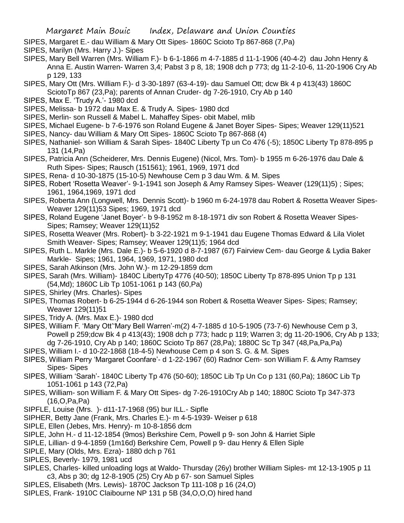- SIPES, Margaret E.- dau William & Mary Ott Sipes- 1860C Scioto Tp 867-868 (7,Pa)
- SIPES, Marilyn (Mrs. Harry J.)- Sipes
- SIPES, Mary Bell Warren (Mrs. William F.)- b 6-1-1866 m 4-7-1885 d 11-1-1906 (40-4-2) dau John Henry & Anna E. Austin Warren- Warren 3,4; Pabst 3 p 8, 18; 1908 dch p 773; dg 11-2-10-6, 11-20-1906 Cry Ab p 129, 133
- SIPES, Mary Ott (Mrs. William F.)- d 3-30-1897 (63-4-19)- dau Samuel Ott; dcw Bk 4 p 413(43) 1860C SciotoTp 867 (23,Pa); parents of Annan Cruder- dg 7-26-1910, Cry Ab p 140
- SIPES, Max E. 'Trudy A.'- 1980 dcd
- SIPES, Melissa- b 1972 dau Max E. & Trudy A. Sipes- 1980 dcd
- SIPES, Merlin- son Russell & Mabel L. Mahaffey Sipes- obit Mabel, mlib
- SIPES, Michael Eugene- b 7-6-1976 son Roland Eugene & Janet Boyer Sipes- Sipes; Weaver 129(11)521
- SIPES, Nancy- dau William & Mary Ott Sipes- 1860C Scioto Tp 867-868 (4)
- SIPES, Nathaniel- son William & Sarah Sipes- 1840C Liberty Tp un Co 476 (-5); 1850C Liberty Tp 878-895 p 131 (14,Pa)
- SIPES, Patricia Ann (Scheiderer, Mrs. Dennis Eugene) (Nicol, Mrs. Tom)- b 1955 m 6-26-1976 dau Dale & Ruth Sipes- Sipes; Rausch (151561); 1961, 1969, 1971 dcd
- SIPES, Rena- d 10-30-1875 (15-10-5) Newhouse Cem p 3 dau Wm. & M. Sipes
- SIPES, Robert 'Rosetta Weaver'- 9-1-1941 son Joseph & Amy Ramsey Sipes- Weaver (129(11)5) ; Sipes; 1961, 1964,1969, 1971 dcd
- SIPES, Roberta Ann (Longwell, Mrs. Dennis Scott)- b 1960 m 6-24-1978 dau Robert & Rosetta Weaver Sipes-Weaver 129(11)53 Sipes; 1969, 1971 dcd
- SIPES, Roland Eugene 'Janet Boyer'- b 9-8-1952 m 8-18-1971 div son Robert & Rosetta Weaver Sipes-Sipes; Ramsey; Weaver 129(11)52
- SIPES, Rosetta Weaver (Mrs. Robert)- b 3-22-1921 m 9-1-1941 dau Eugene Thomas Edward & Lila Violet Smith Weaver- Sipes; Ramsey; Weaver 129(11)5; 1964 dcd
- SIPES, Ruth L. Markle (Mrs. Dale E.)- b 5-6-1920 d 8-7-1987 (67) Fairview Cem- dau George & Lydia Baker Markle- Sipes; 1961, 1964, 1969, 1971, 1980 dcd
- SIPES, Sarah Atkinson (Mrs. John W.)- m 12-29-1859 dcm
- SIPES, Sarah (Mrs. William)- 1840C LibertyTp 4776 (40-50); 1850C Liberty Tp 878-895 Union Tp p 131 (54,Md); 1860C Lib Tp 1051-1061 p 143 (60,Pa)
- SIPES, Shirley (Mrs. Charles)- Sipes
- SIPES, Thomas Robert- b 6-25-1944 d 6-26-1944 son Robert & Rosetta Weaver Sipes- Sipes; Ramsey; Weaver 129(11)51
- SIPES, Tridy A. (Mrs. Max E.)- 1980 dcd
- SIPES, William F. 'Mary Ott''Mary Bell Warren'-m(2) 4-7-1885 d 10-5-1905 (73-7-6) Newhouse Cem p 3, Powell p 259;dcw Bk 4 p 413(43); 1908 dch p 773; hadc p 119; Warren 3; dg 11-20-1906, Cry Ab p 133; dg 7-26-1910, Cry Ab p 140; 1860C Scioto Tp 867 (28,Pa); 1880C Sc Tp 347 (48,Pa,Pa,Pa)
- SIPES, William I.- d 10-22-1868 (18-4-5) Newhouse Cem p 4 son S. G. & M. Sipes
- SIPES, William Perry 'Margaret Coonfare'- d 1-22-1967 (60) Radnor Cem- son William F. & Amy Ramsey Sipes- Sipes
- SIPES, William 'Sarah'- 1840C Liberty Tp 476 (50-60); 1850C Lib Tp Un Co p 131 (60,Pa); 1860C Lib Tp 1051-1061 p 143 (72,Pa)
- SIPES, William- son William F. & Mary Ott Sipes- dg 7-26-1910Cry Ab p 140; 1880C Scioto Tp 347-373 (16,O,Pa,Pa)
- SIPFLE, Louise (Mrs. )- d11-17-1968 (95) bur ILL.- Sipfle
- SIPHER, Betty Jane (Frank, Mrs. Charles E.)- m 4-5-1939- Weiser p 618
- SIPLE, Ellen (Jebes, Mrs. Henry)- m 10-8-1856 dcm
- SIPLE, John H.- d 11-12-1854 (9mos) Berkshire Cem, Powell p 9- son John & Harriet Siple
- SIPLE, Lillian- d 9-4-1859 (1m16d) Berkshire Cem, Powell p 9- dau Henry & Ellen Siple
- SIPLE, Mary (Olds, Mrs. Ezra)- 1880 dch p 761
- SIPLES, Beverly- 1979, 1981 ucd
- SIPLES, Charles- killed unloading logs at Waldo- Thursday (26y) brother William Siples- mt 12-13-1905 p 11 c3, Abs p 30; dg 12-8-1905 (25) Cry Ab p 67- son Samuel Siples
- SIPLES, Elisabeth (Mrs. Lewis)- 1870C Jackson Tp 111-108 p 16 (24,O)
- SIPLES, Frank- 1910C Claibourne NP 131 p 5B (34,O,O,O) hired hand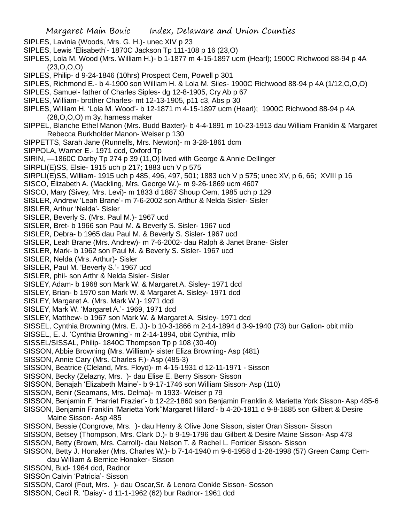- SIPLES, Lavinia (Woods, Mrs. G. H.)- unec XIV p 23
- SIPLES, Lewis 'Elisabeth'- 1870C Jackson Tp 111-108 p 16 (23,O)
- SIPLES, Lola M. Wood (Mrs. William H.)- b 1-1877 m 4-15-1897 ucm (Hearl); 1900C Richwood 88-94 p 4A  $(23, 0, 0, 0)$
- SIPLES, Philip- d 9-24-1846 (10hrs) Prospect Cem, Powell p 301
- SIPLES, Richmond E.- b 4-1900 son William H. & Lola M. Siles- 1900C Richwood 88-94 p 4A (1/12,O,O,O)
- SIPLES, Samuel- father of Charles Siples- dg 12-8-1905, Cry Ab p 67
- SIPLES, William- brother Charles- mt 12-13-1905, p11 c3, Abs p 30
- SIPLES, William H. 'Lola M. Wood'- b 12-1871 m 4-15-1897 ucm (Hearl); 1900C Richwood 88-94 p 4A (28,O,O,O) m 3y, harness maker
- SIPPEL, Blanche Ethel Manon (Mrs. Budd Baxter)- b 4-4-1891 m 10-23-1913 dau William Franklin & Margaret Rebecca Burkholder Manon- Weiser p 130
- SIPPETTS, Sarah Jane (Runnells, Mrs. Newton)- m 3-28-1861 dcm
- SIPPOLA, Warner E.- 1971 dcd, Oxford Tp
- SIRIN, —1860C Darby Tp 274 p 39 (11,O) lived with George & Annie Dellinger
- SIRPLI(E)SS, Elsie- 1915 uch p 217; 1883 uch V p 575
- SIRPLI(E)SS, William- 1915 uch p 485, 496, 497, 501; 1883 uch V p 575; unec XV, p 6, 66; XVIII p 16
- SISCO, Elizabeth A. (Mackling, Mrs. George W.)- m 9-26-1869 ucm 4607
- SISCO, Mary (Sivey, Mrs. Levi)- m 1833 d 1887 Shoup Cem, 1985 uch p 129
- SISLER, Andrew 'Leah Brane'- m 7-6-2002 son Arthur & Nelda Sisler- Sisler
- SISLER, Arthur 'Nelda'- Sisler
- SISLER, Beverly S. (Mrs. Paul M.)- 1967 ucd
- SISLER, Bret- b 1966 son Paul M. & Beverly S. Sisler- 1967 ucd
- SISLER, Debra- b 1965 dau Paul M. & Beverly S. Sisler- 1967 ucd
- SISLER, Leah Brane (Mrs. Andrew)- m 7-6-2002- dau Ralph & Janet Brane- Sisler
- SISLER, Mark- b 1962 son Paul M. & Beverly S. Sisler- 1967 ucd
- SISLER, Nelda (Mrs. Arthur)- Sisler
- SISLER, Paul M. 'Beverly S.'- 1967 ucd
- SISLER, phil- son Arthr & Nelda Sisler- Sisler
- SISLEY, Adam- b 1968 son Mark W. & Margaret A. Sisley- 1971 dcd
- SISLEY, Brian- b 1970 son Mark W. & Margaret A. Sisley- 1971 dcd
- SISLEY, Margaret A. (Mrs. Mark W.)- 1971 dcd
- SISLEY, Mark W. 'Margaret A.'- 1969, 1971 dcd
- SISLEY, Matthew- b 1967 son Mark W. & Margaret A. Sisley- 1971 dcd
- SISSEL, Cynthia Browning (Mrs. E. J.)- b 10-3-1866 m 2-14-1894 d 3-9-1940 (73) bur Galion- obit mlib
- SISSEL, E. J. 'Cynthia Browning'- m 2-14-1894, obit Cynthia, mlib
- SISSEL/SISSAL, Philip- 1840C Thompson Tp p 108 (30-40)
- SISSON, Abbie Browning (Mrs. William)- sister Eliza Browning- Asp (481)
- SISSON, Annie Cary (Mrs. Charles F.)- Asp (485-3)
- SISSON, Beatrice (Cleland, Mrs. Floyd)- m 4-15-1931 d 12-11-1971 Sisson
- SISSON, Becky (Zelazny, Mrs. )- dau Elise E. Berry Sisson- Sisson
- SISSON, Benajah 'Elizabeth Maine'- b 9-17-1746 son William Sisson- Asp (110)
- SISSON, Benir (Seamans, Mrs. Delma)- m 1933- Weiser p 79
- SISSON, Benjamin F. 'Harriet Frazier'- b 12-22-1860 son Benjamin Franklin & Marietta York Sisson- Asp 485-6
- SISSON, Benjamin Franklin 'Marietta York''Margaret Hillard'- b 4-20-1811 d 9-8-1885 son Gilbert & Desire Maine Sisson- Asp 485
- SISSON, Bessie (Congrove, Mrs. )- dau Henry & Olive Jone Sisson, sister Oran Sisson- Sisson
- SISSON, Betsey (Thompson, Mrs. Clark D.)- b 9-19-1796 dau Gilbert & Desire Maine Sisson- Asp 478
- SISSON, Betty (Brown, Mrs. Carroll)- dau Nelson T. & Rachel L. Forrider Sisson- Sisson
- SISSON, Betty J. Honaker (Mrs. Charles W.)- b 7-14-1940 m 9-6-1958 d 1-28-1998 (57) Green Camp Cemdau William & Bernice Honaker- Sisson
- SISSON, Bud- 1964 dcd, Radnor
- SISSOn Calvin 'Patricia'- Sisson
- SISSON, Carol (Fout, Mrs. )- dau Oscar,Sr. & Lenora Conkle Sisson- Sosson
- SISSON, Cecil R. 'Daisy'- d 11-1-1962 (62) bur Radnor- 1961 dcd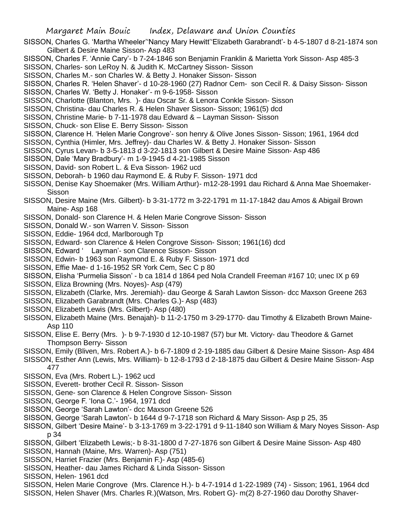- SISSON, Charles G. 'Martha Wheeler''Nancy Mary Hewitt''Elizabeth Garabrandt'- b 4-5-1807 d 8-21-1874 son Gilbert & Desire Maine Sisson- Asp 483
- SISSON, Charles F. 'Annie Cary'- b 7-24-1846 son Benjamin Franklin & Marietta York Sisson- Asp 485-3
- SISSON, Charles- son LeRoy N. & Judith K. McCartney Sisson- Sisson
- SISSON, Charles M.- son Charles W. & Betty J. Honaker Sisson- Sisson
- SISSON, Charles R. 'Helen Shaver'- d 10-28-1960 (27) Radnor Cem- son Cecil R. & Daisy Sisson- Sisson
- SISSON, Charles W. 'Betty J. Honaker'- m 9-6-1958- Sisson
- SISSON, Charlotte (Blanton, Mrs. )- dau Oscar Sr. & Lenora Conkle Sisson- Sisson
- SISSON, Christina- dau Charles R. & Helen Shaver Sisson- Sisson; 1961(5) dcd
- SISSON, Christine Marie- b 7-11-1978 dau Edward & Layman Sisson- Sisson
- SISSON, Chuck- son Elise E. Berry Sisson- Sisson
- SISSON, Clarence H. 'Helen Marie Congrove'- son henry & Olive Jones Sisson- Sisson; 1961, 1964 dcd
- SISSON, Cynthia (Himler, Mrs. Jeffrey)- dau Charles W. & Betty J. Honaker Sisson- Sisson
- SISSON, Cyrus Levan- b 3-5-1813 d 3-22-1813 son Gilbert & Desire Maine Sisson- Asp 486
- SISSON, Dale 'Mary Bradbury'- m 1-9-1945 d 4-21-1985 Sisson
- SISSON, David- son Robert L. & Eva Sisson- 1962 ucd
- SISSON, Deborah- b 1960 dau Raymond E. & Ruby F. Sisson- 1971 dcd
- SISSON, Denise Kay Shoemaker (Mrs. William Arthur)- m12-28-1991 dau Richard & Anna Mae Shoemaker-Sisson
- SISSON, Desire Maine (Mrs. Gilbert)- b 3-31-1772 m 3-22-1791 m 11-17-1842 dau Amos & Abigail Brown Maine- Asp 168
- SISSON, Donald- son Clarence H. & Helen Marie Congrove Sisson- Sisson
- SISSON, Donald W.- son Warren V. Sisson- Sisson
- SISSON, Eddie- 1964 dcd, Marlborough Tp
- SISSON, Edward- son Clarence & Helen Congrove Sisson- Sisson; 1961(16) dcd
- SISSON, Edward ' Layman'- son Clarence Sisson- Sisson
- SISSON, Edwin- b 1963 son Raymond E. & Ruby F. Sisson- 1971 dcd
- SISSON, Effie Mae- d 1-16-1952 SR York Cem, Sec C p 80
- SISSON, Elisha 'Purmelia Sisson' b ca 1814 d 1864 ped Nola Crandell Freeman #167 10; unec IX p 69
- SISSON, Eliza Browning (Mrs. Noyes)- Asp (479)
- SISSON, Elizabeth (Clarke, Mrs. Jeremiah)- dau George & Sarah Lawton Sisson- dcc Maxson Greene 263
- SISSON, Elizabeth Garabrandt (Mrs. Charles G.)- Asp (483)
- SISSON, Elizabeth Lewis (Mrs. Gilbert)- Asp (480)
- SISSON, Elizabeth Maine (Mrs. Benajah)- b 11-2-1750 m 3-29-1770- dau Timothy & Elizabeth Brown Maine-Asp 110
- SISSON, Elise E. Berry (Mrs. )- b 9-7-1930 d 12-10-1987 (57) bur Mt. Victory- dau Theodore & Garnet Thompson Berry- Sisson
- SISSON, Emily (Bliven, Mrs. Robert A.)- b 6-7-1809 d 2-19-1885 dau Gilbert & Desire Maine Sisson- Asp 484
- SISSON, Esther Ann (Lewis, Mrs. William)- b 12-8-1793 d 2-18-1875 dau Gilbert & Desire Maine Sisson- Asp 477
- SISSON, Eva (Mrs. Robert L.)- 1962 ucd
- SISSON, Everett- brother Cecil R. Sisson- Sisson
- SISSON, Gene- son Clarence & Helen Congrove Sisson- Sisson
- SISSON, George F. 'Iona C.'- 1964, 1971 dcd
- SISSON, George 'Sarah Lawton'- dcc Maxson Greene 526
- SISSON, George 'Sarah Lawton'- b 1644 d 9-7-1718 son Richard & Mary Sisson- Asp p 25, 35
- SISSON, Gilbert 'Desire Maine'- b 3-13-1769 m 3-22-1791 d 9-11-1840 son William & Mary Noyes Sisson- Asp p 34
- SISSON, Gilbert 'Elizabeth Lewis;- b 8-31-1800 d 7-27-1876 son Gilbert & Desire Maine Sisson- Asp 480
- SISSON, Hannah (Maine, Mrs. Warren)- Asp (751)
- SISSON, Harriet Frazier (Mrs. Benjamin F.)- Asp (485-6)
- SISSON, Heather- dau James Richard & Linda Sisson- Sisson
- SISSON, Helen- 1961 dcd
- SISSON, Helen Marie Congrove (Mrs. Clarence H.)- b 4-7-1914 d 1-22-1989 (74) Sisson; 1961, 1964 dcd
- SISSON, Helen Shaver (Mrs. Charles R.)(Watson, Mrs. Robert G)- m(2) 8-27-1960 dau Dorothy Shaver-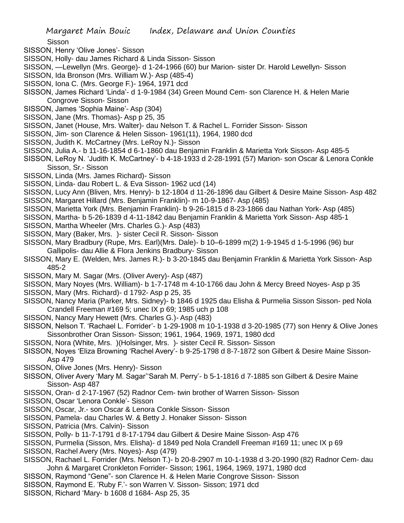Sisson

- SISSON, Henry 'Olive Jones'- Sisson
- SISSON, Holly- dau James Richard & Linda Sisson- Sisson
- SISSON, —Lewellyn (Mrs. George)- d 1-24-1966 (60) bur Marion- sister Dr. Harold Lewellyn- Sisson
- SISSON, Ida Bronson (Mrs. William W.)- Asp (485-4)
- SISSON, Iona C. (Mrs. George F.)- 1964, 1971 dcd
- SISSON, James Richard 'Linda'- d 1-9-1984 (34) Green Mound Cem- son Clarence H. & Helen Marie Congrove Sisson- Sisson
- SISSON, James 'Sophia Maine'- Asp (304)
- SISSON, Jane (Mrs. Thomas)- Asp p 25, 35
- SISSON, Janet (House, Mrs. Walter)- dau Nelson T. & Rachel L. Forrider Sisson- Sisson
- SISSON, Jim- son Clarence & Helen Sisson- 1961(11), 1964, 1980 dcd
- SISSON, Judith K. McCartney (Mrs. LeRoy N.)- Sisson
- SISSON, Julia A.- b 11-16-1854 d 6-1-1860 dau Benjamin Franklin & Marietta York Sisson- Asp 485-5
- SISSON, LeRoy N. 'Judith K. McCartney'- b 4-18-1933 d 2-28-1991 (57) Marion- son Oscar & Lenora Conkle Sisson, Sr.- Sisson
- SISSON, Linda (Mrs. James Richard)- Sisson
- SISSON, Linda- dau Robert L. & Eva Sisson- 1962 ucd (14)
- SISSON, Lucy Ann (Bliven, Mrs. Henry)- b 12-1804 d 11-26-1896 dau Gilbert & Desire Maine Sisson- Asp 482 SISSON, Margaret Hillard (Mrs. Benjamin Franklin)- m 10-9-1867- Asp (485)
- SISSON, Marietta York (Mrs. Benjamin Franklin)- b 9-26-1815 d 8-23-1866 dau Nathan York- Asp (485)
- SISSON, Martha- b 5-26-1839 d 4-11-1842 dau Benjamin Franklin & Marietta York Sisson- Asp 485-1
- SISSON, Martha Wheeler (Mrs. Charles G.)- Asp (483)
- SISSON, Mary (Baker, Mrs. )- sister Cecil R. Sisson- Sisson
- SISSON, Mary Bradbury (Rupe, Mrs. Earl)(Mrs. Dale)- b 10–6-1899 m(2) 1-9-1945 d 1-5-1996 (96) bur Gallipolis- dau Allie & Flora Jenkins Bradbury- Sisson
- SISSON, Mary E. (Welden, Mrs. James R.)- b 3-20-1845 dau Benjamin Franklin & Marietta York Sisson- Asp 485-2
- SISSON, Mary M. Sagar (Mrs. (Oliver Avery)- Asp (487)
- SISSON, Mary Noyes (Mrs. William)- b 1-7-1748 m 4-10-1766 dau John & Mercy Breed Noyes- Asp p 35
- SISSON, Mary (Mrs. Richard)- d 1792- Asp p 25, 35
- SISSON, Nancy Maria (Parker, Mrs. Sidney)- b 1846 d 1925 dau Elisha & Purmelia Sisson Sisson- ped Nola Crandell Freeman #169 5; unec IX p 69; 1985 uch p 108
- SISSON, Nancy Mary Hewett (Mrs. Charles G.)- Asp (483)
- SISSON, Nelson T. 'Rachael L. Forrider'- b 1-29-1908 m 10-1-1938 d 3-20-1985 (77) son Henry & Olive Jones Sissonbrother Oran Sisson- Sisson; 1961, 1964, 1969, 1971, 1980 dcd
- SISSON, Nora (White, Mrs. )(Holsinger, Mrs. )- sister Cecil R. Sisson- Sisson
- SISSON, Noyes 'Eliza Browning 'Rachel Avery'- b 9-25-1798 d 8-7-1872 son Gilbert & Desire Maine Sisson-Asp 479
- SISSON, Olive Jones (Mrs. Henry)- Sisson
- SISSON, Oliver Avery 'Mary M. Sagar''Sarah M. Perry'- b 5-1-1816 d 7-1885 son Gilbert & Desire Maine Sisson- Asp 487
- SISSON, Oran- d 2-17-1967 (52) Radnor Cem- twin brother of Warren Sisson- Sisson
- SISSON, Oscar 'Lenora Conkle'- Sisson
- SISSON, Oscar, Jr.- son Oscar & Lenora Conkle Sisson- Sisson
- SISSON, Pamela- dau Charles W. & Betty J. Honaker Sisson- Sisson
- SISSON, Patricia (Mrs. Calvin)- Sisson
- SISSON, Polly- b 11-7-1791 d 8-17-1794 dau Gilbert & Desire Maine Sisson- Asp 476
- SISSON, Purmelia (Sisson, Mrs. Elisha)- d 1849 ped Nola Crandell Freeman #169 11; unec IX p 69
- SISSON, Rachel Avery (Mrs. Noyes)- Asp (479)
- SISSON, Rachael L. Forrider (Mrs. Nelson T.)- b 20-8-2907 m 10-1-1938 d 3-20-1990 (82) Radnor Cem- dau John & Margaret Cronkleton Forrider- Sisson; 1961, 1964, 1969, 1971, 1980 dcd
- SISSON, Raymond "Gene"- son Clarence H. & Helen Marie Congrove Sisson- Sisson
- SISSON, Raymond E. 'Ruby F.'- son Warren V. Sisson- Sisson; 1971 dcd
- SISSON, Richard 'Mary- b 1608 d 1684- Asp 25, 35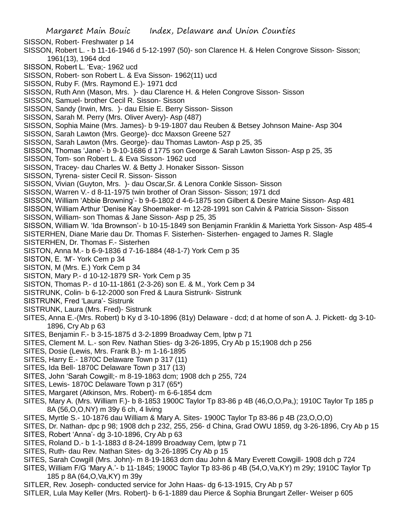SISSON, Robert- Freshwater p 14

- SISSON, Robert L. b 11-16-1946 d 5-12-1997 (50)- son Clarence H. & Helen Congrove Sisson- Sisson; 1961(13), 1964 dcd
- SISSON, Robert L. 'Eva;- 1962 ucd
- SISSON, Robert- son Robert L. & Eva Sisson- 1962(11) ucd
- SISSON, Ruby F. (Mrs. Raymond E.)- 1971 dcd
- SISSON, Ruth Ann (Mason, Mrs. )- dau Clarence H. & Helen Congrove Sisson- Sisson
- SISSON, Samuel- brother Cecil R. Sisson- Sisson
- SISSON, Sandy (Irwin, Mrs. )- dau Elsie E. Berry Sisson- Sisson
- SISSON, Sarah M. Perry (Mrs. Oliver Avery)- Asp (487)
- SISSON, Sophia Maine (Mrs. James)- b 9-19-1807 dau Reuben & Betsey Johnson Maine- Asp 304
- SISSON, Sarah Lawton (Mrs. George)- dcc Maxson Greene 527
- SISSON, Sarah Lawton (Mrs. George)- dau Thomas Lawton- Asp p 25, 35
- SISSON, Thomas 'Jane'- b 9-10-1686 d 1775 son George & Sarah Lawton Sisson- Asp p 25, 35
- SISSON, Tom- son Robert L. & Eva Sisson- 1962 ucd
- SISSON, Tracey- dau Charles W. & Betty J. Honaker Sisson- Sisson
- SISSON, Tyrena- sister Cecil R. Sisson- Sisson
- SISSON, Vivian (Guyton, Mrs. )- dau Oscar,Sr. & Lenora Conkle Sisson- Sisson
- SISSON, Warren V.- d 8-11-1975 twin brother of Oran Sisson- Sisson; 1971 dcd
- SISSON, William 'Abbie Browning'- b 9-6-1802 d 4-6-1875 son Gilbert & Desire Maine Sisson- Asp 481
- SISSON, William Arthur 'Denise Kay Shoemaker- m 12-28-1991 son Calvin & Patricia Sisson- Sisson
- SISSON, William- son Thomas & Jane Sisson- Asp p 25, 35
- SISSON, William W. 'Ida Brownson'- b 10-15-1849 son Benjamin Franklin & Marietta York Sisson- Asp 485-4

SISTERHEN, Diane Marie dau Dr. Thomas F. Sisterhen- Sisterhen- engaged to James R. Slagle SISTERHEN, Dr. Thomas F.- Sisterhen

- SISTON, Anna M.- b 6-9-1836 d 7-16-1884 (48-1-7) York Cem p 35
- SISTON, E. 'M'- York Cem p 34
- SISTON, M (Mrs. E.) York Cem p 34
- SISTON, Mary P.- d 10-12-1879 SR- York Cem p 35
- SISTON, Thomas P.- d 10-11-1861 (2-3-26) son E. & M., York Cem p 34
- SISTRUNK, Colin- b 6-12-2000 son Fred & Laura Sistrunk- Sistrunk
- SISTRUNK, Fred 'Laura'- Sistrunk
- SISTRUNK, Laura (Mrs. Fred)- Sistrunk
- SITES, Anna E.-(Mrs. Robert) b Ky d 3-10-1896 (81y) Delaware dcd; d at home of son A. J. Pickett- dg 3-10- 1896, Cry Ab p 63
- SITES, Benjamin F.- b 3-15-1875 d 3-2-1899 Broadway Cem, lptw p 71
- SITES, Clement M. L.- son Rev. Nathan Sties- dg 3-26-1895, Cry Ab p 15;1908 dch p 256
- SITES, Dosie (Lewis, Mrs. Frank B.)- m 1-16-1895
- SITES, Harry E.- 1870C Delaware Town p 317 (11)
- SITES, Ida Bell- 1870C Delaware Town p 317 (13)
- SITES, John 'Sarah Cowgill;- m 8-19-1863 dcm; 1908 dch p 255, 724
- SITES, Lewis- 1870C Delaware Town p 317 (65\*)
- SITES, Margaret (Atkinson, Mrs. Robert)- m 6-6-1854 dcm
- SITES, Mary A. (Mrs. William F.)- b 8-1853 1900C Taylor Tp 83-86 p 4B (46,O,O,Pa,); 1910C Taylor Tp 185 p 8A (56,O,O,NY) m 39y 6 ch, 4 living
- SITES, Myrtle S.- 10-1876 dau William & Mary A. Sites- 1900C Taylor Tp 83-86 p 4B (23,O,O,O)
- SITES, Dr. Nathan- dpc p 98; 1908 dch p 232, 255, 256- d China, Grad OWU 1859, dg 3-26-1896, Cry Ab p 15
- SITES, Robert 'Anna'- dg 3-10-1896, Cry Ab p 63
- SITES, Roland D.- b 1-1-1883 d 8-24-1899 Broadway Cem, lptw p 71
- SITES, Ruth- dau Rev. Nathan Sites- dg 3-26-1895 Cry Ab p 15
- SITES, Sarah Cowgill (Mrs. John)- m 8-19-1863 dcm dau John & Mary Everett Cowgill- 1908 dch p 724
- SITES, William F/G 'Mary A.'- b 11-1845; 1900C Taylor Tp 83-86 p 4B (54,O,Va,KY) m 29y; 1910C Taylor Tp 185 p 8A (64,O,Va,KY) m 39y
- SITLER, Rev. Joseph- conducted service for John Haas- dg 6-13-1915, Cry Ab p 57
- SITLER, Lula May Keller (Mrs. Robert)- b 6-1-1889 dau Pierce & Sophia Brungart Zeller- Weiser p 605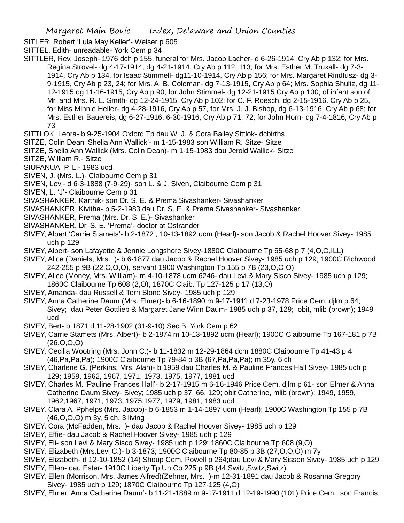SITLER, Robert 'Lula May Keller'- Weiser p 605

SITTEL, Edith- unreadable- York Cem p 34

SITTLER, Rev. Joseph- 1976 dch p 155, funeral for Mrs. Jacob Lacher- d 6-26-1914, Cry Ab p 132; for Mrs. Regina Strovel- dg 4-17-1914, dg 4-21-1914, Cry Ab p 112, 113; for Mrs. Esther M. Truxall- dg 7-3- 1914, Cry Ab p 134, for Isaac Stimmell- dg11-10-1914, Cry Ab p 156; for Mrs. Margaret Rindfusz- dg 3- 9-1915, Cry Ab p 23, 24; for Mrs. A. B. Coleman- dg 7-13-1915, Cry Ab p 64; Mrs. Sophia Shultz, dg 11- 12-1915 dg 11-16-1915, Cry Ab p 90; for John Stimmel- dg 12-21-1915 Cry Ab p 100; of infant son of Mr. and Mrs. R. L. Smith- dg 12-24-1915, Cry Ab p 102; for C. F. Roesch, dg 2-15-1916. Cry Ab p 25, for Miss Minnie Heller- dg 4-28-1916, Cry Ab p 57, for Mrs. J. J. Bishop, dg 6-13-1916, Cry Ab p 68; for Mrs. Esther Bauereis, dg 6-27-1916, 6-30-1916, Cry Ab p 71, 72; for John Horn- dg 7-4-1816, Cry Ab p 73

SITTLOK, Leora- b 9-25-1904 Oxford Tp dau W. J. & Cora Bailey Sittlok- dcbirths

SITZE, Colin Dean 'Shelia Ann Wallick'- m 1-15-1983 son William R. Sitze- Sitze

- SITZE, Shelia Ann Wallick (Mrs. Colin Dean)- m 1-15-1983 dau Jerold Wallick- Sitze
- SITZE, William R.- Sitze
- SIUFANUA, P. L.- 1983 ucd
- SIVEN, J. (Mrs. L.)- Claibourne Cem p 31
- SIVEN, Levi- d 6-3-1888 (7-9-29)- son L. & J. Siven, Claibourne Cem p 31
- SIVEN, L. 'J'- Claibourne Cem p 31
- SIVASHANKER, Karthik- son Dr. S. E. & Prema Sivashanker- Sivashanker
- SIVASHANKER, Kivitha- b 5-2-1983 dau Dr. S. E. & Prema Sivashanker- Sivashanker
- SIVASHANKER, Prema (Mrs. Dr. S. E.)- Sivashanker
- SIVASHANKER, Dr. S. E. 'Prema'- doctor at Ostrander
- SIVEY, Albert 'Carrie Stamets'- b 2-1872 , 10-13-1892 ucm (Hearl)- son Jacob & Rachel Hoover Sivey- 1985 uch p 129
- SIVEY, Albert- son Lafayette & Jennie Longshore Sivey-1880C Claibourne Tp 65-68 p 7 (4,O,O,ILL)
- SIVEY, Alice (Daniels, Mrs. )- b 6-1877 dau Jacob & Rachel Hoover Sivey- 1985 uch p 129; 1900C Richwood 242-255 p 9B (22,O,O,O), servant 1900 Washington Tp 155 p 7B (23,O,O,O)
- SIVEY, Alice (Money, Mrs. William)- m 4-10-1878 ucm 6246- dau Levi & Mary Sisco Sivey- 1985 uch p 129; 1860C Claibourne Tp 608 (2,O); 1870C Claib. Tp 127-125 p 17 (13,O)
- SIVEY, Amanda- dau Russell & Terri Slone Sivey- 1985 uch p 129
- SIVEY, Anna Catherine Daum (Mrs. Elmer)- b 6-16-1890 m 9-17-1911 d 7-23-1978 Price Cem, djlm p 64; Sivey; dau Peter Gottlieb & Margaret Jane Winn Daum- 1985 uch p 37, 129; obit, mlib (brown); 1949 ucd
- SIVEY, Bert- b 1871 d 11-28-1902 (31-9-10) Sec B. York Cem p 62
- SIVEY, Carrie Stamets (Mrs. Albert)- b 2-1874 m 10-13-1892 ucm (Hearl); 1900C Claibourne Tp 167-181 p 7B  $(26, 0.0, 0)$
- SIVEY, Cecilia Wootring (Mrs. John C.)- b 11-1832 m 12-29-1864 dcm 1880C Claibourne Tp 41-43 p 4 (46,Pa,Pa,Pa); 1900C Claibourne Tp 79-84 p 3B (67,Pa,Pa,Pa); m 35y, 6 ch
- SIVEY, Charlene G. (Perkins, Mrs. Alan)- b 1959 dau Charles M. & Pauline Frances Hall Sivey- 1985 uch p 129; 1959, 1962, 1967, 1971, 1973, 1975, 1977, 1981 ucd
- SIVEY, Charles M. 'Pauline Frances Hall'- b 2-17-1915 m 6-16-1946 Price Cem, djlm p 61- son Elmer & Anna Catherine Daum Sivey- Sivey; 1985 uch p 37, 66, 129; obit Catherine, mlib (brown); 1949, 1959, 1962,1967, 1971, 1973, 1975,1977, 1979, 1981, 1983 ucd
- SIVEY, Clara A. Pphelps (Mrs. Jacob)- b 6-1853 m 1-14-1897 ucm (Hearl); 1900C Washington Tp 155 p 7B (46,O,O,O) m 3y, 5 ch, 3 living
- SIVEY, Cora (McFadden, Mrs. )- dau Jacob & Rachel Hoover Sivey- 1985 uch p 129
- SIVEY, Effie- dau Jacob & Rachel Hoover Sivey- 1985 uch p 129
- SIVEY, Eli- son Levi & Mary Sisco Sivey- 1985 uch p 129; 1860C Claibourne Tp 608 (9,O)
- SIVEY, Elizabeth (Mrs.Levi C.)- b 3-1873; 1900C Claibourne Tp 80-85 p 3B (27,O,O,O) m 7y
- SIVEY, Elizabeth- d 12-10-1852 (14) Shoup Cem, Powell p 264;dau Levi & Mary Sisson Sivey- 1985 uch p 129 SIVEY, Ellen- dau Ester- 1910C Liberty Tp Un Co 225 p 9B (44,Switz,Switz,Switz)
- SIVEY, Ellen (Morrison, Mrs. James Alfred)(Zehner, Mrs. )-m 12-31-1891 dau Jacob & Rosanna Gregory Sivey- 1985 uch p 129; 1870C Claibourne Tp 127-125 (4,O)
- SIVEY, Elmer 'Anna Catherine Daum'- b 11-21-1889 m 9-17-1911 d 12-19-1990 (101) Price Cem, son Francis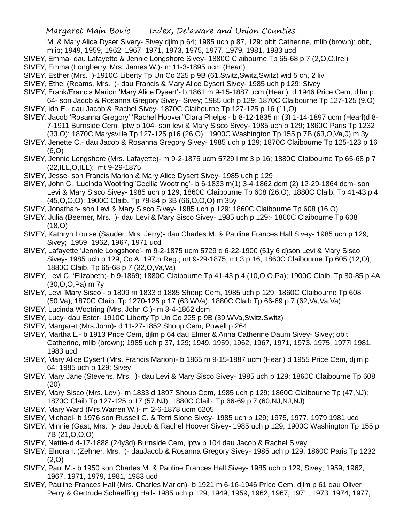M. & Mary Alice Dyser Sivery- Sivey djlm p 64; 1985 uch p 87, 129; obit Catherine, mlib (brown); obit, mlib; 1949, 1959, 1962, 1967, 1971, 1973, 1975, 1977, 1979, 1981, 1983 ucd

- SIVEY, Emma- dau Lafayette & Jennie Longshore Sivey- 1880C Claibourne Tp 65-68 p 7 (2,O,O,Irel)
- SIVEY, Emma (Longberry, Mrs. James W.)- m 11-3-1895 ucm (Hearl)
- SIVEY, Esther (Mrs. )-1910C Liberty Tp Un Co 225 p 9B (61,Switz,Switz,Switz) wid 5 ch, 2 liv
- SIVEY, Ethel (Reams, Mrs. )- dau Francis & Mary Alice Dysert Sivey- 1985 uch p 129; Sivey
- SIVEY, Frank/Francis Marion 'Mary Alice Dysert'- b 1861 m 9-15-1887 ucm (Hearl) d 1946 Price Cem, djlm p 64- son Jacob & Rosanna Gregory Sivey- Sivey; 1985 uch p 129; 1870C Claibourne Tp 127-125 (9,O)
- SIVEY, Ida E.- dau Jacob & Rachel Sivey- 1870C Claibourne Tp 127-125 p 16 (11,O)
- SIVEY, Jacob 'Rosanna Gregory' 'Rachel Hoover''Clara Phelps'- b 8-12-1835 m (3) 1-14-1897 ucm (Hearl)d 8- 7-1911 Burnside Cem, lptw p 104- son levi & Mary Sisco Sivey- 1985 uch p 129; 1860C Paris Tp 1232 (33,O); 1870C Marysville Tp 127-125 p16 (26,O); 1900C Washington Tp 155 p 7B (63,O,Va,0) m 3y
- SIVEY, Jenette C.- dau Jacob & Rosanna Gregory Sivey- 1985 uch p 129; 1870C Claibourne Tp 125-123 p 16 (6,O)
- SIVEY, Jennie Longshore (Mrs. Lafayette)- m 9-2-1875 ucm 5729 l mt 3 p 16; 1880C Claibourne Tp 65-68 p 7 (22,ILL,O,ILL); mt 9-29-1875
- SIVEY, Jesse- son Francis Marion & Mary Alice Dysert Sivey- 1985 uch p 129
- SIVEY, John C. 'Lucinda Wootring''Cecilia Wootring'- b 6-1833 m(1) 3-4-1862 dcm (2) 12-29-1864 dcm- son Levi & Mary Sisco Sivey- 1985 uch p 129; 1860C Claibourne Tp 608 (26,O); 1880C Claib. Tp 41-43 p 4 (45,O,O,O); 1900C Claib. Tp 79-84 p 3B (66,O,O,O) m 35y
- SIVEY, Jonathan- son Levi & Mary Sisco Sivey- 1985 uch p 129; 1860C Claibourne Tp 608 (16,O)
- SIVEY, Julia (Beemer, Mrs. )- dau Levi & Mary Sisco Sivey- 1985 uch p 129;- 1860C Claibourne Tp 608 (18,O)
- SIVEY, Kathryn Louise (Sauder, Mrs. Jerry)- dau Charles M. & Pauline Frances Hall Sivey- 1985 uch p 129; Sivey; 1959, 1962, 1967, 1971 ucd
- SIVEY, Lafayette 'Jennie Longshore'- m 9-2-1875 ucm 5729 d 6-22-1900 (51y 6 d)son Levi & Mary Sisco Sivey- 1985 uch p 129; Co A. 197th Reg.; mt 9-29-1875; mt 3 p 16; 1860C Claibourne Tp 605 (12,O); 1880C Claib. Tp 65-68 p 7 (32,O,Va,Va)
- SIVEY, Levi C. 'Elizabeth;- b 9-1869; 1880C Claibourne Tp 41-43 p 4 (10,O,O,Pa); 1900C Claib. Tp 80-85 p 4A (30,O,O,Pa) m 7y
- SIVEY, Levi 'Mary Sisco'- b 1809 m 1833 d 1885 Shoup Cem, 1985 uch p 129; 1860C Claibourne Tp 608 (50,Va); 1870C Claib. Tp 1270-125 p 17 (63,WVa); 1880C Claib Tp 66-69 p 7 (62,Va,Va,Va)
- SIVEY, Lucinda Wootring (Mrs. John C.)- m 3-4-1862 dcm
- SIVEY, Lucy- dau Ester- 1910C Liberty Tp Un Co 225 p 9B (39,WVa,Switz.Switz)
- SIVEY, Margaret (Mrs.John)- d 11-27-1852 Shoup Cem, Powell p 264
- SIVEY, Martha L.- b 1913 Price Cem, djlm p 64 dau Elmer & Anna Catherine Daum Sivey- Sivey; obit Catherine, mlib (brown); 1985 uch p 37, 129; 1949, 1959, 1962, 1967, 1971, 1973, 1975, 1977l 1981, 1983 ucd
- SIVEY, Mary Alice Dysert (Mrs. Francis Marion)- b 1865 m 9-15-1887 ucm (Hearl) d 1955 Price Cem, djlm p 64; 1985 uch p 129; Sivey
- SIVEY, Mary Jane (Stevens, Mrs. )- dau Levi & Mary Sisco Sivey- 1985 uch p 129; 1860C Claibourne Tp 608 (20)
- SIVEY, Mary Sisco (Mrs. Levi)- m 1833 d 1897 Shoup Cem, 1985 uch p 129; 1860C Claibourne Tp (47,NJ); 1870C Claib Tp 127-125 p 17 (57,NJ); 1880C Claib. Tp 66-69 p 7 (60,NJ,NJ,NJ)
- SIVEY, Mary Ward (Mrs.Warren W.)- m 2-6-1878 ucm 6205
- SIVEY, Michael- b 1976 son Russell C. & Terri Slone Sivey- 1985 uch p 129; 1975, 1977, 1979 1981 ucd
- SIVEY, Minnie (Gast, Mrs. )- dau Jacob & Rachel Hoover Sivey- 1985 uch p 129; 1900C Washington Tp 155 p 7B (21,O,O,O)
- SIVEY, Nettie-d 4-17-1888 (24y3d) Burnside Cem, lptw p 104 dau Jacob & Rachel Sivey
- SIVEY, Elnora I. (Zehner, Mrs. )- dauJacob & Rosanna Gregory Sivey- 1985 uch p 129; 1860C Paris Tp 1232 (2,O)
- SIVEY, Paul M.- b 1950 son Charles M. & Pauline Frances Hall Sivey- 1985 uch p 129; Sivey; 1959, 1962, 1967, 1971, 1979, 1981, 1983 ucd
- SIVEY, Pauline Frances Hall (Mrs. Charles Marion)- b 1921 m 6-16-1946 Price Cem, djlm p 61 dau Oliver Perry & Gertrude Schaeffing Hall- 1985 uch p 129; 1949, 1959, 1962, 1967, 1971, 1973, 1974, 1977,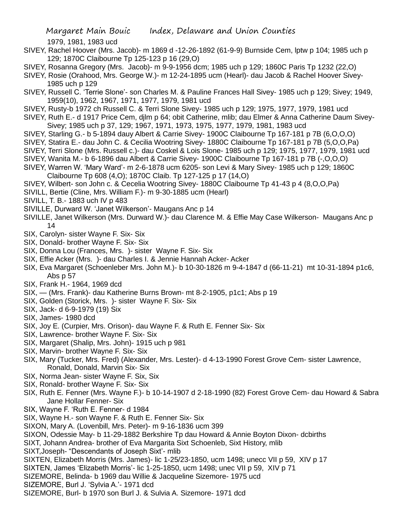1979, 1981, 1983 ucd

- SIVEY, Rachel Hoover (Mrs. Jacob)- m 1869 d -12-26-1892 (61-9-9) Burnside Cem, lptw p 104; 1985 uch p 129; 1870C Claibourne Tp 125-123 p 16 (29,O)
- SIVEY, Rosanna Gregory (Mrs. Jacob)- m 9-9-1956 dcm; 1985 uch p 129; 1860C Paris Tp 1232 (22,O)
- SIVEY, Rosie (Orahood, Mrs. George W.)- m 12-24-1895 ucm (Hearl)- dau Jacob & Rachel Hoover Sivey-1985 uch p 129
- SIVEY, Russell C. 'Terrie Slone'- son Charles M. & Pauline Frances Hall Sivey- 1985 uch p 129; Sivey; 1949, 1959(10), 1962, 1967, 1971, 1977, 1979, 1981 ucd
- SIVEY, Rusty-b 1972 ch Russell C. & Terri Slone Sivey- 1985 uch p 129; 1975, 1977, 1979, 1981 ucd
- SIVEY, Ruth E.- d 1917 Price Cem, djlm p 64; obit Catherine, mlib; dau Elmer & Anna Catherine Daum Sivey-Sivey; 1985 uch p 37, 129; 1967, 1971, 1973, 1975, 1977, 1979, 1981, 1983 ucd
- SIVEY, Starling G.- b 5-1894 dauy Albert & Carrie Sivey- 1900C Claibourne Tp 167-181 p 7B (6,O,O,O)
- SIVEY, Statira E.- dau John C. & Cecilia Wootring Sivey- 1880C Claibourne Tp 167-181 p 7B (5,O,O,Pa)
- SIVEY, Terri Slone (Mrs. Russell c.)- dau Coskel & Lois Slone- 1985 uch p 129; 1975, 1977, 1979, 1981 ucd
- SIVEY, Wanita M.- b 6-1896 dau Albert & Carrie Sivey- 1900C Claibourne Tp 167-181 p 7B (-,O,O,O)
- SIVEY, Warren W. 'Mary Ward'- m 2-6-1878 ucm 6205- son Levi & Mary Sivey- 1985 uch p 129; 1860C Claibourne Tp 608 (4,O); 1870C Claib. Tp 127-125 p 17 (14,O)
- SIVEY, Wilbert- son John c. & Cecelia Wootring Sivey- 1880C Claibourne Tp 41-43 p 4 (8,O,O,Pa)
- SIVILL, Bertie (Cline, Mrs. William F.)- m 9-30-1885 ucm (Hearl)
- SIVILL, T. B.- 1883 uch IV p 483
- SIVILLE, Durward W. 'Janet Wilkerson'- Maugans Anc p 14
- SIVILLE, Janet Wilkerson (Mrs. Durward W.)- dau Clarence M. & Effie May Case Wilkerson- Maugans Anc p 14
- SIX, Carolyn- sister Wayne F. Six- Six
- SIX, Donald- brother Wayne F. Six- Six
- SIX, Donna Lou (Frances, Mrs. )- sister Wayne F. Six- Six
- SIX, Effie Acker (Mrs. )- dau Charles I. & Jennie Hannah Acker- Acker
- SIX, Eva Margaret (Schoenleber Mrs. John M.)- b 10-30-1826 m 9-4-1847 d (66-11-21) mt 10-31-1894 p1c6, Abs p 57
- SIX, Frank H.- 1964, 1969 dcd
- SIX, (Mrs. Frank)- dau Katherine Burns Brown- mt 8-2-1905, p1c1; Abs p 19
- SIX, Golden (Storick, Mrs. )- sister Wayne F. Six- Six
- SIX, Jack- d 6-9-1979 (19) Six
- SIX, James- 1980 dcd
- SIX, Joy E. (Curpier, Mrs. Orison)- dau Wayne F. & Ruth E. Fenner Six- Six
- SIX, Lawrence- brother Wayne F. Six- Six
- SIX, Margaret (Shalip, Mrs. John)- 1915 uch p 981
- SIX, Marvin- brother Wayne F. Six- Six
- SIX, Mary (Tucker, Mrs. Fred) (Alexander, Mrs. Lester)- d 4-13-1990 Forest Grove Cem- sister Lawrence, Ronald, Donald, Marvin Six- Six
- SIX, Norma Jean- sister Wayne F. Six, Six
- SIX, Ronald- brother Wayne F. Six- Six
- SIX, Ruth E. Fenner (Mrs. Wayne F.)- b 10-14-1907 d 2-18-1990 (82) Forest Grove Cem- dau Howard & Sabra Jane Hollar Fenner- Six
- SIX, Wayne F. 'Ruth E. Fenner- d 1984
- SIX, Wayne H.- son Wayne F. & Ruth E. Fenner Six- Six
- SIXON, Mary A. (Lovenbill, Mrs. Peter)- m 9-16-1836 ucm 399
- SIXON, Odessie May- b 11-29-1882 Berkshire Tp dau Howard & Annie Boyton Dixon- dcbirths
- SIXT, Johann Andrea- brother of Eva Margarita Sixt Schoenleb, Sixt History, mlib
- SIXT,Joseph- "Descendants of Joseph Sixt'- mlib
- SIXTEN, Elizabeth Morris (Mrs. James)- lic 1-25/23-1850, ucm 1498; unecc VII p 59, XIV p 17
- SIXTEN, James 'Elizabeth Morris'- lic 1-25-1850, ucm 1498; unec VII p 59, XIV p 71
- SIZEMORE, Belinda- b 1969 dau Willie & Jacqueline Sizemore- 1975 ucd
- SIZEMORE, Burl J. 'Sylvia A.'- 1971 dcd
- SIZEMORE, Burl- b 1970 son Burl J. & Sulvia A. Sizemore- 1971 dcd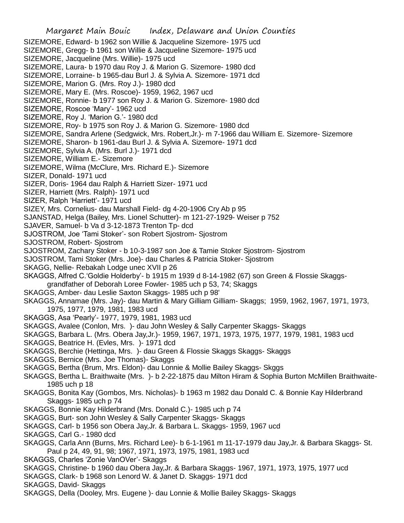Margaret Main Bouic Index, Delaware and Union Counties SIZEMORE, Edward- b 1962 son Willie & Jacqueline Sizemore- 1975 ucd SIZEMORE, Gregg- b 1961 son Willie & Jacqueline Sizemore- 1975 ucd SIZEMORE, Jacqueline (Mrs. Willie)- 1975 ucd SIZEMORE, Laura- b 1970 dau Roy J. & Marion G. Sizemore- 1980 dcd SIZEMORE, Lorraine- b 1965-dau Burl J. & Sylvia A. Sizemore- 1971 dcd SIZEMORE, Marion G. (Mrs. Roy J.)- 1980 dcd SIZEMORE, Mary E. (Mrs. Roscoe)- 1959, 1962, 1967 ucd SIZEMORE, Ronnie- b 1977 son Roy J. & Marion G. Sizemore- 1980 dcd SIZEMORE, Roscoe 'Mary'- 1962 ucd SIZEMORE, Roy J. 'Marion G.'- 1980 dcd SIZEMORE, Roy- b 1975 son Roy J. & Marion G. Sizemore- 1980 dcd SIZEMORE, Sandra Arlene (Sedgwick, Mrs. Robert,Jr.)- m 7-1966 dau William E. Sizemore- Sizemore SIZEMORE, Sharon- b 1961-dau Burl J. & Sylvia A. Sizemore- 1971 dcd SIZEMORE, Sylvia A. (Mrs. Burl J.)- 1971 dcd SIZEMORE, William E.- Sizemore SIZEMORE, Wilma (McClure, Mrs. Richard E.)- Sizemore SIZER, Donald- 1971 ucd SIZER, Doris- 1964 dau Ralph & Harriett Sizer- 1971 ucd SIZER, Harriett (Mrs. Ralph)- 1971 ucd SIZER, Ralph 'Harriett'- 1971 ucd SIZEY, Mrs. Cornelius- dau Marshall Field- dg 4-20-1906 Cry Ab p 95 SJANSTAD, Helga (Bailey, Mrs. Lionel Schutter)- m 121-27-1929- Weiser p 752 SJAVER, Samuel- b Va d 3-12-1873 Trenton Tp- dcd SJOSTROM, Joe 'Tami Stoker'- son Robert Sjostrom- Sjostrom SJOSTROM, Robert- Sjostrom SJOSTROM, Zachary Stoker - b 10-3-1987 son Joe & Tamie Stoker Sjostrom- Sjostrom SJOSTROM, Tami Stoker (Mrs. Joe)- dau Charles & Patricia Stoker- Sjostrom SKAGG, Nellie- Rebakah Lodge unec XVII p 26 SKAGGS, Alfred C.'Goldie Holderby'- b 1915 m 1939 d 8-14-1982 (67) son Green & Flossie Skaggsgrandfather of Deborah Loree Fowler- 1985 uch p 53, 74; Skaggs SKAGGS, Amber- dau Leslie Saxton Skaggs- 1985 uch p 98' SKAGGS, Annamae (Mrs. Jay)- dau Martin & Mary Gilliam Gilliam- Skaggs; 1959, 1962, 1967, 1971, 1973, 1975, 1977, 1979, 1981, 1983 ucd SKAGGS, Asa 'Pearly'- 1977, 1979, 1981, 1983 ucd SKAGGS, Avalee (Conlon, Mrs. )- dau John Wesley & Sally Carpenter Skaggs- Skaggs SKAGGS, Barbara L. (Mrs. Obera Jay,Jr.)- 1959, 1967, 1971, 1973, 1975, 1977, 1979, 1981, 1983 ucd SKAGGS, Beatrice H. (Evles, Mrs. )- 1971 dcd SKAGGS, Berchie (Hettinga, Mrs. )- dau Green & Flossie Skaggs Skaggs- Skaggs SKAGGS, Bernice (Mrs. Joe Thomas)- Skaggs SKAGGS, Bertha (Brum, Mrs. Eldon)- dau Lonnie & Mollie Bailey Skaggs- Skggs SKAGGS, Bertha L. Braithwaite (Mrs. )- b 2-22-1875 dau Milton Hiram & Sophia Burton McMillen Braithwaite-1985 uch p 18 SKAGGS, Bonita Kay (Gombos, Mrs. Nicholas)- b 1963 m 1982 dau Donald C. & Bonnie Kay Hilderbrand Skaggs- 1985 uch p 74 SKAGGS, Bonnie Kay Hilderbrand (Mrs. Donald C.)- 1985 uch p 74 SKAGGS, Burt- son John Wesley & Sally Carpenter Skaggs- Skaggs SKAGGS, Carl- b 1956 son Obera Jay,Jr. & Barbara L. Skaggs- 1959, 1967 ucd SKAGGS, Carl G.- 1980 dcd SKAGGS, Carla Ann (Burns, Mrs. Richard Lee)- b 6-1-1961 m 11-17-1979 dau Jay,Jr. & Barbara Skaggs- St. Paul p 24, 49, 91, 98; 1967, 1971, 1973, 1975, 1981, 1983 ucd SKAGGS, Charles 'Zonie VanOVer'- Skaggs SKAGGS, Christine- b 1960 dau Obera Jay,Jr. & Barbara Skaggs- 1967, 1971, 1973, 1975, 1977 ucd SKAGGS, Clark- b 1968 son Lenord W. & Janet D. Skaggs- 1971 dcd SKAGGS, David- Skaggs SKAGGS, Della (Dooley, Mrs. Eugene )- dau Lonnie & Mollie Bailey Skaggs- Skaggs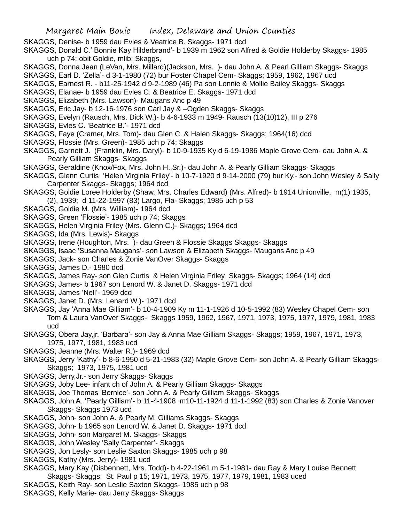- SKAGGS, Denise- b 1959 dau Evles & Veatrice B. Skaggs- 1971 dcd
- SKAGGS, Donald C.' Bonnie Kay Hilderbrand'- b 1939 m 1962 son Alfred & Goldie Holderby Skaggs- 1985 uch p 74; obit Goldie, mlib; Skaggs,
- SKAGGS, Donna Jean (LeVan, Mrs. Millard)(Jackson, Mrs. )- dau John A. & Pearl Gilliam Skaggs- Skaggs
- SKAGGS, Earl D. 'Zella'- d 3-1-1980 (72) bur Foster Chapel Cem- Skaggs; 1959, 1962, 1967 ucd
- SKAGGS, Earnest R. b11-25-1942 d 9-2-1989 (46) Pa son Lonnie & Mollie Bailey Skaggs- Skaggs
- SKAGGS, Elanae- b 1959 dau Evles C. & Beatrice E. Skaggs- 1971 dcd
- SKAGGS, Elizabeth (Mrs. Lawson)- Maugans Anc p 49
- SKAGGS, Eric Jay- b 12-16-1976 son Carl Jay & –Ogden Skaggs- Skaggs
- SKAGGS, Evelyn (Rausch, Mrs. Dick W.)- b 4-6-1933 m 1949- Rausch (13(10)12), III p 276
- SKAGGS, Evles C. 'Beatrice B.'- 1971 dcd
- SKAGGS, Faye (Cramer, Mrs. Tom)- dau Glen C. & Halen Skaggs- Skaggs; 1964(16) dcd
- SKAGGS, Flossie (Mrs. Green)- 1985 uch p 74; Skaggs
- SKAGGS, Garnett J. (Franklin, Mrs. Daryl)- b 10-9-1935 Ky d 6-19-1986 Maple Grove Cem- dau John A. & Pearly Gilliam Skaggs- Skaggs
- SKAGGS, Geraldine (Knox/Fox, Mrs. John H.,Sr.)- dau John A. & Pearly Gilliam Skaggs- Skaggs
- SKAGGS, Glenn Curtis 'Helen Virginia Friley'- b 10-7-1920 d 9-14-2000 (79) bur Ky.- son John Wesley & Sally Carpenter Skaggs- Skaggs; 1964 dcd
- SKAGGS, Goldie Loree Holderby (Shaw, Mrs. Charles Edward) (Mrs. Alfred)- b 1914 Unionville, m(1) 1935, (2), 1939; d 11-22-1997 (83) Largo, Fla- Skaggs; 1985 uch p 53
- SKAGGS, Goldie M. (Mrs. William)- 1964 dcd
- SKAGGS, Green 'Flossie'- 1985 uch p 74; Skaggs
- SKAGGS, Helen Virginia Friley (Mrs. Glenn C.)- Skaggs; 1964 dcd
- SKAGGS, Ida (Mrs. Lewis)- Skaggs
- SKAGGS, Irene (Houghton, Mrs. )- dau Green & Flossie Skaggs Skaggs- Skaggs
- SKAGGS, Isaac 'Susanna Maugans'- son Lawson & Elizabeth Skaggs- Maugans Anc p 49
- SKAGGS, Jack- son Charles & Zonie VanOver Skaggs- Skaggs
- SKAGGS, James D.- 1980 dcd
- SKAGGS, James Ray- son Glen Curtis & Helen Virginia Friley Skaggs- Skaggs; 1964 (14) dcd
- SKAGGS, James- b 1967 son Lenord W. & Janet D. Skaggs- 1971 dcd
- SKAGGS, James 'Nell'- 1969 dcd
- SKAGGS, Janet D. (Mrs. Lenard W.)- 1971 dcd
- SKAGGS, Jay 'Anna Mae Gilliam'- b 10-4-1909 Ky m 11-1-1926 d 10-5-1992 (83) Wesley Chapel Cem- son Tom & Laura VanOver Skaggs- Skaggs 1959, 1962, 1967, 1971, 1973, 1975, 1977, 1979, 1981, 1983 ucd
- SKAGGS, Obera Jay,jr. 'Barbara'- son Jay & Anna Mae Gilliam Skaggs- Skaggs; 1959, 1967, 1971, 1973, 1975, 1977, 1981, 1983 ucd
- SKAGGS, Jeanne (Mrs. Walter R.)- 1969 dcd
- SKAGGS, Jerry 'Kathy'- b 8-6-1950 d 5-21-1983 (32) Maple Grove Cem- son John A. & Pearly Gilliam Skaggs-Skaggs; 1973, 1975, 1981 ucd
- SKAGGS, Jerry,Jr.- son Jerry Skaggs- Skaggs
- SKAGGS, Joby Lee- infant ch of John A. & Pearly Gilliam Skaggs- Skaggs
- SKAGGS, Joe Thomas 'Bernice'- son John A. & Pearly Gilliam Skaggs- Skaggs
- SKAGGS, John A. 'Pearly Gilliam'- b 11-4-1908 m10-11-1924 d 11-1-1992 (83) son Charles & Zonie Vanover Skaggs- Skaggs 1973 ucd
- SKAGGS, John- son John A. & Pearly M. Gilliams Skaggs- Skaggs
- SKAGGS, John- b 1965 son Lenord W. & Janet D. Skaggs- 1971 dcd
- SKAGGS, John- son Margaret M. Skaggs- Skaggs
- SKAGGS, John Wesley 'Sally Carpenter'- Skaggs
- SKAGGS, Jon Lesly- son Leslie Saxton Skaggs- 1985 uch p 98
- SKAGGS, Kathy (Mrs. Jerry)- 1981 ucd
- SKAGGS, Mary Kay (Disbennett, Mrs. Todd)- b 4-22-1961 m 5-1-1981- dau Ray & Mary Louise Bennett Skaggs- Skaggs; St. Paul p 15; 1971, 1973, 1975, 1977, 1979, 1981, 1983 uced
- SKAGGS, Keith Ray- son Leslie Saxton Skaggs- 1985 uch p 98
- SKAGGS, Kelly Marie- dau Jerry Skaggs- Skaggs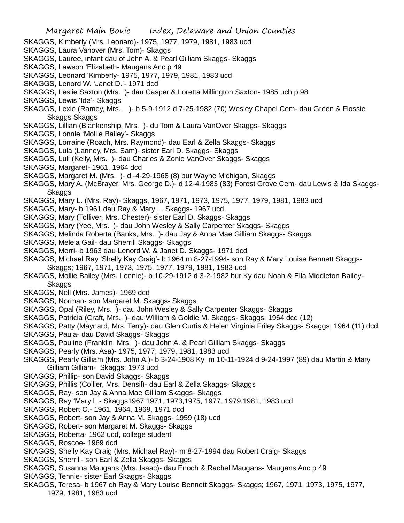- SKAGGS, Kimberly (Mrs. Leonard)- 1975, 1977, 1979, 1981, 1983 ucd
- SKAGGS, Laura Vanover (Mrs. Tom)- Skaggs
- SKAGGS, Lauree, infant dau of John A. & Pearl Gilliam Skaggs- Skaggs
- SKAGGS, Lawson 'Elizabeth- Maugans Anc p 49
- SKAGGS, Leonard 'Kimberly- 1975, 1977, 1979, 1981, 1983 ucd
- SKAGGS, Lenord W. 'Janet D.'- 1971 dcd
- SKAGGS, Leslie Saxton (Mrs. )- dau Casper & Loretta Millington Saxton- 1985 uch p 98
- SKAGGS, Lewis 'Ida'- Skaggs
- SKAGGS, Lexie (Ramey, Mrs. )- b 5-9-1912 d 7-25-1982 (70) Wesley Chapel Cem- dau Green & Flossie Skaggs Skaggs
- SKAGGS, Lillian (Blankenship, Mrs. )- du Tom & Laura VanOver Skaggs- Skaggs
- SKAGGS, Lonnie 'Mollie Bailey'- Skaggs
- SKAGGS, Lorraine (Roach, Mrs. Raymond)- dau Earl & Zella Skaggs- Skaggs
- SKAGGS, Lula (Lanney, Mrs. Sam)- sister Earl D. Skaggs- Skaggs
- SKAGGS, Luli (Kelly, Mrs. )- dau Charles & Zonie VanOver Skaggs- Skaggs
- SKAGGS, Margaret- 1961, 1964 dcd
- SKAGGS, Margaret M. (Mrs. )- d -4-29-1968 (8) bur Wayne Michigan, Skaggs
- SKAGGS, Mary A. (McBrayer, Mrs. George D.)- d 12-4-1983 (83) Forest Grove Cem- dau Lewis & Ida Skaggs-Skaggs
- SKAGGS, Mary L. (Mrs. Ray)- Skaggs, 1967, 1971, 1973, 1975, 1977, 1979, 1981, 1983 ucd
- SKAGGS, Mary- b 1961 dau Ray & Mary L. Skaggs- 1967 ucd
- SKAGGS, Mary (Tolliver, Mrs. Chester)- sister Earl D. Skaggs- Skaggs
- SKAGGS, Mary (Yee, Mrs. )- dau John Wesley & Sally Carpenter Skaggs- Skaggs
- SKAGGS, Melinda Roberta (Banks, Mrs. )- dau Jay & Anna Mae Gilliam Skaggs- Skaggs
- SKAGGS, Meleia Gail- dau Sherrill Skaggs- Skaggs
- SKAGGS, Merri- b 1963 dau Lenord W. & Janet D. Skaggs- 1971 dcd
- SKAGGS, Michael Ray 'Shelly Kay Craig'- b 1964 m 8-27-1994- son Ray & Mary Louise Bennett Skaggs-Skaggs; 1967, 1971, 1973, 1975, 1977, 1979, 1981, 1983 ucd
- SKAGGS, Mollie Bailey (Mrs. Lonnie)- b 10-29-1912 d 3-2-1982 bur Ky dau Noah & Ella Middleton Bailey-**Skaggs**
- SKAGGS, Nell (Mrs. James)- 1969 dcd
- SKAGGS, Norman- son Margaret M. Skaggs- Skaggs
- SKAGGS, Opal (Riley, Mrs. )- dau John Wesley & Sally Carpenter Skaggs- Skaggs
- SKAGGS, Patricia (Craft, Mrs. )- dau William & Goldie M. Skaggs- Skaggs; 1964 dcd (12)
- SKAGGS, Patty (Maynard, Mrs. Terry)- dau Glen Curtis & Helen Virginia Friley Skaggs- Skaggs; 1964 (11) dcd
- SKAGGS, Paula- dau David Skaggs- Skaggs
- SKAGGS, Pauline (Franklin, Mrs. )- dau John A. & Pearl Gilliam Skaggs- Skaggs
- SKAGGS, Pearly (Mrs. Asa)- 1975, 1977, 1979, 1981, 1983 ucd
- SKAGGS, Pearly Gilliam (Mrs. John A.)- b 3-24-1908 Ky m 10-11-1924 d 9-24-1997 (89) dau Martin & Mary Gilliam Gilliam- Skaggs; 1973 ucd
- SKAGGS, Phillip- son David Skaggs- Skaggs
- SKAGGS, Phillis (Collier, Mrs. Densil)- dau Earl & Zella Skaggs- Skaggs
- SKAGGS, Ray- son Jay & Anna Mae Gilliam Skaggs- Skaggs
- SKAGGS, Ray 'Mary L.- Skaggs1967 1971, 1973,1975, 1977, 1979,1981, 1983 ucd
- SKAGGS, Robert C.- 1961, 1964, 1969, 1971 dcd
- SKAGGS, Robert- son Jay & Anna M. Skaggs- 1959 (18) ucd
- SKAGGS, Robert- son Margaret M. Skaggs- Skaggs
- SKAGGS, Roberta- 1962 ucd, college student
- SKAGGS, Roscoe- 1969 dcd
- SKAGGS, Shelly Kay Craig (Mrs. Michael Ray)- m 8-27-1994 dau Robert Craig- Skaggs
- SKAGGS, Sherrill- son Earl & Zella Skaggs- Skaggs
- SKAGGS, Susanna Maugans (Mrs. Isaac)- dau Enoch & Rachel Maugans- Maugans Anc p 49
- SKAGGS, Tennie- sister Earl Skaggs- Skaggs
- SKAGGS, Teresa- b 1967 ch Ray & Mary Louise Bennett Skaggs- Skaggs; 1967, 1971, 1973, 1975, 1977, 1979, 1981, 1983 ucd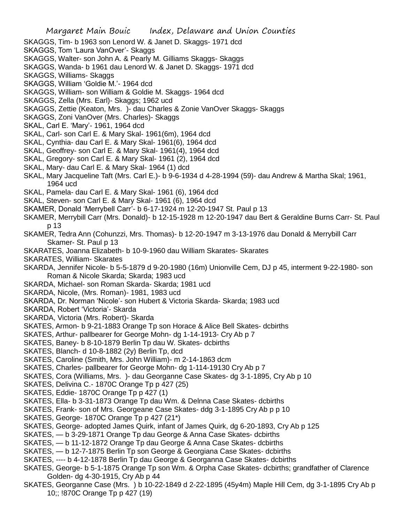- SKAGGS, Tim- b 1963 son Lenord W. & Janet D. Skaggs- 1971 dcd
- SKAGGS, Tom 'Laura VanOver'- Skaggs
- SKAGGS, Walter- son John A. & Pearly M. Gilliams Skaggs- Skaggs
- SKAGGS, Wanda- b 1961 dau Lenord W. & Janet D. Skaggs- 1971 dcd
- SKAGGS, Williams- Skaggs
- SKAGGS, William 'Goldie M.'- 1964 dcd
- SKAGGS, William- son William & Goldie M. Skaggs- 1964 dcd
- SKAGGS, Zella (Mrs. Earl)- Skaggs; 1962 ucd
- SKAGGS, Zettie (Keaton, Mrs. )- dau Charles & Zonie VanOver Skaggs- Skaggs
- SKAGGS, Zoni VanOver (Mrs. Charles)- Skaggs
- SKAL, Carl E. 'Mary'- 1961, 1964 dcd
- SKAL, Carl- son Carl E. & Mary Skal- 1961(6m), 1964 dcd
- SKAL, Cynthia- dau Carl E. & Mary Skal- 1961(6), 1964 dcd
- SKAL, Geoffrey- son Carl E. & Mary Skal- 1961(4), 1964 dcd
- SKAL, Gregory- son Carl E. & Mary Skal- 1961 (2), 1964 dcd
- SKAL, Mary- dau Carl E. & Mary Skal- 1964 (1) dcd
- SKAL, Mary Jacqueline Taft (Mrs. Carl E.)- b 9-6-1934 d 4-28-1994 (59)- dau Andrew & Martha Skal; 1961, 1964 ucd
- SKAL, Pamela- dau Carl E. & Mary Skal- 1961 (6), 1964 dcd
- SKAL, Steven- son Carl E. & Mary Skal- 1961 (6), 1964 dcd
- SKAMER, Donald 'Merrybell Carr'- b 6-17-1924 m 12-20-1947 St. Paul p 13
- SKAMER, Merrybill Carr (Mrs. Donald)- b 12-15-1928 m 12-20-1947 dau Bert & Geraldine Burns Carr- St. Paul p 13
- SKAMER, Tedra Ann (Cohunzzi, Mrs. Thomas)- b 12-20-1947 m 3-13-1976 dau Donald & Merrybill Carr Skamer- St. Paul p 13
- SKARATES, Joanna Elizabeth- b 10-9-1960 dau William Skarates- Skarates
- SKARATES, William- Skarates
- SKARDA, Jennifer Nicole- b 5-5-1879 d 9-20-1980 (16m) Unionville Cem, DJ p 45, interment 9-22-1980- son Roman & Nicole Skarda; Skarda; 1983 ucd
- SKARDA, Michael- son Roman Skarda- Skarda; 1981 ucd
- SKARDA, Nicole, (Mrs. Roman)- 1981, 1983 ucd
- SKARDA, Dr. Norman 'Nicole'- son Hubert & Victoria Skarda- Skarda; 1983 ucd
- SKARDA, Robert 'Victoria'- Skarda
- SKARDA, Victoria (Mrs. Robert)- Skarda
- SKATES, Armon- b 9-21-1883 Orange Tp son Horace & Alice Bell Skates- dcbirths
- SKATES, Arthur- pallbearer for George Mohn- dg 1-14-1913- Cry Ab p 7
- SKATES, Baney- b 8-10-1879 Berlin Tp dau W. Skates- dcbirths
- SKATES, Blanch- d 10-8-1882 (2y) Berlin Tp, dcd
- SKATES, Caroline (Smith, Mrs. John William)- m 2-14-1863 dcm
- SKATES, Charles- pallbearer for George Mohn- dg 1-114-19130 Cry Ab p 7
- SKATES, Cora (Williams, Mrs. )- dau Georganne Case Skates- dg 3-1-1895, Cry Ab p 10
- SKATES, Delivina C.- 1870C Orange Tp p 427 (25)
- SKATES, Eddie- 1870C Orange Tp p 427 (1)
- SKATES, Ella- b 3-31-1873 Orange Tp dau Wm. & Delnna Case Skates- dcbirths
- SKATES, Frank- son of Mrs. Georgeane Case Skates- ddg 3-1-1895 Cry Ab p p 10
- SKATES, George- 1870C Orange Tp p 427 (21\*)
- SKATES, George- adopted James Quirk, infant of James Quirk, dg 6-20-1893, Cry Ab p 125
- SKATES, b 3-29-1871 Orange Tp dau George & Anna Case Skates- dcbirths
- SKATES, b 11-12-1872 Orange Tp dau George & Anna Case Skates- dcbirths
- SKATES, b 12-7-1875 Berlin Tp son George & Georgiana Case Skates- dcbirths
- SKATES, ---- b 4-12-1878 Berlin Tp dau George & Georganna Case Skates- dcbirths
- SKATES, George- b 5-1-1875 Orange Tp son Wm. & Orpha Case Skates- dcbirths; grandfather of Clarence Golden- dg 4-30-1915, Cry Ab p 44
- SKATES, Georganne Case (Mrs. ) b 10-22-1849 d 2-22-1895 (45y4m) Maple Hill Cem, dg 3-1-1895 Cry Ab p 10;; !870C Orange Tp p 427 (19)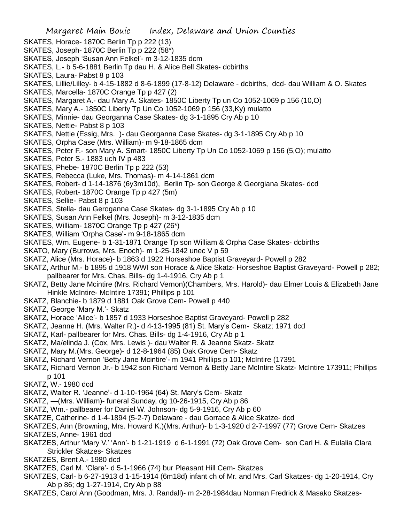- SKATES, Horace- 1870C Berlin Tp p 222 (13)
- SKATES, Joseph- 1870C Berlin Tp p 222 (58\*)
- SKATES, Joseph 'Susan Ann Felkel'- m 3-12-1835 dcm
- SKATES, L.- b 5-6-1881 Berlin Tp dau H. & Alice Bell Skates- dcbirths
- SKATES, Laura- Pabst 8 p 103
- SKATES, Lillie/Lilley- b 4-15-1882 d 8-6-1899 (17-8-12) Delaware dcbirths, dcd- dau William & O. Skates
- SKATES, Marcella- 1870C Orange Tp p 427 (2)
- SKATES, Margaret A.- dau Mary A. Skates- 1850C Liberty Tp un Co 1052-1069 p 156 (10,O)
- SKATES, Mary A.- 1850C Liberty Tp Un Co 1052-1069 p 156 (33,Ky) mulatto
- SKATES, Minnie- dau Georganna Case Skates- dg 3-1-1895 Cry Ab p 10
- SKATES, Nettie- Pabst 8 p 103
- SKATES, Nettie (Essig, Mrs. )- dau Georganna Case Skates- dg 3-1-1895 Cry Ab p 10
- SKATES, Orpha Case (Mrs. William)- m 9-18-1865 dcm
- SKATES, Peter F.- son Mary A. Smart- 1850C Liberty Tp Un Co 1052-1069 p 156 (5,O); mulatto
- SKATES, Peter S.- 1883 uch IV p 483
- SKATES, Phebe- 1870C Berlin Tp p 222 (53)
- SKATES, Rebecca (Luke, Mrs. Thomas)- m 4-14-1861 dcm
- SKATES, Robert- d 1-14-1876 (6y3m10d), Berlin Tp- son George & Georgiana Skates- dcd
- SKATES, Robert- 1870C Orange Tp p 427 (5m)
- SKATES, Sellie- Pabst 8 p 103
- SKATES, Stella- dau Geroganna Case Skates- dg 3-1-1895 Cry Ab p 10
- SKATES, Susan Ann Felkel (Mrs. Joseph)- m 3-12-1835 dcm
- SKATES, William- 1870C Orange Tp p 427 (26\*)
- SKATES, William 'Orpha Case'- m 9-18-1865 dcm
- SKATES, Wm. Eugene- b 1-31-1871 Orange Tp son William & Orpha Case Skates- dcbirths
- SKATO, Mary (Burrows, Mrs. Enoch)- m 1-25-1842 unec V p 59
- SKATZ, Alice (Mrs. Horace)- b 1863 d 1922 Horseshoe Baptist Graveyard- Powell p 282
- SKATZ, Arthur M.- b 1895 d 1918 WWI son Horace & Alice Skatz- Horseshoe Baptist Graveyard- Powell p 282; pallbearer for Mrs. Chas. Bills- dg 1-4-1916, Cry Ab p 1
- SKATZ, Betty Jane Mcintire (Mrs. Richard Vernon)(Chambers, Mrs. Harold)- dau Elmer Louis & Elizabeth Jane Hinkle McIntire- McIntire 17391; Phillips p 101
- SKATZ, Blanchie- b 1879 d 1881 Oak Grove Cem- Powell p 440
- SKATZ, George 'Mary M.'- Skatz
- SKATZ, Horace 'Alice'- b 1857 d 1933 Horseshoe Baptist Graveyard- Powell p 282
- SKATZ, Jeanne H. (Mrs. Walter R.)- d 4-13-1995 (81) St. Mary's Cem- Skatz; 1971 dcd
- SKATZ, Karl- pallbearer for Mrs. Chas. Bills- dg 1-4-1916, Cry Ab p 1
- SKATZ, Ma/elinda J. (Cox, Mrs. Lewis )- dau Walter R. & Jeanne Skatz- Skatz
- SKATZ, Mary M.(Mrs. George)- d 12-8-1964 (85) Oak Grove Cem- Skatz
- SKATZ, Richard Vernon 'Betty Jane Mcintire'- m 1941 Phillips p 101; McIntire (17391
- SKATZ, Richard Vernon Jr.- b 1942 son Richard Vernon & Betty Jane McIntire Skatz- McIntire 173911; Phillips p 101
- SKATZ, W.- 1980 dcd
- SKATZ, Walter R. 'Jeanne'- d 1-10-1964 (64) St. Mary's Cem- Skatz
- SKATZ, —(Mrs. William)- funeral Sunday, dg 10-26-1915, Cry Ab p 86
- SKATZ, Wm.- pallbearer for Daniel W. Johnson- dg 5-9-1916, Cry Ab p 60
- SKATZE, Catherine- d 1-4-1894 (5-2-7) Delaware dau Gorrace & Alice Skatze- dcd
- SKATZES, Ann (Browning, Mrs. Howard K.)(Mrs. Arthur)- b 1-3-1920 d 2-7-1997 (77) Grove Cem- Skatzes
- SKATZES, Anne- 1961 dcd
- SKATZES, Arthur 'Mary V.' 'Ann'- b 1-21-1919 d 6-1-1991 (72) Oak Grove Cem- son Carl H. & Eulalia Clara Strickler Skatzes- Skatzes
- SKATZES, Brent A.- 1980 dcd
- SKATZES, Carl M. 'Clare'- d 5-1-1966 (74) bur Pleasant Hill Cem- Skatzes
- SKATZES, Carl- b 6-27-1913 d 1-15-1914 (6m18d) infant ch of Mr. and Mrs. Carl Skatzes- dg 1-20-1914, Cry Ab p 86; dg 1-27-1914, Cry Ab p 88
- SKATZES, Carol Ann (Goodman, Mrs. J. Randall)- m 2-28-1984dau Norman Fredrick & Masako Skatzes-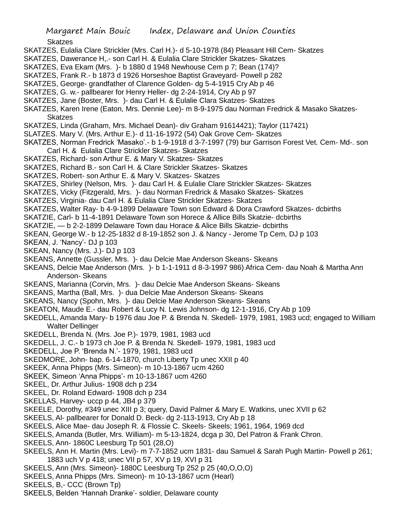Skatzes

- SKATZES, Eulalia Clare Strickler (Mrs. Carl H.)- d 5-10-1978 (84) Pleasant Hill Cem- Skatzes
- SKATZES, Dawerance H,.- son Carl H. & Eulalia Clare Strickler Skatzes- Skatzes
- SKATZES, Eva Ekam (Mrs. )- b 1880 d 1948 Newhouse Cem p 7; Bean (174)?
- SKATZES, Frank R.- b 1873 d 1926 Horseshoe Baptist Graveyard- Powell p 282
- SKATZES, George- grandfather of Clarence Golden- dg 5-4-1915 Cry Ab p 46
- SKATZES, G. w.- pallbearer for Henry Heller- dg 2-24-1914, Cry Ab p 97
- SKATZES, Jane (Boster, Mrs. )- dau Carl H. & Eulalie Clara Skatzes- Skatzes
- SKATZES, Karen Irene (Eaton, Mrs. Dennie Lee)- m 8-9-1975 dau Norman Fredrick & Masako Skatzes-**Skatzes**
- SKATZES, Linda (Graham, Mrs. Michael Dean)- div Graham 91614421); Taylor (117421)
- SLATZES. Mary V. (Mrs. Arthur E.)- d 11-16-1972 (54) Oak Grove Cem- Skatzes
- SKATZES, Norman Fredrick 'Masako'.- b 1-9-1918 d 3-7-1997 (79) bur Garrison Forest Vet. Cem- Md-. son Carl H. & Eulalia Clare Strickler Skatzes- Skatzes
- SKATZES, Richard- son Arthur E. & Mary V. Skatzes- Skatzes
- SKATZES, Richard B.- son Carl H. & Clare Strickler Skatzes- Skatzes
- SKATZES, Robert- son Arthur E. & Mary V. Skatzes- Skatzes
- SKATZES, Shirley (Nelson, Mrs. )- dau Carl H. & Eulalie Clare Strickler Skatzes- Skatzes
- SKATZES, Vicky (Fitzgerald, Mrs. )- dau Norman Fredrick & Masako Skatzes- Skatzes
- SKATZES, Virginia- dau Carl H. & Eulalia Clare Strickler Skatzes- Skatzes
- SKATZES, Walter Ray- b 4-9-1899 Delaware Town son Edward & Dora Crawford Skatzes- dcbirths
- SKATZIE, Carl- b 11-4-1891 Delaware Town son Horece & Allice Bills Skatzie- dcbirths
- SKATZIE, b 2-2-1899 Delaware Town dau Horace & Alice Bills Skatzie- dcbirths
- SKEAN, George W.- b 12-25-1832 d 8-19-1852 son J. & Nancy Jerome Tp Cem, DJ p 103
- SKEAN, J. 'Nancy'- DJ p 103
- SKEAN, Nancy (Mrs. J.)- DJ p 103
- SKEANS, Annette (Gussler, Mrs. )- dau Delcie Mae Anderson Skeans- Skeans
- SKEANS, Delcie Mae Anderson (Mrs. )- b 1-1-1911 d 8-3-1997 986) Africa Cem- dau Noah & Martha Ann Anderson- Skeans
- SKEANS, Marianna (Corvin, Mrs. )- dau Delcie Mae Anderson Skeans- Skeans
- SKEANS, Martha (Ball, Mrs. )- dua Delcie Mae Anderson Skeans- Skeans
- SKEANS, Nancy (Spohn, Mrs. )- dau Delcie Mae Anderson Skeans- Skeans
- SKEATON, Maude E.- dau Robert & Lucy N. Lewis Johnson- dg 12-1-1916, Cry Ab p 109
- SKEDELL, Amanda Mary- b 1976 dau Joe P. & Brenda N. Skedell- 1979, 1981, 1983 ucd; engaged to William Walter Dellinger
- SKEDELL, Brenda N. (Mrs. Joe P.)- 1979, 1981, 1983 ucd
- SKEDELL, J. C.- b 1973 ch Joe P. & Brenda N. Skedell- 1979, 1981, 1983 ucd
- SKEDELL, Joe P. 'Brenda N.'- 1979, 1981, 1983 ucd
- SKEDMORE, John- bap. 6-14-1870, church Liberty Tp unec XXII p 40
- SKEEK, Anna Phipps (Mrs. Simeon)- m 10-13-1867 ucm 4260
- SKEEK, Simeon 'Anna Phipps'- m 10-13-1867 ucm 4260
- SKEEL, Dr. Arthur Julius- 1908 dch p 234
- SKEEL, Dr. Roland Edward- 1908 dch p 234
- SKELLAS, Harvey- uccp p 44, JB4 p 379
- SKEELE, Dorothy, #349 unec XIII p 3; query, David Palmer & Mary E. Watkins, unec XVII p 62
- SKEELS, Al- pallbearer for Donald D. Beck- dg 2-113-1913, Cry Ab p 18
- SKEELS, Alice Mae- dau Joseph R. & Flossie C. Skeels- Skeels; 1961, 1964, 1969 dcd
- SKEELS, Amanda (Butler, Mrs. William)- m 5-13-1824, dcga p 30, Del Patron & Frank Chron.
- SKEELS, Ann- 1860C Leesburg Tp 501 (28,O)
- SKEELS, Ann H. Martin (Mrs. Levi)- m 7-7-1852 ucm 1831- dau Samuel & Sarah Pugh Martin- Powell p 261; 1883 uch V p 418; unec VII p 57, XV p 19, XVI p 31
- SKEELS, Ann (Mrs. Simeon)- 1880C Leesburg Tp 252 p 25 (40,O,O,O)
- SKEELS, Anna Phipps (Mrs. Simeon)- m 10-13-1867 ucm (Hearl)
- SKEELS, B,- CCC (Brown Tp)
- SKEELS, Belden 'Hannah Dranke'- soldier, Delaware county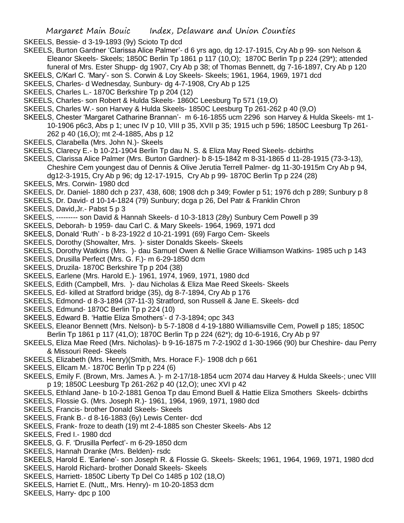SKEELS, Bessie- d 3-19-1893 (9y) Scioto Tp dcd

SKEELS, Burton Gardner 'Clarissa Alice Palmer'- d 6 yrs ago, dg 12-17-1915, Cry Ab p 99- son Nelson & Eleanor Skeels- Skeels; 1850C Berlin Tp 1861 p 117 (10,O); 1870C Berlin Tp p 224 (29\*); attended funeral of Mrs. Ester Shupp- dg 1907, Cry Ab p 38; of Thomas Bennett, dg 7-16-1897, Cry Ab p 120

SKEELS, C/Karl C. 'Mary'- son S. Corwin & Loy Skeels- Skeels; 1961, 1964, 1969, 1971 dcd

- SKEELS, Charles- d Wednesday, Sunbury- dg 4-7-1908, Cry Ab p 125
- SKEELS, Charles L.- 1870C Berkshire Tp p 204 (12)
- SKEELS, Charles- son Robert & Hulda Skeels- 1860C Leesburg Tp 571 (19,O)
- SKEELS, Charles W.- son Harvey & Hulda Skeels- 1850C Leesburg Tp 261-262 p 40 (9,O)
- SKEELS, Chester 'Margaret Catharine Brannan'- m 6-16-1855 ucm 2296 son Harvey & Hulda Skeels- mt 1- 10-1906 p6c3, Abs p 1; unec IV p 10, VIII p 35, XVII p 35; 1915 uch p 596; 1850C Leesburg Tp 261- 262 p 40 (16,O); mt 2-4-1885, Abs p 12
- SKEELS, Clarabella (Mrs. John N.)- Skeels
- SKEELS, Clarecy E.- b 10-21-1904 Berlin Tp dau N. S. & Eliza May Reed Skeels- dcbirths
- SKEELS, Clarissa Alice Palmer (Mrs. Burton Gardner)- b 8-15-1842 m 8-31-1865 d 11-28-1915 (73-3-13), Cheshire Cem youngest dau of Dennis & Olive Jerutia Terrell Palmer- dg 11-30-1915m Cry Ab p 94, dg12-3-1915, Cry Ab p 96; dg 12-17-1915, Cry Ab p 99- 1870C Berlin Tp p 224 (28)
- SKEELS, Mrs. Corwin- 1980 dcd
- SKEELS, Dr. Daniel- 1880 dch p 237, 438, 608; 1908 dch p 349; Fowler p 51; 1976 dch p 289; Sunbury p 8
- SKEELS, Dr. David- d 10-14-1824 (79) Sunbury; dcga p 26, Del Patr & Franklin Chron
- SKEELS, David,Jr.- Pabst 5 p 3
- SKEELS, --------- son David & Hannah Skeels- d 10-3-1813 (28y) Sunbury Cem Powell p 39
- SKEELS, Deborah- b 1959- dau Carl C. & Mary Skeels- 1964, 1969, 1971 dcd
- SKEELS, Donald 'Ruth' b 8-23-1922 d 10-21-1991 (69) Fargo Cem- Skeels
- SKEELS, Dorothy (Showalter, Mrs. )- sister Donalds Skeels- Skeels
- SKEELS, Dorothy Watkins (Mrs. )- dau Samuel Owen & Nellie Grace Williamson Watkins- 1985 uch p 143
- SKEELS, Drusilla Perfect (Mrs. G. F.)- m 6-29-1850 dcm
- SKEELS, Druzila- 1870C Berkshire Tp p 204 (38)
- SKEELS, Earlene (Mrs. Harold E.)- 1961, 1974, 1969, 1971, 1980 dcd
- SKEELS, Edith (Campbell, Mrs. )- dau Nicholas & Eliza Mae Reed Skeels- Skeels
- SKEELS, Ed- killed at Stratford bridge (35), dg 8-7-1894, Cry Ab p 176
- SKEELS, Edmond- d 8-3-1894 (37-11-3) Stratford, son Russell & Jane E. Skeels- dcd
- SKEELS, Edmund- 1870C Berlin Tp p 224 (10)
- SKEELS, Edward B. 'Hattie Eliza Smothers'- d 7-3-1894; opc 343
- SKEELS, Eleanor Bennett (Mrs. Nelson)- b 5-7-1808 d 4-19-1880 Williamsville Cem, Powell p 185; 1850C Berlin Tp 1861 p 117 (41,O); 1870C Berlin Tp p 224 (62\*); dg 10-6-1916, Cry Ab p 97
- SKEELS, Eliza Mae Reed (Mrs. Nicholas)- b 9-16-1875 m 7-2-1902 d 1-30-1966 (90) bur Cheshire- dau Perry & Missouri Reed- Skeels
- SKEELS, Elizabeth (Mrs. Henry)(Smith, Mrs. Horace F.)- 1908 dch p 661
- SKEELS, Ellcam M.- 1870C Berlin Tp p 224 (6)
- SKEELS, Emily F. (Brown, Mrs. James A. )- m 2-17/18-1854 ucm 2074 dau Harvey & Hulda Skeels-; unec VIII p 19; 1850C Leesburg Tp 261-262 p 40 (12,O); unec XVI p 42
- SKEELS, Ethland Jane- b 10-2-1881 Genoa Tp dau Emond Buell & Hattie Eliza Smothers Skeels- dcbirths
- SKEELS, Flossie G. (Mrs. Joseph R.)- 1961, 1964, 1969, 1971, 1980 dcd
- SKEELS, Francis- brother Donald Skeels- Skeels
- SKEELS, Frank B.- d 8-16-1883 (6y) Lewis Center- dcd
- SKEELS, Frank- froze to death (19) mt 2-4-1885 son Chester Skeels- Abs 12
- SKEELS, Fred I.- 1980 dcd
- SKEELS, G. F. 'Drusilla Perfect'- m 6-29-1850 dcm
- SKEELS, Hannah Dranke (Mrs. Belden)- rsdc
- SKEELS, Harold E. 'Earlene'- son Joseph R. & Flossie G. Skeels- Skeels; 1961, 1964, 1969, 1971, 1980 dcd
- SKEELS, Harold Richard- brother Donald Skeels- Skeels
- SKEELS, Harriett- 1850C Liberty Tp Del Co 1485 p 102 (18,O)
- SKEELS, Harriet E. (Nutt,, Mrs. Henry)- m 10-20-1853 dcm
- SKEELS, Harry- dpc p 100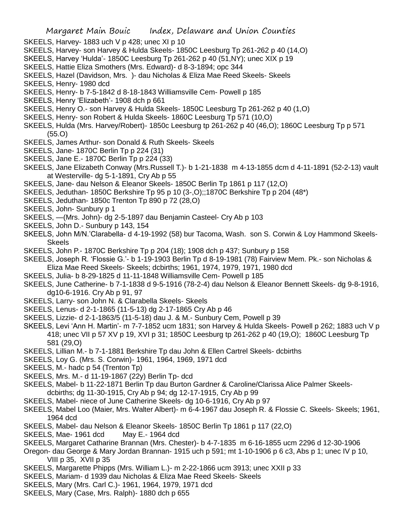- SKEELS, Harvey- 1883 uch V p 428; unec XI p 10
- SKEELS, Harvey- son Harvey & Hulda Skeels- 1850C Leesburg Tp 261-262 p 40 (14,O)
- SKEELS, Harvey 'Hulda'- 1850C Leesburg Tp 261-262 p 40 (51,NY); unec XIX p 19
- SKEELS, Hattie Eliza Smothers (Mrs. Edward)- d 8-3-1894; opc 344
- SKEELS, Hazel (Davidson, Mrs. )- dau Nicholas & Eliza Mae Reed Skeels- Skeels
- SKEELS, Henry- 1980 dcd
- SKEELS, Henry- b 7-5-1842 d 8-18-1843 Williamsville Cem- Powell p 185
- SKEELS, Henry 'Elizabeth'- 1908 dch p 661
- SKEELS, Henry O.- son Harvey & Hulda Skeels- 1850C Leesburg Tp 261-262 p 40 (1,O)
- SKEELS, Henry- son Robert & Hulda Skeels- 1860C Leesburg Tp 571 (10,O)
- SKEELS, Hulda (Mrs. Harvey/Robert)- 1850c Leesburg tp 261-262 p 40 (46,O); 1860C Leesburg Tp p 571 (55.O)
- SKEELS, James Arthur- son Donald & Ruth Skeels- Skeels
- SKEELS, Jane- 1870C Berlin Tp p 224 (31)
- SKEELS, Jane E.- 1870C Berlin Tp p 224 (33)
- SKEELS, Jane Elizabeth Conway (Mrs.Russell T.)- b 1-21-1838 m 4-13-1855 dcm d 4-11-1891 (52-2-13) vault at Westerville- dg 5-1-1891, Cry Ab p 55
- SKEELS, Jane- dau Nelson & Eleanor Skeels- 1850C Berlin Tp 1861 p 117 (12,O)
- SKEELS, Jeduthan- 1850C Berkshire Tp 95 p 10 (3-,O);;1870C Berkshire Tp p 204 (48\*)
- SKEELS, Jeduthan- 1850c Trenton Tp 890 p 72 (28,O)
- SKEELS, John- Sunbury p 1
- SKEELS, —(Mrs. John)- dg 2-5-1897 dau Benjamin Casteel- Cry Ab p 103
- SKEELS, John D.- Sunbury p 143, 154
- SKEELS, John M/N.'Clarabella- d 4-19-1992 (58) bur Tacoma, Wash. son S. Corwin & Loy Hammond Skeels-**Skeels**
- SKEELS, John P.- 1870C Berkshire Tp p 204 (18); 1908 dch p 437; Sunbury p 158
- SKEELS, Joseph R. 'Flossie G.'- b 1-19-1903 Berlin Tp d 8-19-1981 (78) Fairview Mem. Pk.- son Nicholas & Eliza Mae Reed Skeels- Skeels; dcbirths; 1961, 1974, 1979, 1971, 1980 dcd
- SKEELS, Julia- b 8-29-1825 d 11-11-1848 Williamsville Cem- Powell p 185
- SKEELS, June Catherine- b 7-1-1838 d 9-5-1916 (78-2-4) dau Nelson & Eleanor Bennett Skeels- dg 9-8-1916, dg10-6-1916. Cry Ab p 91, 97
- SKEELS, Larry- son John N. & Clarabella Skeels- Skeels
- SKEELS, Lenus- d 2-1-1865 (11-5-13) dg 2-17-1865 Cry Ab p 46
- SKEELS, Lizzie- d 2-1-1863/5 (11-5-18) dau J. & M.- Sunbury Cem, Powell p 39
- SKEELS, Levi 'Ann H. Martin'- m 7-7-1852 ucm 1831; son Harvey & Hulda Skeels- Powell p 262; 1883 uch V p 418; unec VII p 57 XV p 19, XVI p 31; 1850C Leesburg tp 261-262 p 40 (19,O); 1860C Leesburg Tp 581 (29,O)
- SKEELS, Lillian M.- b 7-1-1881 Berkshire Tp dau John & Ellen Cartrel Skeels- dcbirths
- SKEELS, Loy G. (Mrs. S. Corwin)- 1961, 1964, 1969, 1971 dcd
- SKEELS, M.- hadc p 54 (Trenton Tp)
- SKEELS, Mrs. M.- d 11-19-1867 (22y) Berlin Tp- dcd
- SKEELS, Mabel- b 11-22-1871 Berlin Tp dau Burton Gardner & Caroline/Clarissa Alice Palmer Skeelsdcbirths; dg 11-30-1915, Cry Ab p 94; dg 12-17-1915, Cry Ab p 99
- SKEELS, Mabel- niece of June Catherine Skeels- dg 10-6-1916, Cry Ab p 97
- SKEELS, Mabel Loo (Maier, Mrs. Walter Albert)- m 6-4-1967 dau Joseph R. & Flossie C. Skeels- Skeels; 1961, 1964 dcd
- SKEELS, Mabel- dau Nelson & Eleanor Skeels- 1850C Berlin Tp 1861 p 117 (22,O)
- SKEELS, Mae- 1961 dcd May E.- 1964 dcd
- SKEELS, Margaret Catharine Brannan (Mrs. Chester)- b 4-7-1835 m 6-16-1855 ucm 2296 d 12-30-1906
- Oregon- dau George & Mary Jordan Brannan- 1915 uch p 591; mt 1-10-1906 p 6 c3, Abs p 1; unec IV p 10, VIII p 35, XVII p 35
- SKEELS, Margarette Phipps (Mrs. William L.)- m 2-22-1866 ucm 3913; unec XXII p 33
- SKEELS, Mariam- d 1939 dau Nicholas & Eliza Mae Reed Skeels- Skeels
- SKEELS, Mary (Mrs. Carl C.)- 1961, 1964, 1979, 1971 dcd
- SKEELS, Mary (Case, Mrs. Ralph)- 1880 dch p 655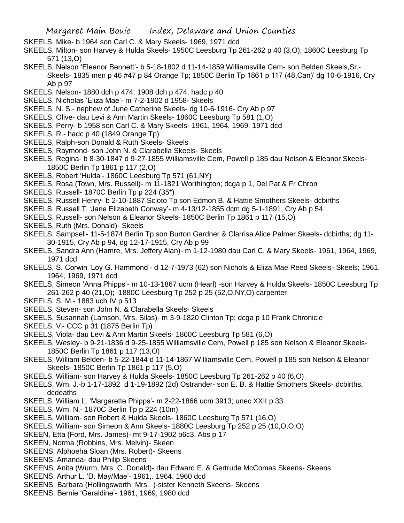- SKEELS, Mike- b 1964 son Carl C. & Mary Skeels- 1969, 1971 dcd
- SKEELS, Milton- son Harvey & Hulda Skeels- 1950C Leesburg Tp 261-262 p 40 (3,O); 1860C Leesburg Tp 571 (13,O)
- SKEELS, Nelson 'Eleanor Bennett'- b 5-18-1802 d 11-14-1859 Williamsville Cem- son Belden Skeels,Sr.- Skeels- 1835 men p 46 #47 p 84 Orange Tp; 1850C Berlin Tp 1861 p 117 (48,Can)' dg 10-6-1916, Cry Ab p 97
- SKEELS, Nelson- 1880 dch p 474; 1908 dch p 474; hadc p 40
- SKEELS, Nicholas 'Eliza Mae'- m 7-2-1902 d 1958- Skeels
- SKEELS, N. S.- nephew of June Catherine Skeels- dg 10-6-1916- Cry Ab p 97
- SKEELS, Olive- dau Levi & Ann Martin Skeels- 1860C Leesburg Tp 581 (1,O)
- SKEELS, Perry- b 1958 son Carl C. & Mary Skeels- 1961, 1964, 1969, 1971 dcd
- SKEELS, R.- hadc p 40 (1849 Orange Tp)
- SKEELS, Ralph-son Donald & Ruth Skeels- Skeels
- SKEELS, Raymond- son John N. & Clarabella Skeels- Skeels
- SKEELS, Regina- b 8-30-1847 d 9-27-1855 Williamsville Cem, Powell p 185 dau Nelson & Eleanor Skeels-1850C Berlin Tp 1861 p 117 (2,O)
- SKEELS, Robert 'Hulda'- 1860C Leesburg Tp 571 (61,NY)
- SKEELS, Rosa (Town, Mrs. Russell)- m 11-1821 Worthington; dcga p 1, Del Pat & Fr Chron
- SKEELS, Russell- 1870C Berlin Tp p 224 (35\*)
- SKEELS, Russell Henry- b 2-10-1887 Scioto Tp son Edmon B. & Hattie Smothers Skeels- dcbirths
- SKEELS, Russell T. 'Jane Elizabeth Conway'- m 4-13/12-1855 dcm dg 5-1-1891, Cry Ab p 54
- SKEELS, Russell- son Nelson & Eleanor Skeels- 1850C Berlin Tp 1861 p 117 (15,O)
- SKEELS, Ruth (Mrs. Donald)- Skeels
- SKEELS, Sampsell- 11-5-1874 Berlin Tp son Burton Gardner & Clarrisa Alice Palmer Skeels- dcbirths; dg 11- 30-1915, Cry Ab p 94, dg 12-17-1915, Cry Ab p 99
- SKEELS, Sandra Ann (Hamre, Mrs. Jeffery Alan)- m 1-12-1980 dau Carl C. & Mary Skeels- 1961, 1964, 1969, 1971 dcd
- SKEELS, S. Corwin 'Loy G. Hammond'- d 12-7-1973 (62) son Nichols & Eliza Mae Reed Skeels- Skeels; 1961, 1964, 1969, 1971 dcd
- SKEELS, Simeon 'Anna Phipps'- m 10-13-1867 ucm (Hearl) -son Harvey & Hulda Skeels- 1850C Leesburg Tp 261-262 p 40 (21,O); 1880C Leesburg Tp 252 p 25 (52,O,NY,O) carpenter
- SKEELS, S. M.- 1883 uch IV p 513
- SKEELS, Steven- son John N. & Clarabella Skeels- Skeels
- SKEELS, Susannah (Lamson, Mrs. Silas)- m 3-9-1820 Clinton Tp; dcga p 10 Frank Chronicle
- SKEELS, V.- CCC p 31 (1875 Berlin Tp)
- SKEELS, Viola- dau Levi & Ann Martin Skeels- 1860C Leesburg Tp 581 (6,O)
- SKEELS, Wesley- b 9-21-1836 d 9-25-1855 Williamsville Cem, Powell p 185 son Nelson & Eleanor Skeels-1850C Berlin Tp 1861 p 117 (13,O)
- SKEELS, William Belden- b 5-22-1844 d 11-14-1867 Williamsville Cem, Powell p 185 son Nelson & Eleanor Skeels- 1850C Berlin Tp 1861 p 117 (5,O)
- SKEELS, William- son Harvey & Hulda Skeels- 1850C Leesburg Tp 261-262 p 40 (6,O)
- SKEELS, Wm. J.-b 1-17-1892 d 1-19-1892 (2d) Ostrander- son E. B. & Hattie Smothers Skeels- dcbirths, dcdeaths
- SKEELS, William L. 'Margarette Phipps'- m 2-22-1866 ucm 3913; unec XXII p 33
- SKEELS, Wm. N.- 1870C Berlin Tp p 224 (10m)
- SKEELS, William- son Robert & Hulda Skeels- 1860C Leesburg Tp 571 (16,O)
- SKEELS, William- son Simeon & Ann Skeels- 1880C Leesburg Tp 252 p 25 (10,O,O,O)
- SKEEN, Etta (Ford, Mrs. James)- mt 9-17-1902 p6c3, Abs p 17
- SKEEN, Norma (Robbins, Mrs. Melvin)- Skeen
- SKEENS, Alphoeha Sloan (Mrs. Robert)- Skeens
- SKEENS, Amanda- dau Philip Skeens
- SKEENS, Anita (Wurm, Mrs. C. Donald)- dau Edward E. & Gertrude McComas Skeens- Skeens
- SKEENS, Arthur L. 'D. May/Mae'- 1961,. 1964. 1960 dcd
- SKEENS, Barbara (Hollingsworth, Mrs. )-sister Kenneth Skeens- Skeens
- SKEENS, Bernie 'Geraldine'- 1961, 1969, 1980 dcd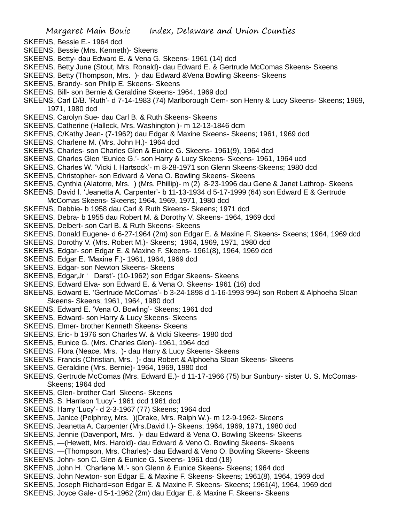- SKEENS, Bessie E.- 1964 dcd
- SKEENS, Bessie (Mrs. Kenneth)- Skeens
- SKEENS, Betty- dau Edward E. & Vena G. Skeens- 1961 (14) dcd
- SKEENS, Betty June (Stout, Mrs. Ronald)- dau Edward E. & Gertrude McComas Skeens- Skeens
- SKEENS, Betty (Thompson, Mrs. )- dau Edward &Vena Bowling Skeens- Skeens
- SKEENS, Brandy- son Philip E. Skeens- Skeens
- SKEENS, Bill- son Bernie & Geraldine Skeens- 1964, 1969 dcd
- SKEENS, Carl D/B. 'Ruth'- d 7-14-1983 (74) Marlborough Cem- son Henry & Lucy Skeens- Skeens; 1969, 1971, 1980 dcd
- SKEENS, Carolyn Sue- dau Carl B. & Ruth Skeens- Skeens
- SKEENS, Catherine (Halleck, Mrs. Washington )- m 12-13-1846 dcm
- SKEENS, C/Kathy Jean- (7-1962) dau Edgar & Maxine Skeens- Skeens; 1961, 1969 dcd
- SKEENS, Charlene M. (Mrs. John H.)- 1964 dcd
- SKEENS, Charles- son Charles Glen & Eunice G. Skeens- 1961(9), 1964 dcd
- SKEENS, Charles Glen 'Eunice G.'- son Harry & Lucy Skeens- Skeens- 1961, 1964 ucd
- SKEENS, Charles W. 'Vicki l. Hartsock'- m 8-28-1971 son Glenn Skeens-Skeens; 1980 dcd
- SKEENS, Christopher- son Edward & Vena O. Bowling Skeens- Skeens
- SKEENS, Cynthia (Alatorre, Mrs. ) (Mrs. Phillip)- m (2) 8-23-1996 dau Gene & Janet Lathrop- Skeens
- SKEENS, David I. 'Jeanetta A. Carpenter'- b 11-13-1934 d 5-17-1999 (64) son Edward E & Gertrude
- McComas Skeens- Skeens; 1964, 1969, 1971, 1980 dcd
- SKEENS, Debbie- b 1958 dau Carl & Ruth Skeens- Skeens; 1971 dcd
- SKEENS, Debra- b 1955 dau Robert M. & Dorothy V. Skeens- 1964, 1969 dcd
- SKEENS, Delbert- son Carl B. & Ruth Skeens- Skeens
- SKEENS, Donald Eugene- d 6-27-1964 (2m) son Edgar E. & Maxine F. Skeens- Skeens; 1964, 1969 dcd
- SKEENS, Dorothy V. (Mrs. Robert M.)- Skeens; 1964, 1969, 1971, 1980 dcd
- SKEENS, Edgar- son Edgar E. & Maxine F. Skeens- 1961(8), 1964, 1969 dcd
- SKEENS, Edgar E. 'Maxine F.)- 1961, 1964, 1969 dcd
- SKEENS, Edgar- son Newton Skeens- Skeens
- SKEENS, Edgar,Jr ' Darst'- (10-1962) son Edgar Skeens- Skeens
- SKEENS, Edward Elva- son Edward E. & Vena O. Skeens- 1961 (16) dcd
- SKEENS, Edward E. 'Gertrude McComas'- b 3-24-1898 d 1-16-1993 994) son Robert & Alphoeha Sloan Skeens- Skeens; 1961, 1964, 1980 dcd
- SKEENS, Edward E. 'Vena O. Bowling'- Skeens; 1961 dcd
- SKEENS, Edward- son Harry & Lucy Skeens- Skeens
- SKEENS, Elmer- brother Kenneth Skeens- Skeens
- SKEENS, Eric- b 1976 son Charles W. & Vicki Skeens- 1980 dcd
- SKEENS, Eunice G. (Mrs. Charles Glen)- 1961, 1964 dcd
- SKEENS, Flora (Neace, Mrs. )- dau Harry & Lucy Skeens- Skeens
- SKEENS, Francis (Christian, Mrs. )- dau Robert & Alphoeha Sloan Skeens- Skeens
- SKEENS, Geraldine (Mrs. Bernie)- 1964, 1969, 1980 dcd
- SKEENS, Gertrude McComas (Mrs. Edward E.)- d 11-17-1966 (75) bur Sunbury- sister U. S. McComas-Skeens; 1964 dcd
- SKEENS, Glen- brother Carl Skeens- Skeens
- SKEENS, S. Harrison 'Lucy'- 1961 dcd 1961 dcd
- SKEENS, Harry 'Lucy'- d 2-3-1967 (77) Skeens; 1964 dcd
- SKEENS, Janice (Pelphrey, Mrs. )(Drake, Mrs. Ralph W.)- m 12-9-1962- Skeens
- SKEENS, Jeanetta A. Carpenter (Mrs.David I.)- Skeens; 1964, 1969, 1971, 1980 dcd
- SKEENS, Jennie (Davenport, Mrs. )- dau Edward & Vena O. Bowling Skeens- Skeens
- SKEENS, —(Hewett, Mrs. Harold)- dau Edward & Veno O. Bowling Skeens- Skeens
- SKEENS, —(Thompson, Mrs. Charles)- dau Edward & Veno O. Bowling Skeens- Skeens
- SKEENS, John- son C. Glen & Eunice G. Skeens- 1961 dcd (18)
- SKEENS, John H. 'Charlene M.'- son Glenn & Eunice Skeens- Skeens; 1964 dcd
- SKEENS, John Newton- son Edgar E. & Maxine F. Skeens- Skeens; 1961(8), 1964, 1969 dcd
- SKEENS, Joseph Richard=son Edgar E. & Maxine F. Skeens- Skeens; 1961(4), 1964, 1969 dcd
- SKEENS, Joyce Gale- d 5-1-1962 (2m) dau Edgar E. & Maxine F. Skeens- Skeens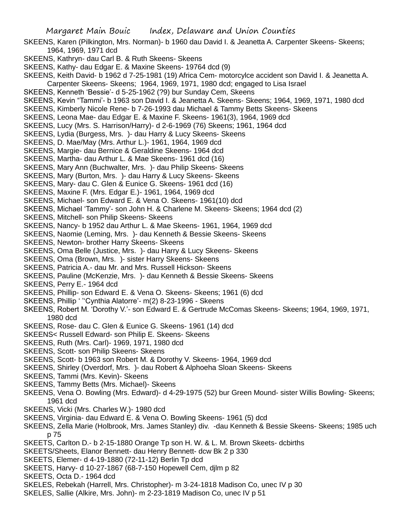- SKEENS, Karen (Pilkington, Mrs. Norman)- b 1960 dau David I. & Jeanetta A. Carpenter Skeens- Skeens; 1964, 1969, 1971 dcd
- SKEENS, Kathryn- dau Carl B. & Ruth Skeens- Skeens
- SKEENS, Kathy- dau Edgar E. & Maxine Skeens- 19764 dcd (9)
- SKEENS, Keith David- b 1962 d 7-25-1981 (19) Africa Cem- motorcylce accident son David I. & Jeanetta A. Carpenter Skeens- Skeens; 1964, 1969, 1971, 1980 dcd; engaged to Lisa Israel
- SKEENS, Kenneth 'Bessie'- d 5-25-1962 (?9) bur Sunday Cem, Skeens
- SKEENS, Kevin "Tammi'- b 1963 son David I. & Jeanetta A. Skeens- Skeens; 1964, 1969, 1971, 1980 dcd
- SKEENS, Kimberly Nicole Rene- b 7-26-1993 dau Michael & Tammy Betts Skeens- Skeens
- SKEENS, Leona Mae- dau Edgar E. & Maxine F. Skeens- 1961(3), 1964, 1969 dcd
- SKEENS, Lucy (Mrs. S. Harrison/Harry)- d 2-6-1969 (76) Skeens; 1961, 1964 dcd
- SKEENS, Lydia (Burgess, Mrs. )- dau Harry & Lucy Skeens- Skeens
- SKEENS, D. Mae/May (Mrs. Arthur L.)- 1961, 1964, 1969 dcd
- SKEENS, Margie- dau Bernice & Geraldine Skeens- 1964 dcd
- SKEENS, Martha- dau Arthur L. & Mae Skeens- 1961 dcd (16)
- SKEENS, Mary Ann (Buchwalter, Mrs. )- dau Philip Skeens- Skeens
- SKEENS, Mary (Burton, Mrs. )- dau Harry & Lucy Skeens- Skeens
- SKEENS, Mary- dau C. Glen & Eunice G. Skeens- 1961 dcd (16)
- SKEENS, Maxine F. (Mrs. Edgar E.)- 1961, 1964, 1969 dcd
- SKEENS, Michael- son Edward E. & Vena O. Skeens- 1961(10) dcd
- SKEENS, Michael 'Tammy'- son John H. & Charlene M. Skeens- Skeens; 1964 dcd (2)
- SKEENS, Mitchell- son Philip Skeens- Skeens
- SKEENS, Nancy- b 1952 dau Arthur L. & Mae Skeens- 1961, 1964, 1969 dcd
- SKEENS, Naomie (Leming, Mrs. )- dau Kenneth & Bessie Skeens- Skeens
- SKEENS, Newton- brother Harry Skeens- Skeens
- SKEENS, Oma Belle (Justice, Mrs. )- dau Harry & Lucy Skeens- Skeens
- SKEENS, Oma (Brown, Mrs. )- sister Harry Skeens- Skeens
- SKEENS, Patricia A.- dau Mr. and Mrs. Russell Hickson- Skeens
- SKEENS, Pauline (McKenzie, Mrs. )- dau Kenneth & Bessie Skeens- Skeens
- SKEENS, Perry E.- 1964 dcd
- SKEENS, Phillip- son Edward E. & Vena O. Skeens- Skeens; 1961 (6) dcd
- SKEENS, Phillip ' ''Cynthia Alatorre'- m(2) 8-23-1996 Skeens
- SKEENS, Robert M. 'Dorothy V.'- son Edward E. & Gertrude McComas Skeens- Skeens; 1964, 1969, 1971, 1980 dcd
- SKEENS, Rose- dau C. Glen & Eunice G. Skeens- 1961 (14) dcd
- SKEENS< Russell Edward- son Philip E. Skeens- Skeens
- SKEENS, Ruth (Mrs. Carl)- 1969, 1971, 1980 dcd
- SKEENS, Scott- son Philip Skeens- Skeens
- SKEENS, Scott- b 1963 son Robert M. & Dorothy V. Skeens- 1964, 1969 dcd
- SKEENS, Shirley (Overdorf, Mrs. )- dau Robert & Alphoeha Sloan Skeens- Skeens
- SKEENS, Tammi (Mrs. Kevin)- Skeens
- SKEENS, Tammy Betts (Mrs. Michael)- Skeens
- SKEENS, Vena O. Bowling (Mrs. Edward)- d 4-29-1975 (52) bur Green Mound- sister Willis Bowling- Skeens; 1961 dcd
- SKEENS, Vicki (Mrs. Charles W.)- 1980 dcd
- SKEENS, Virginia- dau Edward E. & Vena O. Bowling Skeens- 1961 (5) dcd
- SKEENS, Zella Marie (Holbrook, Mrs. James Stanley) div. -dau Kenneth & Bessie Skeens- Skeens; 1985 uch p 75
- SKEETS, Carlton D.- b 2-15-1880 Orange Tp son H. W. & L. M. Brown Skeets- dcbirths
- SKEETS/Sheets, Elanor Bennett- dau Henry Bennett- dcw Bk 2 p 330
- SKEETS, Elemer- d 4-19-1880 (72-11-12) Berlin Tp dcd
- SKEETS, Harvy- d 10-27-1867 (68-7-150 Hopewell Cem, djlm p 82
- SKEETS, Octa D.- 1964 dcd
- SKELES, Rebekah (Harrell, Mrs. Christopher)- m 3-24-1818 Madison Co, unec IV p 30
- SKELES, Sallie (Alkire, Mrs. John)- m 2-23-1819 Madison Co, unec IV p 51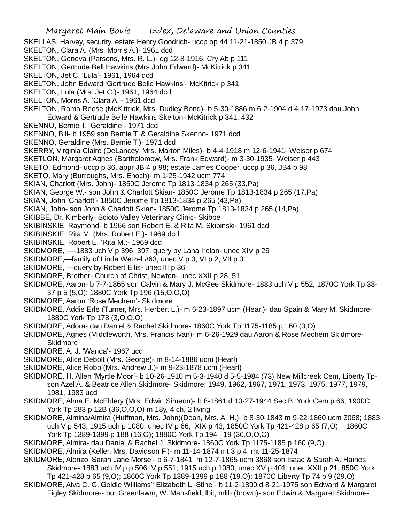- SKELLAS, Harvey, security, estate Henry Goodrich- uccp op 44 11-21-1850 JB 4 p 379
- SKELTON, Clara A. (Mrs. Morris A.)- 1961 dcd
- SKELTON, Geneva (Parsons, Mrs. R. L.)- dg 12-8-1916, Cry Ab p 111
- SKELTON, Gertrude Bell Hawkins (Mrs.John Edward)- McKitrick p 341
- SKELTON, Jet C. 'Lula'- 1961, 1964 dcd
- SKELTON, John Edward 'Gertrude Belle Hawkins'- McKitrick p 341
- SKELTON, Lula (Mrs. Jet C.)- 1961, 1964 dcd
- SKELTON, Morris A. 'Clara A.'- 1961 dcd
- SKELTON, Roma Reese (McKittrick, Mrs. Dudley Bond)- b 5-30-1886 m 6-2-1904 d 4-17-1973 dau John Edward & Gertrude Belle Hawkins Skelton- McKitrick p 341, 432
- SKENNO, Bernie T. 'Geraldine'- 1971 dcd
- SKENNO, Bill- b 1959 son Bernie T. & Geraldine Skenno- 1971 dcd
- SKENNO, Geraldine (Mrs. Bernie T.)- 1971 dcd
- SKERRY, Virginia Claire (DeLancey. Mrs. Marton Miles)- b 4-4-1918 m 12-6-1941- Weiser p 674
- SKETLON, Margaret Agnes (Bartholomew, Mrs. Frank Edward)- m 3-30-1935- Weiser p 443
- SKETO, Edmond- uccp p 36, appr JB 4 p 98; estate James Cooper, uccp p 36, JB4 p 98
- SKETO, Mary (Burroughs, Mrs. Enoch)- m 1-25-1942 ucm 774
- SKIAN, Charlott (Mrs. John)- 1850C Jerome Tp 1813-1834 p 265 (33,Pa)
- SKIAN, George W.- son John & Charlott Skian- 1850C Jerome Tp 1813-1834 p 265 (17,Pa)
- SKIAN, John 'Charlott'- 1850C Jerome Tp 1813-1834 p 265 (43,Pa)
- SKIAN, John- son John & Charlott Skian- 1850C Jerome Tp 1813-1834 p 265 (14,Pa)
- SKIBBE, Dr. Kimberly- Scioto Valley Veterinary Clinic- Skibbe
- SKIBINSKIE, Raymond- b 1966 son Robert E. & Rita M. Skibinski- 1961 dcd
- SKIBINSKIE, Rita M. (Mrs. Robert E.)- 1969 dcd
- SKIBINSKIE, Robert E. 'Rita M.;- 1969 dcd
- SKIDMORE, ----1883 uch V p 396, 397; query by Lana Irelan- unec XIV p 26
- SKIDMORE,—family of Linda Wetzel #63, unec V p 3, VI p 2, VII p 3
- SKIDMORE, —query by Robert Ellis- unec III p 36
- SKIDMORE, Brother- Church of Christ, Newton- unec XXII p 28, 51
- SKIDMORE, Aaron- b 7-7-1865 son Calvin & Mary J. McGee Skidmore- 1883 uch V p 552; 1870C York Tp 38- 37 p 5 (5,O); 1880C York Tp 196 (15,O,O,O)
- SKIDMORE, Aaron 'Rose Mechem'- Skidmore
- SKIDMORE, Addie Erle (Turner, Mrs. Herbert L.)- m 6-23-1897 ucm (Hearl)- dau Spain & Mary M. Skidmore-1880C York Tp 178 (3,O,O,O)
- SKIDMORE, Adora- dau Daniel & Rachel Skidmore- 1860C York Tp 1175-1185 p 160 (3,O)
- SKIDMORE, Agnes (Middleworth, Mrs. Francis Ivan)- m 6-26-1929 dau Aaron & Rose Mechem Skidmore-**Skidmore**
- SKIDMORE, A. J. 'Wanda'- 1967 ucd
- SKIDMORE, Alice Debolt (Mrs. George)- m 8-14-1886 ucm (Hearl)
- SKIDMORE, Alice Robb (Mrs. Andrew J.)- m 9-23-1878 ucm (Hearl)
- SKIDMORE, H. Allen 'Myrtle Moor'- b 10-26-1910 m 5-3-1940 d 5-5-1984 (73) New Millcreek Cem, Liberty Tpson Azel A. & Beatrice Allen Skidmore- Skidmore; 1949, 1962, 1967, 1971, 1973, 1975, 1977, 1979, 1981, 1983 ucd
- SKIDMORE, Alma E. McEldery (Mrs. Edwin Simeon)- b 8-1861 d 10-27-1944 Sec B. York Cem p 66; 1900C York Tp 283 p 12B (36,O,O,O) m 18y, 4 ch, 2 living
- SKIDMORE, Almina/Almira (Huffman, Mrs. John)(Dean, Mrs. A. H.)- b 8-30-1843 m 9-22-1860 ucm 3068; 1883 uch V p 543; 1915 uch p 1080; unec IV p 66, XIX p 43; 1850C York Tp 421-428 p 65 (7,O); 1860C York Tp 1389-1399 p 188 (16,O); 1880C York Tp 194 [ 19 (36,O,O,O)
- SKIDMORE, Almira- dau Daniel & Rachel J. Skidmore- 1860C York Tp 1175-1185 p 160 (9,O)
- SKIDMORE, Almira (Keller, Mrs. Davidson F.)- m 11-14-1874 mt 3 p 4; mt 11-25-1874
- SKIDMORE, Alonzo 'Sarah Jane Morse'- b 6-7-1841 m 12-7-1865 ucm 3868 son Isaac & Sarah A. Haines Skidmore- 1883 uch IV p p 506, V p 551; 1915 uch p 1080; unec XV p 401; unec XXII p 21; 850C York Tp 421-428 p 65 (9,O); 1860C York Tp 1389-1399 p 188 (19,O); 1870C Liberty Tp 74 p 9 (29,O)
- SKIDMORE, Alva C. G.'Goldie Williams'' Elizabeth L. Stine'- b 11-2-1890 d 8-21-1975 son Edward & Margaret Figley Skidmore-- bur Greenlawm, W. Mansfield, lbit, mlib (brown)- son Edwin & Margaret Skidmore-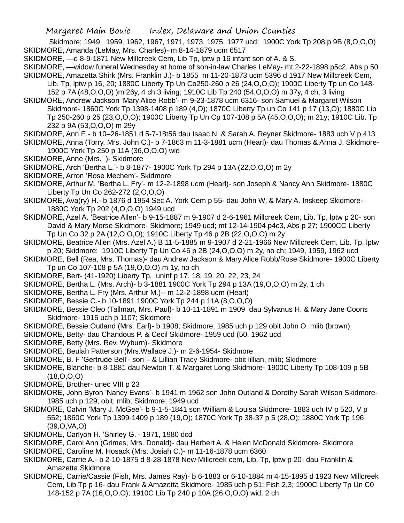Skidmore; 1949, 1959, 1962, 1967, 1971, 1973, 1975, 1977 ucd; 1900C York Tp 208 p 9B (8,O,O,O) SKIDMORE, Amanda (LeMay, Mrs. Charles)- m 8-14-1879 ucm 6517

SKIDMORE, —d 8-9-1871 New Millcreek Cem, Lib Tp, lptw p 16 infant son of A. & S.

SKIDMORE, —widow funeral Wednesday at home of son-in-law Charles LeMay- mt 2-22-1898 p5c2, Abs p 50 SKIDMORE, Amazetta Shirk (Mrs. Franklin J.)- b 1855 m 11-20-1873 ucm 5396 d 1917 New Millcreek Cem,

Lib. Tp, lptw p 16, 20; 1880C Liberty Tp Un Co250-260 p 26 (24,O,O,O); 1900C Liberty Tp un Co 148- 152 p 7A (48,O,O,O) )m 26y, 4 ch 3 living; 1910C Lib Tp 240 (54,O,O,O) m 37y, 4 ch, 3 living

SKIDMORE, Andrew Jackson 'Mary Alice Robb'- m 9-23-1878 ucm 6316- son Samuel & Margaret Wilson Skidmore- 1860C York Tp 1398-1408 p 189 (4,O); 1870C Liberty Tp un Co 141 p 17 (13,O); 1880C Lib Tp 250-260 p 25 (23,O,O,O); 1900C Liberty Tp Un Cp 107-108 p 5A (45,O,O,O); m 21y; 1910C Lib. Tp 232 p 9A (53,O,O,O) m 29y

SKIDMORE, Ann E.- b 10–26-1851 d 5-7-18t56 dau Isaac N. & Sarah A. Reyner Skidmore- 1883 uch V p 413 SKIDMORE, Anna (Torry, Mrs. John C.)- b 7-1863 m 11-3-1881 ucm (Hearl)- dau Thomas & Anna J. Skidmore-1900C York Tp 250 p 11A (36,O,O,O) wid

- SKIDMORE, Anne (Mrs. )- Skidmore
- SKIDMORE, Arch 'Bertha L.'- b 8-1877- 1900C York Tp 294 p 13A (22,O,O,O) m 2y
- SKIDMORE, Arron 'Rose Mechem'- Skidmore
- SKIDMORE, Arthur M. 'Bertha L. Fry'- m 12-2-1898 ucm (Hearl)- son Joseph & Nancy Ann Skidmore- 1880C Liberty Tp Un Co 262-272 (2,O,O,O)
- SKIDMORE, Ava(ry) H.- b 1876 d 1954 Sec A. York Cem p 55- dau John W. & Mary A. Inskeep Skidmore-1880C York Tp 202 (4,O,O,O) 1949 ucd
- SKIDMORE, Azel A. 'Beatrice Allen'- b 9-15-1887 m 9-1907 d 2-6-1961 Millcreek Cem, Lib. Tp, lptw p 20- son David & Mary Morse Skidmore- Skidmore; 1949 ucd; mt 12-14-1904 p4c3, Abs p 27; 1900CC Liberty Tp Un Co 32 p 2A (12,O,O,O); 1910C Liberty Tp 46 p 2B (22,O,O,O) m 2y
- SKIDMORE, Beatrice Allen (Mrs. Azel A.) B 11-5-1885 m 9-1907 d 2-21-1966 New Millcreek Cem, Lib. Tp, lptw p 20; Skidmore; 1910C Liberty Tp Un Co 46 p 2B (24,O,O,O) m 2y, no ch; 1949, 1959, 1962 ucd
- SKIDMORE, Bell (Rea, Mrs. Thomas)- dau Andrew Jackson & Mary Alice Robb/Rose Skidmore- 1900C Liberty Tp un Co 107-108 p 5A (19,O,O,O) m 1y, no ch
- SKIDMORE, Bert- (41-1920) Liberty Tp, uninf p 17. 18, 19, 20, 22, 23, 24
- SKIDMORE, Bertha L. (Mrs. Arch)- b 3-1881 1900C York Tp 294 p 13A (19,O,O,O) m 2y, 1 ch
- SKIDMORE, Bertha L. Fry (Mrs. Arthur M.)-- m 12-2-1898 ucm (Hearl)
- SKIDMORE, Bessie C.- b 10-1891 1900C York Tp 244 p 11A (8,O,O,O)
- SKIDMORE, Bessie Cleo (Tallman, Mrs. Paul)- b 10-11-1891 m 1909 dau Sylvanus H. & Mary Jane Coons Skidmore- 1915 uch p 1107; Skidmore
- SKIDMORE, Bessie Outland (Mrs. Earl)- b 1908; Skidmore; 1985 uch p 129 obit John O. mlib (brown)
- SKIDMORE, Betty- dau Chandous P. & Cecil Skidmore- 1959 ucd (50, 1962 ucd
- SKIDMORE, Betty (Mrs. Rev. Wyburn)- Skidmore
- SKIDMORE, Beulah Patterson (Mrs.Wallace J.)- m 2-6-1954- Skidmore
- SKIDMORE, B. F 'Gertrude Bell'- son & Lillian Tracy Skidmore- obit lillian, mlib; Skidmore
- SKIDMORE, Blanche- b 8-1881 dau Newton T. & Margaret Long Skidmore- 1900C Liberty Tp 108-109 p 5B (18,O,O,O)
- SKIDMORE, Brother- unec VIII p 23
- SKIDMORE, John Byron 'Nancy Evans'- b 1941 m 1962 son John Outland & Dorothy Sarah Wilson Skidmore-1985 uch p 129; obit, mlib; Skidmore; 1949 ucd
- SKIDMORE, Calvin 'Mary J. McGee'- b 9-1-5-1841 son William & Louisa Skidmore- 1883 uch IV p 520, V p 552; 1860C York Tp 1399-1409 p 189 (19,O); 1870C York Tp 38-37 p 5 (28,O); 1880C York Tp 196 (39,O,VA,O)
- SKIDMORE, Carlyon H. 'Shirley G.'- 1971, 1980 dcd
- SKIDMORE, Carol Ann (Grimes, Mrs. Donald)- dau Herbert A. & Helen McDonald Skidmore- Skidmore
- SKIDMORE, Caroline M. Hosack (Mrs. Josiah C.)- m 11-16-1878 ucm 6360
- SKIDMORE, Carrie A.- b 2-10-1875 d 8-28-1878 New Millcreek cem, Lib. Tp, lptw p 20- dau Franklin & Amazetta Skidmore
- SKIDMORE, Carrie/Cassie (Fish, Mrs. James Ray)- b 6-1883 or 6-10-1884 m 4-15-1895 d 1923 New Millcreek Cem, Lib Tp p 16- dau Frank & Amazetta Skidmore- 1985 uch p 51; Fish 2,3; 1900C Liberty Tp Un C0 148-152 p 7A (16,O,O,O); 1910C Lib Tp 240 p 10A (26,O,O,O) wid, 2 ch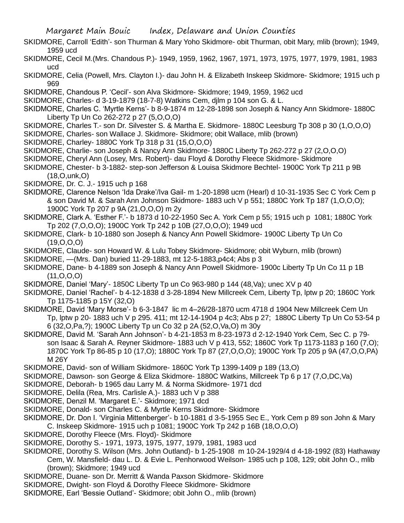- SKIDMORE, Carroll 'Edith'- son Thurman & Mary Yoho Skidmore- obit Thurman, obit Mary, mlib (brown); 1949, 1959 ucd
- SKIDMORE, Cecil M.(Mrs. Chandous P.)- 1949, 1959, 1962, 1967, 1971, 1973, 1975, 1977, 1979, 1981, 1983 ucd
- SKIDMORE, Celia (Powell, Mrs. Clayton I.)- dau John H. & Elizabeth Inskeep Skidmore- Skidmore; 1915 uch p 969
- SKIDMORE, Chandous P. 'Cecil'- son Alva Skidmore- Skidmore; 1949, 1959, 1962 ucd
- SKIDMORE, Charles- d 3-19-1879 (18-7-8) Watkins Cem, djlm p 104 son G. & L.
- SKIDMORE, Charles C. 'Myrtle Kerns'- b 8-9-1874 m 12-28-1898 son Joseph & Nancy Ann Skidmore- 1880C Liberty Tp Un Co 262-272 p 27 (5,O,O,O)
- SKIDMORE, Charles T.- son Dr. Silvester S. & Martha E. Skidmore- 1880C Leesburg Tp 308 p 30 (1,O,O,O)
- SKIDMORE, Charles- son Wallace J. Skidmore- Skidmore; obit Wallace, mlib (brown)
- SKIDMORE, Charley- 1880C York Tp 318 p 31 (15,O,O,O)
- SKIDMORE, Charlie- son Joseph & Nancy Ann Skidmore- 1880C Liberty Tp 262-272 p 27 (2,O,O,O)
- SKIDMORE, Cheryl Ann (Losey, Mrs. Robert)- dau Floyd & Dorothy Fleece Skidmore- Skidmore
- SKIDMORE, Chester- b 3-1882- step-son Jefferson & Louisa Skidmore Bechtel- 1900C York Tp 211 p 9B (18,O,unk,O)
- SKIDMORE, Dr. C. J.- 1915 uch p 168
- SKIDMORE, Clarence Nelson 'Ida Drake'/Iva Gail- m 1-20-1898 ucm (Hearl) d 10-31-1935 Sec C York Cem p & son David M. & Sarah Ann Johnson Skidmore- 1883 uch V p 551; 1880C York Tp 187 (1,O,O,O); 1900C York Tp 207 p 9A (21,O,O,O) m 2y
- SKIDMORE, Clark A. 'Esther F.'- b 1873 d 10-22-1950 Sec A. York Cem p 55; 1915 uch p 1081; 1880C York Tp 202 (7,O,O,O); 1900C York Tp 242 p 10B (27,O,O,O); 1949 ucd
- SKIDMORE, Clark- b 10-1880 son Joseph & Nancy Ann Powell Skidmore- 1900C Liberty Tp Un Co  $(19,0,0,0)$
- SKIDMORE, Claude- son Howard W. & Lulu Tobey Skidmore- Skidmore; obit Wyburn, mlib (brown)
- SKIDMORE, —(Mrs. Dan) buried 11-29-1883, mt 12-5-1883,p4c4; Abs p 3
- SKIDMORE, Dane- b 4-1889 son Joseph & Nancy Ann Powell Skidmore- 1900c Liberty Tp Un Co 11 p 1B (11,O,O,O)
- SKIDMORE, Daniel 'Mary'- 1850C Liberty Tp un Co 963-980 p 144 (48,Va); unec XV p 40
- SKIDMORE, Daniel 'Rachel'- b 4-12-1838 d 3-28-1894 New Millcreek Cem, Liberty Tp, lptw p 20; 1860C York Tp 1175-1185 p 15Y (32,O)
- SKIDMORE, David 'Mary Morse'- b 6-3-1847 lic m 4–26/28-1870 ucm 4718 d 1904 New Millcreek Cem Un Tp, lptw p 20- 1883 uch V p 295. 411; mt 12-14-1904 p 4c3; Abs p 27; 1880C Liberty Tp Un Co 53-54 p 6 (32,O,Pa,?); 1900C Liberty Tp un Co 32 p 2A (52,O,Va,O) m 30y
- SKIDMORE, David M. 'Sarah Ann Johnson'- b 4-21-1853 m 8-23-1973 d 2-12-1940 York Cem, Sec C. p 79 son Isaac & Sarah A. Reyner Skidmore- 1883 uch V p 413, 552; 1860C York Tp 1173-1183 p 160 (7,O); 1870C York Tp 86-85 p 10 (17,O); 1880C York Tp 87 (27,O,O,O); 1900C York Tp 205 p 9A (47,O,O,PA) M 26Y
- SKIDMORE, David- son of William Skidmore- 1860C York Tp 1399-1409 p 189 (13,O)
- SKIDMORE, Dawson- son George & Eliza Skidmore- 1880C Watkins, Millcreek Tp 6 p 17 (7,O,DC,Va)
- SKIDMORE, Deborah- b 1965 dau Larry M. & Norma Skidmore- 1971 dcd
- SKIDMORE, Delila (Rea, Mrs. Carlisle A.)- 1883 uch V p 388
- SKIDMORE, Denzil M. 'Margaret E.'- Skidmore; 1971 dcd
- SKIDMORE, Donald- son Charles C. & Myrtle Kerns Skidmore- Skidmore
- SKIDMORE, Dr. Don I. 'Virginia Mittenberger'- b 10-1881 d 3-5-1955 Sec E., York Cem p 89 son John & Mary C. Inskeep Skidmore- 1915 uch p 1081; 1900C York Tp 242 p 16B (18,O,O,O)
- SKIDMORE, Dorothy Fleece (Mrs. Floyd)- Skidmore
- SKIDMORE, Dorothy S.- 1971, 1973, 1975, 1977, 1979, 1981, 1983 ucd
- SKIDMORE, Dorothy S. Wilson (Mrs. John Outland)- b 1-25-1908 m 10-24-1929/4 d 4-18-1992 (83) Hathaway Cem, W. Mansfield- dau L. D. & Evie L. Penhorwood Weilson- 1985 uch p 108, 129; obit John O., mlib (brown); Skidmore; 1949 ucd
- SKIDMORE, Duane- son Dr. Merritt & Wanda Paxson Skidmore- Skidmore
- SKIDMORE, Dwight- son Floyd & Dorothy Fleece Skidmore- Skidmore
- SKIDMORE, Earl 'Bessie Outland'- Skidmore; obit John O., mlib (brown)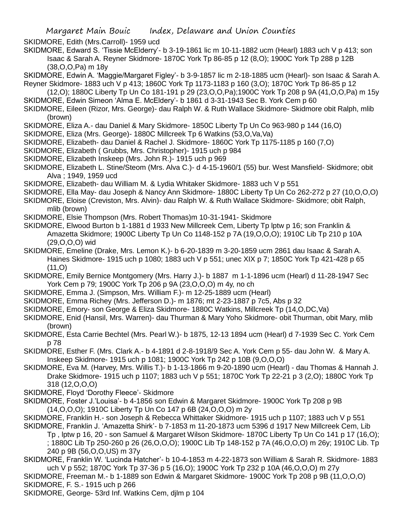SKIDMORE, Edith (Mrs.Carroll)- 1959 ucd

- SKIDMORE, Edward S. 'Tissie McElderry'- b 3-19-1861 lic m 10-11-1882 ucm (Hearl) 1883 uch V p 413; son Isaac & Sarah A. Reyner Skidmore- 1870C York Tp 86-85 p 12 (8,O); 1900C York Tp 288 p 12B (38,O,O,Pa) m 18y
- SKIDMORE, Edwin A. 'Maggie/Margaret Figley'- b 3-9-1857 lic m 2-18-1885 ucm (Hearl)- son Isaac & Sarah A. Reyner Skidmore- 1883 uch V p 413; 1860C York Tp 1173-1183 p 160 (3,O); 1870C York Tp 86-85 p 12
- (12,O); 1880C Liberty Tp Un Co 181-191 p 29 (23,O,O,Pa);1900C York Tp 208 p 9A (41,O,O,Pa) m 15y SKIDMORE, Edwin Simeon 'Alma E. McEldery'- b 1861 d 3-31-1943 Sec B. York Cem p 60
- SKIDMORE, Eileen (Rizor, Mrs. George)- dau Ralph W. & Ruth Wallace Skidmore- Skidmore obit Ralph, mlib (brown)
- SKIDMORE, Eliza A.- dau Daniel & Mary Skidmore- 1850C Liberty Tp Un Co 963-980 p 144 (16,O)
- SKIDMORE, Eliza (Mrs. George)- 1880C Millcreek Tp 6 Watkins (53,O,Va,Va)
- SKIDMORE, Elizabeth- dau Daniel & Rachel J. Skidmore- 1860C York Tp 1175-1185 p 160 (7,O)
- SKIDMORE, Elizabeth ( Grubbs, Mrs. Christopher)- 1915 uch p 984
- SKIDMORE, Elizabeth Inskeep (Mrs. John R.)- 1915 uch p 969
- SKIDMORE, Elizabeth L. Stine/Steom (Mrs. Alva C.)- d 4-15-1960/1 (55) bur. West Mansfield- Skidmore; obit Alva ; 1949, 1959 ucd
- SKIDMORE, Elizabeth- dau William M. & Lydia Whitaker Skidmore- 1883 uch V p 551
- SKIDMORE, Ella May- dau Joseph & Nancy Ann Skidmore- 1880C Liberty Tp Un Co 262-272 p 27 (10,O,O,O)
- SKIDMORE, Eloise (Creviston, Mrs. Alvin)- dau Ralph W. & Ruth Wallace Skidmore- Skidmore; obit Ralph, mlib (brown)
- SKIDMORE, Elsie Thompson (Mrs. Robert Thomas)m 10-31-1941- Skidmore
- SKIDMORE, Elwood Burton b 1-1881 d 1933 New Millcreek Cem, Liberty Tp lptw p 16; son Franklin & Amazetta Skidmore; 1900C Liberty Tp Un Co 1148-152 p 7A (19,O,O,O); 1910C Lib Tp 210 p 10A (29,O,O,O) wid
- SKIDMORE, Emeline (Drake, Mrs. Lemon K.)- b 6-20-1839 m 3-20-1859 ucm 2861 dau Isaac & Sarah A. Haines Skidmore- 1915 uch p 1080; 1883 uch V p 551; unec XIX p 7; 1850C York Tp 421-428 p 65  $(11, 0)$
- SKIDMORE, Emily Bernice Montgomery (Mrs. Harry J.)- b 1887 m 1-1-1896 ucm (Hearl) d 11-28-1947 Sec York Cem p 79; 1900C York Tp 206 p 9A (23,O,O,O) m 4y, no ch
- SKIDMORE, Emma J. (Simpson, Mrs. William F.)- m 12-25-1889 ucm (Hearl)
- SKIDMORE, Emma Richey (Mrs. Jefferson D.)- m 1876; mt 2-23-1887 p 7c5, Abs p 32
- SKIDMORE, Emory- son George & Eliza Skidmore- 1880C Watkins, Millcreek Tp (14,O,DC,Va)
- SKIDMORE, Enid (Hansil, Mrs. Warren)- dau Thurman & Mary Yoho Skidmore- obit Thurman, obit Mary, mlib (brown)
- SKIDMORE, Esta Carrie Bechtel (Mrs. Pearl W.)- b 1875, 12-13 1894 ucm (Hearl) d 7-1939 Sec C. York Cem p 78
- SKIDMORE, Esther F. (Mrs. Clark A.- b 4-1891 d 2-8-1918/9 Sec A. York Cem p 55- dau John W. & Mary A. Inskeep Skidmore- 1915 uch p 1081; 1900C York Tp 242 p 10B (9,O,O,O)
- SKIDMORE, Eva M. (Harvey, Mrs. Willis T.)- b 1-13-1866 m 9-20-1890 ucm (Hearl) dau Thomas & Hannah J. Drake Skidmore- 1915 uch p 1107; 1883 uch V p 551; 1870C York Tp 22-21 p 3 (2,O); 1880C York Tp 318 (12,O,O,O)
- SKIDMORE, Floyd 'Dorothy Fleece'- Skidmore
- SKIDMORE, Foster J.'Louisa'- b 4-1856 son Edwin & Margaret Skidmore- 1900C York Tp 208 p 9B (14,O,O,O); 1910C Liberty Tp Un Co 147 p 6B (24,O,O,O) m 2y
- SKIDMORE, Franklin H.- son Joseph & Rebecca Whittaker Skidmore- 1915 uch p 1107; 1883 uch V p 551
- SKIDMORE, Franklin J. 'Amazetta Shirk'- b 7-1853 m 11-20-1873 ucm 5396 d 1917 New Millcreek Cem, Lib
	- Tp , lptw p 16, 20 son Samuel & Margaret Wilson Skidmore- 1870C Liberty Tp Un Co 141 p 17 (16,O);
	- ; 1880C Lib Tp 250-260 p 26 (26,O,O,O); 1900C Lib Tp 148-152 p 7A (46,O,O,O) m 26y; 1910C Lib. Tp 240 p 9B (56,O,O,US) m 37y
- SKIDMORE, Franklin W. 'Lucinda Hatcher'- b 10-4-1853 m 4-22-1873 son William & Sarah R. Skidmore- 1883 uch V p 552; 1870C York Tp 37-36 p 5 (16,O); 1900C York Tp 232 p 10A (46,O,O,O) m 27y
- SKIDMORE, Freeman M.- b 1-1889 son Edwin & Margaret Skidmore- 1900C York Tp 208 p 9B (11,O,O,O)
- SKIDMORE, F. S.- 1915 uch p 266
- SKIDMORE, George- 53rd Inf. Watkins Cem, djlm p 104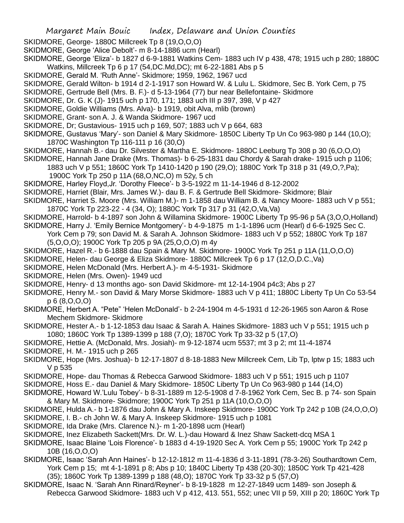- SKIDMORE, George- 1880C Millcreek Tp 8 (19,O,O,O)
- SKIDMORE, George 'Alice Debolt'- m 8-14-1886 ucm (Hearl)
- SKIDMORE, George 'Eliza'- b 1827 d 6-9-1881 Watkins Cem- 1883 uch IV p 438, 478; 1915 uch p 280; 1880C Watkins, Millcreek Tp 6 p 17 (54,DC.Md,DC); mt 6-22-1881 Abs p 5
- SKIDMORE, Gerald M. 'Ruth Anne'- Skidmore; 1959, 1962, 1967 ucd
- SKIDMORE, Gerald Wilton- b 1914 d 2-1-1917 son Howard W. & Lulu L. Skidmore, Sec B. York Cem, p 75
- SKIDMORE, Gertrude Bell (Mrs. B. F.)- d 5-13-1964 (77) bur near Bellefontaine- Skidmore
- SKIDMORE, Dr. G. K (J)- 1915 uch p 170, 171; 1883 uch III p 397, 398, V p 427
- SKIDMORE, Goldie Williams (Mrs. Alva)- b 1919, obit Alva, mlib (brown)
- SKIDMORE, Grant- son A. J. & Wanda Skidmore- 1967 ucd
- SKIDMORE, Dr; Gustavious- 1915 uch p 169, 507; 1883 uch V p 664, 683
- SKIDMORE, Gustavus 'Mary'- son Daniel & Mary Skidmore- 1850C Liberty Tp Un Co 963-980 p 144 (10,O); 1870C Washington Tp 116-111 p 16 (30,O)
- SKIDMORE, Hannah B.- dau Dr. Silvester & Martha E. Skidmore- 1880C Leeburg Tp 308 p 30 (6,O,O,O)
- SKIDMORE, Hannah Jane Drake (Mrs. Thomas)- b 6-25-1831 dau Chordy & Sarah drake- 1915 uch p 1106;
	- 1883 uch V p 551; 1860C York Tp 1410-1420 p 190 (29,O); 1880C York Tp 318 p 31 (49,O,?,Pa);
	- 1900C York Tp 250 p 11A (68,O,NC,O) m 52y, 5 ch
- SKIDMORE, Harley Floyd,Jr. 'Dorothy Fleece'- b 3-5-1922 m 11-14-1946 d 8-12-2002
- SKIDMORE, Harriet (Blair, Mrs. James W.)- dau B. F. & Gertrude Bell Skidmore- Skidmore; Blair
- SKIDMORE, Harriet S. Moore (Mrs. William M.)- m 1-1858 dau William B. & Nancy Moore- 1883 uch V p 551; 1870C York Tp 223-22 - 4 (34, O); 1880C York Tp 317 p 31 (42,O,Va,Va)
- SKIDMORE, Harrold- b 4-1897 son John & Willamina Skidmore- 1900C Liberty Tp 95-96 p 5A (3,O,O,Holland)
- SKIDMORE, Harry J. 'Emily Bernice Montgomery'- b 4-9-1875 m 1-1-1896 ucm (Hearl) d 6-6-1925 Sec C. York Cem p 79; son David M. & Sarah A. Johnson Skidmore- 1883 uch V p 552; 1880C York Tp 187
	- (5,O,O,O); 1900C York Tp 205 p 9A (25,O,O,O) m 4y
- SKIDMORE, Hazel R.- b 6-1888 dau Spain & Mary M. Skidmore- 1900C York Tp 251 p 11A (11,O,O,O)
- SKIDMORE, Helen- dau George & Eliza Skidmore- 1880C Millcreek Tp 6 p 17 (12,O,D.C.,Va)
- SKIDMORE, Helen McDonald (Mrs. Herbert A.)- m 4-5-1931- Skidmore
- SKIDMORE, Helen (Mrs. Owen)- 1949 ucd
- SKIDMORE, Henry- d 13 months ago- son David Skidmore- mt 12-14-1904 p4c3; Abs p 27
- SKIDMORE, Henry M.- son David & Mary Morse Skidmore- 1883 uch V p 411; 1880C Liberty Tp Un Co 53-54 p 6 (8,O,O,O)
- SKIDMORE, Herbert A. "Pete" 'Helen McDonald'- b 2-24-1904 m 4-5-1931 d 12-26-1965 son Aaron & Rose Mechem Skidmore- Skidmore
- SKIDMORE, Hester A.- b 1-12-1853 dau Isaac & Sarah A. Haines Skidmore- 1883 uch V p 551; 1915 uch p 1080; 1860C York Tp 1389-1399 p 188 (7,O); 1870C York Tp 33-32 p 5 (17,O)
- SKIDMORE, Hettie A. (McDonald, Mrs. Josiah)- m 9-12-1874 ucm 5537; mt 3 p 2; mt 11-4-1874
- SKIDMORE, H. M.- 1915 uch p 265
- SKIDMORE, Hope (Mrs. Joshua)- b 12-17-1807 d 8-18-1883 New Millcreek Cem, Lib Tp, lptw p 15; 1883 uch V p 535
- SKIDMORE, Hope- dau Thomas & Rebecca Garwood Skidmore- 1883 uch V p 551; 1915 uch p 1107
- SKIDMORE, Hoss E.- dau Daniel & Mary Skidmore- 1850C Liberty Tp Un Co 963-980 p 144 (14,O)
- SKIDMORE, Howard W.'Lulu Tobey'- b 8-31-1889 m 12-5-1908 d 7-8-1962 York Cem, Sec B. p 74- son Spain & Mary M. Skidmore- Skidmore; 1900C York Tp 251 p 11A (10,O,O,O)
- SKIDMORE, Hulda A.- b 1-1876 dau John & Mary A. Inskeep Skidmore- 1900C York Tp 242 p 10B (24,O,O,O)
- SKIDMORE, I. B.- ch John W. & Mary A. Inskeep Skidmore- 1915 uch p 1081
- SKIDMORE, Ida Drake (Mrs. Clarence N.)- m 1-20-1898 ucm (Hearl)
- SKIDMORE, Inez Elizabeth Sackett(Mrs. Dr. W. L.)-dau Howard & Inez Shaw Sackett-dcq MSA 1
- SKIDMORE, Isaac Blaine 'Lois Florence'- b 1883 d 4-19-1920 Sec A. York Cem p 55; 1900C York Tp 242 p 10B (16,O,O,O)
- SKIDMORE, Isaac 'Sarah Ann Haines'- b 12-12-1812 m 11-4-1836 d 3-11-1891 (78-3-26) Southardtown Cem, York Cem p 15; mt 4-1-1891 p 8; Abs p 10; 1840C Liberty Tp 438 (20-30); 1850C York Tp 421-428 (35); 1860C York Tp 1389-1399 p 188 (48,O); 1870C York Tp 33-32 p 5 (57,O)
- SKIDMORE, Isaac N. 'Sarah Ann Rinard/Reyner'- b 8-19-1828 m 12-27-1849 ucm 1489- son Joseph & Rebecca Garwood Skidmore- 1883 uch V p 412, 413. 551, 552; unec VII p 59, XIII p 20; 1860C York Tp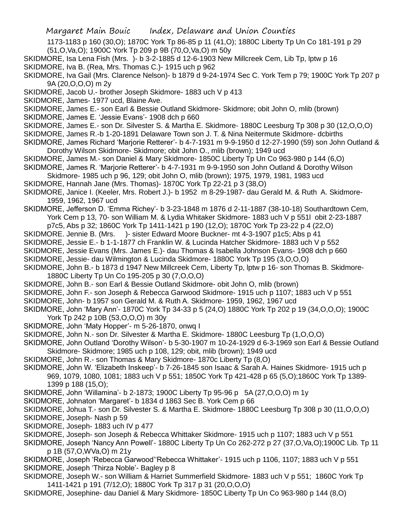- 1173-1183 p 160 (30,O); 1870C York Tp 86-85 p 11 (41,O); 1880C Liberty Tp Un Co 181-191 p 29
- (51,O,Va,O); 1900C York Tp 209 p 9B (70,O,Va,O) m 50y
- SKIDMORE, Isa Lena Fish (Mrs. )- b 3-2-1885 d 12-6-1903 New Millcreek Cem, Lib Tp, lptw p 16
- SKIDMORE, Iva B. (Rea, Mrs. Thomas C.)- 1915 uch p 962
- SKIDMORE, Iva Gail (Mrs. Clarence Nelson)- b 1879 d 9-24-1974 Sec C. York Tem p 79; 1900C York Tp 207 p 9A (20,O,O,O) m 2y
- SKIDMORE, Jacob U.- brother Joseph Skidmore- 1883 uch V p 413
- SKIDMORE, James- 1977 ucd, Blaine Ave.
- SKIDMORE, James E.- son Earl & Bessie Outland Skidmore- Skidmore; obit John O, mlib (brown)
- SKIDMORE, James E. 'Jessie Evans'- 1908 dch p 660
- SKIDMORE, James E.- son Dr. Silvester S. & Martha E. Skidmore- 1880C Leesburg Tp 308 p 30 (12,O,O,O)
- SKIDMORE, James R.-b 1-20-1891 Delaware Town son J. T. & Nina Neitermute Skidmore- dcbirths
- SKIDMORE, James Richard 'Marjorie Retterer'- b 4-7-1931 m 9-9-1950 d 12-27-1990 (59) son John Outland & Dorothy Wilson Skidmore- Skidmore; obit John O., mlib (brown); 1949 ucd
- SKIDMORE, James M.- son Daniel & Mary Skidmore- 1850C Liberty Tp Un Co 963-980 p 144 (6,O)
- SKIDMORE, James R. 'Marjorie Retterer'- b 4-7-1931 m 9-9-1950 son John Outland & Dorothy Wilson
- Skidmore- 1985 uch p 96, 129; obit John O, mlib (brown); 1975, 1979, 1981, 1983 ucd
- SKIDMORE, Hannah Jane (Mrs. Thomas)- 1870C York Tp 22-21 p 3 (38,O)
- SKIDMORE, Janice I. (Keeler, Mrs. Robert J.)- b 1952 m 8-29-1987- dau Gerald M. & Ruth A. Skidmore-1959, 1962, 1967 ucd
- SKIDMORE, Jefferson D. 'Emma Richey'- b 3-23-1848 m 1876 d 2-11-1887 (38-10-18) Southardtown Cem, York Cem p 13, 70- son William M. & Lydia Whitaker Skidmore- 1883 uch V p 551l obit 2-23-1887
	- p7c5, Abs p 32; 1860C York Tp 1411-1421 p 190 (12,O); 1870C York Tp 23-22 p 4 (22,O)
- SKIDMORE. Jennie B. (Mrs. )- sister Edward Moore Buckner- mt 4-3-1907 p1c5; Abs p 41
- SKIDMORE, Jessie E.- b 1-1-1877 ch Franklin W. & Lucinda Hatcher Skidmore- 1883 uch V p 552
- SKIDMORE, Jessie Evans (Mrs. James E.)- dau Thomas & Isabella Johnson Evans- 1908 dch p 660
- SKIDMORE, Jessie- dau Wilmington & Lucinda Skidmore- 1880C York Tp 195 (3,O,O,O)
- SKIDMORE, John B.- b 1873 d 1947 New Millcreek Cem, Liberty Tp, lptw p 16- son Thomas B. Skidmore-1880C Liberty Tp Un Co 195-205 p 30 (7,O,O,O)
- SKIDMORE, John B.- son Earl & Bessie Outland Skidmore- obit John O, mlib (brown)
- SKIDMORE, John F.- son Joseph & Rebecca Garwood Skidmore- 1915 uch p 1107; 1883 uch V p 551
- SKIDMORE, John- b 1957 son Gerald M. & Ruth A. Skidmore- 1959, 1962, 1967 ucd
- SKIDMORE, John 'Mary Ann'- 1870C York Tp 34-33 p 5 (24,O) 1880C York Tp 202 p 19 (34,O,O,O); 1900C York Tp 242 p 10B (53,O,O,O) m 30y
- SKIDMORE, John 'Maty Hopper'- m 5-26-1870, onwq I
- SKIDMORE, John N.- son Dr. Silvester & Martha E. Skidmore- 1880C Leesburg Tp (1,O,O,O)
- SKIDMORE, John Outland 'Dorothy Wilson'- b 5-30-1907 m 10-24-1929 d 6-3-1969 son Earl & Bessie Outland Skidmore- Skidmore; 1985 uch p 108, 129; obit, mlib (brown); 1949 ucd
- SKIDMORE, John R.- son Thomas & Mary Skidmore- 1870c Liberty Tp (8,O)
- SKIDMORE, John W. 'Elizabeth Inskeep'- b 7-26-1845 son Isaac & Sarah A. Haines Skidmore- 1915 uch p 969, 1079, 1080, 1081; 1883 uch V p 551; 1850C York Tp 421-428 p 65 (5,O);1860C York Tp 1389- 1399 p 188 (15,O);
- SKIDMORE, John 'Willamina'- b 2-1873; 1900C Liberty Tp 95-96 p 5A (27,O,O,O) m 1y
- SKIDMORE, Johnaton 'Margaret'- b 1834 d 1863 Sec B. York Cem p 66
- SKIDMORE, Johua T.- son Dr. Silvester S. & Martha E. Skidmore- 1880C Leesburg Tp 308 p 30 (11,O,O,O)
- SKIDMORE, Joseph- Nash p 59
- SKIDMORE, Joseph- 1883 uch IV p 477
- SKIDMORE, Joseph- son Joseph & Rebecca Whittaker Skidmore- 1915 uch p 1107; 1883 uch V p 551
- SKIDMORE, Joseph 'Nancy Ann Powell'- 1880C Liberty Tp Un Co 262-272 p 27 (37,O,Va,O);1900C Lib. Tp 11 p 1B (57,O,WVa,O) m 21y
- SKIDMORE, Joseph 'Rebecca Garwood''Rebecca Whittaker'- 1915 uch p 1106, 1107; 1883 uch V p 551 SKIDMORE, Joseph 'Thirza Noble'- Bagley p 8
- SKIDMORE, Joseph W.- son William & Harriet Summerfield Skidmore- 1883 uch V p 551; 1860C York Tp 1411-1421 p 191 (7/12,O); 1880C York Tp 317 p 31 (20,O,O,O)
- SKIDMORE, Josephine- dau Daniel & Mary Skidmore- 1850C Liberty Tp Un Co 963-980 p 144 (8,O)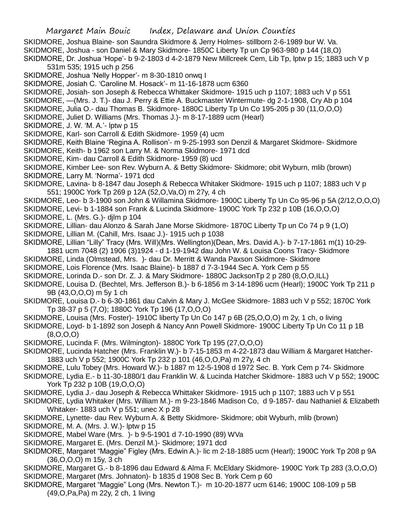SKIDMORE, Joshua Blaine- son Saundra Skidmore & Jerry Holmes- stillborn 2-6-1989 bur W. Va. SKIDMORE, Joshua - son Daniel & Mary Skidmore- 1850C Liberty Tp un Cp 963-980 p 144 (18,O) SKIDMORE, Dr. Joshua 'Hope'- b 9-2-1803 d 4-2-1879 New Millcreek Cem, Lib Tp, lptw p 15; 1883 uch V p 531m 535; 1915 uch p 256 SKIDMORE, Joshua 'Nelly Hopper'- m 8-30-1810 onwq I SKIDMORE, Josiah C. 'Caroline M. Hosack'- m 11-16-1878 ucm 6360 SKIDMORE, Josiah- son Joseph & Rebecca Whittaker Skidmore- 1915 uch p 1107; 1883 uch V p 551 SKIDMORE, —(Mrs. J. T.)- dau J. Perry & Ettie A. Buckmaster Wintermute- dg 2-1-1908, Cry Ab p 104 SKIDMORE, Julia O.- dau Thomas B. Skidmore- 1880C Liberty Tp Un Co 195-205 p 30 (11,O,O,O) SKIDMORE, Juliet D. Williams (Mrs. Thomas J.)- m 8-17-1889 ucm (Hearl) SKIDMORE, J. W. 'M. A.'- lptw p 15 SKIDMORE, Karl- son Carroll & Edith Skidmore- 1959 (4) ucm SKIDMORE, Keith Blaine 'Regina A. Rollison'- m 9-25-1993 son Denzil & Margaret Skidmore- Skidmore SKIDMORE, Keith- b 1962 son Larry M. & Norma Skidmore- 1971 dcd SKIDMORE, Kim- dau Carroll & Edith Skidmore- 1959 (8) ucd SKIDMORE, Kimber Lee- son Rev. Wyburn A. & Betty Skidmore- Skidmore; obit Wyburn, mlib (brown) SKIDMORE, Larry M. 'Norma'- 1971 dcd SKIDMORE, Lavina- b 8-1847 dau Joseph & Rebecca Whitaker Skidmore- 1915 uch p 1107; 1883 uch V p 551; 1900C York Tp 269 p 12A (52,O,Va,O) m 27y, 4 ch SKIDMORE, Leo- b 3-1900 son John & Willamina Skidmore- 1900C Liberty Tp Un Co 95-96 p 5A (2/12,O,O,O) SKIDMORE, Levi- b 1-1884 son Frank & Lucinda Skidmore- 1900C York Tp 232 p 10B (16,O,O,O) SKIDMORE, L. (Mrs. G.)- djlm p 104 SKIDMORE, Lillian- dau Alonzo & Sarah Jane Morse Skidmore- 1870C Liberty Tp un Co 74 p 9 (1,O) SKIDMORE, Lillian M. (Cahill, Mrs. Isaac J.)- 1915 uch p 1038 SKIDMORE, Lillian "Lilly" Tracy (Mrs. Will)(Mrs. Wellington)(Dean, Mrs. David A.)- b 7-17-1861 m(1) 10-29- 1881 ucm 7048 (2) 1906 (3)1924 - d 1-19-1942 dau John W. & Louisa Coons Tracy- Skidmore SKIDMORE, Linda (Olmstead, Mrs. )- dau Dr. Merritt & Wanda Paxson Skidmore- Skidmore SKIDMORE, Lois Florence (Mrs. Isaac Blaine)- b 1887 d 7-3-1944 Sec A. York Cem p 55 SKIDMORE, Lorinda D.- son Dr. Z. J. & Mary Skidmore- 1880C JacksonTp 2 p 280 (8,O,O,ILL) SKIDMORE, Louisa D. (Bechtel, Mrs. Jefferson B.)- b 6-1856 m 3-14-1896 ucm (Hearl); 1900C York Tp 211 p 9B (43,O,O,O) m 5y 1 ch SKIDMORE, Louisa D.- b 6-30-1861 dau Calvin & Mary J. McGee Skidmore- 1883 uch V p 552; 1870C York Tp 38-37 p 5 (7,O); 1880C York Tp 196 (17,O,O,O) SKIDMORE, Louisa (Mrs. Foster)- 1910C liberty Tp Un Co 147 p 6B (25,O,O,O) m 2y, 1 ch, o living SKIDMORE, Loyd- b 1-1892 son Joseph & Nancy Ann Powell Skidmore- 1900C Liberty Tp Un Co 11 p 1B (8,O,O,O) SKIDMORE, Lucinda F. (Mrs. Wilmington)- 1880C York Tp 195 (27,O,O,O) SKIDMORE, Lucinda Hatcher (Mrs. Franklin W.)- b 7-15-1853 m 4-22-1873 dau William & Margaret Hatcher-1883 uch V p 552; 1900C York Tp 232 p 101 (46,O,O,Pa) m 27y, 4 ch SKIDMORE, Lulu Tobey (Mrs. Howard W.)- b 1887 m 12-5-1908 d 1972 Sec. B. York Cem p 74- Skidmore SKIDMORE, Lydia E.- b 11-30-1880/1 dau Franklin W. & Lucinda Hatcher Skidmore- 1883 uch V p 552; 1900C York Tp 232 p 10B (19,O,O,O) SKIDMORE, Lydia J.- dau Joseph & Rebecca Whittaker Skidmore- 1915 uch p 1107; 1883 uch V p 551 SKIDMORE, Lydia Whitaker (Mrs. William M.)- m 9-23-1846 Madison Co, d 9-1857- dau Nathaniel & Elizabeth Whitaker- 1883 uch V p 551; unec X p 28 SKIDMORE, Lynette- dau Rev. Wyburn A. & Betty Skidmore- Skidmore; obit Wyburh, mlib (brown) SKIDMORE, M. A. (Mrs. J. W.)- lptw p 15 SKIDMORE, Mabel Ware (Mrs. )- b 9-5-1901 d 7-10-1990 (89) WVa SKIDMORE, Margaret E. (Mrs. Denzil M.)- Skidmore; 1971 dcd

- SKIDMORE, Margaret "Maggie" Figley (Mrs. Edwin A.)- lic m 2-18-1885 ucm (Hearl); 1900C York Tp 208 p 9A (36,O,O,O) m 15y, 3 ch
- SKIDMORE, Margaret G.- b 8-1896 dau Edward & Alma F. McEldary Skidmore- 1900C York Tp 283 (3,O,O,O)
- SKIDMORE, Margaret (Mrs. Johnaton)- b 1835 d 1908 Sec B. York Cem p 60
- SKIDMORE, Margaret "Maggie" Long (Mrs. Newton T.)- m 10-20-1877 ucm 6146; 1900C 108-109 p 5B (49,O,Pa,Pa) m 22y, 2 ch, 1 living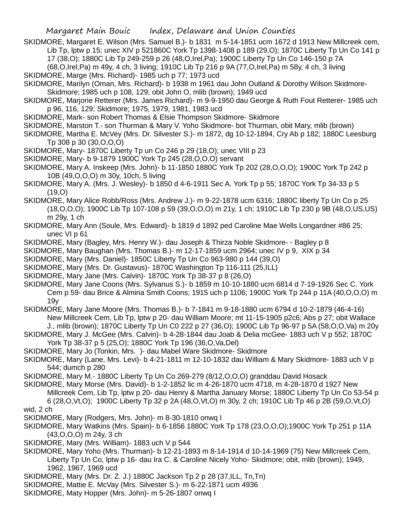SKIDMORE, Margaret E. Wilson (Mrs. Samuel B.)- b 1831 m 5-14-1851 ucm 1672 d 1913 New Millcreek cem, Lib Tp, lptw p 15; unec XIV p 521860C York Tp 1398-1408 p 189 (29,O); 1870C Liberty Tp Un Co 141 p 17 (38,O); 1880C Lib Tp 249-259 p 26 (48,O,Irel,Pa); 1900C Liberty Tp Un Co 146-150 p 7A

(68,O,Irel,Pa) m 49y, 4 ch, 3 living; 1910C Lib Tp 216 p 9A (77,O,Irel,Pa) m 58y, 4 ch, 3 living SKIDMORE, Marge (Mrs. Richard)- 1985 uch p 77; 1973 ucd

- SKIDMORE, Marilyn (Oman, Mrs. Richard)- b 1938 m 1961 dau John Outland & Dorothy Wilson Skidmore-Skidmore; 1985 uch p 108, 129; obit John O, mlib (brown); 1949 ucd
- SKIDMORE, Marjorie Retterer (Mrs. James Richard)- m 9-9-1950 dau George & Ruth Fout Retterer- 1985 uch p 96, 116, 129; Skidmore; 1975, 1979, 1981, 1983 ucd
- SKIDMORE, Mark- son Robert Thomas & Elsie Thompson Skidmore- Skidmore
- SKIDMORE, Marston T.- son Thurman & Mary V. Yoho Skidmore- bot Thurman, obit Mary, mlib (brown)
- SKIDMORE, Martha E. McVey (Mrs. Dr. Silvester S.)- m 1872, dg 10-12-1894, Cry Ab p 182; 1880C Leesburg Tp 308 p 30 (30,O,O,O)
- SKIDMORE, Mary- 1870C Liberty Tp un Co 246 p 29 (18,O); unec VIII p 23
- SKIDMORE, Mary- b 9-1879 1900C York Tp 245 (28,O,O,O) servant
- SKIDMORE, Mary A. Inskeep (Mrs. John)- b 11-1850 1880C York Tp 202 (28,O,O,O); 1900C York Tp 242 p 10B (49,O,O,O) m 30y, 10ch, 5 living
- SKIDMORE, Mary A. (Mrs. J. Wesley)- b 1850 d 4-6-1911 Sec A. York Tp p 55; 1870C York Tp 34-33 p 5 (19,O)
- SKIDMORE, Mary Alice Robb/Ross (Mrs. Andrew J.)- m 9-22-1878 ucm 6316; 1880C liberty Tp Un Co p 25 (18,O,O,O); 1900C Lib Tp 107-108 p 59 (39,O,O,O) m 21y, 1 ch; 1910C Lib Tp 230 p 9B (48,O,US,US) m 29y, 1 ch
- SKIDMORE, Mary Ann (Soule, Mrs. Edward)- b 1819 d 1892 ped Caroline Mae Wells Longardner #86 25; unec VI p 61
- SKIDMORE, Mary (Bagley, Mrs. Henry W.)- dau Joseph & Thirza Noble Skidmore- Bagley p 8
- SKIDMORE, Mary Baughan (Mrs. Thomas B.)- m 12-17-1859 ucm 2964; unec IV p 9, XIX p 34
- SKIDMORE, Mary (Mrs. Daniel)- 1850C Liberty Tp Un Co 963-980 p 144 (39,O)
- SKIDMORE, Mary (Mrs. Dr. Gustavus)- 1870C Washington Tp 116-111 (25,ILL)
- SKIDMORE, Mary Jane (Mrs. Calvin)- 1870C York Tp 38-37 p 8 (26,O)
- SKIDMORE, Mary Jane Coons (Mrs. Sylvanus S.)- b 1859 m 10-10-1880 ucm 6814 d 7-19-1926 Sec C. York Cem p 59- dau Brice & Almina Smith Coons; 1915 uch p 1106; 1900C York Tp 244 p 11A (40,O,O,O) m 19y
- SKIDMORE, Mary Jane Moore (Mrs. Thomas B.)- b 7-1841 m 9-18-1880 ucm 6794 d 10-2-1879 (46-4-16) New Millcreek Cem, Lib Tp, lptw p 20- dau William Moore; mt 11-15-1905 p2c6; Abs p 27; obit Wallace J., mlib (brown); 1870C Liberty Tp Un C0 222 p 27 (36,O); 1900C Lib Tp 96-97 p 5A (58,O,O,Va) m 20y
- SKIDMORE, Mary J. McGee (Mrs. Calvin)- b 4-28-1844 dau Joab & Delia mcGee- 1883 uch V p 552; 1870C York Tp 38-37 p 5 (25,O); 1880C York Tp 196 (36,O,Va,Del)
- SKIDMORE, Mary Jo (Tonkin, Mrs. )- dau Mabel Ware Skidmore- Skidmore
- SKIDMORE, Mary (Lane, Mrs. Levi)- b 4-21-1811 m 12-10-1832 dau William & Mary Skidmore- 1883 uch V p 544; dumch p 280
- SKIDMORE, Mary M.- 1880C Liberty Tp Un Co 269-279 (8/12,O,O,O) granddau David Hosack
- SKIDMORE, Mary Morse (Mrs. David)- b 1-2-1852 lic m 4-26-1870 ucm 4718, m 4-28-1870 d 1927 New Millcreek Cem, Lib Tp, lptw p 20- dau Henry & Martha January Morse; 1880C Liberty Tp Un Co 53-54 p 6 (28,O,Vt,O); 1900C Liberty Tp 32 p 2A (48,O,Vt,O) m 30y, 2 ch; 1910C Lib Tp 46 p 2B (59,O,Vt,O)

wid, 2 ch

- SKIDMORE, Mary (Rodgers, Mrs. John)- m 8-30-1810 onwq I
- SKIDMORE, Mary Watkins (Mrs. Spain)- b 6-1856 1880C York Tp 178 (23,O,O,O);1900C York Tp 251 p 11A (43,O,O,O) m 24y, 3 ch
- SKIDMORE, Mary (Mrs. William)- 1883 uch V p 544
- SKIDMORE, Mary Yoho (Mrs. Thurman)- b 12-21-1893 m 8-14-1914 d 10-14-1969 (75) New Millcreek Cem, Liberty Tp Un Co, lptw p 16- dau Ira C. & Caroline Nicely Yoho- Skidmore; obit, mlib (brown); 1949, 1962, 1967, 1969 ucd
- SKIDMORE, Mary (Mrs. Dr. Z. J.) 1880C Jackson Tp 2 p 28 (37,ILL, Tn,Tn)
- SKIDMORE, Mattie E. McVay (Mrs. Silvester S.)- m 6-22-1871 ucm 4936
- SKIDMORE, Maty Hopper (Mrs. John)- m 5-26-1807 onwq I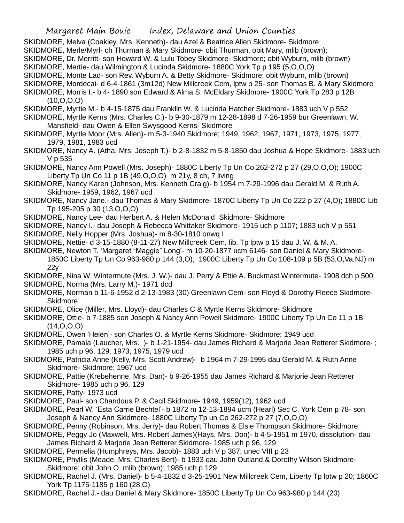- SKIDMORE, Melva (Coakley, Mrs. Kenneth)- dau Azel & Beatrice Allen Skidmore- Skidmore
- SKIDMORE, Merle/Myrl- ch Thurman & Mary Skidmore- obit Thurman, obit Mary, mlib (brown);
- SKIDMORE, Dr. Merritt- son Howard W. & Lulu Tobey Skidmore- Skidmore; obit Wyburn, mlib (brown)
- SKIDMORE, Mertie- dau Wilmington & Lucinda Skidmore- 1880C York Tp p 195 (5,O,O,O)
- SKIDMORE, Monte Lad- son Rev. Wyburn A. & Betty Skidmore- Skidmore; obit Wyburn, mlib (brown)
- SKIDMORE, Mordecai- d 6-4-1861 (3m12d) New Millcreek Cem, lptw p 25- son Thomas B. & Mary Skidmore
- SKIDMORE, Morris I.- b 4- 1890 son Edward & Alma S. McEldary Skidmore- 1900C York Tp 283 p 12B (10,O,O,O)
- SKIDMORE, Myrtie M.- b 4-15-1875 dau Franklin W. & Lucinda Hatcher Skidmore- 1883 uch V p 552
- SKIDMORE, Myrtle Kerns (Mrs. Charles C.)- b 9-30-1879 m 12-28-1898 d 7-26-1959 bur Greenlawn, W. Mansfield- dau Owen & Ellen Swysgood Kerns- Skidmore
- SKIDMORE, Myrtle Moor (Mrs. Allen)- m 5-3-1940 Skidmore; 1949, 1962, 1967, 1971, 1973, 1975, 1977, 1979, 1981, 1983 ucd
- SKIDMORE, Nancy A. (Atha, Mrs. Joseph T.)- b 2-8-1832 m 5-8-1850 dau Joshua & Hope Skidmore- 1883 uch V p 535
- SKIDMORE, Nancy Ann Powell (Mrs. Joseph)- 1880C Liberty Tp Un Co 262-272 p 27 (29,O,O,O); 1900C Liberty Tp Un Co 11 p 1B (49,O,O,O) m 21y, 8 ch, 7 living
- SKIDMORE, Nancy Karen (Johnson, Mrs. Kenneth Craig)- b 1954 m 7-29-1996 dau Gerald M. & Ruth A. Skidmore- 1959, 1962, 1967 ucd
- SKIDMORE, Nancy Jane.- dau Thomas & Mary Skidmore- 1870C Liberty Tp Un Co 222 p 27 (4,O); 1880C Lib Tp 195-205 p 30 (13,O,O,O)
- SKIDMORE, Nancy Lee- dau Herbert A. & Helen McDonald Skidmore- Skidmore
- SKIDMORE, Nancy l.- dau Joseph & Rebecca Whittaker Skidmore- 1915 uch p 1107; 1883 uch V p 551
- SKIDMORE, Nelly Hopper (Mrs. Joshua)- m 8-30-1810 onwq I
- SKIDMORE, Nettie- d 3-15-1880 (8-11-27) New Millcreek Cem, lib. Tp lptw p 15 dau J. W. & M. A.
- SKIDMORE, Newton T. 'Margaret "Maggie" Long'- m 10-20-1877 ucm 6146- son Daniel & Mary Skidmore-1850C Liberty Tp Un Co 963-980 p 144 (3,O); 1900C Liberty Tp Un Co 108-109 p 5B (53,O,Va,NJ) m 22y
- SKIDMORE, Nina W. Wintermute (Mrs. J. W.)- dau J. Perry & Ettie A. Buckmast Wintermute- 1908 dch p 500
- SKIDMORE, Norma (Mrs. Larry M.)- 1971 dcd
- SKIDMORE, Norman b 11-6-1952 d 2-13-1983 (30) Greenlawn Cem- son Floyd & Dorothy Fleece Skidmore-**Skidmore**
- SKIDMORE, Olice (Miller, Mrs. Lloyd)- dau Charles C & Myrtle Kerns Skidmore- Skidmore
- SKIDMORE, Ottie- b 7-1885 son Joseph & Nancy Ann Powell Skidmore- 1900C Liberty Tp Un Co 11 p 1B  $(14, 0, 0, 0)$
- SKIDMORE, Owen 'Helen'- son Charles O. & Myrtle Kerns Skidmore- Skidmore; 1949 ucd
- SKIDMORE, Pamala (Laucher, Mrs. )- b 1-21-1954- dau James Richard & Marjorie Jean Retterer Skidmore- ; 1985 uch p 96, 129; 1973, 1975, 1979 ucd
- SKIDMORE, Patricia Anne (Kelly, Mrs. Scott Andrew)- b 1964 m 7-29-1995 dau Gerald M. & Ruth Anne Skidmore- Skidmore; 1967 ucd
- SKIDMORE, Pattie (Krebehenne, Mrs. Dan)- b 9-26-1955 dau James Richard & Marjorie Jean Retterer Skidmore- 1985 uch p 96, 129
- SKIDMORE, Patty- 1973 ucd
- SKIDMORE, Paul- son Chandous P. & Cecil Skidmore- 1949, 1959(12), 1962 ucd
- SKIDMORE, Pearl W. 'Esta Carrie Bechtel'- b 1872 m 12-13-1894 ucm (Hearl) Sec C. York Cem p 78- son Joseph & Nancy Ann Skidmore- 1880C Liberty Tp un Co 262-272 p 27 (7,O,O,O)
- SKIDMORE, Penny (Robinson, Mrs. Jerry)- dau Robert Thomas & Elsie Thompson Skidmore- Skidmore
- SKIDMORE, Peggy Jo (Maxwell, Mrs. Robert James)(Hays, Mrs. Don)- b 4-5-1951 m 1970, dissolution- dau James Richard & Marjorie Jean Retterer Skidmore- 1985 uch p 96, 129
- SKIDMORE, Permelia (Humphreys, Mrs. Jacob)- 1883 uch V p 387; unec VIII p 23
- SKIDMORE, Phyllis (Meade, Mrs. Charles Bert)- b 1933 dau John Outland & Dorothy Wilson Skidmore-Skidmore; obit John O, mlib (brown); 1985 uch p 129
- SKIDMORE, Rachel J. (Mrs. Daniel)- b 5-4-1832 d 3-25-1901 New Millcreek Cem, Liberty Tp lptw p 20; 1860C York Tp 1175-1185 p 160 (28,O)
- SKIDMORE, Rachel J.- dau Daniel & Mary Skidmore- 1850C Liberty Tp Un Co 963-980 p 144 (20)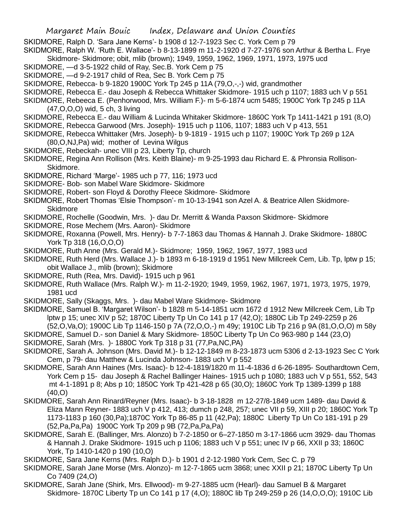SKIDMORE, Ralph D. 'Sara Jane Kerns'- b 1908 d 12-7-1923 Sec C. York Cem p 79

SKIDMORE, Ralph W. 'Ruth E. Wallace'- b 8-13-1899 m 11-2-1920 d 7-27-1976 son Arthur & Bertha L. Frye Skidmore- Skidmore; obit, mlib (brown); 1949, 1959, 1962, 1969, 1971, 1973, 1975 ucd

- SKIDMORE, —d 3-5-1922 child of Ray, Sec.B. York Cem p 75
- SKIDMORE, —d 9-2-1917 child of Rea, Sec B. York Cem p 75
- SKIDMORE, Rebecca- b 9-1820 1900C York Tp 245 p 11A (79,O,-,-) wid, grandmother
- SKIDMORE, Rebecca E.- dau Joseph & Rebecca Whittaker Skidmore- 1915 uch p 1107; 1883 uch V p 551
- SKIDMORE, Rebeeca E. (Penhorwood, Mrs. William F.)- m 5-6-1874 ucm 5485; 1900C York Tp 245 p 11A (47,O,O,O) wid, 5 ch, 3 living
- SKIDMORE, Rebecca E.- dau William & Lucinda Whitaker Skidmore- 1860C York Tp 1411-1421 p 191 (8,O)
- SKIDMORE, Rebecca Garwood (Mrs. Joseph)- 1915 uch p 1106, 1107; 1883 uch V p 413, 551
- SKIDMORE, Rebecca Whittaker (Mrs. Joseph)- b 9-1819 1915 uch p 1107; 1900C York Tp 269 p 12A (80,O,NJ,Pa) wid; mother of Levina Wilgus
- SKIDMORE, Rebeckah- unec VIII p 23, Liberty Tp, church
- SKIDMORE, Regina Ann Rollison (Mrs. Keith Blaine)- m 9-25-1993 dau Richard E. & Phronsia Rollison-Skidmore.
- SKIDMORE, Richard 'Marge'- 1985 uch p 77, 116; 1973 ucd
- SKIDMORE- Bob- son Mabel Ware Skidmore- Skidmore
- SKIDMORE, Robert- son Floyd & Dorothy Fleece Skidmore- Skidmore
- SKIDMORE, Robert Thomas 'Elsie Thompson'- m 10-13-1941 son Azel A. & Beatrice Allen Skidmore-**Skidmore**
- SKIDMORE, Rochelle (Goodwin, Mrs. )- dau Dr. Merritt & Wanda Paxson Skidmore- Skidmore
- SKIDMORE, Rose Mechem (Mrs. Aaron)- Skidmore
- SKIDMORE, Roxanna (Powell, Mrs. Henry)- b 7-7-1863 dau Thomas & Hannah J. Drake Skidmore- 1880C York Tp 318 (16,O,O,O)
- SKIDMORE, Ruth Anne (Mrs. Gerald M.)- Skidmore; 1959, 1962, 1967, 1977, 1983 ucd
- SKIDMORE, Ruth Herd (Mrs. Wallace J.)- b 1893 m 6-18-1919 d 1951 New Millcreek Cem, Lib. Tp, lptw p 15; obit Wallace J., mlib (brown); Skidmore
- SKIDMORE, Ruth (Rea, Mrs. David)- 1915 uch p 961
- SKIDMORE, Ruth Wallace (Mrs. Ralph W.)- m 11-2-1920; 1949, 1959, 1962, 1967, 1971, 1973, 1975, 1979, 1981 ucd
- SKIDMORE, Sally (Skaggs, Mrs. )- dau Mabel Ware Skidmore- Skidmore
- SKIDMORE, Samuel B. 'Margaret Wilson'- b 1828 m 5-14-1851 ucm 1672 d 1912 New Millcreek Cem, Lib Tp lptw p 15; unec XIV p 52; 1870C Liberty Tp Un Co 141 p 17 (42,O); 1880C Lib Tp 249-2259 p 26 (52,O,Va,O); 1900C Lib Tp 1146-150 p 7A (72,O,O,-) m 49y; 1910C Lib Tp 216 p 9A (81,O,O,O) m 58y
- SKIDMORE, Samuel D.- son Daniel & Mary Skidmore- 1850C Liberty Tp Un Co 963-980 p 144 (23,O)
- SKIDMORE, Sarah (Mrs. )- 1880C York Tp 318 p 31 (77,Pa,NC,PA)
- SKIDMORE, Sarah A. Johnson (Mrs. David M.)- b 12-12-1849 m 8-23-1873 ucm 5306 d 2-13-1923 Sec C York Cem, p 79- dau Matthew & Lucinda Johnson- 1883 uch V p 552
- SKIDMORE, Sarah Ann Haines (Mrs. Isaac)- b 12-4-1819/1820 m 11-4-1836 d 6-26-1895- Southardtown Cem, York Cem p 15- dau Joseph & Rachel Ballinger Haines- 1915 uch p 1080; 1883 uch V p 551, 552, 543 mt 4-1-1891 p 8; Abs p 10; 1850C York Tp 421-428 p 65 (30,O); 1860C York Tp 1389-1399 p 188 (40,O)
- SKIDMORE, Sarah Ann Rinard/Reyner (Mrs. Isaac)- b 3-18-1828 m 12-27/8-1849 ucm 1489- dau David & Eliza Mann Reyner- 1883 uch V p 412, 413; dumch p 248, 257; unec VII p 59, XIII p 20; 1860C York Tp 1173-1183 p 160 (30,Pa);1870C York Tp 86-85 p 11 (42,Pa); 1880C Liberty Tp Un Co 181-191 p 29 (52,Pa,Pa,Pa) 1900C York Tp 209 p 9B (72,Pa,Pa,Pa)
- SKIDMORE, Sarah E. (Ballinger, Mrs. Alonzo) b 7-2-1850 or 6–27-1850 m 3-17-1866 ucm 3929- dau Thomas & Hannah J. Drake Skidmore- 1915 uch p 1106; 1883 uch V p 551; unec IV p 66, XXII p 33; 1860C York, Tp 1410-1420 p 190 (10,O)
- SKIDMORE, Sara Jane Kerns (Mrs. Ralph D.)- b 1901 d 2-12-1980 York Cem, Sec C. p 79
- SKIDMORE, Sarah Jane Morse (Mrs. Alonzo)- m 12-7-1865 ucm 3868; unec XXII p 21; 1870C Liberty Tp Un Co 7409 (24,O)
- SKIDMORE, Sarah Jane (Shirk, Mrs. Ellwood)- m 9-27-1885 ucm (Hearl)- dau Samuel B & Margaret Skidmore- 1870C Liberty Tp un Co 141 p 17 (4,O); 1880C lib Tp 249-259 p 26 (14,O,O,O); 1910C Lib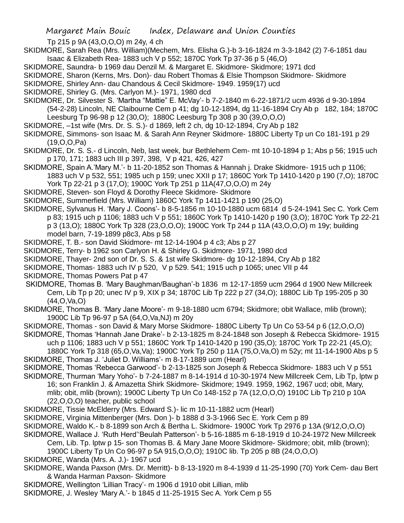Margaret Main Bouic Index, Delaware and Union Counties

Tp 215 p 9A (43,O,O,O) m 24y, 4 ch

SKIDMORE, Sarah Rea (Mrs. William)(Mechem, Mrs. Elisha G.)-b 3-16-1824 m 3-3-1842 (2) 7-6-1851 dau Isaac & Elizabeth Rea- 1883 uch V p 552; 1870C York Tp 37-36 p 5 (46,O)

- SKIDMORE, Saundra- b 1969 dau Denzil M. & Margaret E. Skidmore- Skidmore; 1971 dcd
- SKIDMORE, Sharon (Kerns, Mrs. Don)- dau Robert Thomas & Elsie Thompson Skidmore- Skidmore
- SKIDMORE, Shirley Ann- dau Chandous & Cecil Skidmore- 1949. 1959(17) ucd
- SKIDMORE, Shirley G. (Mrs. Carlyon M.)- 1971, 1980 dcd
- SKIDMORE, Dr. Silvester S. 'Martha "Mattie" E. McVay'- b 7-2-1840 m 6-22-1871/2 ucm 4936 d 9-30-1894 (54-2-28) Lincoln, NE Claibourne Cem p 41; dg 10-12-1894, dg 11-16-1894 Cry Ab p 182, 184; 1870C Leesburg Tp 96-98 p 12 (30,O); 1880C Leesburg Tp 308 p 30 (39,O,O,O)
- SKIDMORE, –1st wife (Mrs. Dr. S. S.)- d 1869, left 2 ch, dg 10-12-1894, Cry Ab p 182
- SKIDMORE, Simmons- son Isaac M. & Sarah Ann Reyner Skidmore- 1880C Liberty Tp un Co 181-191 p 29 (19,O,O,Pa)
- SKIDMORE, Dr. S. S.- d Lincoln, Neb, last week, bur Bethlehem Cem- mt 10-10-1894 p 1; Abs p 56; 1915 uch p 170, 171; 1883 uch III p 397, 398, V p 421, 426, 427
- SKIDMORE, Spain A.'Mary M.'- b 11-20-1852 son Thomas & Hannah j. Drake Skidmore- 1915 uch p 1106; 1883 uch V p 532, 551; 1985 uch p 159; unec XXII p 17; 1860C York Tp 1410-1420 p 190 (7,O); 1870C York Tp 22-21 p 3 (17,O); 1900C York Tp 251 p 11A(47,O,O,O) m 24y
- SKIDMORE, Steven- son Floyd & Dorothy Fleece Skidmore- Skidmore
- SKIDMORE, Summerfield (Mrs. William) 1860C York Tp 1411-1421 p 190 (25,O)
- SKIDMORE, Sylvanus H. 'Mary J. Coons'- b 8-5-1856 m 10-10-1880 ucm 6814 d 5-24-1941 Sec C. York Cem p 83; 1915 uch p 1106; 1883 uch V p 551; 1860C York Tp 1410-1420 p 190 (3,O); 1870C York Tp 22-21 p 3 (13,O); 1880C York Tp 328 (23,O,O,O); 1900C York Tp 244 p 11A (43,O,O,O) m 19y; building model barn, 7-19-1899 p8c3, Abs p 58
- SKIDMORE, T. B.- son David Skidmore- mt 12-14-1904 p 4 c3; Abs p 27
- SKIDMORE, Terry- b 1962 son Carlyon H. & Shirley G. Skidmore- 1971, 1980 dcd
- SKIDMORE, Thayer- 2nd son of Dr. S. S. & 1st wife Skidmore- dg 10-12-1894, Cry Ab p 182
- SKIDMORE, Thomas- 1883 uch IV p 520, V p 529. 541; 1915 uch p 1065; unec VII p 44
- SKIDMORE, Thomas Powers Pat p 47
- SKIDMORE, Thomas B. 'Mary Baughman/Baughan'-b 1836 m 12-17-1859 ucm 2964 d 1900 New Millcreek Cem, Lib Tp p 20; unec IV p 9, XIX p 34; 1870C Lib Tp 222 p 27 (34,O); 1880C Lib Tp 195-205 p 30 (44,O,Va,O)
- SKIDMORE, Thomas B. 'Mary Jane Moore'- m 9-18-1880 ucm 6794; Skidmore; obit Wallace, mlib (brown); 1900C Lib Tp 96-97 p 5A (64,O,Va,NJ) m 20y
- SKIDMORE, Thomas son David & Mary Morse Skidmore- 1880C Liberty Tp Un Co 53-54 p 6 (12,O,O,O)
- SKIDMORE, Thomas 'Hannah Jane Drake'- b 2-13-1825 m 8-24-1848 son Joseph & Rebecca Skidmore- 1915 uch p 1106; 1883 uch V p 551; 1860C York Tp 1410-1420 p 190 (35,O); 1870C York Tp 22-21 (45,O);
- 1880C York Tp 318 (65,O,Va,Va); 1900C York Tp 250 p 11A (75,O,Va,O) m 52y; mt 11-14-1900 Abs p 5 SKIDMORE, Thomas J. 'Juliet D. Williams'- m 8-17-1889 ucm (Hearl)
- SKIDMORE, Thomas 'Rebecca Garwood'- b 2-13-1825 son Joseph & Rebecca Skidmore- 1883 uch V p 551
- SKIDMORE, Thurman 'Mary Yoho'- b 7-24-1887 m 8-14-1914 d 10-30-1974 New Millcreek Cem, Lib Tp, lptw p 16; son Franklin J. & Amazetta Shirk Skidmore- Skidmore; 1949. 1959, 1962, 1967 ucd; obit, Mary, mlib; obit, mlib (brown); 1900C Liberty Tp Un Co 148-152 p 7A (12,O,O,O) 1910C Lib Tp 210 p 10A (22,O,O,O) teacher, public school
- SKIDMORE, Tissie McElderry (Mrs. Edward S.)- lic m 10-11-1882 ucm (Hearl)
- SKIDMORE, Virginia Mittenberger (Mrs. Don )- b 1888 d 3-3-1966 Sec E. York Cem p 89
- SKIDMORE, Waldo K.- b 8-1899 son Arch & Bertha L. Skidmore- 1900C York Tp 2976 p 13A (9/12,O,O,O)
- SKIDMORE, Wallace J. 'Ruth Herd''Beulah Patterson'- b 5-16-1885 m 6-18-1919 d 10-24-1972 New Millcreek
- Cem, Lib. Tp. lptw p 15- son Thomas B. & Mary Jane Moore Skidmore- Skidmore; obit, mlib (brown); 1900C Liberty Tp Un Co 96-97 p 5A 915,O,O,O); 1910C lib. Tp 205 p 8B (24,O,O,O)
- 
- SKIDMORE, Wanda (Mrs. A. J.)- 1967 ucd
- SKIDMORE, Wanda Paxson (Mrs. Dr. Merritt)- b 8-13-1920 m 8-4-1939 d 11-25-1990 (70) York Cem- dau Bert & Wanda Harman Paxson- Skidmore
- SKIDMORE, Wellington 'Lillian Tracy'- m 1906 d 1910 obit Lillian, mlib
- SKIDMORE, J. Wesley 'Mary A.'- b 1845 d 11-25-1915 Sec A. York Cem p 55